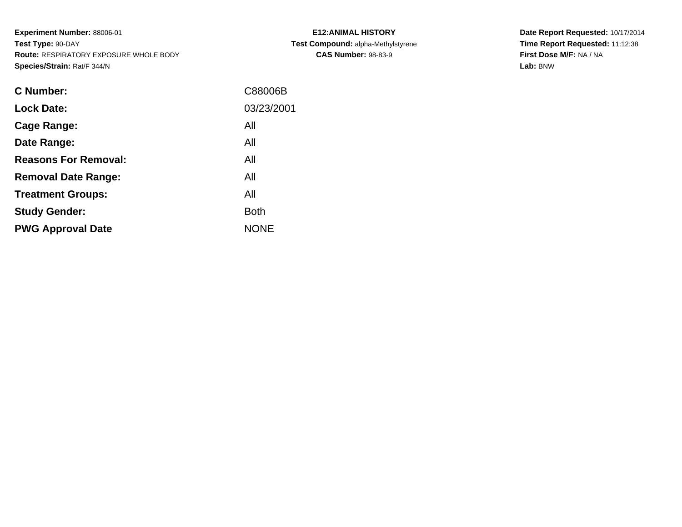**Experiment Number:** 88006-01**Test Type:** 90-DAY **Route:** RESPIRATORY EXPOSURE WHOLE BODY**Species/Strain:** Rat/F 344/N

| <b>E12: ANIMAL HISTORY</b>         |  |  |  |  |  |  |
|------------------------------------|--|--|--|--|--|--|
| Test Compound: alpha-Methylstyrene |  |  |  |  |  |  |
| <b>CAS Number: 98-83-9</b>         |  |  |  |  |  |  |

| <b>C</b> Number:            | C88006B     |
|-----------------------------|-------------|
| <b>Lock Date:</b>           | 03/23/2001  |
| Cage Range:                 | All         |
| Date Range:                 | All         |
| <b>Reasons For Removal:</b> | All         |
| <b>Removal Date Range:</b>  | All         |
| <b>Treatment Groups:</b>    | All         |
| <b>Study Gender:</b>        | <b>Both</b> |
| <b>PWG Approval Date</b>    | <b>NONE</b> |
|                             |             |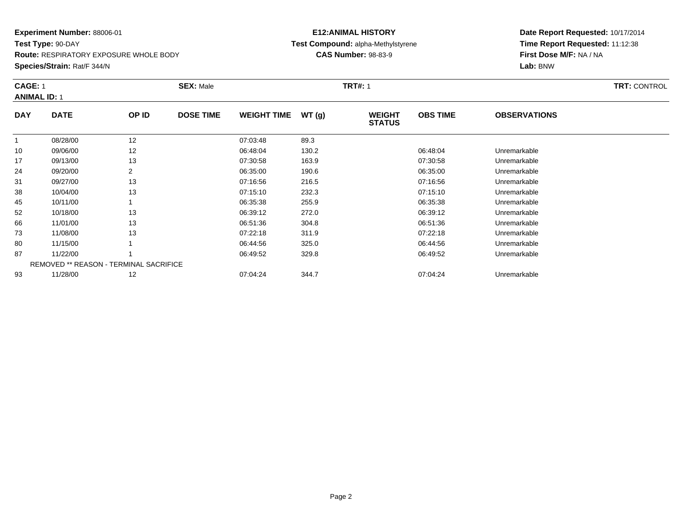**Test Type:** 90-DAY**Route:** RESPIRATORY EXPOSURE WHOLE BODY

**Species/Strain:** Rat/F 344/N

# **E12:ANIMAL HISTORY Test Compound:** alpha-Methylstyrene**CAS Number:** 98-83-9

| <b>TRT: CONTROL</b> |
|---------------------|
|                     |
|                     |
|                     |
|                     |
|                     |
|                     |
|                     |
|                     |
|                     |
|                     |
|                     |
|                     |
|                     |
|                     |
|                     |
|                     |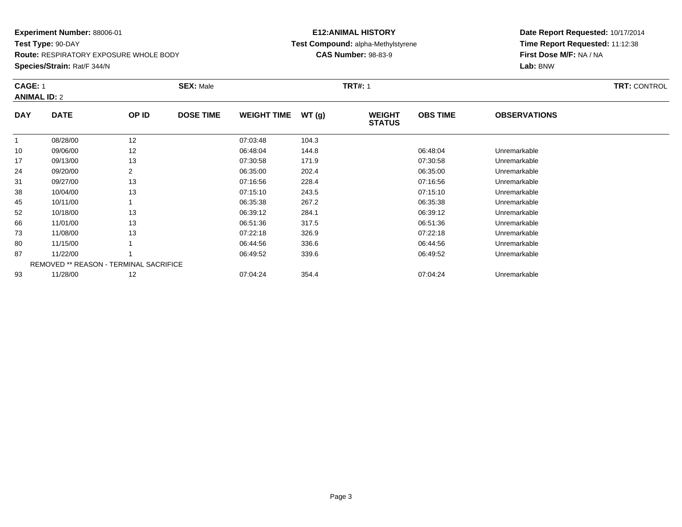**Test Type:** 90-DAY**Route:** RESPIRATORY EXPOSURE WHOLE BODY

**Species/Strain:** Rat/F 344/N

# **E12:ANIMAL HISTORY Test Compound:** alpha-Methylstyrene**CAS Number:** 98-83-9

| <b>CAGE: 1</b> |                     |                  | <b>SEX: Male</b><br><b>TRT#: 1</b>            |       |                                |                 |                     |  |  |  |
|----------------|---------------------|------------------|-----------------------------------------------|-------|--------------------------------|-----------------|---------------------|--|--|--|
|                |                     |                  |                                               |       |                                |                 |                     |  |  |  |
| <b>DATE</b>    | OP ID               | <b>DOSE TIME</b> | <b>WEIGHT TIME</b>                            | WT(g) | <b>WEIGHT</b><br><b>STATUS</b> | <b>OBS TIME</b> | <b>OBSERVATIONS</b> |  |  |  |
| 08/28/00       | 12                  |                  | 07:03:48                                      | 104.3 |                                |                 |                     |  |  |  |
| 09/06/00       | 12                  |                  | 06:48:04                                      | 144.8 |                                | 06:48:04        | Unremarkable        |  |  |  |
| 09/13/00       | 13                  |                  | 07:30:58                                      | 171.9 |                                | 07:30:58        | Unremarkable        |  |  |  |
| 09/20/00       | 2                   |                  | 06:35:00                                      | 202.4 |                                | 06:35:00        | Unremarkable        |  |  |  |
| 09/27/00       | 13                  |                  | 07:16:56                                      | 228.4 |                                | 07:16:56        | Unremarkable        |  |  |  |
| 10/04/00       | 13                  |                  | 07:15:10                                      | 243.5 |                                | 07:15:10        | Unremarkable        |  |  |  |
| 10/11/00       |                     |                  | 06:35:38                                      | 267.2 |                                | 06:35:38        | Unremarkable        |  |  |  |
| 10/18/00       | 13                  |                  | 06:39:12                                      | 284.1 |                                | 06:39:12        | Unremarkable        |  |  |  |
| 11/01/00       | 13                  |                  | 06:51:36                                      | 317.5 |                                | 06:51:36        | Unremarkable        |  |  |  |
| 11/08/00       | 13                  |                  | 07:22:18                                      | 326.9 |                                | 07:22:18        | Unremarkable        |  |  |  |
| 11/15/00       |                     |                  | 06:44:56                                      | 336.6 |                                | 06:44:56        | Unremarkable        |  |  |  |
| 11/22/00       |                     |                  | 06:49:52                                      | 339.6 |                                | 06:49:52        | Unremarkable        |  |  |  |
|                |                     |                  |                                               |       |                                |                 |                     |  |  |  |
| 11/28/00       | 12                  |                  | 07:04:24                                      | 354.4 |                                | 07:04:24        | Unremarkable        |  |  |  |
|                | <b>ANIMAL ID: 2</b> |                  | <b>REMOVED ** REASON - TERMINAL SACRIFICE</b> |       |                                |                 |                     |  |  |  |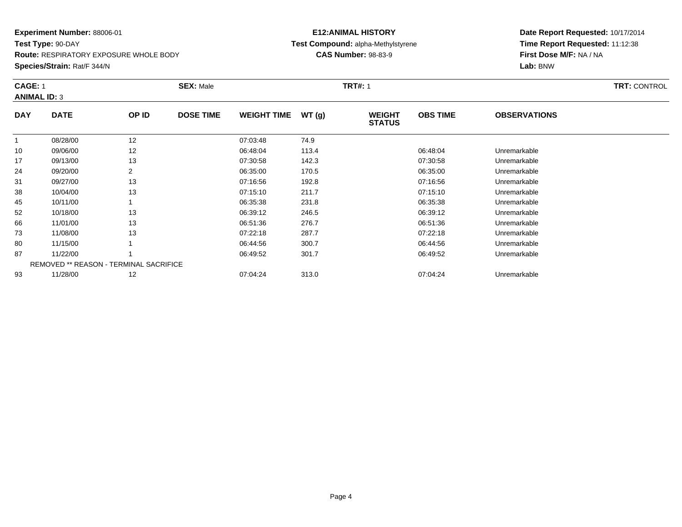**Test Type:** 90-DAY**Route:** RESPIRATORY EXPOSURE WHOLE BODY

**Species/Strain:** Rat/F 344/N

# **E12:ANIMAL HISTORY Test Compound:** alpha-Methylstyrene**CAS Number:** 98-83-9

| <b>CAGE: 1</b>      |                                               | <b>SEX: Male</b> |                  |                    | <b>TRT#: 1</b> | <b>TRT: CONTROL</b>            |                 |                     |  |
|---------------------|-----------------------------------------------|------------------|------------------|--------------------|----------------|--------------------------------|-----------------|---------------------|--|
| <b>ANIMAL ID: 3</b> |                                               |                  |                  |                    |                |                                |                 |                     |  |
| <b>DAY</b>          | <b>DATE</b>                                   | OP ID            | <b>DOSE TIME</b> | <b>WEIGHT TIME</b> | WT(g)          | <b>WEIGHT</b><br><b>STATUS</b> | <b>OBS TIME</b> | <b>OBSERVATIONS</b> |  |
|                     | 08/28/00                                      | 12               |                  | 07:03:48           | 74.9           |                                |                 |                     |  |
| 10                  | 09/06/00                                      | 12               |                  | 06:48:04           | 113.4          |                                | 06:48:04        | Unremarkable        |  |
| 17                  | 09/13/00                                      | 13               |                  | 07:30:58           | 142.3          |                                | 07:30:58        | Unremarkable        |  |
| 24                  | 09/20/00                                      | $\overline{2}$   |                  | 06:35:00           | 170.5          |                                | 06:35:00        | Unremarkable        |  |
| 31                  | 09/27/00                                      | 13               |                  | 07:16:56           | 192.8          |                                | 07:16:56        | Unremarkable        |  |
| 38                  | 10/04/00                                      | 13               |                  | 07:15:10           | 211.7          |                                | 07:15:10        | Unremarkable        |  |
| 45                  | 10/11/00                                      |                  |                  | 06:35:38           | 231.8          |                                | 06:35:38        | Unremarkable        |  |
| 52                  | 10/18/00                                      | 13               |                  | 06:39:12           | 246.5          |                                | 06:39:12        | Unremarkable        |  |
| 66                  | 11/01/00                                      | 13               |                  | 06:51:36           | 276.7          |                                | 06:51:36        | Unremarkable        |  |
| 73                  | 11/08/00                                      | 13               |                  | 07:22:18           | 287.7          |                                | 07:22:18        | Unremarkable        |  |
| 80                  | 11/15/00                                      |                  |                  | 06:44:56           | 300.7          |                                | 06:44:56        | Unremarkable        |  |
| 87                  | 11/22/00                                      |                  |                  | 06:49:52           | 301.7          |                                | 06:49:52        | Unremarkable        |  |
|                     | <b>REMOVED ** REASON - TERMINAL SACRIFICE</b> |                  |                  |                    |                |                                |                 |                     |  |
| 93                  | 11/28/00                                      | 12               |                  | 07:04:24           | 313.0          |                                | 07:04:24        | Unremarkable        |  |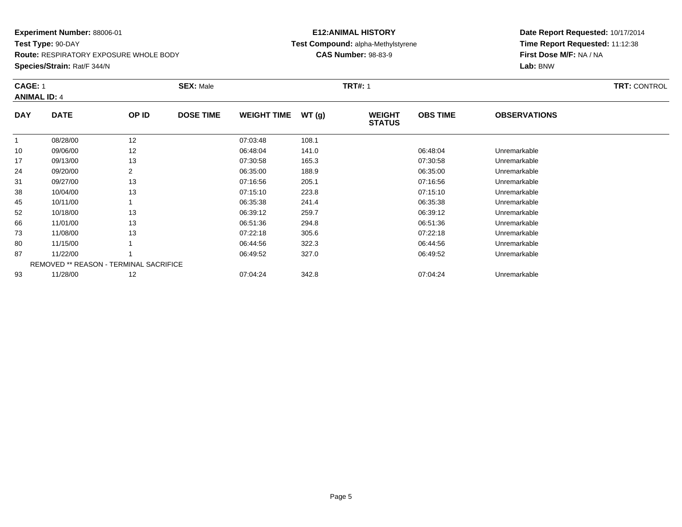**Test Type:** 90-DAY**Route:** RESPIRATORY EXPOSURE WHOLE BODY

#### **Species/Strain:** Rat/F 344/N

# **E12:ANIMAL HISTORY Test Compound:** alpha-Methylstyrene**CAS Number:** 98-83-9

|                     | <b>CAGE: 1</b>                         |       | <b>SEX: Male</b> |                    |       | <b>TRT#:</b> 1                 | <b>TRT: CONTROL</b> |                     |  |
|---------------------|----------------------------------------|-------|------------------|--------------------|-------|--------------------------------|---------------------|---------------------|--|
| <b>ANIMAL ID: 4</b> |                                        |       |                  |                    |       |                                |                     |                     |  |
| <b>DAY</b>          | <b>DATE</b>                            | OP ID | <b>DOSE TIME</b> | <b>WEIGHT TIME</b> | WT(g) | <b>WEIGHT</b><br><b>STATUS</b> | <b>OBS TIME</b>     | <b>OBSERVATIONS</b> |  |
|                     | 08/28/00                               | 12    |                  | 07:03:48           | 108.1 |                                |                     |                     |  |
| 10                  | 09/06/00                               | 12    |                  | 06:48:04           | 141.0 |                                | 06:48:04            | Unremarkable        |  |
| 17                  | 09/13/00                               | 13    |                  | 07:30:58           | 165.3 |                                | 07:30:58            | Unremarkable        |  |
| 24                  | 09/20/00                               | 2     |                  | 06:35:00           | 188.9 |                                | 06:35:00            | Unremarkable        |  |
| 31                  | 09/27/00                               | 13    |                  | 07:16:56           | 205.1 |                                | 07:16:56            | Unremarkable        |  |
| 38                  | 10/04/00                               | 13    |                  | 07:15:10           | 223.8 |                                | 07:15:10            | Unremarkable        |  |
| 45                  | 10/11/00                               |       |                  | 06:35:38           | 241.4 |                                | 06:35:38            | Unremarkable        |  |
| 52                  | 10/18/00                               | 13    |                  | 06:39:12           | 259.7 |                                | 06:39:12            | Unremarkable        |  |
| 66                  | 11/01/00                               | 13    |                  | 06:51:36           | 294.8 |                                | 06:51:36            | Unremarkable        |  |
| 73                  | 11/08/00                               | 13    |                  | 07:22:18           | 305.6 |                                | 07:22:18            | Unremarkable        |  |
| 80                  | 11/15/00                               |       |                  | 06:44:56           | 322.3 |                                | 06:44:56            | Unremarkable        |  |
| 87                  | 11/22/00                               |       |                  | 06:49:52           | 327.0 |                                | 06:49:52            | Unremarkable        |  |
|                     | REMOVED ** REASON - TERMINAL SACRIFICE |       |                  |                    |       |                                |                     |                     |  |
| 93                  | 11/28/00                               | 12    |                  | 07:04:24           | 342.8 |                                | 07:04:24            | Unremarkable        |  |
|                     |                                        |       |                  |                    |       |                                |                     |                     |  |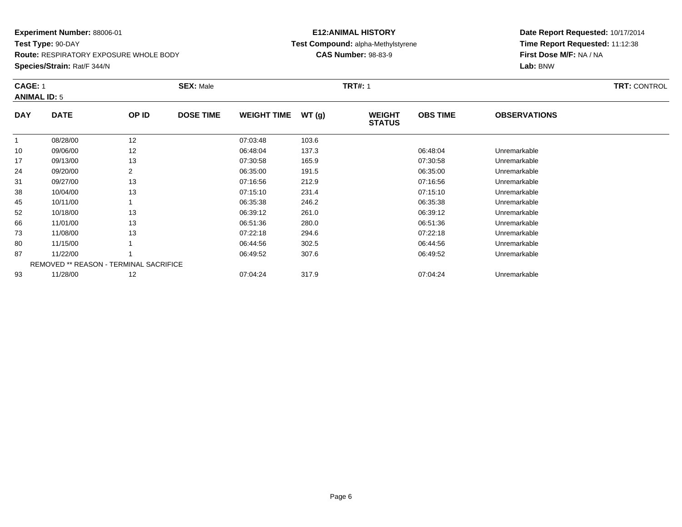**Test Type:** 90-DAY**Route:** RESPIRATORY EXPOSURE WHOLE BODY

**Species/Strain:** Rat/F 344/N

# **E12:ANIMAL HISTORY Test Compound:** alpha-Methylstyrene**CAS Number:** 98-83-9

|                     |                                               |                | <b>SEX: Male</b> |                    |       | <b>TRT#: 1</b>                 | <b>TRT: CONTROL</b> |                     |  |  |
|---------------------|-----------------------------------------------|----------------|------------------|--------------------|-------|--------------------------------|---------------------|---------------------|--|--|
| <b>ANIMAL ID: 5</b> |                                               |                |                  |                    |       |                                |                     |                     |  |  |
| <b>DAY</b>          | <b>DATE</b>                                   | OP ID          | <b>DOSE TIME</b> | <b>WEIGHT TIME</b> | WT(g) | <b>WEIGHT</b><br><b>STATUS</b> | <b>OBS TIME</b>     | <b>OBSERVATIONS</b> |  |  |
|                     | 08/28/00                                      | 12             |                  | 07:03:48           | 103.6 |                                |                     |                     |  |  |
| 10                  | 09/06/00                                      | 12             |                  | 06:48:04           | 137.3 |                                | 06:48:04            | Unremarkable        |  |  |
| 17                  | 09/13/00                                      | 13             |                  | 07:30:58           | 165.9 |                                | 07:30:58            | Unremarkable        |  |  |
| 24                  | 09/20/00                                      | $\overline{2}$ |                  | 06:35:00           | 191.5 |                                | 06:35:00            | Unremarkable        |  |  |
| 31                  | 09/27/00                                      | 13             |                  | 07:16:56           | 212.9 |                                | 07:16:56            | Unremarkable        |  |  |
| 38                  | 10/04/00                                      | 13             |                  | 07:15:10           | 231.4 |                                | 07:15:10            | Unremarkable        |  |  |
| 45                  | 10/11/00                                      |                |                  | 06:35:38           | 246.2 |                                | 06:35:38            | Unremarkable        |  |  |
| 52                  | 10/18/00                                      | 13             |                  | 06:39:12           | 261.0 |                                | 06:39:12            | Unremarkable        |  |  |
| 66                  | 11/01/00                                      | 13             |                  | 06:51:36           | 280.0 |                                | 06:51:36            | Unremarkable        |  |  |
| 73                  | 11/08/00                                      | 13             |                  | 07:22:18           | 294.6 |                                | 07:22:18            | Unremarkable        |  |  |
| 80                  | 11/15/00                                      |                |                  | 06:44:56           | 302.5 |                                | 06:44:56            | Unremarkable        |  |  |
| 87                  | 11/22/00                                      |                |                  | 06:49:52           | 307.6 |                                | 06:49:52            | Unremarkable        |  |  |
|                     | <b>REMOVED ** REASON - TERMINAL SACRIFICE</b> |                |                  |                    |       |                                |                     |                     |  |  |
| 93                  | 11/28/00                                      | 12             |                  | 07:04:24           | 317.9 |                                | 07:04:24            | Unremarkable        |  |  |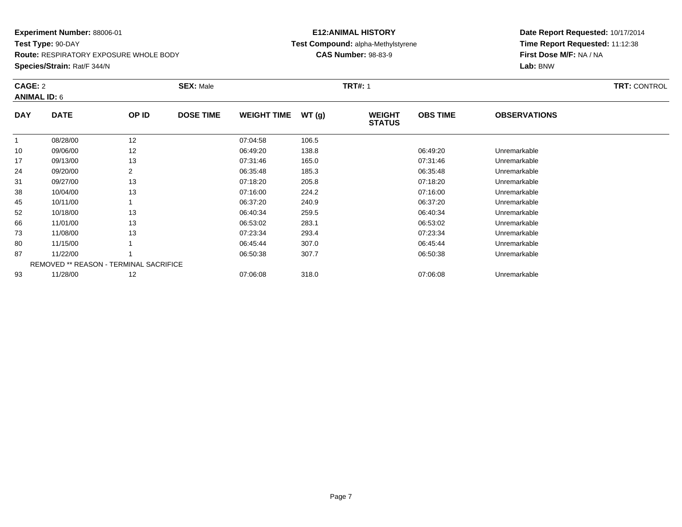**Test Type:** 90-DAY

**Route:** RESPIRATORY EXPOSURE WHOLE BODY

**Species/Strain:** Rat/F 344/N

# **E12:ANIMAL HISTORY Test Compound:** alpha-Methylstyrene**CAS Number:** 98-83-9

| CAGE: 2<br><b>ANIMAL ID: 6</b> |                                        |       | <b>SEX: Male</b> |                    |       | <b>TRT#: 1</b>                 |                 |                     | <b>TRT: CONTROL</b> |
|--------------------------------|----------------------------------------|-------|------------------|--------------------|-------|--------------------------------|-----------------|---------------------|---------------------|
| <b>DAY</b>                     | <b>DATE</b>                            | OP ID | <b>DOSE TIME</b> | <b>WEIGHT TIME</b> | WT(g) | <b>WEIGHT</b><br><b>STATUS</b> | <b>OBS TIME</b> | <b>OBSERVATIONS</b> |                     |
| -1                             | 08/28/00                               | 12    |                  | 07:04:58           | 106.5 |                                |                 |                     |                     |
| 10                             | 09/06/00                               | 12    |                  | 06:49:20           | 138.8 |                                | 06:49:20        | Unremarkable        |                     |
| 17                             | 09/13/00                               | 13    |                  | 07:31:46           | 165.0 |                                | 07:31:46        | Unremarkable        |                     |
| 24                             | 09/20/00                               | 2     |                  | 06:35:48           | 185.3 |                                | 06:35:48        | Unremarkable        |                     |
| 31                             | 09/27/00                               | 13    |                  | 07:18:20           | 205.8 |                                | 07:18:20        | Unremarkable        |                     |
| 38                             | 10/04/00                               | 13    |                  | 07:16:00           | 224.2 |                                | 07:16:00        | Unremarkable        |                     |
| 45                             | 10/11/00                               |       |                  | 06:37:20           | 240.9 |                                | 06:37:20        | Unremarkable        |                     |
| 52                             | 10/18/00                               | 13    |                  | 06:40:34           | 259.5 |                                | 06:40:34        | Unremarkable        |                     |
| 66                             | 11/01/00                               | 13    |                  | 06:53:02           | 283.1 |                                | 06:53:02        | Unremarkable        |                     |
| 73                             | 11/08/00                               | 13    |                  | 07:23:34           | 293.4 |                                | 07:23:34        | Unremarkable        |                     |
| 80                             | 11/15/00                               |       |                  | 06:45:44           | 307.0 |                                | 06:45:44        | Unremarkable        |                     |
| 87                             | 11/22/00                               |       |                  | 06:50:38           | 307.7 |                                | 06:50:38        | Unremarkable        |                     |
|                                | REMOVED ** REASON - TERMINAL SACRIFICE |       |                  |                    |       |                                |                 |                     |                     |
| 93                             | 11/28/00                               | 12    |                  | 07:06:08           | 318.0 |                                | 07:06:08        | Unremarkable        |                     |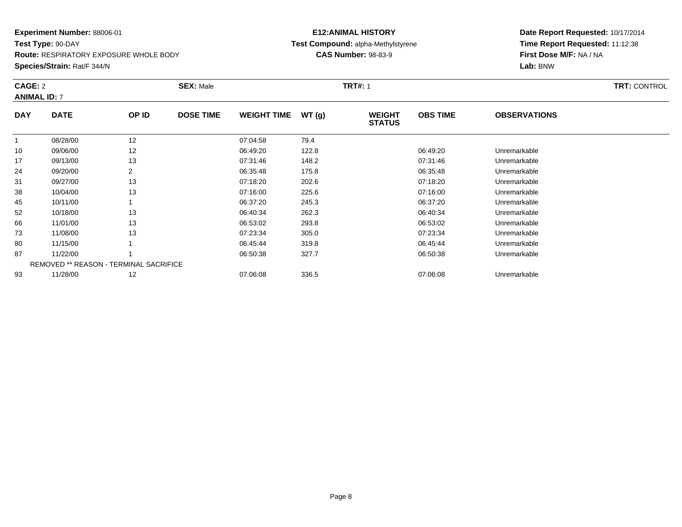**Test Type:** 90-DAY

**Route:** RESPIRATORY EXPOSURE WHOLE BODY

**Species/Strain:** Rat/F 344/N

# **E12:ANIMAL HISTORY Test Compound:** alpha-Methylstyrene**CAS Number:** 98-83-9

| CAGE: 2<br><b>ANIMAL ID: 7</b> |                                        |       | <b>SEX: Male</b> |                    |       | <b>TRT#: 1</b>                 |                 |                     | <b>TRT: CONTROL</b> |
|--------------------------------|----------------------------------------|-------|------------------|--------------------|-------|--------------------------------|-----------------|---------------------|---------------------|
| <b>DAY</b>                     | <b>DATE</b>                            | OP ID | <b>DOSE TIME</b> | <b>WEIGHT TIME</b> | WT(g) | <b>WEIGHT</b><br><b>STATUS</b> | <b>OBS TIME</b> | <b>OBSERVATIONS</b> |                     |
| 1                              | 08/28/00                               | 12    |                  | 07:04:58           | 79.4  |                                |                 |                     |                     |
| 10                             | 09/06/00                               | 12    |                  | 06:49:20           | 122.8 |                                | 06:49:20        | Unremarkable        |                     |
| 17                             | 09/13/00                               | 13    |                  | 07:31:46           | 148.2 |                                | 07:31:46        | Unremarkable        |                     |
| 24                             | 09/20/00                               | 2     |                  | 06:35:48           | 175.8 |                                | 06:35:48        | Unremarkable        |                     |
| 31                             | 09/27/00                               | 13    |                  | 07:18:20           | 202.6 |                                | 07:18:20        | Unremarkable        |                     |
| 38                             | 10/04/00                               | 13    |                  | 07:16:00           | 225.6 |                                | 07:16:00        | Unremarkable        |                     |
| 45                             | 10/11/00                               |       |                  | 06:37:20           | 245.3 |                                | 06:37:20        | Unremarkable        |                     |
| 52                             | 10/18/00                               | 13    |                  | 06:40:34           | 262.3 |                                | 06:40:34        | Unremarkable        |                     |
| 66                             | 11/01/00                               | 13    |                  | 06:53:02           | 293.8 |                                | 06:53:02        | Unremarkable        |                     |
| 73                             | 11/08/00                               | 13    |                  | 07:23:34           | 305.0 |                                | 07:23:34        | Unremarkable        |                     |
| 80                             | 11/15/00                               |       |                  | 06:45:44           | 319.8 |                                | 06:45:44        | Unremarkable        |                     |
| 87                             | 11/22/00                               |       |                  | 06:50:38           | 327.7 |                                | 06:50:38        | Unremarkable        |                     |
|                                | REMOVED ** REASON - TERMINAL SACRIFICE |       |                  |                    |       |                                |                 |                     |                     |
| 93                             | 11/28/00                               | 12    |                  | 07:06:08           | 336.5 |                                | 07:06:08        | Unremarkable        |                     |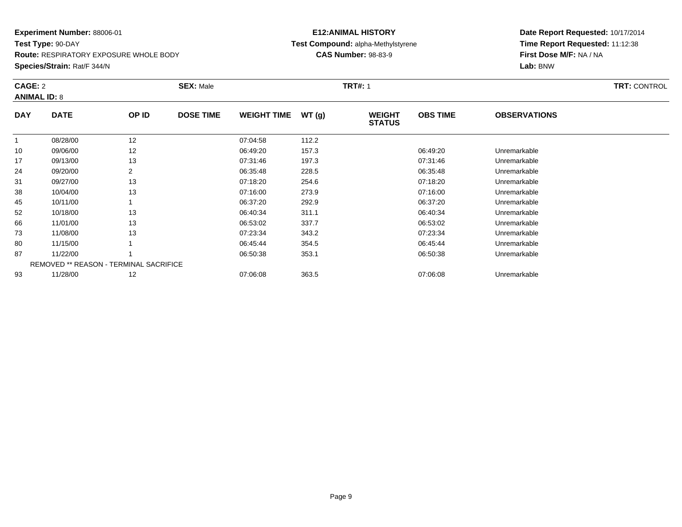**Test Type:** 90-DAY

**Route:** RESPIRATORY EXPOSURE WHOLE BODY

**Species/Strain:** Rat/F 344/N

# **E12:ANIMAL HISTORY Test Compound:** alpha-Methylstyrene**CAS Number:** 98-83-9

| CAGE: 2<br><b>ANIMAL ID: 8</b> |                                               |       | <b>SEX: Male</b> |                    | <b>TRT#: 1</b> |                                | <b>TRT: CONTROL</b> |                     |  |
|--------------------------------|-----------------------------------------------|-------|------------------|--------------------|----------------|--------------------------------|---------------------|---------------------|--|
| <b>DAY</b>                     | <b>DATE</b>                                   | OP ID | <b>DOSE TIME</b> | <b>WEIGHT TIME</b> | WT(g)          | <b>WEIGHT</b><br><b>STATUS</b> | <b>OBS TIME</b>     | <b>OBSERVATIONS</b> |  |
| $\overline{1}$                 | 08/28/00                                      | 12    |                  | 07:04:58           | 112.2          |                                |                     |                     |  |
| 10                             | 09/06/00                                      | 12    |                  | 06:49:20           | 157.3          |                                | 06:49:20            | Unremarkable        |  |
| 17                             | 09/13/00                                      | 13    |                  | 07:31:46           | 197.3          |                                | 07:31:46            | Unremarkable        |  |
| 24                             | 09/20/00                                      | 2     |                  | 06:35:48           | 228.5          |                                | 06:35:48            | Unremarkable        |  |
| 31                             | 09/27/00                                      | 13    |                  | 07:18:20           | 254.6          |                                | 07:18:20            | Unremarkable        |  |
| 38                             | 10/04/00                                      | 13    |                  | 07:16:00           | 273.9          |                                | 07:16:00            | Unremarkable        |  |
| 45                             | 10/11/00                                      |       |                  | 06:37:20           | 292.9          |                                | 06:37:20            | Unremarkable        |  |
| 52                             | 10/18/00                                      | 13    |                  | 06:40:34           | 311.1          |                                | 06:40:34            | Unremarkable        |  |
| 66                             | 11/01/00                                      | 13    |                  | 06:53:02           | 337.7          |                                | 06:53:02            | Unremarkable        |  |
| 73                             | 11/08/00                                      | 13    |                  | 07:23:34           | 343.2          |                                | 07:23:34            | Unremarkable        |  |
| 80                             | 11/15/00                                      |       |                  | 06:45:44           | 354.5          |                                | 06:45:44            | Unremarkable        |  |
| 87                             | 11/22/00                                      |       |                  | 06:50:38           | 353.1          |                                | 06:50:38            | Unremarkable        |  |
|                                | <b>REMOVED ** REASON - TERMINAL SACRIFICE</b> |       |                  |                    |                |                                |                     |                     |  |
| 93                             | 11/28/00                                      | 12    |                  | 07:06:08           | 363.5          |                                | 07:06:08            | Unremarkable        |  |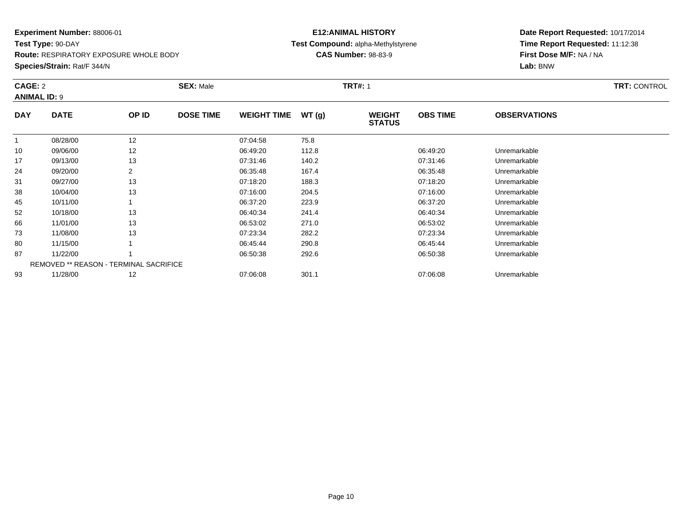**Test Type:** 90-DAY

**Route:** RESPIRATORY EXPOSURE WHOLE BODY

**Species/Strain:** Rat/F 344/N

# **E12:ANIMAL HISTORY Test Compound:** alpha-Methylstyrene**CAS Number:** 98-83-9

| CAGE: 2<br><b>ANIMAL ID: 9</b> |                                               | <b>SEX: Male</b> |                  |                    | <b>TRT#: 1</b> | <b>TRT: CONTROL</b>            |                 |                     |  |
|--------------------------------|-----------------------------------------------|------------------|------------------|--------------------|----------------|--------------------------------|-----------------|---------------------|--|
| <b>DAY</b>                     | <b>DATE</b>                                   | OP ID            | <b>DOSE TIME</b> | <b>WEIGHT TIME</b> | WT(g)          | <b>WEIGHT</b><br><b>STATUS</b> | <b>OBS TIME</b> | <b>OBSERVATIONS</b> |  |
|                                | 08/28/00                                      | 12               |                  | 07:04:58           | 75.8           |                                |                 |                     |  |
| 10                             | 09/06/00                                      | 12               |                  | 06:49:20           | 112.8          |                                | 06:49:20        | Unremarkable        |  |
| 17                             | 09/13/00                                      | 13               |                  | 07:31:46           | 140.2          |                                | 07:31:46        | Unremarkable        |  |
| 24                             | 09/20/00                                      | $\overline{2}$   |                  | 06:35:48           | 167.4          |                                | 06:35:48        | Unremarkable        |  |
| 31                             | 09/27/00                                      | 13               |                  | 07:18:20           | 188.3          |                                | 07:18:20        | Unremarkable        |  |
| 38                             | 10/04/00                                      | 13               |                  | 07:16:00           | 204.5          |                                | 07:16:00        | Unremarkable        |  |
| 45                             | 10/11/00                                      |                  |                  | 06:37:20           | 223.9          |                                | 06:37:20        | Unremarkable        |  |
| 52                             | 10/18/00                                      | 13               |                  | 06:40:34           | 241.4          |                                | 06:40:34        | Unremarkable        |  |
| 66                             | 11/01/00                                      | 13               |                  | 06:53:02           | 271.0          |                                | 06:53:02        | Unremarkable        |  |
| 73                             | 11/08/00                                      | 13               |                  | 07:23:34           | 282.2          |                                | 07:23:34        | Unremarkable        |  |
| 80                             | 11/15/00                                      |                  |                  | 06:45:44           | 290.8          |                                | 06:45:44        | Unremarkable        |  |
| 87                             | 11/22/00                                      |                  |                  | 06:50:38           | 292.6          |                                | 06:50:38        | Unremarkable        |  |
|                                | <b>REMOVED ** REASON - TERMINAL SACRIFICE</b> |                  |                  |                    |                |                                |                 |                     |  |
| 93                             | 11/28/00                                      | 12               |                  | 07:06:08           | 301.1          |                                | 07:06:08        | Unremarkable        |  |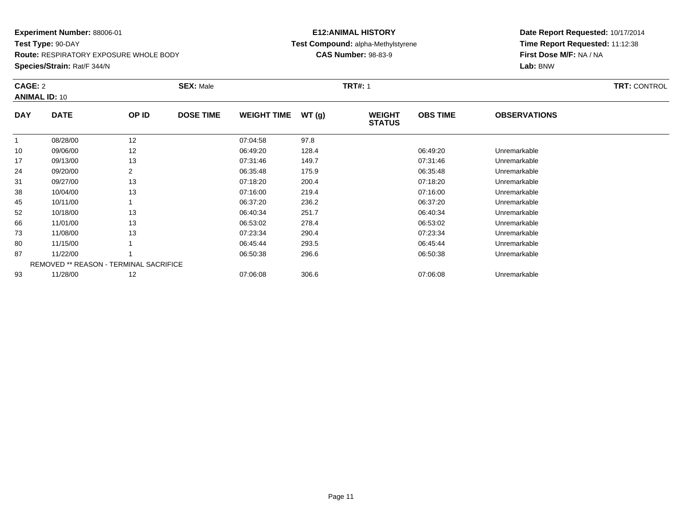**Test Type:** 90-DAY**Route:** RESPIRATORY EXPOSURE WHOLE BODY

**Species/Strain:** Rat/F 344/N

# **E12:ANIMAL HISTORY Test Compound:** alpha-Methylstyrene**CAS Number:** 98-83-9

| CAGE: 2    | <b>ANIMAL ID: 10</b>                          |                | <b>SEX: Male</b> |                    |       | <b>TRT#: 1</b>                 |                 |                     | <b>TRT: CONTROL</b> |
|------------|-----------------------------------------------|----------------|------------------|--------------------|-------|--------------------------------|-----------------|---------------------|---------------------|
| <b>DAY</b> | <b>DATE</b>                                   | OP ID          | <b>DOSE TIME</b> | <b>WEIGHT TIME</b> | WT(g) | <b>WEIGHT</b><br><b>STATUS</b> | <b>OBS TIME</b> | <b>OBSERVATIONS</b> |                     |
| 1          | 08/28/00                                      | 12             |                  | 07:04:58           | 97.8  |                                |                 |                     |                     |
| 10         | 09/06/00                                      | 12             |                  | 06:49:20           | 128.4 |                                | 06:49:20        | Unremarkable        |                     |
| 17         | 09/13/00                                      | 13             |                  | 07:31:46           | 149.7 |                                | 07:31:46        | Unremarkable        |                     |
| 24         | 09/20/00                                      | $\overline{2}$ |                  | 06:35:48           | 175.9 |                                | 06:35:48        | Unremarkable        |                     |
| 31         | 09/27/00                                      | 13             |                  | 07:18:20           | 200.4 |                                | 07:18:20        | Unremarkable        |                     |
| 38         | 10/04/00                                      | 13             |                  | 07:16:00           | 219.4 |                                | 07:16:00        | Unremarkable        |                     |
| 45         | 10/11/00                                      |                |                  | 06:37:20           | 236.2 |                                | 06:37:20        | Unremarkable        |                     |
| 52         | 10/18/00                                      | 13             |                  | 06:40:34           | 251.7 |                                | 06:40:34        | Unremarkable        |                     |
| 66         | 11/01/00                                      | 13             |                  | 06:53:02           | 278.4 |                                | 06:53:02        | Unremarkable        |                     |
| 73         | 11/08/00                                      | 13             |                  | 07:23:34           | 290.4 |                                | 07:23:34        | Unremarkable        |                     |
| 80         | 11/15/00                                      |                |                  | 06:45:44           | 293.5 |                                | 06:45:44        | Unremarkable        |                     |
| 87         | 11/22/00                                      |                |                  | 06:50:38           | 296.6 |                                | 06:50:38        | Unremarkable        |                     |
|            | <b>REMOVED ** REASON - TERMINAL SACRIFICE</b> |                |                  |                    |       |                                |                 |                     |                     |
| 93         | 11/28/00                                      | 12             |                  | 07:06:08           | 306.6 |                                | 07:06:08        | Unremarkable        |                     |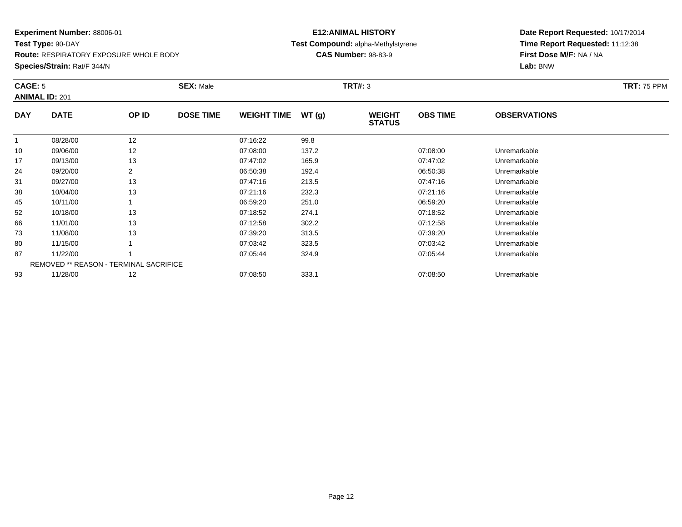**Test Type:** 90-DAY**Route:** RESPIRATORY EXPOSURE WHOLE BODY

#### **Species/Strain:** Rat/F 344/N

# **E12:ANIMAL HISTORY Test Compound:** alpha-Methylstyrene**CAS Number:** 98-83-9

| CAGE: 5    | <b>ANIMAL ID: 201</b>                         |                | <b>SEX: Male</b> |                    |       | <b>TRT#: 3</b>                 |                 |                     | <b>TRT: 75 PPM</b> |
|------------|-----------------------------------------------|----------------|------------------|--------------------|-------|--------------------------------|-----------------|---------------------|--------------------|
| <b>DAY</b> | <b>DATE</b>                                   | OP ID          | <b>DOSE TIME</b> | <b>WEIGHT TIME</b> | WT(g) | <b>WEIGHT</b><br><b>STATUS</b> | <b>OBS TIME</b> | <b>OBSERVATIONS</b> |                    |
|            | 08/28/00                                      | 12             |                  | 07:16:22           | 99.8  |                                |                 |                     |                    |
| 10         | 09/06/00                                      | 12             |                  | 07:08:00           | 137.2 |                                | 07:08:00        | Unremarkable        |                    |
| 17         | 09/13/00                                      | 13             |                  | 07:47:02           | 165.9 |                                | 07:47:02        | Unremarkable        |                    |
| 24         | 09/20/00                                      | $\overline{2}$ |                  | 06:50:38           | 192.4 |                                | 06:50:38        | Unremarkable        |                    |
| 31         | 09/27/00                                      | 13             |                  | 07:47:16           | 213.5 |                                | 07:47:16        | Unremarkable        |                    |
| 38         | 10/04/00                                      | 13             |                  | 07:21:16           | 232.3 |                                | 07:21:16        | Unremarkable        |                    |
| 45         | 10/11/00                                      |                |                  | 06:59:20           | 251.0 |                                | 06:59:20        | Unremarkable        |                    |
| 52         | 10/18/00                                      | 13             |                  | 07:18:52           | 274.1 |                                | 07:18:52        | Unremarkable        |                    |
| 66         | 11/01/00                                      | 13             |                  | 07:12:58           | 302.2 |                                | 07:12:58        | Unremarkable        |                    |
| 73         | 11/08/00                                      | 13             |                  | 07:39:20           | 313.5 |                                | 07:39:20        | Unremarkable        |                    |
| 80         | 11/15/00                                      |                |                  | 07:03:42           | 323.5 |                                | 07:03:42        | Unremarkable        |                    |
| 87         | 11/22/00                                      |                |                  | 07:05:44           | 324.9 |                                | 07:05:44        | Unremarkable        |                    |
|            | <b>REMOVED ** REASON - TERMINAL SACRIFICE</b> |                |                  |                    |       |                                |                 |                     |                    |
| 93         | 11/28/00                                      | 12             |                  | 07:08:50           | 333.1 |                                | 07:08:50        | Unremarkable        |                    |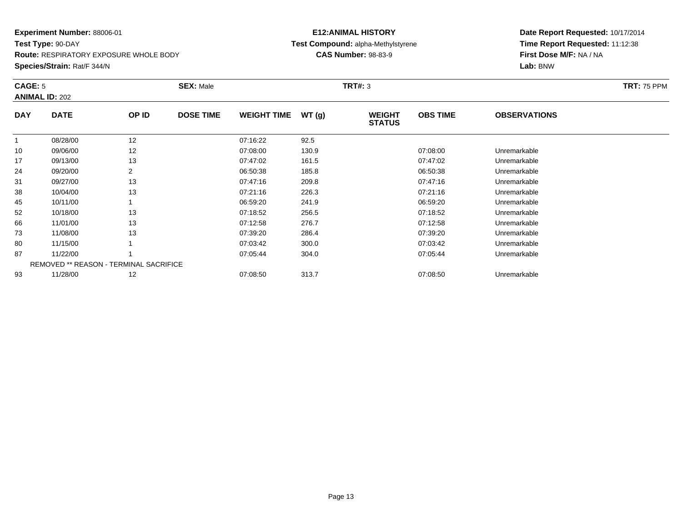**Test Type:** 90-DAY**Route:** RESPIRATORY EXPOSURE WHOLE BODY

**Species/Strain:** Rat/F 344/N

# **E12:ANIMAL HISTORY Test Compound:** alpha-Methylstyrene**CAS Number:** 98-83-9

| CAGE: 5      | <b>ANIMAL ID: 202</b> |                                        | <b>SEX: Male</b> |                    |       | <b>TRT#: 3</b>                 |                 |                     | <b>TRT: 75 PPM</b> |
|--------------|-----------------------|----------------------------------------|------------------|--------------------|-------|--------------------------------|-----------------|---------------------|--------------------|
| <b>DAY</b>   | <b>DATE</b>           | OP ID                                  | <b>DOSE TIME</b> | <b>WEIGHT TIME</b> | WT(g) | <b>WEIGHT</b><br><b>STATUS</b> | <b>OBS TIME</b> | <b>OBSERVATIONS</b> |                    |
| $\mathbf{1}$ | 08/28/00              | 12                                     |                  | 07:16:22           | 92.5  |                                |                 |                     |                    |
| 10           | 09/06/00              | 12                                     |                  | 07:08:00           | 130.9 |                                | 07:08:00        | Unremarkable        |                    |
| 17           | 09/13/00              | 13                                     |                  | 07:47:02           | 161.5 |                                | 07:47:02        | Unremarkable        |                    |
| 24           | 09/20/00              | 2                                      |                  | 06:50:38           | 185.8 |                                | 06:50:38        | Unremarkable        |                    |
| 31           | 09/27/00              | 13                                     |                  | 07:47:16           | 209.8 |                                | 07:47:16        | Unremarkable        |                    |
| 38           | 10/04/00              | 13                                     |                  | 07:21:16           | 226.3 |                                | 07:21:16        | Unremarkable        |                    |
| 45           | 10/11/00              |                                        |                  | 06:59:20           | 241.9 |                                | 06:59:20        | Unremarkable        |                    |
| 52           | 10/18/00              | 13                                     |                  | 07:18:52           | 256.5 |                                | 07:18:52        | Unremarkable        |                    |
| 66           | 11/01/00              | 13                                     |                  | 07:12:58           | 276.7 |                                | 07:12:58        | Unremarkable        |                    |
| 73           | 11/08/00              | 13                                     |                  | 07:39:20           | 286.4 |                                | 07:39:20        | Unremarkable        |                    |
| 80           | 11/15/00              |                                        |                  | 07:03:42           | 300.0 |                                | 07:03:42        | Unremarkable        |                    |
| 87           | 11/22/00              |                                        |                  | 07:05:44           | 304.0 |                                | 07:05:44        | Unremarkable        |                    |
|              |                       | REMOVED ** REASON - TERMINAL SACRIFICE |                  |                    |       |                                |                 |                     |                    |
| 93           | 11/28/00              | 12                                     |                  | 07:08:50           | 313.7 |                                | 07:08:50        | Unremarkable        |                    |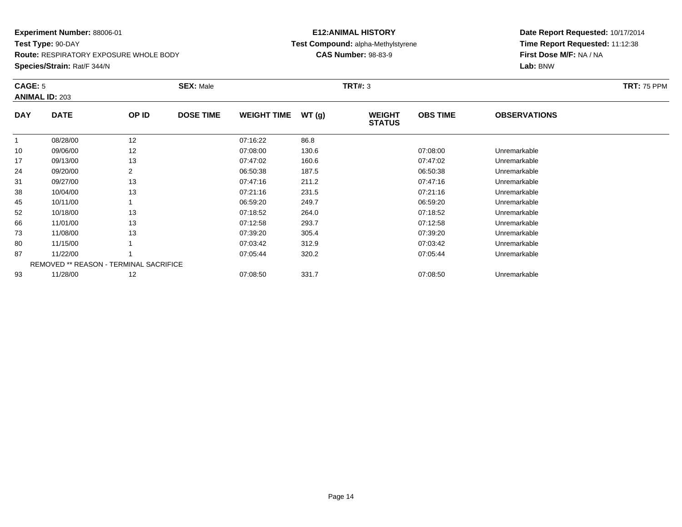**Test Type:** 90-DAY**Route:** RESPIRATORY EXPOSURE WHOLE BODY

**Species/Strain:** Rat/F 344/N

# **E12:ANIMAL HISTORYTest Compound:** alpha-Methylstyrene

**CAS Number:** 98-83-9

| CAGE: 5    | <b>ANIMAL ID: 203</b>                  |                | <b>SEX: Male</b> |                    |       | <b>TRT#: 3</b>                 |                 |                     | <b>TRT: 75 PPM</b> |
|------------|----------------------------------------|----------------|------------------|--------------------|-------|--------------------------------|-----------------|---------------------|--------------------|
| <b>DAY</b> | <b>DATE</b>                            | OP ID          | <b>DOSE TIME</b> | <b>WEIGHT TIME</b> | WT(g) | <b>WEIGHT</b><br><b>STATUS</b> | <b>OBS TIME</b> | <b>OBSERVATIONS</b> |                    |
|            | 08/28/00                               | 12             |                  | 07:16:22           | 86.8  |                                |                 |                     |                    |
| 10         | 09/06/00                               | 12             |                  | 07:08:00           | 130.6 |                                | 07:08:00        | Unremarkable        |                    |
| 17         | 09/13/00                               | 13             |                  | 07:47:02           | 160.6 |                                | 07:47:02        | Unremarkable        |                    |
| 24         | 09/20/00                               | $\overline{2}$ |                  | 06:50:38           | 187.5 |                                | 06:50:38        | Unremarkable        |                    |
| 31         | 09/27/00                               | 13             |                  | 07:47:16           | 211.2 |                                | 07:47:16        | Unremarkable        |                    |
| 38         | 10/04/00                               | 13             |                  | 07:21:16           | 231.5 |                                | 07:21:16        | Unremarkable        |                    |
| 45         | 10/11/00                               |                |                  | 06:59:20           | 249.7 |                                | 06:59:20        | Unremarkable        |                    |
| 52         | 10/18/00                               | 13             |                  | 07:18:52           | 264.0 |                                | 07:18:52        | Unremarkable        |                    |
| 66         | 11/01/00                               | 13             |                  | 07:12:58           | 293.7 |                                | 07:12:58        | Unremarkable        |                    |
| 73         | 11/08/00                               | 13             |                  | 07:39:20           | 305.4 |                                | 07:39:20        | Unremarkable        |                    |
| 80         | 11/15/00                               |                |                  | 07:03:42           | 312.9 |                                | 07:03:42        | Unremarkable        |                    |
| 87         | 11/22/00                               |                |                  | 07:05:44           | 320.2 |                                | 07:05:44        | Unremarkable        |                    |
|            | REMOVED ** REASON - TERMINAL SACRIFICE |                |                  |                    |       |                                |                 |                     |                    |
| 93         | 11/28/00                               | 12             |                  | 07:08:50           | 331.7 |                                | 07:08:50        | Unremarkable        |                    |
|            |                                        |                |                  |                    |       |                                |                 |                     |                    |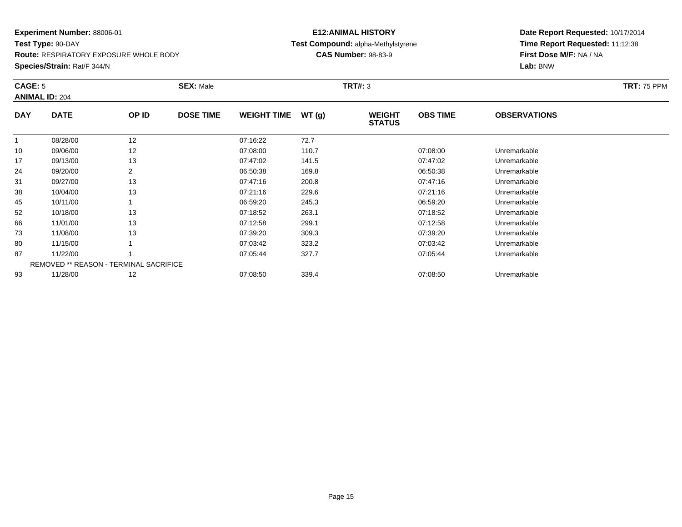**Test Type:** 90-DAY**Route:** RESPIRATORY EXPOSURE WHOLE BODY

#### **Species/Strain:** Rat/F 344/N

# **E12:ANIMAL HISTORY Test Compound:** alpha-Methylstyrene**CAS Number:** 98-83-9

| CAGE: 5    | <b>ANIMAL ID: 204</b>                         |       | <b>SEX: Male</b> |                    |       | <b>TRT#: 3</b>                 |                 |                     | <b>TRT: 75 PPM</b> |
|------------|-----------------------------------------------|-------|------------------|--------------------|-------|--------------------------------|-----------------|---------------------|--------------------|
| <b>DAY</b> | <b>DATE</b>                                   | OP ID | <b>DOSE TIME</b> | <b>WEIGHT TIME</b> | WT(g) | <b>WEIGHT</b><br><b>STATUS</b> | <b>OBS TIME</b> | <b>OBSERVATIONS</b> |                    |
|            | 08/28/00                                      | 12    |                  | 07:16:22           | 72.7  |                                |                 |                     |                    |
| 10         | 09/06/00                                      | 12    |                  | 07:08:00           | 110.7 |                                | 07:08:00        | Unremarkable        |                    |
| 17         | 09/13/00                                      | 13    |                  | 07:47:02           | 141.5 |                                | 07:47:02        | Unremarkable        |                    |
| 24         | 09/20/00                                      | 2     |                  | 06:50:38           | 169.8 |                                | 06:50:38        | Unremarkable        |                    |
| 31         | 09/27/00                                      | 13    |                  | 07:47:16           | 200.8 |                                | 07:47:16        | Unremarkable        |                    |
| 38         | 10/04/00                                      | 13    |                  | 07:21:16           | 229.6 |                                | 07:21:16        | Unremarkable        |                    |
| 45         | 10/11/00                                      |       |                  | 06:59:20           | 245.3 |                                | 06:59:20        | Unremarkable        |                    |
| 52         | 10/18/00                                      | 13    |                  | 07:18:52           | 263.1 |                                | 07:18:52        | Unremarkable        |                    |
| 66         | 11/01/00                                      | 13    |                  | 07:12:58           | 299.1 |                                | 07:12:58        | Unremarkable        |                    |
| 73         | 11/08/00                                      | 13    |                  | 07:39:20           | 309.3 |                                | 07:39:20        | Unremarkable        |                    |
| 80         | 11/15/00                                      |       |                  | 07:03:42           | 323.2 |                                | 07:03:42        | Unremarkable        |                    |
| 87         | 11/22/00                                      |       |                  | 07:05:44           | 327.7 |                                | 07:05:44        | Unremarkable        |                    |
|            | <b>REMOVED ** REASON - TERMINAL SACRIFICE</b> |       |                  |                    |       |                                |                 |                     |                    |
| 93         | 11/28/00                                      | 12    |                  | 07:08:50           | 339.4 |                                | 07:08:50        | Unremarkable        |                    |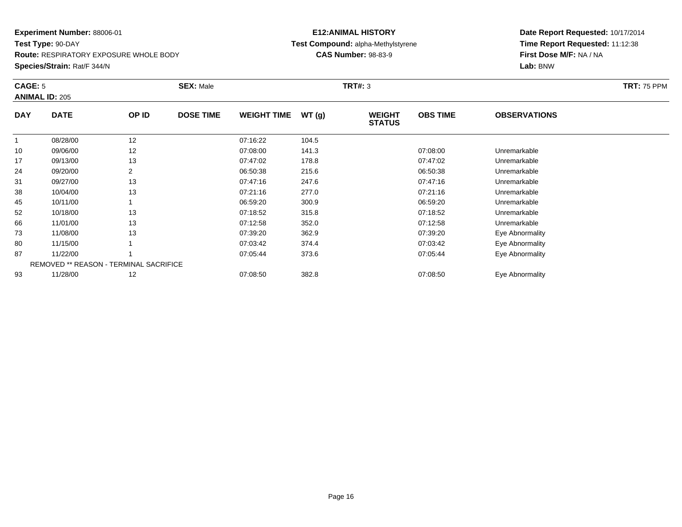**Test Type:** 90-DAY**Route:** RESPIRATORY EXPOSURE WHOLE BODY

**Species/Strain:** Rat/F 344/N

# **E12:ANIMAL HISTORY Test Compound:** alpha-Methylstyrene**CAS Number:** 98-83-9

| CAGE: 5    | <b>ANIMAL ID: 205</b>                  |                | <b>SEX: Male</b> |                    |       | <b>TRT#: 3</b>                 |                 |                     | <b>TRT: 75 PPM</b> |
|------------|----------------------------------------|----------------|------------------|--------------------|-------|--------------------------------|-----------------|---------------------|--------------------|
| <b>DAY</b> | <b>DATE</b>                            | OP ID          | <b>DOSE TIME</b> | <b>WEIGHT TIME</b> | WT(g) | <b>WEIGHT</b><br><b>STATUS</b> | <b>OBS TIME</b> | <b>OBSERVATIONS</b> |                    |
|            | 08/28/00                               | 12             |                  | 07:16:22           | 104.5 |                                |                 |                     |                    |
| 10         | 09/06/00                               | 12             |                  | 07:08:00           | 141.3 |                                | 07:08:00        | Unremarkable        |                    |
| 17         | 09/13/00                               | 13             |                  | 07:47:02           | 178.8 |                                | 07:47:02        | Unremarkable        |                    |
| 24         | 09/20/00                               | $\overline{2}$ |                  | 06:50:38           | 215.6 |                                | 06:50:38        | Unremarkable        |                    |
| 31         | 09/27/00                               | 13             |                  | 07:47:16           | 247.6 |                                | 07:47:16        | Unremarkable        |                    |
| 38         | 10/04/00                               | 13             |                  | 07:21:16           | 277.0 |                                | 07:21:16        | Unremarkable        |                    |
| 45         | 10/11/00                               |                |                  | 06:59:20           | 300.9 |                                | 06:59:20        | Unremarkable        |                    |
| 52         | 10/18/00                               | 13             |                  | 07:18:52           | 315.8 |                                | 07:18:52        | Unremarkable        |                    |
| 66         | 11/01/00                               | 13             |                  | 07:12:58           | 352.0 |                                | 07:12:58        | Unremarkable        |                    |
| 73         | 11/08/00                               | 13             |                  | 07:39:20           | 362.9 |                                | 07:39:20        | Eye Abnormality     |                    |
| 80         | 11/15/00                               |                |                  | 07:03:42           | 374.4 |                                | 07:03:42        | Eye Abnormality     |                    |
| 87         | 11/22/00                               |                |                  | 07:05:44           | 373.6 |                                | 07:05:44        | Eye Abnormality     |                    |
|            | REMOVED ** REASON - TERMINAL SACRIFICE |                |                  |                    |       |                                |                 |                     |                    |
| 93         | 11/28/00                               | 12             |                  | 07:08:50           | 382.8 |                                | 07:08:50        | Eye Abnormality     |                    |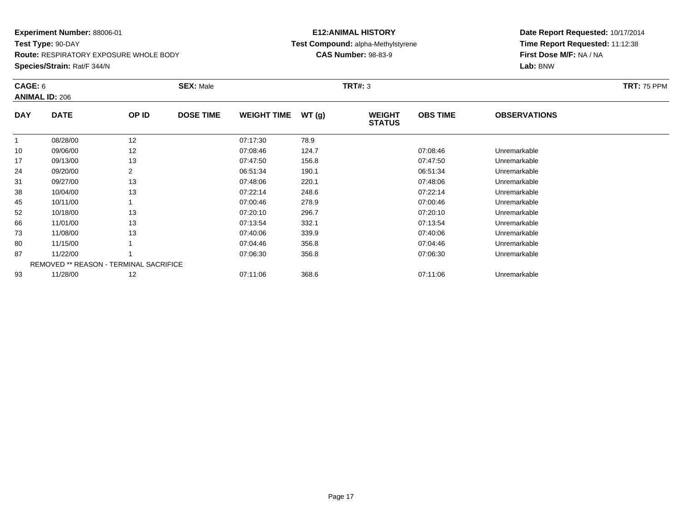**Test Type:** 90-DAY**Route:** RESPIRATORY EXPOSURE WHOLE BODY

#### **Species/Strain:** Rat/F 344/N

# **E12:ANIMAL HISTORY Test Compound:** alpha-Methylstyrene**CAS Number:** 98-83-9

| CAGE: 6    | <b>ANIMAL ID: 206</b>                         |       | <b>SEX: Male</b> |                    |       | <b>TRT#: 3</b>                 |                 |                     | <b>TRT: 75 PPM</b> |
|------------|-----------------------------------------------|-------|------------------|--------------------|-------|--------------------------------|-----------------|---------------------|--------------------|
| <b>DAY</b> | <b>DATE</b>                                   | OP ID | <b>DOSE TIME</b> | <b>WEIGHT TIME</b> | WT(g) | <b>WEIGHT</b><br><b>STATUS</b> | <b>OBS TIME</b> | <b>OBSERVATIONS</b> |                    |
|            | 08/28/00                                      | 12    |                  | 07:17:30           | 78.9  |                                |                 |                     |                    |
| 10         | 09/06/00                                      | 12    |                  | 07:08:46           | 124.7 |                                | 07:08:46        | Unremarkable        |                    |
| 17         | 09/13/00                                      | 13    |                  | 07:47:50           | 156.8 |                                | 07:47:50        | Unremarkable        |                    |
| 24         | 09/20/00                                      |       |                  | 06:51:34           | 190.1 |                                | 06:51:34        | Unremarkable        |                    |
| 31         | 09/27/00                                      | 13    |                  | 07:48:06           | 220.1 |                                | 07:48:06        | Unremarkable        |                    |
| 38         | 10/04/00                                      | 13    |                  | 07:22:14           | 248.6 |                                | 07:22:14        | Unremarkable        |                    |
| 45         | 10/11/00                                      |       |                  | 07:00:46           | 278.9 |                                | 07:00:46        | Unremarkable        |                    |
| 52         | 10/18/00                                      | 13    |                  | 07:20:10           | 296.7 |                                | 07:20:10        | Unremarkable        |                    |
| 66         | 11/01/00                                      | 13    |                  | 07:13:54           | 332.1 |                                | 07:13:54        | Unremarkable        |                    |
| 73         | 11/08/00                                      | 13    |                  | 07:40:06           | 339.9 |                                | 07:40:06        | Unremarkable        |                    |
| 80         | 11/15/00                                      |       |                  | 07:04:46           | 356.8 |                                | 07:04:46        | Unremarkable        |                    |
| 87         | 11/22/00                                      |       |                  | 07:06:30           | 356.8 |                                | 07:06:30        | Unremarkable        |                    |
|            | <b>REMOVED ** REASON - TERMINAL SACRIFICE</b> |       |                  |                    |       |                                |                 |                     |                    |
| 93         | 11/28/00                                      | 12    |                  | 07:11:06           | 368.6 |                                | 07:11:06        | Unremarkable        |                    |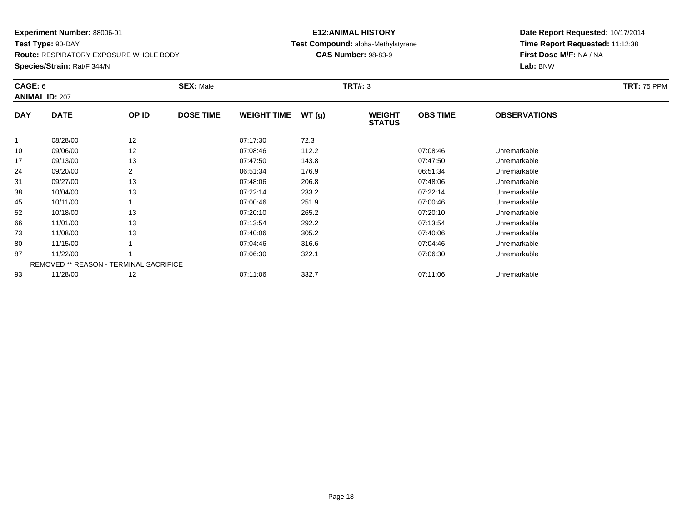**Test Type:** 90-DAY**Route:** RESPIRATORY EXPOSURE WHOLE BODY

**Species/Strain:** Rat/F 344/N

# **E12:ANIMAL HISTORYTest Compound:** alpha-Methylstyrene

**CAS Number:** 98-83-9

| CAGE: 6    | <b>ANIMAL ID: 207</b>                  |       | <b>SEX: Male</b> |                    |       | <b>TRT#: 3</b>                 |                 |                     | <b>TRT: 75 PPM</b> |
|------------|----------------------------------------|-------|------------------|--------------------|-------|--------------------------------|-----------------|---------------------|--------------------|
| <b>DAY</b> | <b>DATE</b>                            | OP ID | <b>DOSE TIME</b> | <b>WEIGHT TIME</b> | WT(g) | <b>WEIGHT</b><br><b>STATUS</b> | <b>OBS TIME</b> | <b>OBSERVATIONS</b> |                    |
|            | 08/28/00                               | 12    |                  | 07:17:30           | 72.3  |                                |                 |                     |                    |
| 10         | 09/06/00                               | 12    |                  | 07:08:46           | 112.2 |                                | 07:08:46        | Unremarkable        |                    |
| 17         | 09/13/00                               | 13    |                  | 07:47:50           | 143.8 |                                | 07:47:50        | Unremarkable        |                    |
| 24         | 09/20/00                               | 2     |                  | 06:51:34           | 176.9 |                                | 06:51:34        | Unremarkable        |                    |
| 31         | 09/27/00                               | 13    |                  | 07:48:06           | 206.8 |                                | 07:48:06        | Unremarkable        |                    |
| 38         | 10/04/00                               | 13    |                  | 07:22:14           | 233.2 |                                | 07:22:14        | Unremarkable        |                    |
| 45         | 10/11/00                               |       |                  | 07:00:46           | 251.9 |                                | 07:00:46        | Unremarkable        |                    |
| 52         | 10/18/00                               | 13    |                  | 07:20:10           | 265.2 |                                | 07:20:10        | Unremarkable        |                    |
| 66         | 11/01/00                               | 13    |                  | 07:13:54           | 292.2 |                                | 07:13:54        | Unremarkable        |                    |
| 73         | 11/08/00                               | 13    |                  | 07:40:06           | 305.2 |                                | 07:40:06        | Unremarkable        |                    |
| 80         | 11/15/00                               |       |                  | 07:04:46           | 316.6 |                                | 07:04:46        | Unremarkable        |                    |
| 87         | 11/22/00                               |       |                  | 07:06:30           | 322.1 |                                | 07:06:30        | Unremarkable        |                    |
|            | REMOVED ** REASON - TERMINAL SACRIFICE |       |                  |                    |       |                                |                 |                     |                    |
| 93         | 11/28/00                               | 12    |                  | 07:11:06           | 332.7 |                                | 07:11:06        | Unremarkable        |                    |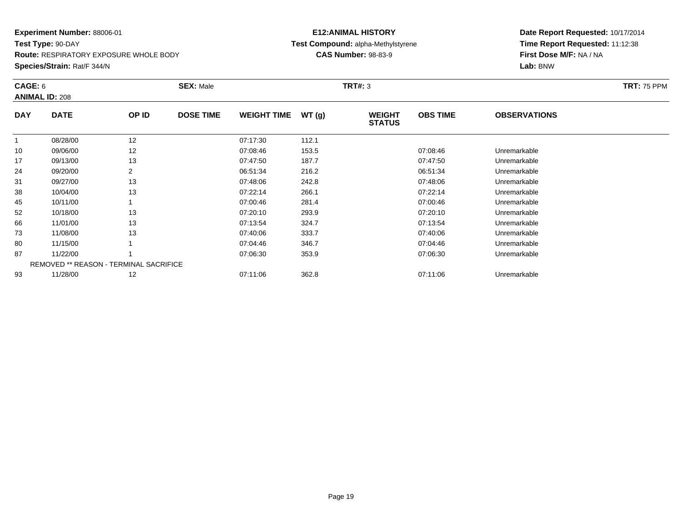**Test Type:** 90-DAY**Route:** RESPIRATORY EXPOSURE WHOLE BODY

**Species/Strain:** Rat/F 344/N

# **E12:ANIMAL HISTORYTest Compound:** alpha-Methylstyrene

**CAS Number:** 98-83-9

| CAGE: 6    | <b>ANIMAL ID: 208</b>                  |       | <b>SEX: Male</b> |                    |       | <b>TRT#: 3</b>                 |                 |                     | <b>TRT: 75 PPM</b> |
|------------|----------------------------------------|-------|------------------|--------------------|-------|--------------------------------|-----------------|---------------------|--------------------|
| <b>DAY</b> | <b>DATE</b>                            | OP ID | <b>DOSE TIME</b> | <b>WEIGHT TIME</b> | WT(g) | <b>WEIGHT</b><br><b>STATUS</b> | <b>OBS TIME</b> | <b>OBSERVATIONS</b> |                    |
|            | 08/28/00                               | 12    |                  | 07:17:30           | 112.1 |                                |                 |                     |                    |
| 10         | 09/06/00                               | 12    |                  | 07:08:46           | 153.5 |                                | 07:08:46        | Unremarkable        |                    |
| 17         | 09/13/00                               | 13    |                  | 07:47:50           | 187.7 |                                | 07:47:50        | Unremarkable        |                    |
| 24         | 09/20/00                               |       |                  | 06:51:34           | 216.2 |                                | 06:51:34        | Unremarkable        |                    |
| 31         | 09/27/00                               | 13    |                  | 07:48:06           | 242.8 |                                | 07:48:06        | Unremarkable        |                    |
| 38         | 10/04/00                               | 13    |                  | 07:22:14           | 266.1 |                                | 07:22:14        | Unremarkable        |                    |
| 45         | 10/11/00                               |       |                  | 07:00:46           | 281.4 |                                | 07:00:46        | Unremarkable        |                    |
| 52         | 10/18/00                               | 13    |                  | 07:20:10           | 293.9 |                                | 07:20:10        | Unremarkable        |                    |
| 66         | 11/01/00                               | 13    |                  | 07:13:54           | 324.7 |                                | 07:13:54        | Unremarkable        |                    |
| 73         | 11/08/00                               | 13    |                  | 07:40:06           | 333.7 |                                | 07:40:06        | Unremarkable        |                    |
| 80         | 11/15/00                               |       |                  | 07:04:46           | 346.7 |                                | 07:04:46        | Unremarkable        |                    |
| 87         | 11/22/00                               |       |                  | 07:06:30           | 353.9 |                                | 07:06:30        | Unremarkable        |                    |
|            | REMOVED ** REASON - TERMINAL SACRIFICE |       |                  |                    |       |                                |                 |                     |                    |
| 93         | 11/28/00                               | 12    |                  | 07:11:06           | 362.8 |                                | 07:11:06        | Unremarkable        |                    |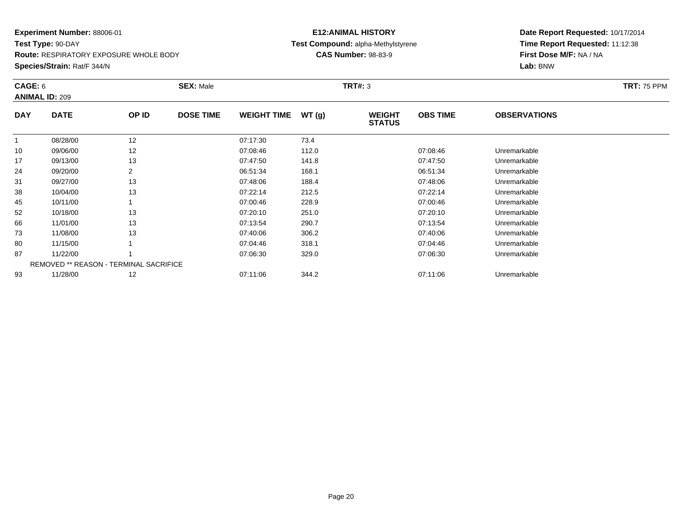**Test Type:** 90-DAY**Route:** RESPIRATORY EXPOSURE WHOLE BODY

#### **Species/Strain:** Rat/F 344/N

# **E12:ANIMAL HISTORY Test Compound:** alpha-Methylstyrene**CAS Number:** 98-83-9

| CAGE: 6    | <b>ANIMAL ID: 209</b>                         |       | <b>SEX: Male</b> |                    |       | <b>TRT#: 3</b>                 |                 |                     | <b>TRT: 75 PPM</b> |
|------------|-----------------------------------------------|-------|------------------|--------------------|-------|--------------------------------|-----------------|---------------------|--------------------|
| <b>DAY</b> | <b>DATE</b>                                   | OP ID | <b>DOSE TIME</b> | <b>WEIGHT TIME</b> | WT(g) | <b>WEIGHT</b><br><b>STATUS</b> | <b>OBS TIME</b> | <b>OBSERVATIONS</b> |                    |
|            | 08/28/00                                      | 12    |                  | 07:17:30           | 73.4  |                                |                 |                     |                    |
| 10         | 09/06/00                                      | 12    |                  | 07:08:46           | 112.0 |                                | 07:08:46        | Unremarkable        |                    |
| 17         | 09/13/00                                      | 13    |                  | 07:47:50           | 141.8 |                                | 07:47:50        | Unremarkable        |                    |
| 24         | 09/20/00                                      |       |                  | 06:51:34           | 168.1 |                                | 06:51:34        | Unremarkable        |                    |
| 31         | 09/27/00                                      | 13    |                  | 07:48:06           | 188.4 |                                | 07:48:06        | Unremarkable        |                    |
| 38         | 10/04/00                                      | 13    |                  | 07:22:14           | 212.5 |                                | 07:22:14        | Unremarkable        |                    |
| 45         | 10/11/00                                      |       |                  | 07:00:46           | 228.9 |                                | 07:00:46        | Unremarkable        |                    |
| 52         | 10/18/00                                      | 13    |                  | 07:20:10           | 251.0 |                                | 07:20:10        | Unremarkable        |                    |
| 66         | 11/01/00                                      | 13    |                  | 07:13:54           | 290.7 |                                | 07:13:54        | Unremarkable        |                    |
| 73         | 11/08/00                                      | 13    |                  | 07:40:06           | 306.2 |                                | 07:40:06        | Unremarkable        |                    |
| 80         | 11/15/00                                      |       |                  | 07:04:46           | 318.1 |                                | 07:04:46        | Unremarkable        |                    |
| 87         | 11/22/00                                      |       |                  | 07:06:30           | 329.0 |                                | 07:06:30        | Unremarkable        |                    |
|            | <b>REMOVED ** REASON - TERMINAL SACRIFICE</b> |       |                  |                    |       |                                |                 |                     |                    |
| 93         | 11/28/00                                      | 12    |                  | 07:11:06           | 344.2 |                                | 07:11:06        | Unremarkable        |                    |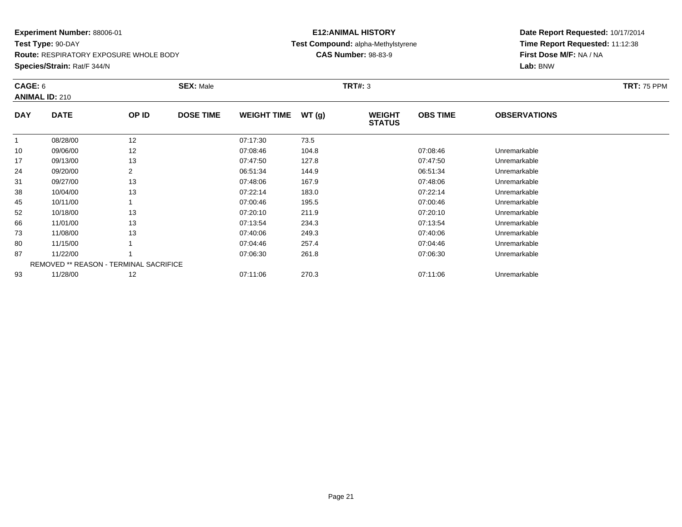**Test Type:** 90-DAY**Route:** RESPIRATORY EXPOSURE WHOLE BODY

**Species/Strain:** Rat/F 344/N

# **E12:ANIMAL HISTORY Test Compound:** alpha-Methylstyrene**CAS Number:** 98-83-9

| CAGE: 6    | <b>ANIMAL ID: 210</b>                         |                | <b>SEX: Male</b> |                    |       | <b>TRT#: 3</b>                 |                 |                     | <b>TRT: 75 PPM</b> |
|------------|-----------------------------------------------|----------------|------------------|--------------------|-------|--------------------------------|-----------------|---------------------|--------------------|
| <b>DAY</b> | <b>DATE</b>                                   | OP ID          | <b>DOSE TIME</b> | <b>WEIGHT TIME</b> | WT(g) | <b>WEIGHT</b><br><b>STATUS</b> | <b>OBS TIME</b> | <b>OBSERVATIONS</b> |                    |
| 1          | 08/28/00                                      | 12             |                  | 07:17:30           | 73.5  |                                |                 |                     |                    |
| 10         | 09/06/00                                      | 12             |                  | 07:08:46           | 104.8 |                                | 07:08:46        | Unremarkable        |                    |
| 17         | 09/13/00                                      | 13             |                  | 07:47:50           | 127.8 |                                | 07:47:50        | Unremarkable        |                    |
| 24         | 09/20/00                                      | $\overline{2}$ |                  | 06:51:34           | 144.9 |                                | 06:51:34        | Unremarkable        |                    |
| 31         | 09/27/00                                      | 13             |                  | 07:48:06           | 167.9 |                                | 07:48:06        | Unremarkable        |                    |
| 38         | 10/04/00                                      | 13             |                  | 07:22:14           | 183.0 |                                | 07:22:14        | Unremarkable        |                    |
| 45         | 10/11/00                                      |                |                  | 07:00:46           | 195.5 |                                | 07:00:46        | Unremarkable        |                    |
| 52         | 10/18/00                                      | 13             |                  | 07:20:10           | 211.9 |                                | 07:20:10        | Unremarkable        |                    |
| 66         | 11/01/00                                      | 13             |                  | 07:13:54           | 234.3 |                                | 07:13:54        | Unremarkable        |                    |
| 73         | 11/08/00                                      | 13             |                  | 07:40:06           | 249.3 |                                | 07:40:06        | Unremarkable        |                    |
| 80         | 11/15/00                                      |                |                  | 07:04:46           | 257.4 |                                | 07:04:46        | Unremarkable        |                    |
| 87         | 11/22/00                                      |                |                  | 07:06:30           | 261.8 |                                | 07:06:30        | Unremarkable        |                    |
|            | <b>REMOVED ** REASON - TERMINAL SACRIFICE</b> |                |                  |                    |       |                                |                 |                     |                    |
| 93         | 11/28/00                                      | 12             |                  | 07:11:06           | 270.3 |                                | 07:11:06        | Unremarkable        |                    |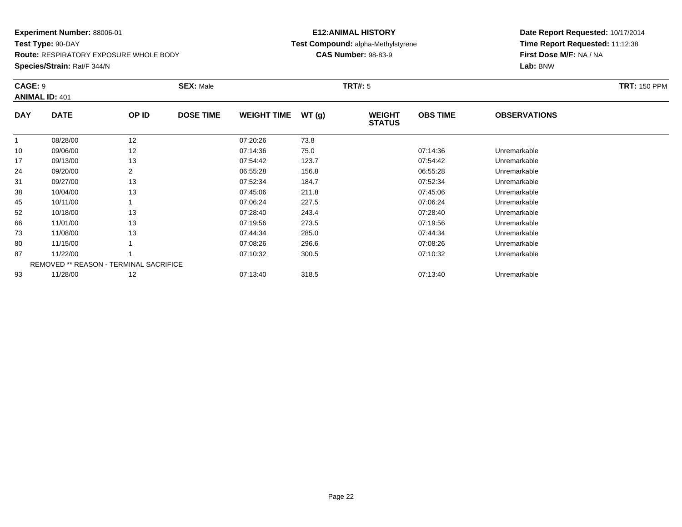#### **Experiment Number:** 88006-01**Test Type:** 90-DAY

**Route:** RESPIRATORY EXPOSURE WHOLE BODY

**Species/Strain:** Rat/F 344/N

# **E12:ANIMAL HISTORY Test Compound:** alpha-Methylstyrene**CAS Number:** 98-83-9

| CAGE: 9      | <b>ANIMAL ID: 401</b> |                                        | <b>SEX: Male</b> |                    |       | <b>TRT#: 5</b>                 |                 |                     | <b>TRT: 150 PPM</b> |
|--------------|-----------------------|----------------------------------------|------------------|--------------------|-------|--------------------------------|-----------------|---------------------|---------------------|
| <b>DAY</b>   | <b>DATE</b>           | OP ID                                  | <b>DOSE TIME</b> | <b>WEIGHT TIME</b> | WT(g) | <b>WEIGHT</b><br><b>STATUS</b> | <b>OBS TIME</b> | <b>OBSERVATIONS</b> |                     |
| $\mathbf{1}$ | 08/28/00              | 12                                     |                  | 07:20:26           | 73.8  |                                |                 |                     |                     |
| 10           | 09/06/00              | 12                                     |                  | 07:14:36           | 75.0  |                                | 07:14:36        | Unremarkable        |                     |
| 17           | 09/13/00              | 13                                     |                  | 07:54:42           | 123.7 |                                | 07:54:42        | Unremarkable        |                     |
| 24           | 09/20/00              | 2                                      |                  | 06:55:28           | 156.8 |                                | 06:55:28        | Unremarkable        |                     |
| 31           | 09/27/00              | 13                                     |                  | 07:52:34           | 184.7 |                                | 07:52:34        | Unremarkable        |                     |
| 38           | 10/04/00              | 13                                     |                  | 07:45:06           | 211.8 |                                | 07:45:06        | Unremarkable        |                     |
| 45           | 10/11/00              |                                        |                  | 07:06:24           | 227.5 |                                | 07:06:24        | Unremarkable        |                     |
| 52           | 10/18/00              | 13                                     |                  | 07:28:40           | 243.4 |                                | 07:28:40        | Unremarkable        |                     |
| 66           | 11/01/00              | 13                                     |                  | 07:19:56           | 273.5 |                                | 07:19:56        | Unremarkable        |                     |
| 73           | 11/08/00              | 13                                     |                  | 07:44:34           | 285.0 |                                | 07:44:34        | Unremarkable        |                     |
| 80           | 11/15/00              |                                        |                  | 07:08:26           | 296.6 |                                | 07:08:26        | Unremarkable        |                     |
| 87           | 11/22/00              |                                        |                  | 07:10:32           | 300.5 |                                | 07:10:32        | Unremarkable        |                     |
|              |                       | REMOVED ** REASON - TERMINAL SACRIFICE |                  |                    |       |                                |                 |                     |                     |
| 93           | 11/28/00              | 12                                     |                  | 07:13:40           | 318.5 |                                | 07:13:40        | Unremarkable        |                     |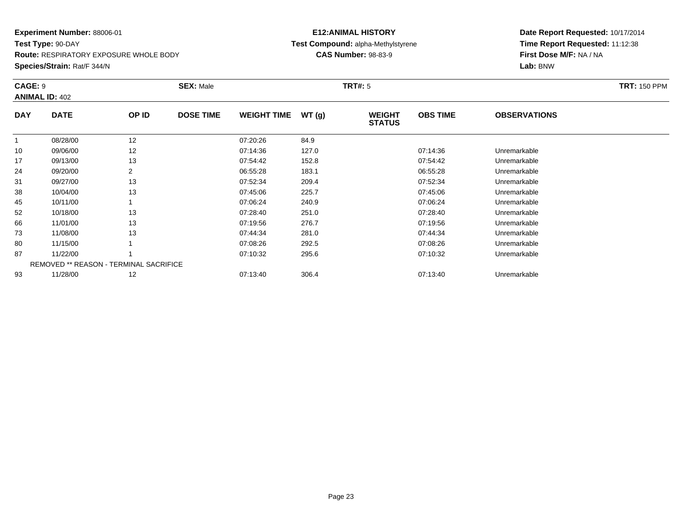**Test Type:** 90-DAY**Route:** RESPIRATORY EXPOSURE WHOLE BODY

**Species/Strain:** Rat/F 344/N

# **E12:ANIMAL HISTORY Test Compound:** alpha-Methylstyrene**CAS Number:** 98-83-9

| CAGE: 9    |                                        |                | <b>SEX: Male</b> |                    |       | <b>TRT#: 5</b>                 |                 |                     | <b>TRT: 150 PPM</b> |
|------------|----------------------------------------|----------------|------------------|--------------------|-------|--------------------------------|-----------------|---------------------|---------------------|
|            | <b>ANIMAL ID: 402</b>                  |                |                  |                    |       |                                |                 |                     |                     |
| <b>DAY</b> | <b>DATE</b>                            | OP ID          | <b>DOSE TIME</b> | <b>WEIGHT TIME</b> | WT(g) | <b>WEIGHT</b><br><b>STATUS</b> | <b>OBS TIME</b> | <b>OBSERVATIONS</b> |                     |
|            | 08/28/00                               | 12             |                  | 07:20:26           | 84.9  |                                |                 |                     |                     |
| 10         | 09/06/00                               | 12             |                  | 07:14:36           | 127.0 |                                | 07:14:36        | Unremarkable        |                     |
| 17         | 09/13/00                               | 13             |                  | 07:54:42           | 152.8 |                                | 07:54:42        | Unremarkable        |                     |
| 24         | 09/20/00                               | $\overline{2}$ |                  | 06:55:28           | 183.1 |                                | 06:55:28        | Unremarkable        |                     |
| 31         | 09/27/00                               | 13             |                  | 07:52:34           | 209.4 |                                | 07:52:34        | Unremarkable        |                     |
| 38         | 10/04/00                               | 13             |                  | 07:45:06           | 225.7 |                                | 07:45:06        | Unremarkable        |                     |
| 45         | 10/11/00                               |                |                  | 07:06:24           | 240.9 |                                | 07:06:24        | Unremarkable        |                     |
| 52         | 10/18/00                               | 13             |                  | 07:28:40           | 251.0 |                                | 07:28:40        | Unremarkable        |                     |
| 66         | 11/01/00                               | 13             |                  | 07:19:56           | 276.7 |                                | 07:19:56        | Unremarkable        |                     |
| 73         | 11/08/00                               | 13             |                  | 07:44:34           | 281.0 |                                | 07:44:34        | Unremarkable        |                     |
| 80         | 11/15/00                               |                |                  | 07:08:26           | 292.5 |                                | 07:08:26        | Unremarkable        |                     |
| 87         | 11/22/00                               |                |                  | 07:10:32           | 295.6 |                                | 07:10:32        | Unremarkable        |                     |
|            | REMOVED ** REASON - TERMINAL SACRIFICE |                |                  |                    |       |                                |                 |                     |                     |
| 93         | 11/28/00                               | 12             |                  | 07:13:40           | 306.4 |                                | 07:13:40        | Unremarkable        |                     |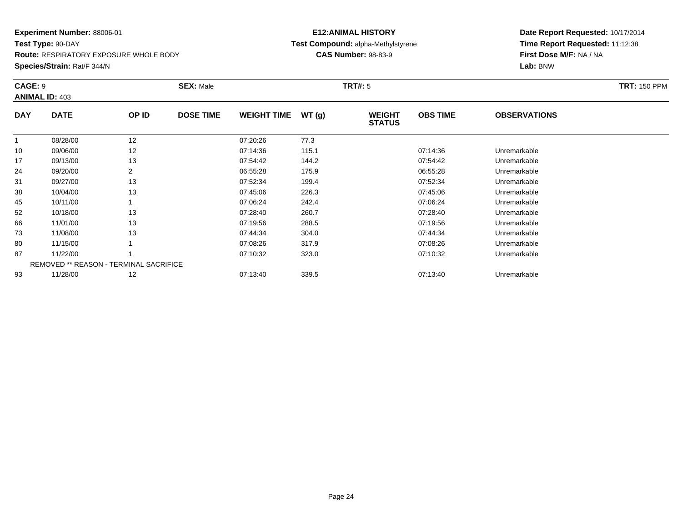**Test Type:** 90-DAY**Route:** RESPIRATORY EXPOSURE WHOLE BODY

**Species/Strain:** Rat/F 344/N

# **E12:ANIMAL HISTORY Test Compound:** alpha-Methylstyrene**CAS Number:** 98-83-9

| CAGE: 9    | <b>ANIMAL ID: 403</b>                  |       | <b>SEX: Male</b> |                    |       | <b>TRT#: 5</b>                 |                 |                     | <b>TRT: 150 PPM</b> |
|------------|----------------------------------------|-------|------------------|--------------------|-------|--------------------------------|-----------------|---------------------|---------------------|
| <b>DAY</b> | <b>DATE</b>                            | OP ID | <b>DOSE TIME</b> | <b>WEIGHT TIME</b> | WT(g) | <b>WEIGHT</b><br><b>STATUS</b> | <b>OBS TIME</b> | <b>OBSERVATIONS</b> |                     |
|            | 08/28/00                               | 12    |                  | 07:20:26           | 77.3  |                                |                 |                     |                     |
| 10         | 09/06/00                               | 12    |                  | 07:14:36           | 115.1 |                                | 07:14:36        | Unremarkable        |                     |
| 17         | 09/13/00                               | 13    |                  | 07:54:42           | 144.2 |                                | 07:54:42        | Unremarkable        |                     |
| 24         | 09/20/00                               |       |                  | 06:55:28           | 175.9 |                                | 06:55:28        | Unremarkable        |                     |
| 31         | 09/27/00                               | 13    |                  | 07:52:34           | 199.4 |                                | 07:52:34        | Unremarkable        |                     |
| 38         | 10/04/00                               | 13    |                  | 07:45:06           | 226.3 |                                | 07:45:06        | Unremarkable        |                     |
| 45         | 10/11/00                               |       |                  | 07:06:24           | 242.4 |                                | 07:06:24        | Unremarkable        |                     |
| 52         | 10/18/00                               | 13    |                  | 07:28:40           | 260.7 |                                | 07:28:40        | Unremarkable        |                     |
| 66         | 11/01/00                               | 13    |                  | 07:19:56           | 288.5 |                                | 07:19:56        | Unremarkable        |                     |
| 73         | 11/08/00                               | 13    |                  | 07:44:34           | 304.0 |                                | 07:44:34        | Unremarkable        |                     |
| 80         | 11/15/00                               |       |                  | 07:08:26           | 317.9 |                                | 07:08:26        | Unremarkable        |                     |
| 87         | 11/22/00                               |       |                  | 07:10:32           | 323.0 |                                | 07:10:32        | Unremarkable        |                     |
|            | REMOVED ** REASON - TERMINAL SACRIFICE |       |                  |                    |       |                                |                 |                     |                     |
| 93         | 11/28/00                               | 12    |                  | 07:13:40           | 339.5 |                                | 07:13:40        | Unremarkable        |                     |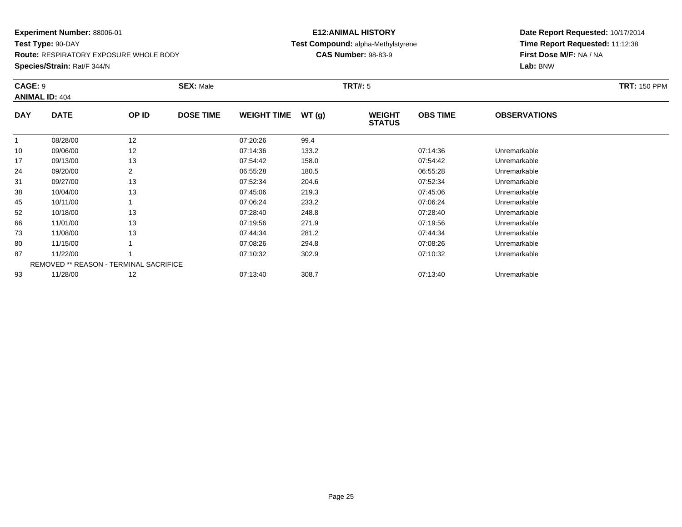**Test Type:** 90-DAY**Route:** RESPIRATORY EXPOSURE WHOLE BODY

#### **Species/Strain:** Rat/F 344/N

# **E12:ANIMAL HISTORY Test Compound:** alpha-Methylstyrene**CAS Number:** 98-83-9

| CAGE: 9    | <b>ANIMAL ID: 404</b>                         |       | <b>SEX: Male</b> |                    |       | <b>TRT#:</b> 5                 |                 |                     | <b>TRT: 150 PPM</b> |
|------------|-----------------------------------------------|-------|------------------|--------------------|-------|--------------------------------|-----------------|---------------------|---------------------|
| <b>DAY</b> | <b>DATE</b>                                   | OP ID | <b>DOSE TIME</b> | <b>WEIGHT TIME</b> | WT(g) | <b>WEIGHT</b><br><b>STATUS</b> | <b>OBS TIME</b> | <b>OBSERVATIONS</b> |                     |
| 1          | 08/28/00                                      | 12    |                  | 07:20:26           | 99.4  |                                |                 |                     |                     |
| 10         | 09/06/00                                      | 12    |                  | 07:14:36           | 133.2 |                                | 07:14:36        | Unremarkable        |                     |
| 17         | 09/13/00                                      | 13    |                  | 07:54:42           | 158.0 |                                | 07:54:42        | Unremarkable        |                     |
| 24         | 09/20/00                                      |       |                  | 06:55:28           | 180.5 |                                | 06:55:28        | Unremarkable        |                     |
| 31         | 09/27/00                                      | 13    |                  | 07:52:34           | 204.6 |                                | 07:52:34        | Unremarkable        |                     |
| 38         | 10/04/00                                      | 13    |                  | 07:45:06           | 219.3 |                                | 07:45:06        | Unremarkable        |                     |
| 45         | 10/11/00                                      |       |                  | 07:06:24           | 233.2 |                                | 07:06:24        | Unremarkable        |                     |
| 52         | 10/18/00                                      | 13    |                  | 07:28:40           | 248.8 |                                | 07:28:40        | Unremarkable        |                     |
| 66         | 11/01/00                                      | 13    |                  | 07:19:56           | 271.9 |                                | 07:19:56        | Unremarkable        |                     |
| 73         | 11/08/00                                      | 13    |                  | 07:44:34           | 281.2 |                                | 07:44:34        | Unremarkable        |                     |
| 80         | 11/15/00                                      |       |                  | 07:08:26           | 294.8 |                                | 07:08:26        | Unremarkable        |                     |
| 87         | 11/22/00                                      |       |                  | 07:10:32           | 302.9 |                                | 07:10:32        | Unremarkable        |                     |
|            | <b>REMOVED ** REASON - TERMINAL SACRIFICE</b> |       |                  |                    |       |                                |                 |                     |                     |
| 93         | 11/28/00                                      | 12    |                  | 07:13:40           | 308.7 |                                | 07:13:40        | Unremarkable        |                     |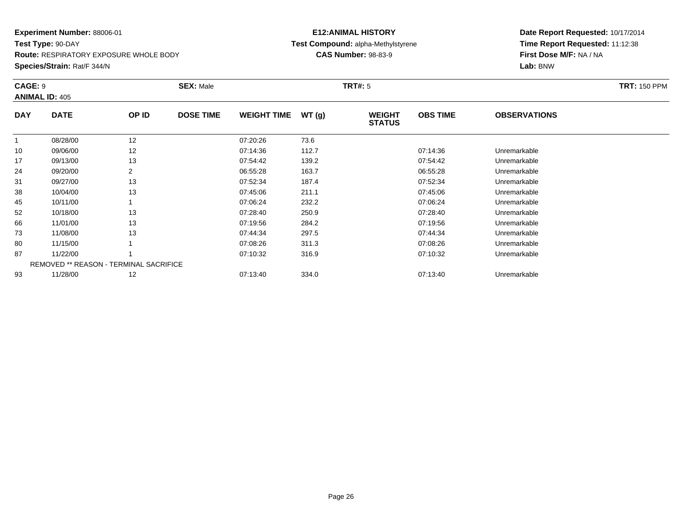**Test Type:** 90-DAY**Route:** RESPIRATORY EXPOSURE WHOLE BODY

**Species/Strain:** Rat/F 344/N

# **E12:ANIMAL HISTORY Test Compound:** alpha-Methylstyrene**CAS Number:** 98-83-9

| CAGE: 9    | <b>ANIMAL ID: 405</b> |                                        | <b>SEX: Male</b> |                    |       | <b>TRT#: 5</b>                 |                 |                     | <b>TRT: 150 PPM</b> |
|------------|-----------------------|----------------------------------------|------------------|--------------------|-------|--------------------------------|-----------------|---------------------|---------------------|
| <b>DAY</b> | <b>DATE</b>           | OP ID                                  | <b>DOSE TIME</b> | <b>WEIGHT TIME</b> | WT(g) | <b>WEIGHT</b><br><b>STATUS</b> | <b>OBS TIME</b> | <b>OBSERVATIONS</b> |                     |
|            | 08/28/00              | 12                                     |                  | 07:20:26           | 73.6  |                                |                 |                     |                     |
| 10         | 09/06/00              | 12                                     |                  | 07:14:36           | 112.7 |                                | 07:14:36        | Unremarkable        |                     |
| 17         | 09/13/00              | 13                                     |                  | 07:54:42           | 139.2 |                                | 07:54:42        | Unremarkable        |                     |
| 24         | 09/20/00              | 2                                      |                  | 06:55:28           | 163.7 |                                | 06:55:28        | Unremarkable        |                     |
| 31         | 09/27/00              | 13                                     |                  | 07:52:34           | 187.4 |                                | 07:52:34        | Unremarkable        |                     |
| 38         | 10/04/00              | 13                                     |                  | 07:45:06           | 211.1 |                                | 07:45:06        | Unremarkable        |                     |
| 45         | 10/11/00              |                                        |                  | 07:06:24           | 232.2 |                                | 07:06:24        | Unremarkable        |                     |
| 52         | 10/18/00              | 13                                     |                  | 07:28:40           | 250.9 |                                | 07:28:40        | Unremarkable        |                     |
| 66         | 11/01/00              | 13                                     |                  | 07:19:56           | 284.2 |                                | 07:19:56        | Unremarkable        |                     |
| 73         | 11/08/00              | 13                                     |                  | 07:44:34           | 297.5 |                                | 07:44:34        | Unremarkable        |                     |
| 80         | 11/15/00              |                                        |                  | 07:08:26           | 311.3 |                                | 07:08:26        | Unremarkable        |                     |
| 87         | 11/22/00              |                                        |                  | 07:10:32           | 316.9 |                                | 07:10:32        | Unremarkable        |                     |
|            |                       | REMOVED ** REASON - TERMINAL SACRIFICE |                  |                    |       |                                |                 |                     |                     |
| 93         | 11/28/00              | 12                                     |                  | 07:13:40           | 334.0 |                                | 07:13:40        | Unremarkable        |                     |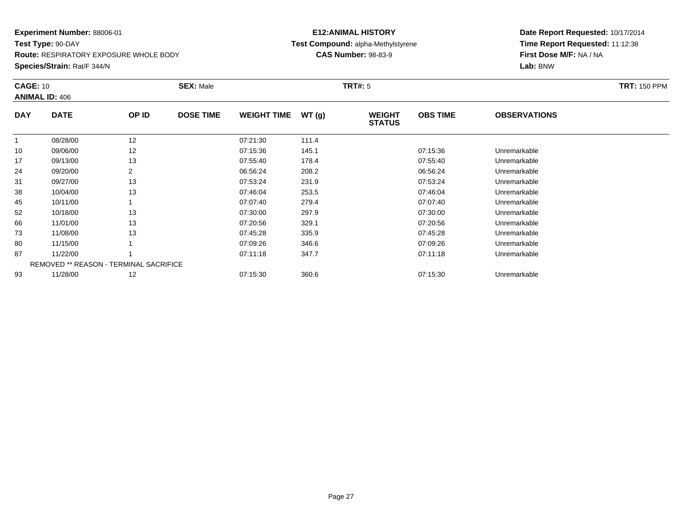**Test Type:** 90-DAY

**Route:** RESPIRATORY EXPOSURE WHOLE BODY

**Species/Strain:** Rat/F 344/N

# **E12:ANIMAL HISTORY Test Compound:** alpha-Methylstyrene**CAS Number:** 98-83-9

| <b>CAGE: 10</b> | <b>ANIMAL ID: 406</b>                         |                | <b>SEX: Male</b> |                    |       | <b>TRT#: 5</b>                 |                 |                     | <b>TRT: 150 PPM</b> |
|-----------------|-----------------------------------------------|----------------|------------------|--------------------|-------|--------------------------------|-----------------|---------------------|---------------------|
| <b>DAY</b>      | <b>DATE</b>                                   | OP ID          | <b>DOSE TIME</b> | <b>WEIGHT TIME</b> | WT(g) | <b>WEIGHT</b><br><b>STATUS</b> | <b>OBS TIME</b> | <b>OBSERVATIONS</b> |                     |
|                 | 08/28/00                                      | 12             |                  | 07:21:30           | 111.4 |                                |                 |                     |                     |
| 10              | 09/06/00                                      | 12             |                  | 07:15:36           | 145.1 |                                | 07:15:36        | Unremarkable        |                     |
| 17              | 09/13/00                                      | 13             |                  | 07:55:40           | 178.4 |                                | 07:55:40        | Unremarkable        |                     |
| 24              | 09/20/00                                      | $\overline{2}$ |                  | 06:56:24           | 208.2 |                                | 06:56:24        | Unremarkable        |                     |
| 31              | 09/27/00                                      | 13             |                  | 07:53:24           | 231.9 |                                | 07:53:24        | Unremarkable        |                     |
| 38              | 10/04/00                                      | 13             |                  | 07:46:04           | 253.5 |                                | 07:46:04        | Unremarkable        |                     |
| 45              | 10/11/00                                      |                |                  | 07:07:40           | 279.4 |                                | 07:07:40        | Unremarkable        |                     |
| 52              | 10/18/00                                      | 13             |                  | 07:30:00           | 297.9 |                                | 07:30:00        | Unremarkable        |                     |
| 66              | 11/01/00                                      | 13             |                  | 07:20:56           | 329.1 |                                | 07:20:56        | Unremarkable        |                     |
| 73              | 11/08/00                                      | 13             |                  | 07:45:28           | 335.9 |                                | 07:45:28        | Unremarkable        |                     |
| 80              | 11/15/00                                      |                |                  | 07:09:26           | 346.6 |                                | 07:09:26        | Unremarkable        |                     |
| 87              | 11/22/00                                      |                |                  | 07:11:18           | 347.7 |                                | 07:11:18        | Unremarkable        |                     |
|                 | <b>REMOVED ** REASON - TERMINAL SACRIFICE</b> |                |                  |                    |       |                                |                 |                     |                     |
| 93              | 11/28/00                                      | 12             |                  | 07:15:30           | 360.6 |                                | 07:15:30        | Unremarkable        |                     |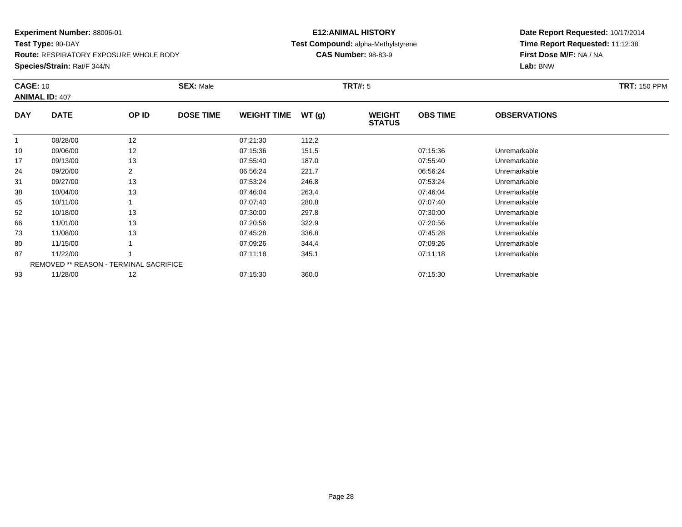**Test Type:** 90-DAY

**Route:** RESPIRATORY EXPOSURE WHOLE BODY

**Species/Strain:** Rat/F 344/N

# **E12:ANIMAL HISTORY Test Compound:** alpha-Methylstyrene**CAS Number:** 98-83-9

| <b>CAGE: 10</b> | <b>ANIMAL ID: 407</b>                         |                | <b>SEX: Male</b> |                    |       | <b>TRT#: 5</b>                 |                 |                     | <b>TRT: 150 PPM</b> |
|-----------------|-----------------------------------------------|----------------|------------------|--------------------|-------|--------------------------------|-----------------|---------------------|---------------------|
| <b>DAY</b>      | <b>DATE</b>                                   | OP ID          | <b>DOSE TIME</b> | <b>WEIGHT TIME</b> | WT(g) | <b>WEIGHT</b><br><b>STATUS</b> | <b>OBS TIME</b> | <b>OBSERVATIONS</b> |                     |
| $\mathbf{1}$    | 08/28/00                                      | 12             |                  | 07:21:30           | 112.2 |                                |                 |                     |                     |
| 10              | 09/06/00                                      | 12             |                  | 07:15:36           | 151.5 |                                | 07:15:36        | Unremarkable        |                     |
| 17              | 09/13/00                                      | 13             |                  | 07:55:40           | 187.0 |                                | 07:55:40        | Unremarkable        |                     |
| 24              | 09/20/00                                      | $\overline{2}$ |                  | 06:56:24           | 221.7 |                                | 06:56:24        | Unremarkable        |                     |
| 31              | 09/27/00                                      | 13             |                  | 07:53:24           | 246.8 |                                | 07:53:24        | Unremarkable        |                     |
| 38              | 10/04/00                                      | 13             |                  | 07:46:04           | 263.4 |                                | 07:46:04        | Unremarkable        |                     |
| 45              | 10/11/00                                      |                |                  | 07:07:40           | 280.8 |                                | 07:07:40        | Unremarkable        |                     |
| 52              | 10/18/00                                      | 13             |                  | 07:30:00           | 297.8 |                                | 07:30:00        | Unremarkable        |                     |
| 66              | 11/01/00                                      | 13             |                  | 07:20:56           | 322.9 |                                | 07:20:56        | Unremarkable        |                     |
| 73              | 11/08/00                                      | 13             |                  | 07:45:28           | 336.8 |                                | 07:45:28        | Unremarkable        |                     |
| 80              | 11/15/00                                      |                |                  | 07:09:26           | 344.4 |                                | 07:09:26        | Unremarkable        |                     |
| 87              | 11/22/00                                      |                |                  | 07:11:18           | 345.1 |                                | 07:11:18        | Unremarkable        |                     |
|                 | <b>REMOVED ** REASON - TERMINAL SACRIFICE</b> |                |                  |                    |       |                                |                 |                     |                     |
| 93              | 11/28/00                                      | 12             |                  | 07:15:30           | 360.0 |                                | 07:15:30        | Unremarkable        |                     |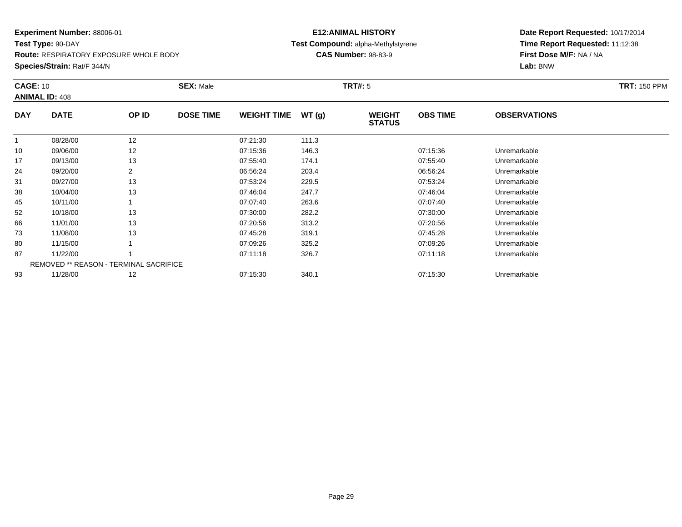**Test Type:** 90-DAY

**Route:** RESPIRATORY EXPOSURE WHOLE BODY

**Species/Strain:** Rat/F 344/N

# **E12:ANIMAL HISTORYTest Compound:** alpha-Methylstyrene

**CAS Number:** 98-83-9

| <b>CAGE: 10</b> | <b>ANIMAL ID: 408</b>                         |                | <b>SEX: Male</b> |                    |       | <b>TRT#:</b> 5                 |                 |                     | <b>TRT: 150 PPM</b> |
|-----------------|-----------------------------------------------|----------------|------------------|--------------------|-------|--------------------------------|-----------------|---------------------|---------------------|
| <b>DAY</b>      | <b>DATE</b>                                   | OP ID          | <b>DOSE TIME</b> | <b>WEIGHT TIME</b> | WT(g) | <b>WEIGHT</b><br><b>STATUS</b> | <b>OBS TIME</b> | <b>OBSERVATIONS</b> |                     |
| 1               | 08/28/00                                      | 12             |                  | 07:21:30           | 111.3 |                                |                 |                     |                     |
| 10              | 09/06/00                                      | 12             |                  | 07:15:36           | 146.3 |                                | 07:15:36        | Unremarkable        |                     |
| 17              | 09/13/00                                      | 13             |                  | 07:55:40           | 174.1 |                                | 07:55:40        | Unremarkable        |                     |
| 24              | 09/20/00                                      | $\overline{2}$ |                  | 06:56:24           | 203.4 |                                | 06:56:24        | Unremarkable        |                     |
| 31              | 09/27/00                                      | 13             |                  | 07:53:24           | 229.5 |                                | 07:53:24        | Unremarkable        |                     |
| 38              | 10/04/00                                      | 13             |                  | 07:46:04           | 247.7 |                                | 07:46:04        | Unremarkable        |                     |
| 45              | 10/11/00                                      |                |                  | 07:07:40           | 263.6 |                                | 07:07:40        | Unremarkable        |                     |
| 52              | 10/18/00                                      | 13             |                  | 07:30:00           | 282.2 |                                | 07:30:00        | Unremarkable        |                     |
| 66              | 11/01/00                                      | 13             |                  | 07:20:56           | 313.2 |                                | 07:20:56        | Unremarkable        |                     |
| 73              | 11/08/00                                      | 13             |                  | 07:45:28           | 319.1 |                                | 07:45:28        | Unremarkable        |                     |
| 80              | 11/15/00                                      |                |                  | 07:09:26           | 325.2 |                                | 07:09:26        | Unremarkable        |                     |
| 87              | 11/22/00                                      |                |                  | 07:11:18           | 326.7 |                                | 07:11:18        | Unremarkable        |                     |
|                 | <b>REMOVED ** REASON - TERMINAL SACRIFICE</b> |                |                  |                    |       |                                |                 |                     |                     |
| 93              | 11/28/00                                      | 12             |                  | 07:15:30           | 340.1 |                                | 07:15:30        | Unremarkable        |                     |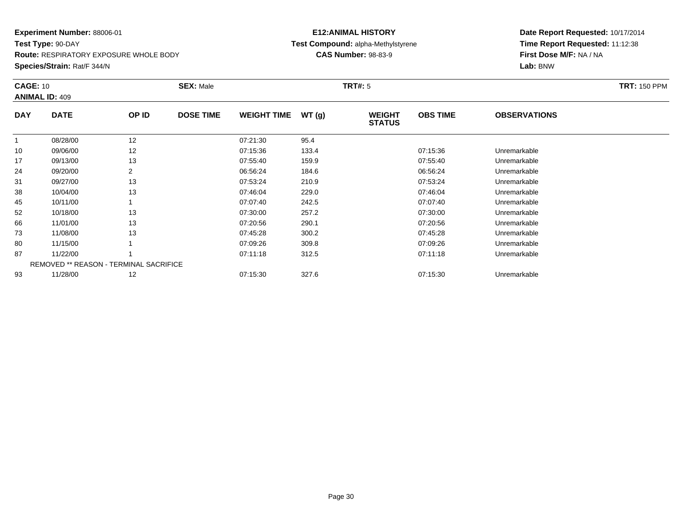**Test Type:** 90-DAY

**Route:** RESPIRATORY EXPOSURE WHOLE BODY

**Species/Strain:** Rat/F 344/N

# **E12:ANIMAL HISTORY Test Compound:** alpha-Methylstyrene**CAS Number:** 98-83-9

| <b>CAGE: 10</b> | <b>ANIMAL ID: 409</b> |                                        | <b>SEX: Male</b> |                    |       | <b>TRT#: 5</b>                 |                 |                     | <b>TRT: 150 PPM</b> |
|-----------------|-----------------------|----------------------------------------|------------------|--------------------|-------|--------------------------------|-----------------|---------------------|---------------------|
| <b>DAY</b>      | <b>DATE</b>           | OP ID                                  | <b>DOSE TIME</b> | <b>WEIGHT TIME</b> | WT(g) | <b>WEIGHT</b><br><b>STATUS</b> | <b>OBS TIME</b> | <b>OBSERVATIONS</b> |                     |
|                 | 08/28/00              | 12                                     |                  | 07:21:30           | 95.4  |                                |                 |                     |                     |
| 10              | 09/06/00              | 12                                     |                  | 07:15:36           | 133.4 |                                | 07:15:36        | Unremarkable        |                     |
| 17              | 09/13/00              | 13                                     |                  | 07:55:40           | 159.9 |                                | 07.55.40        | Unremarkable        |                     |
| 24              | 09/20/00              | 2                                      |                  | 06:56:24           | 184.6 |                                | 06:56:24        | Unremarkable        |                     |
| 31              | 09/27/00              | 13                                     |                  | 07:53:24           | 210.9 |                                | 07:53:24        | Unremarkable        |                     |
| 38              | 10/04/00              | 13                                     |                  | 07:46:04           | 229.0 |                                | 07:46:04        | Unremarkable        |                     |
| 45              | 10/11/00              |                                        |                  | 07:07:40           | 242.5 |                                | 07:07:40        | Unremarkable        |                     |
| 52              | 10/18/00              | 13                                     |                  | 07:30:00           | 257.2 |                                | 07:30:00        | Unremarkable        |                     |
| 66              | 11/01/00              | 13                                     |                  | 07:20:56           | 290.1 |                                | 07:20:56        | Unremarkable        |                     |
| 73              | 11/08/00              | 13                                     |                  | 07:45:28           | 300.2 |                                | 07:45:28        | Unremarkable        |                     |
| 80              | 11/15/00              |                                        |                  | 07:09:26           | 309.8 |                                | 07:09:26        | Unremarkable        |                     |
| 87              | 11/22/00              |                                        |                  | 07:11:18           | 312.5 |                                | 07:11:18        | Unremarkable        |                     |
|                 |                       | REMOVED ** REASON - TERMINAL SACRIFICE |                  |                    |       |                                |                 |                     |                     |
| 93              | 11/28/00              | 12                                     |                  | 07:15:30           | 327.6 |                                | 07:15:30        | Unremarkable        |                     |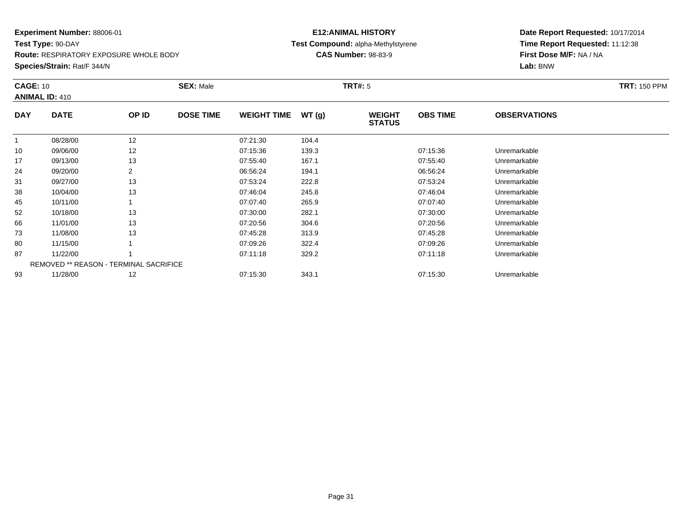**Test Type:** 90-DAY

**Route:** RESPIRATORY EXPOSURE WHOLE BODY

**Species/Strain:** Rat/F 344/N

# **E12:ANIMAL HISTORY Test Compound:** alpha-Methylstyrene**CAS Number:** 98-83-9

| <b>CAGE: 10</b> | <b>ANIMAL ID: 410</b>                         |                | <b>SEX: Male</b> |                    |       | <b>TRT#: 5</b>                 |                 |                     | <b>TRT: 150 PPM</b> |
|-----------------|-----------------------------------------------|----------------|------------------|--------------------|-------|--------------------------------|-----------------|---------------------|---------------------|
| <b>DAY</b>      | <b>DATE</b>                                   | OP ID          | <b>DOSE TIME</b> | <b>WEIGHT TIME</b> | WT(g) | <b>WEIGHT</b><br><b>STATUS</b> | <b>OBS TIME</b> | <b>OBSERVATIONS</b> |                     |
| $\mathbf{1}$    | 08/28/00                                      | 12             |                  | 07:21:30           | 104.4 |                                |                 |                     |                     |
| 10              | 09/06/00                                      | 12             |                  | 07:15:36           | 139.3 |                                | 07:15:36        | Unremarkable        |                     |
| 17              | 09/13/00                                      | 13             |                  | 07:55:40           | 167.1 |                                | 07:55:40        | Unremarkable        |                     |
| 24              | 09/20/00                                      | $\overline{2}$ |                  | 06:56:24           | 194.1 |                                | 06:56:24        | Unremarkable        |                     |
| 31              | 09/27/00                                      | 13             |                  | 07:53:24           | 222.8 |                                | 07:53:24        | Unremarkable        |                     |
| 38              | 10/04/00                                      | 13             |                  | 07:46:04           | 245.8 |                                | 07:46:04        | Unremarkable        |                     |
| 45              | 10/11/00                                      |                |                  | 07:07:40           | 265.9 |                                | 07:07:40        | Unremarkable        |                     |
| 52              | 10/18/00                                      | 13             |                  | 07:30:00           | 282.1 |                                | 07:30:00        | Unremarkable        |                     |
| 66              | 11/01/00                                      | 13             |                  | 07:20:56           | 304.6 |                                | 07:20:56        | Unremarkable        |                     |
| 73              | 11/08/00                                      | 13             |                  | 07:45:28           | 313.9 |                                | 07:45:28        | Unremarkable        |                     |
| 80              | 11/15/00                                      |                |                  | 07:09:26           | 322.4 |                                | 07:09:26        | Unremarkable        |                     |
| 87              | 11/22/00                                      |                |                  | 07:11:18           | 329.2 |                                | 07:11:18        | Unremarkable        |                     |
|                 | <b>REMOVED ** REASON - TERMINAL SACRIFICE</b> |                |                  |                    |       |                                |                 |                     |                     |
| 93              | 11/28/00                                      | 12             |                  | 07:15:30           | 343.1 |                                | 07:15:30        | Unremarkable        |                     |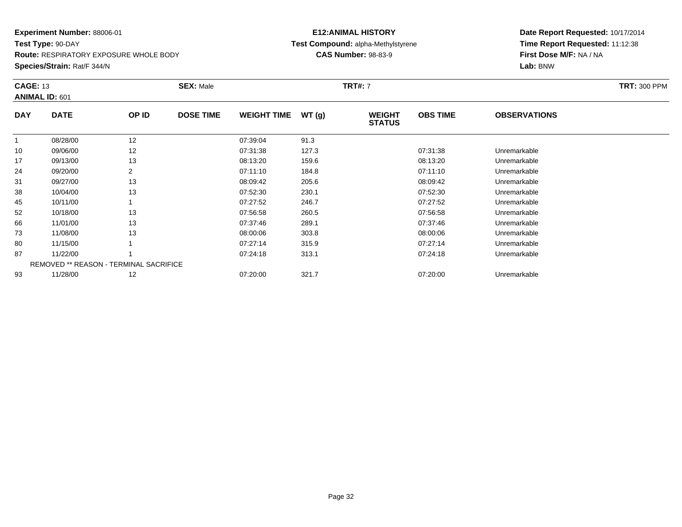**Test Type:** 90-DAY

**Route:** RESPIRATORY EXPOSURE WHOLE BODY

**Species/Strain:** Rat/F 344/N

# **E12:ANIMAL HISTORY Test Compound:** alpha-Methylstyrene**CAS Number:** 98-83-9

| <b>CAGE: 13</b> | <b>ANIMAL ID: 601</b>                         |       | <b>SEX: Male</b> |                    |       | <b>TRT#: 7</b>                 |                 |                     | <b>TRT: 300 PPM</b> |
|-----------------|-----------------------------------------------|-------|------------------|--------------------|-------|--------------------------------|-----------------|---------------------|---------------------|
| <b>DAY</b>      | <b>DATE</b>                                   | OP ID | <b>DOSE TIME</b> | <b>WEIGHT TIME</b> | WT(g) | <b>WEIGHT</b><br><b>STATUS</b> | <b>OBS TIME</b> | <b>OBSERVATIONS</b> |                     |
|                 | 08/28/00                                      | 12    |                  | 07:39:04           | 91.3  |                                |                 |                     |                     |
| 10              | 09/06/00                                      | 12    |                  | 07:31:38           | 127.3 |                                | 07:31:38        | Unremarkable        |                     |
| 17              | 09/13/00                                      | 13    |                  | 08:13:20           | 159.6 |                                | 08:13:20        | Unremarkable        |                     |
| 24              | 09/20/00                                      | 2     |                  | 07:11:10           | 184.8 |                                | 07:11:10        | Unremarkable        |                     |
| 31              | 09/27/00                                      | 13    |                  | 08:09:42           | 205.6 |                                | 08:09:42        | Unremarkable        |                     |
| 38              | 10/04/00                                      | 13    |                  | 07:52:30           | 230.1 |                                | 07:52:30        | Unremarkable        |                     |
| 45              | 10/11/00                                      |       |                  | 07:27:52           | 246.7 |                                | 07:27:52        | Unremarkable        |                     |
| 52              | 10/18/00                                      | 13    |                  | 07:56:58           | 260.5 |                                | 07:56:58        | Unremarkable        |                     |
| 66              | 11/01/00                                      | 13    |                  | 07:37:46           | 289.1 |                                | 07:37:46        | Unremarkable        |                     |
| 73              | 11/08/00                                      | 13    |                  | 08:00:06           | 303.8 |                                | 08:00:06        | Unremarkable        |                     |
| 80              | 11/15/00                                      |       |                  | 07:27:14           | 315.9 |                                | 07:27:14        | Unremarkable        |                     |
| 87              | 11/22/00                                      |       |                  | 07:24:18           | 313.1 |                                | 07:24:18        | Unremarkable        |                     |
|                 | <b>REMOVED ** REASON - TERMINAL SACRIFICE</b> |       |                  |                    |       |                                |                 |                     |                     |
| 93              | 11/28/00                                      | 12    |                  | 07:20:00           | 321.7 |                                | 07:20:00        | Unremarkable        |                     |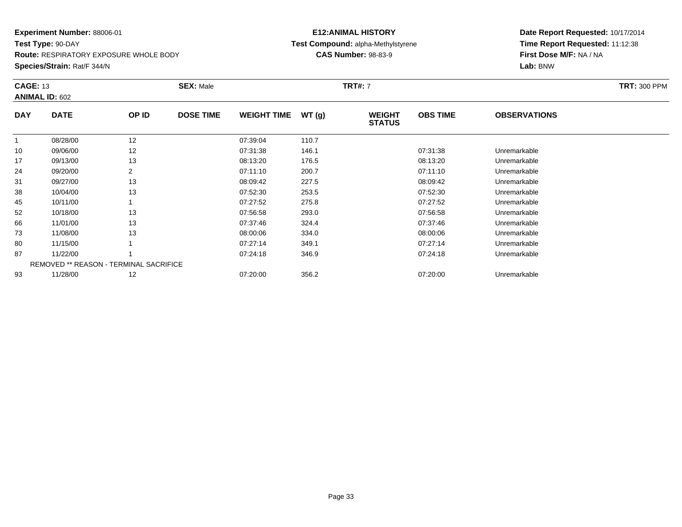**Test Type:** 90-DAY

**Route:** RESPIRATORY EXPOSURE WHOLE BODY

**Species/Strain:** Rat/F 344/N

# **E12:ANIMAL HISTORY Test Compound:** alpha-Methylstyrene**CAS Number:** 98-83-9

| <b>CAGE: 13</b> | <b>ANIMAL ID: 602</b> |                                        | <b>SEX: Male</b> |                    |       | <b>TRT#: 7</b>                 |                 |                     | <b>TRT: 300 PPM</b> |
|-----------------|-----------------------|----------------------------------------|------------------|--------------------|-------|--------------------------------|-----------------|---------------------|---------------------|
| <b>DAY</b>      | <b>DATE</b>           | OP ID                                  | <b>DOSE TIME</b> | <b>WEIGHT TIME</b> | WT(g) | <b>WEIGHT</b><br><b>STATUS</b> | <b>OBS TIME</b> | <b>OBSERVATIONS</b> |                     |
| $\mathbf{1}$    | 08/28/00              | 12                                     |                  | 07:39:04           | 110.7 |                                |                 |                     |                     |
| 10              | 09/06/00              | 12                                     |                  | 07:31:38           | 146.1 |                                | 07:31:38        | Unremarkable        |                     |
| 17              | 09/13/00              | 13                                     |                  | 08:13:20           | 176.5 |                                | 08:13:20        | Unremarkable        |                     |
| 24              | 09/20/00              | 2                                      |                  | 07:11:10           | 200.7 |                                | 07:11:10        | Unremarkable        |                     |
| 31              | 09/27/00              | 13                                     |                  | 08:09:42           | 227.5 |                                | 08:09:42        | Unremarkable        |                     |
| 38              | 10/04/00              | 13                                     |                  | 07:52:30           | 253.5 |                                | 07:52:30        | Unremarkable        |                     |
| 45              | 10/11/00              |                                        |                  | 07:27:52           | 275.8 |                                | 07:27:52        | Unremarkable        |                     |
| 52              | 10/18/00              | 13                                     |                  | 07:56:58           | 293.0 |                                | 07:56:58        | Unremarkable        |                     |
| 66              | 11/01/00              | 13                                     |                  | 07:37:46           | 324.4 |                                | 07:37:46        | Unremarkable        |                     |
| 73              | 11/08/00              | 13                                     |                  | 08:00:06           | 334.0 |                                | 08:00:06        | Unremarkable        |                     |
| 80              | 11/15/00              |                                        |                  | 07:27:14           | 349.1 |                                | 07:27:14        | Unremarkable        |                     |
| 87              | 11/22/00              |                                        |                  | 07:24:18           | 346.9 |                                | 07:24:18        | Unremarkable        |                     |
|                 |                       | REMOVED ** REASON - TERMINAL SACRIFICE |                  |                    |       |                                |                 |                     |                     |
| 93              | 11/28/00              | 12                                     |                  | 07:20:00           | 356.2 |                                | 07:20:00        | Unremarkable        |                     |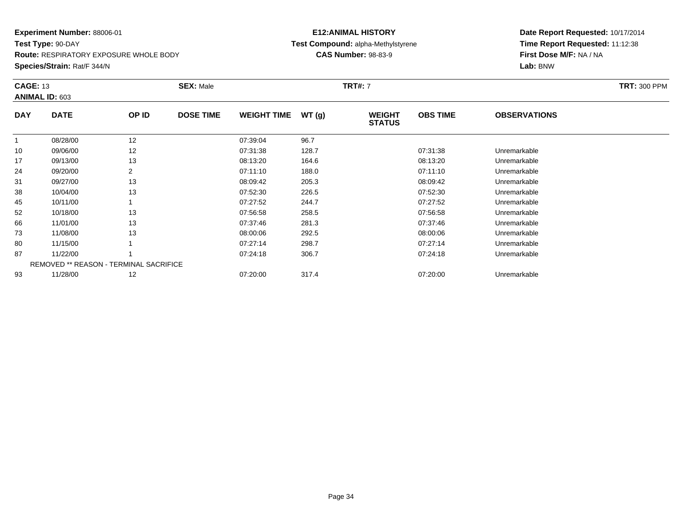**Test Type:** 90-DAY

**Route:** RESPIRATORY EXPOSURE WHOLE BODY

**Species/Strain:** Rat/F 344/N

# **E12:ANIMAL HISTORY Test Compound:** alpha-Methylstyrene**CAS Number:** 98-83-9

| <b>CAGE: 13</b> | ANIMAL ID: 603                                |       | <b>SEX: Male</b> |                    |       | <b>TRT#: 7</b>                 |                 |                     | <b>TRT: 300 PPM</b> |
|-----------------|-----------------------------------------------|-------|------------------|--------------------|-------|--------------------------------|-----------------|---------------------|---------------------|
| <b>DAY</b>      | <b>DATE</b>                                   | OP ID | <b>DOSE TIME</b> | <b>WEIGHT TIME</b> | WT(g) | <b>WEIGHT</b><br><b>STATUS</b> | <b>OBS TIME</b> | <b>OBSERVATIONS</b> |                     |
|                 | 08/28/00                                      | 12    |                  | 07:39:04           | 96.7  |                                |                 |                     |                     |
| 10              | 09/06/00                                      | 12    |                  | 07:31:38           | 128.7 |                                | 07:31:38        | Unremarkable        |                     |
| 17              | 09/13/00                                      | 13    |                  | 08:13:20           | 164.6 |                                | 08:13:20        | Unremarkable        |                     |
| 24              | 09/20/00                                      |       |                  | 07:11:10           | 188.0 |                                | 07:11:10        | Unremarkable        |                     |
| 31              | 09/27/00                                      | 13    |                  | 08:09:42           | 205.3 |                                | 08:09:42        | Unremarkable        |                     |
| 38              | 10/04/00                                      | 13    |                  | 07:52:30           | 226.5 |                                | 07:52:30        | Unremarkable        |                     |
| 45              | 10/11/00                                      |       |                  | 07:27:52           | 244.7 |                                | 07:27:52        | Unremarkable        |                     |
| 52              | 10/18/00                                      | 13    |                  | 07:56:58           | 258.5 |                                | 07:56:58        | Unremarkable        |                     |
| 66              | 11/01/00                                      | 13    |                  | 07:37:46           | 281.3 |                                | 07:37:46        | Unremarkable        |                     |
| 73              | 11/08/00                                      | 13    |                  | 08:00:06           | 292.5 |                                | 08:00:06        | Unremarkable        |                     |
| 80              | 11/15/00                                      |       |                  | 07:27:14           | 298.7 |                                | 07:27:14        | Unremarkable        |                     |
| 87              | 11/22/00                                      |       |                  | 07:24:18           | 306.7 |                                | 07:24:18        | Unremarkable        |                     |
|                 | <b>REMOVED ** REASON - TERMINAL SACRIFICE</b> |       |                  |                    |       |                                |                 |                     |                     |
| 93              | 11/28/00                                      | 12    |                  | 07:20:00           | 317.4 |                                | 07:20:00        | Unremarkable        |                     |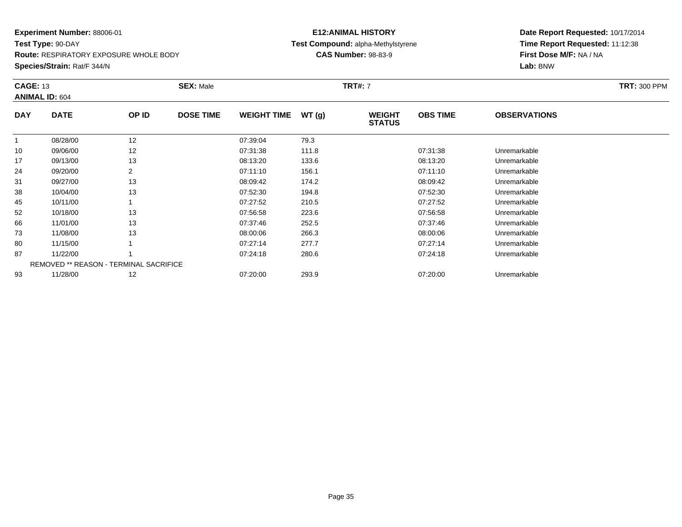**Test Type:** 90-DAY

**Route:** RESPIRATORY EXPOSURE WHOLE BODY

**Species/Strain:** Rat/F 344/N

# **E12:ANIMAL HISTORY Test Compound:** alpha-Methylstyrene**CAS Number:** 98-83-9

| <b>CAGE: 13</b> | <b>ANIMAL ID: 604</b>                         |       | <b>SEX: Male</b> |                    |       | <b>TRT#: 7</b>                 |                 |                     | <b>TRT: 300 PPM</b> |
|-----------------|-----------------------------------------------|-------|------------------|--------------------|-------|--------------------------------|-----------------|---------------------|---------------------|
| <b>DAY</b>      | <b>DATE</b>                                   | OP ID | <b>DOSE TIME</b> | <b>WEIGHT TIME</b> | WT(g) | <b>WEIGHT</b><br><b>STATUS</b> | <b>OBS TIME</b> | <b>OBSERVATIONS</b> |                     |
|                 | 08/28/00                                      | 12    |                  | 07:39:04           | 79.3  |                                |                 |                     |                     |
| 10              | 09/06/00                                      | 12    |                  | 07:31:38           | 111.8 |                                | 07:31:38        | Unremarkable        |                     |
| 17              | 09/13/00                                      | 13    |                  | 08:13:20           | 133.6 |                                | 08:13:20        | Unremarkable        |                     |
| 24              | 09/20/00                                      |       |                  | 07:11:10           | 156.1 |                                | 07:11:10        | Unremarkable        |                     |
| 31              | 09/27/00                                      | 13    |                  | 08:09:42           | 174.2 |                                | 08:09:42        | Unremarkable        |                     |
| 38              | 10/04/00                                      | 13    |                  | 07:52:30           | 194.8 |                                | 07:52:30        | Unremarkable        |                     |
| 45              | 10/11/00                                      |       |                  | 07:27:52           | 210.5 |                                | 07:27:52        | Unremarkable        |                     |
| 52              | 10/18/00                                      | 13    |                  | 07:56:58           | 223.6 |                                | 07:56:58        | Unremarkable        |                     |
| 66              | 11/01/00                                      | 13    |                  | 07:37:46           | 252.5 |                                | 07:37:46        | Unremarkable        |                     |
| 73              | 11/08/00                                      | 13    |                  | 08:00:06           | 266.3 |                                | 08:00:06        | Unremarkable        |                     |
| 80              | 11/15/00                                      |       |                  | 07:27:14           | 277.7 |                                | 07:27:14        | Unremarkable        |                     |
| 87              | 11/22/00                                      |       |                  | 07:24:18           | 280.6 |                                | 07:24:18        | Unremarkable        |                     |
|                 | <b>REMOVED ** REASON - TERMINAL SACRIFICE</b> |       |                  |                    |       |                                |                 |                     |                     |
| 93              | 11/28/00                                      | 12    |                  | 07:20:00           | 293.9 |                                | 07:20:00        | Unremarkable        |                     |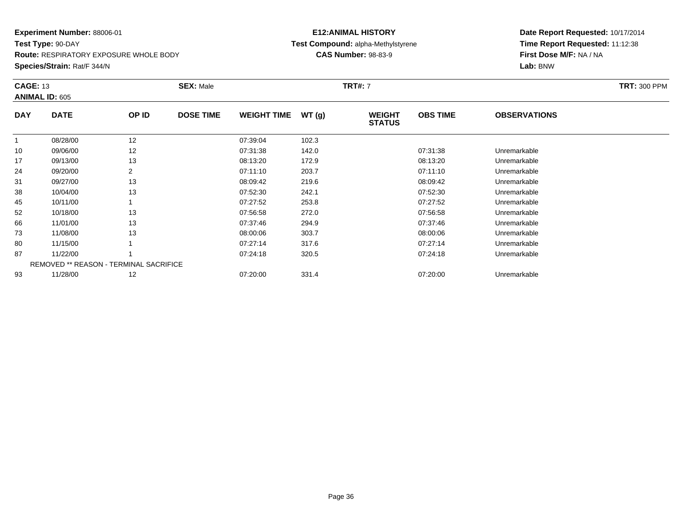**Test Type:** 90-DAY

**Route:** RESPIRATORY EXPOSURE WHOLE BODY

**Species/Strain:** Rat/F 344/N

# **E12:ANIMAL HISTORY Test Compound:** alpha-Methylstyrene**CAS Number:** 98-83-9

| <b>CAGE: 13</b><br><b>ANIMAL ID: 605</b> |                                               |       | <b>SEX: Male</b> | <b>TRT#:</b> 7     |       |                                |                 |                     | <b>TRT: 300 PPM</b> |
|------------------------------------------|-----------------------------------------------|-------|------------------|--------------------|-------|--------------------------------|-----------------|---------------------|---------------------|
| <b>DAY</b>                               | <b>DATE</b>                                   | OP ID | <b>DOSE TIME</b> | <b>WEIGHT TIME</b> | WT(g) | <b>WEIGHT</b><br><b>STATUS</b> | <b>OBS TIME</b> | <b>OBSERVATIONS</b> |                     |
| 1                                        | 08/28/00                                      | 12    |                  | 07:39:04           | 102.3 |                                |                 |                     |                     |
| 10                                       | 09/06/00                                      | 12    |                  | 07:31:38           | 142.0 |                                | 07:31:38        | Unremarkable        |                     |
| 17                                       | 09/13/00                                      | 13    |                  | 08:13:20           | 172.9 |                                | 08:13:20        | Unremarkable        |                     |
| 24                                       | 09/20/00                                      |       |                  | 07:11:10           | 203.7 |                                | 07:11:10        | Unremarkable        |                     |
| 31                                       | 09/27/00                                      | 13    |                  | 08:09:42           | 219.6 |                                | 08:09:42        | Unremarkable        |                     |
| 38                                       | 10/04/00                                      | 13    |                  | 07:52:30           | 242.1 |                                | 07:52:30        | Unremarkable        |                     |
| 45                                       | 10/11/00                                      |       |                  | 07:27:52           | 253.8 |                                | 07:27:52        | Unremarkable        |                     |
| 52                                       | 10/18/00                                      | 13    |                  | 07:56:58           | 272.0 |                                | 07:56:58        | Unremarkable        |                     |
| 66                                       | 11/01/00                                      | 13    |                  | 07:37:46           | 294.9 |                                | 07:37:46        | Unremarkable        |                     |
| 73                                       | 11/08/00                                      | 13    |                  | 08:00:06           | 303.7 |                                | 08:00:06        | Unremarkable        |                     |
| 80                                       | 11/15/00                                      |       |                  | 07:27:14           | 317.6 |                                | 07:27:14        | Unremarkable        |                     |
| 87                                       | 11/22/00                                      |       |                  | 07:24:18           | 320.5 |                                | 07:24:18        | Unremarkable        |                     |
|                                          | <b>REMOVED ** REASON - TERMINAL SACRIFICE</b> |       |                  |                    |       |                                |                 |                     |                     |
| 93                                       | 11/28/00                                      | 12    |                  | 07:20:00           | 331.4 |                                | 07:20:00        | Unremarkable        |                     |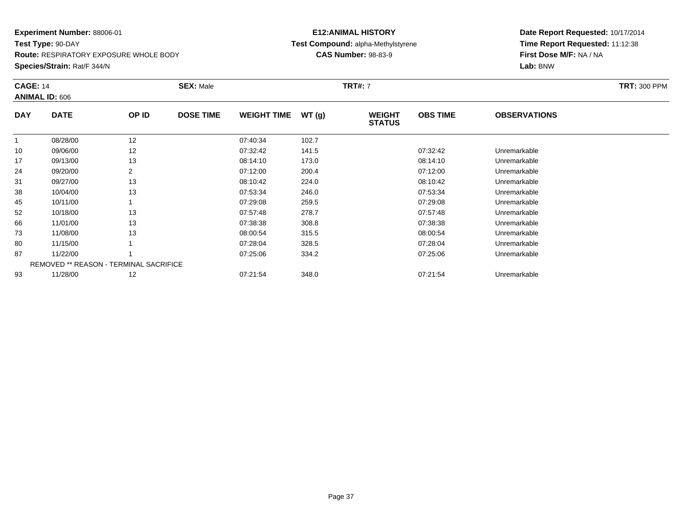**Test Type:** 90-DAY

**Route:** RESPIRATORY EXPOSURE WHOLE BODY

**Species/Strain:** Rat/F 344/N

#### **E12:ANIMAL HISTORY Test Compound:** alpha-Methylstyrene**CAS Number:** 98-83-9

| <b>CAGE: 14</b> | <b>ANIMAL ID: 606</b>                  |       | <b>SEX: Male</b> |                    |       | <b>TRT#: 7</b>                 |                 |                     | <b>TRT: 300 PPM</b> |
|-----------------|----------------------------------------|-------|------------------|--------------------|-------|--------------------------------|-----------------|---------------------|---------------------|
| <b>DAY</b>      | <b>DATE</b>                            | OP ID | <b>DOSE TIME</b> | <b>WEIGHT TIME</b> | WT(g) | <b>WEIGHT</b><br><b>STATUS</b> | <b>OBS TIME</b> | <b>OBSERVATIONS</b> |                     |
|                 | 08/28/00                               | 12    |                  | 07:40:34           | 102.7 |                                |                 |                     |                     |
| 10              | 09/06/00                               | 12    |                  | 07:32:42           | 141.5 |                                | 07:32:42        | Unremarkable        |                     |
| 17              | 09/13/00                               | 13    |                  | 08:14:10           | 173.0 |                                | 08:14:10        | Unremarkable        |                     |
| 24              | 09/20/00                               | 2     |                  | 07:12:00           | 200.4 |                                | 07:12:00        | Unremarkable        |                     |
| 31              | 09/27/00                               | 13    |                  | 08:10:42           | 224.0 |                                | 08:10:42        | Unremarkable        |                     |
| 38              | 10/04/00                               | 13    |                  | 07:53:34           | 246.0 |                                | 07:53:34        | Unremarkable        |                     |
| 45              | 10/11/00                               |       |                  | 07:29:08           | 259.5 |                                | 07:29:08        | Unremarkable        |                     |
| 52              | 10/18/00                               | 13    |                  | 07:57:48           | 278.7 |                                | 07:57:48        | Unremarkable        |                     |
| 66              | 11/01/00                               | 13    |                  | 07:38:38           | 308.8 |                                | 07:38:38        | Unremarkable        |                     |
| 73              | 11/08/00                               | 13    |                  | 08:00:54           | 315.5 |                                | 08:00:54        | Unremarkable        |                     |
| 80              | 11/15/00                               |       |                  | 07:28:04           | 328.5 |                                | 07:28:04        | Unremarkable        |                     |
| 87              | 11/22/00                               |       |                  | 07:25:06           | 334.2 |                                | 07:25:06        | Unremarkable        |                     |
|                 | REMOVED ** REASON - TERMINAL SACRIFICE |       |                  |                    |       |                                |                 |                     |                     |
| 93              | 11/28/00                               | 12    |                  | 07:21:54           | 348.0 |                                | 07:21:54        | Unremarkable        |                     |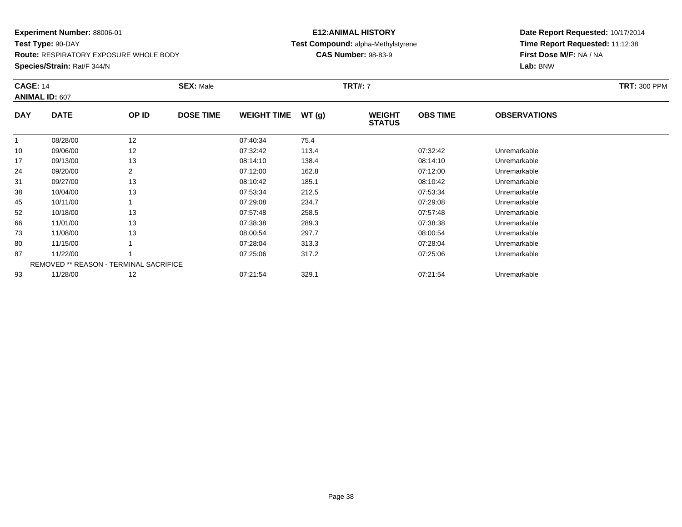**Test Type:** 90-DAY

**Route:** RESPIRATORY EXPOSURE WHOLE BODY

**Species/Strain:** Rat/F 344/N

#### **E12:ANIMAL HISTORY Test Compound:** alpha-Methylstyrene**CAS Number:** 98-83-9

| <b>CAGE: 14</b> | <b>ANIMAL ID: 607</b>                         |                | <b>SEX: Male</b> |                    |       | <b>TRT#:</b> 7                 |                 |                     | <b>TRT: 300 PPM</b> |
|-----------------|-----------------------------------------------|----------------|------------------|--------------------|-------|--------------------------------|-----------------|---------------------|---------------------|
| <b>DAY</b>      | <b>DATE</b>                                   | OP ID          | <b>DOSE TIME</b> | <b>WEIGHT TIME</b> | WT(g) | <b>WEIGHT</b><br><b>STATUS</b> | <b>OBS TIME</b> | <b>OBSERVATIONS</b> |                     |
|                 | 08/28/00                                      | 12             |                  | 07:40:34           | 75.4  |                                |                 |                     |                     |
| 10              | 09/06/00                                      | 12             |                  | 07:32:42           | 113.4 |                                | 07:32:42        | Unremarkable        |                     |
| 17              | 09/13/00                                      | 13             |                  | 08:14:10           | 138.4 |                                | 08:14:10        | Unremarkable        |                     |
| 24              | 09/20/00                                      | $\overline{2}$ |                  | 07:12:00           | 162.8 |                                | 07:12:00        | Unremarkable        |                     |
| 31              | 09/27/00                                      | 13             |                  | 08:10:42           | 185.1 |                                | 08:10:42        | Unremarkable        |                     |
| 38              | 10/04/00                                      | 13             |                  | 07:53:34           | 212.5 |                                | 07:53:34        | Unremarkable        |                     |
| 45              | 10/11/00                                      |                |                  | 07:29:08           | 234.7 |                                | 07:29:08        | Unremarkable        |                     |
| 52              | 10/18/00                                      | 13             |                  | 07:57:48           | 258.5 |                                | 07:57:48        | Unremarkable        |                     |
| 66              | 11/01/00                                      | 13             |                  | 07:38:38           | 289.3 |                                | 07:38:38        | Unremarkable        |                     |
| 73              | 11/08/00                                      | 13             |                  | 08:00:54           | 297.7 |                                | 08:00:54        | Unremarkable        |                     |
| 80              | 11/15/00                                      |                |                  | 07:28:04           | 313.3 |                                | 07:28:04        | Unremarkable        |                     |
| 87              | 11/22/00                                      |                |                  | 07:25:06           | 317.2 |                                | 07:25:06        | Unremarkable        |                     |
|                 | <b>REMOVED ** REASON - TERMINAL SACRIFICE</b> |                |                  |                    |       |                                |                 |                     |                     |
| 93              | 11/28/00                                      | 12             |                  | 07:21:54           | 329.1 |                                | 07:21:54        | Unremarkable        |                     |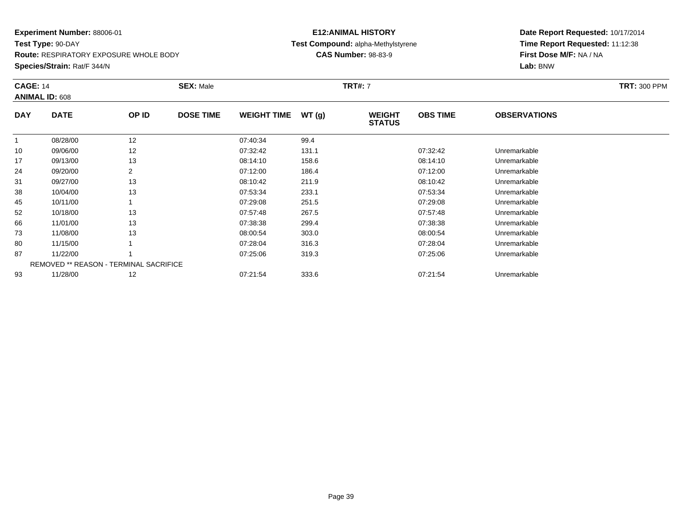**Test Type:** 90-DAY

**Route:** RESPIRATORY EXPOSURE WHOLE BODY

**Species/Strain:** Rat/F 344/N

#### **E12:ANIMAL HISTORY Test Compound:** alpha-Methylstyrene**CAS Number:** 98-83-9

|            | <b>CAGE: 14</b><br><b>ANIMAL ID: 608</b>      |       | <b>SEX: Male</b> |                    |       | <b>TRT#: 7</b>                 | <b>TRT: 300 PPM</b> |                     |  |
|------------|-----------------------------------------------|-------|------------------|--------------------|-------|--------------------------------|---------------------|---------------------|--|
| <b>DAY</b> | <b>DATE</b>                                   | OP ID | <b>DOSE TIME</b> | <b>WEIGHT TIME</b> | WT(g) | <b>WEIGHT</b><br><b>STATUS</b> | <b>OBS TIME</b>     | <b>OBSERVATIONS</b> |  |
|            | 08/28/00                                      | 12    |                  | 07:40:34           | 99.4  |                                |                     |                     |  |
| 10         | 09/06/00                                      | 12    |                  | 07:32:42           | 131.1 |                                | 07:32:42            | Unremarkable        |  |
| 17         | 09/13/00                                      | 13    |                  | 08:14:10           | 158.6 |                                | 08:14:10            | Unremarkable        |  |
| 24         | 09/20/00                                      | 2     |                  | 07:12:00           | 186.4 |                                | 07:12:00            | Unremarkable        |  |
| 31         | 09/27/00                                      | 13    |                  | 08:10:42           | 211.9 |                                | 08:10:42            | Unremarkable        |  |
| 38         | 10/04/00                                      | 13    |                  | 07:53:34           | 233.1 |                                | 07:53:34            | Unremarkable        |  |
| 45         | 10/11/00                                      |       |                  | 07:29:08           | 251.5 |                                | 07:29:08            | Unremarkable        |  |
| 52         | 10/18/00                                      | 13    |                  | 07:57:48           | 267.5 |                                | 07:57:48            | Unremarkable        |  |
| 66         | 11/01/00                                      | 13    |                  | 07:38:38           | 299.4 |                                | 07:38:38            | Unremarkable        |  |
| 73         | 11/08/00                                      | 13    |                  | 08:00:54           | 303.0 |                                | 08:00:54            | Unremarkable        |  |
| 80         | 11/15/00                                      |       |                  | 07:28:04           | 316.3 |                                | 07:28:04            | Unremarkable        |  |
| 87         | 11/22/00                                      |       |                  | 07:25:06           | 319.3 |                                | 07:25:06            | Unremarkable        |  |
|            | <b>REMOVED ** REASON - TERMINAL SACRIFICE</b> |       |                  |                    |       |                                |                     |                     |  |
| 93         | 11/28/00                                      | 12    |                  | 07:21:54           | 333.6 |                                | 07:21:54            | Unremarkable        |  |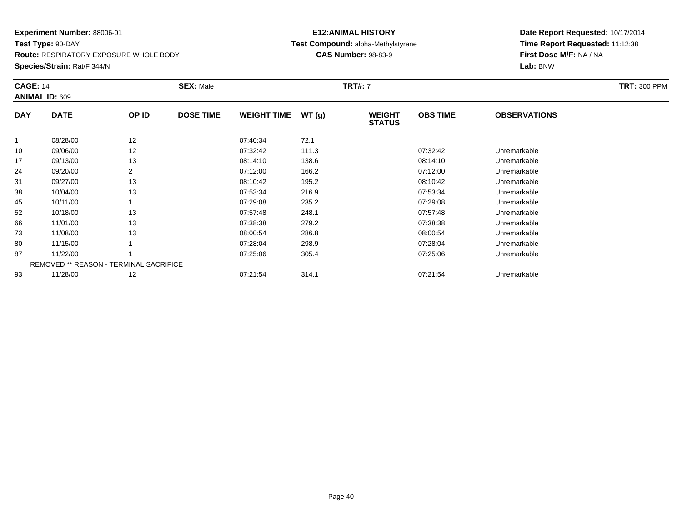**Test Type:** 90-DAY

**Route:** RESPIRATORY EXPOSURE WHOLE BODY

**Species/Strain:** Rat/F 344/N

#### **E12:ANIMAL HISTORY Test Compound:** alpha-Methylstyrene**CAS Number:** 98-83-9

|            | <b>CAGE: 14</b><br>ANIMAL ID: 609             |       | <b>SEX: Male</b> |                    |       | <b>TRT#: 7</b>                 | <b>TRT: 300 PPM</b> |                     |  |
|------------|-----------------------------------------------|-------|------------------|--------------------|-------|--------------------------------|---------------------|---------------------|--|
| <b>DAY</b> | <b>DATE</b>                                   | OP ID | <b>DOSE TIME</b> | <b>WEIGHT TIME</b> | WT(g) | <b>WEIGHT</b><br><b>STATUS</b> | <b>OBS TIME</b>     | <b>OBSERVATIONS</b> |  |
|            | 08/28/00                                      | 12    |                  | 07:40:34           | 72.1  |                                |                     |                     |  |
| 10         | 09/06/00                                      | 12    |                  | 07:32:42           | 111.3 |                                | 07:32:42            | Unremarkable        |  |
| 17         | 09/13/00                                      | 13    |                  | 08:14:10           | 138.6 |                                | 08:14:10            | Unremarkable        |  |
| 24         | 09/20/00                                      | 2     |                  | 07:12:00           | 166.2 |                                | 07:12:00            | Unremarkable        |  |
| 31         | 09/27/00                                      | 13    |                  | 08:10:42           | 195.2 |                                | 08:10:42            | Unremarkable        |  |
| 38         | 10/04/00                                      | 13    |                  | 07:53:34           | 216.9 |                                | 07:53:34            | Unremarkable        |  |
| 45         | 10/11/00                                      |       |                  | 07:29:08           | 235.2 |                                | 07:29:08            | Unremarkable        |  |
| 52         | 10/18/00                                      | 13    |                  | 07:57:48           | 248.1 |                                | 07:57:48            | Unremarkable        |  |
| 66         | 11/01/00                                      | 13    |                  | 07:38:38           | 279.2 |                                | 07:38:38            | Unremarkable        |  |
| 73         | 11/08/00                                      | 13    |                  | 08:00:54           | 286.8 |                                | 08:00:54            | Unremarkable        |  |
| 80         | 11/15/00                                      |       |                  | 07:28:04           | 298.9 |                                | 07:28:04            | Unremarkable        |  |
| 87         | 11/22/00                                      |       |                  | 07:25:06           | 305.4 |                                | 07:25:06            | Unremarkable        |  |
|            | <b>REMOVED ** REASON - TERMINAL SACRIFICE</b> |       |                  |                    |       |                                |                     |                     |  |
| 93         | 11/28/00                                      | 12    |                  | 07:21:54           | 314.1 |                                | 07:21:54            | Unremarkable        |  |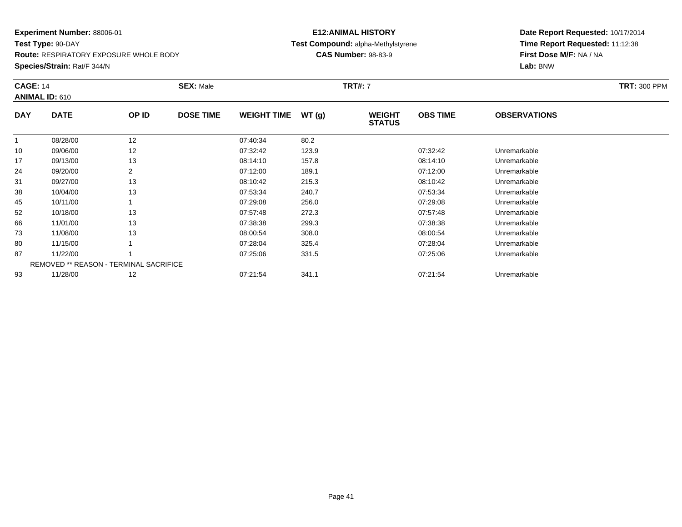**Test Type:** 90-DAY

**Route:** RESPIRATORY EXPOSURE WHOLE BODY

**Species/Strain:** Rat/F 344/N

#### **E12:ANIMAL HISTORY Test Compound:** alpha-Methylstyrene**CAS Number:** 98-83-9

| <b>CAGE: 14</b> | <b>ANIMAL ID: 610</b>                  |       | <b>SEX: Male</b> |                    |       | <b>TRT#: 7</b>                 |                 |                     | <b>TRT: 300 PPM</b> |
|-----------------|----------------------------------------|-------|------------------|--------------------|-------|--------------------------------|-----------------|---------------------|---------------------|
| <b>DAY</b>      | <b>DATE</b>                            | OP ID | <b>DOSE TIME</b> | <b>WEIGHT TIME</b> | WT(g) | <b>WEIGHT</b><br><b>STATUS</b> | <b>OBS TIME</b> | <b>OBSERVATIONS</b> |                     |
|                 | 08/28/00                               | 12    |                  | 07:40:34           | 80.2  |                                |                 |                     |                     |
| 10              | 09/06/00                               | 12    |                  | 07:32:42           | 123.9 |                                | 07:32:42        | Unremarkable        |                     |
| 17              | 09/13/00                               | 13    |                  | 08:14:10           | 157.8 |                                | 08:14:10        | Unremarkable        |                     |
| 24              | 09/20/00                               | 2     |                  | 07:12:00           | 189.1 |                                | 07:12:00        | Unremarkable        |                     |
| 31              | 09/27/00                               | 13    |                  | 08:10:42           | 215.3 |                                | 08:10:42        | Unremarkable        |                     |
| 38              | 10/04/00                               | 13    |                  | 07:53:34           | 240.7 |                                | 07:53:34        | Unremarkable        |                     |
| 45              | 10/11/00                               |       |                  | 07:29:08           | 256.0 |                                | 07:29:08        | Unremarkable        |                     |
| 52              | 10/18/00                               | 13    |                  | 07:57:48           | 272.3 |                                | 07:57:48        | Unremarkable        |                     |
| 66              | 11/01/00                               | 13    |                  | 07:38:38           | 299.3 |                                | 07:38:38        | Unremarkable        |                     |
| 73              | 11/08/00                               | 13    |                  | 08:00:54           | 308.0 |                                | 08:00:54        | Unremarkable        |                     |
| 80              | 11/15/00                               |       |                  | 07:28:04           | 325.4 |                                | 07:28:04        | Unremarkable        |                     |
| 87              | 11/22/00                               |       |                  | 07:25:06           | 331.5 |                                | 07:25:06        | Unremarkable        |                     |
|                 | REMOVED ** REASON - TERMINAL SACRIFICE |       |                  |                    |       |                                |                 |                     |                     |
| 93              | 11/28/00                               | 12    |                  | 07:21:54           | 341.1 |                                | 07:21:54        | Unremarkable        |                     |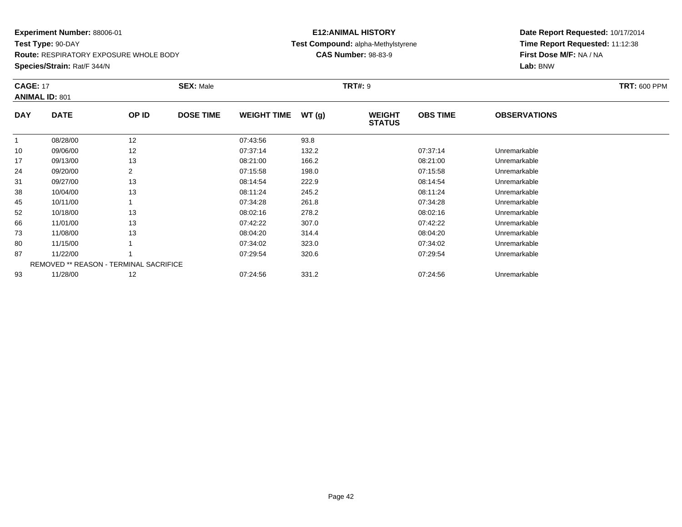**Test Type:** 90-DAY

**Route:** RESPIRATORY EXPOSURE WHOLE BODY

**Species/Strain:** Rat/F 344/N

#### **E12:ANIMAL HISTORY Test Compound:** alpha-Methylstyrene**CAS Number:** 98-83-9

| <b>CAGE: 17</b> | <b>ANIMAL ID: 801</b>                         |                | <b>SEX: Male</b> |                    |       | <b>TRT#: 9</b>          |                 |                     | <b>TRT: 600 PPM</b> |
|-----------------|-----------------------------------------------|----------------|------------------|--------------------|-------|-------------------------|-----------------|---------------------|---------------------|
| <b>DAY</b>      | <b>DATE</b>                                   | OP ID          | <b>DOSE TIME</b> | <b>WEIGHT TIME</b> | WT(g) | WEIGHT<br><b>STATUS</b> | <b>OBS TIME</b> | <b>OBSERVATIONS</b> |                     |
| $\mathbf{1}$    | 08/28/00                                      | 12             |                  | 07:43:56           | 93.8  |                         |                 |                     |                     |
| 10              | 09/06/00                                      | 12             |                  | 07:37:14           | 132.2 |                         | 07:37:14        | Unremarkable        |                     |
| 17              | 09/13/00                                      | 13             |                  | 08:21:00           | 166.2 |                         | 08:21:00        | Unremarkable        |                     |
| 24              | 09/20/00                                      | $\overline{2}$ |                  | 07:15:58           | 198.0 |                         | 07:15:58        | Unremarkable        |                     |
| 31              | 09/27/00                                      | 13             |                  | 08:14:54           | 222.9 |                         | 08:14:54        | Unremarkable        |                     |
| 38              | 10/04/00                                      | 13             |                  | 08:11:24           | 245.2 |                         | 08:11:24        | Unremarkable        |                     |
| 45              | 10/11/00                                      |                |                  | 07:34:28           | 261.8 |                         | 07:34:28        | Unremarkable        |                     |
| 52              | 10/18/00                                      | 13             |                  | 08:02:16           | 278.2 |                         | 08:02:16        | Unremarkable        |                     |
| 66              | 11/01/00                                      | 13             |                  | 07:42:22           | 307.0 |                         | 07:42:22        | Unremarkable        |                     |
| 73              | 11/08/00                                      | 13             |                  | 08:04:20           | 314.4 |                         | 08:04:20        | Unremarkable        |                     |
| 80              | 11/15/00                                      |                |                  | 07:34:02           | 323.0 |                         | 07:34:02        | Unremarkable        |                     |
| 87              | 11/22/00                                      |                |                  | 07:29:54           | 320.6 |                         | 07:29:54        | Unremarkable        |                     |
|                 | <b>REMOVED ** REASON - TERMINAL SACRIFICE</b> |                |                  |                    |       |                         |                 |                     |                     |
| 93              | 11/28/00                                      | 12             |                  | 07:24:56           | 331.2 |                         | 07:24:56        | Unremarkable        |                     |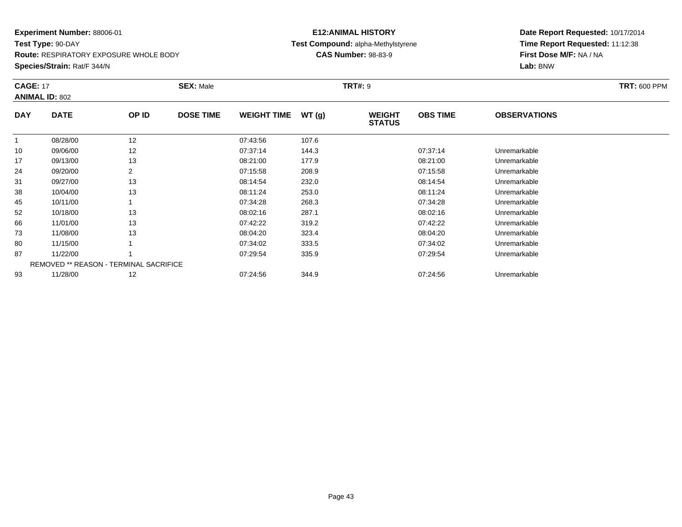**Test Type:** 90-DAY

**Route:** RESPIRATORY EXPOSURE WHOLE BODY

**Species/Strain:** Rat/F 344/N

#### **E12:ANIMAL HISTORY Test Compound:** alpha-Methylstyrene**CAS Number:** 98-83-9

| <b>CAGE: 17</b> | <b>ANIMAL ID: 802</b>                         |                | <b>SEX: Male</b> |                    |       | <b>TRT#: 9</b>                 |                 |                     | <b>TRT: 600 PPM</b> |
|-----------------|-----------------------------------------------|----------------|------------------|--------------------|-------|--------------------------------|-----------------|---------------------|---------------------|
| <b>DAY</b>      | <b>DATE</b>                                   | OP ID          | <b>DOSE TIME</b> | <b>WEIGHT TIME</b> | WT(g) | <b>WEIGHT</b><br><b>STATUS</b> | <b>OBS TIME</b> | <b>OBSERVATIONS</b> |                     |
| $\mathbf{1}$    | 08/28/00                                      | 12             |                  | 07:43:56           | 107.6 |                                |                 |                     |                     |
| 10              | 09/06/00                                      | 12             |                  | 07:37:14           | 144.3 |                                | 07:37:14        | Unremarkable        |                     |
| 17              | 09/13/00                                      | 13             |                  | 08:21:00           | 177.9 |                                | 08:21:00        | Unremarkable        |                     |
| 24              | 09/20/00                                      | $\overline{2}$ |                  | 07:15:58           | 208.9 |                                | 07:15:58        | Unremarkable        |                     |
| 31              | 09/27/00                                      | 13             |                  | 08:14:54           | 232.0 |                                | 08:14:54        | Unremarkable        |                     |
| 38              | 10/04/00                                      | 13             |                  | 08:11:24           | 253.0 |                                | 08:11:24        | Unremarkable        |                     |
| 45              | 10/11/00                                      |                |                  | 07:34:28           | 268.3 |                                | 07:34:28        | Unremarkable        |                     |
| 52              | 10/18/00                                      | 13             |                  | 08:02:16           | 287.1 |                                | 08:02:16        | Unremarkable        |                     |
| 66              | 11/01/00                                      | 13             |                  | 07:42:22           | 319.2 |                                | 07:42:22        | Unremarkable        |                     |
| 73              | 11/08/00                                      | 13             |                  | 08:04:20           | 323.4 |                                | 08:04:20        | Unremarkable        |                     |
| 80              | 11/15/00                                      |                |                  | 07:34:02           | 333.5 |                                | 07:34:02        | Unremarkable        |                     |
| 87              | 11/22/00                                      |                |                  | 07:29:54           | 335.9 |                                | 07:29:54        | Unremarkable        |                     |
|                 | <b>REMOVED ** REASON - TERMINAL SACRIFICE</b> |                |                  |                    |       |                                |                 |                     |                     |
| 93              | 11/28/00                                      | 12             |                  | 07:24:56           | 344.9 |                                | 07:24:56        | Unremarkable        |                     |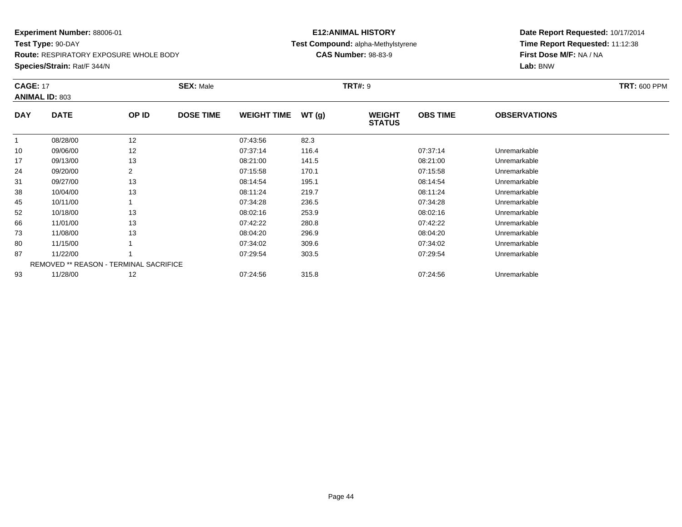**Test Type:** 90-DAY

**Route:** RESPIRATORY EXPOSURE WHOLE BODY

**Species/Strain:** Rat/F 344/N

#### **E12:ANIMAL HISTORY Test Compound:** alpha-Methylstyrene**CAS Number:** 98-83-9

| <b>CAGE: 17</b> | <b>ANIMAL ID: 803</b>                  |       | <b>SEX: Male</b> |                    |       | <b>TRT#: 9</b>                 |                 |                     | <b>TRT: 600 PPM</b> |
|-----------------|----------------------------------------|-------|------------------|--------------------|-------|--------------------------------|-----------------|---------------------|---------------------|
| <b>DAY</b>      | <b>DATE</b>                            | OP ID | <b>DOSE TIME</b> | <b>WEIGHT TIME</b> | WT(g) | <b>WEIGHT</b><br><b>STATUS</b> | <b>OBS TIME</b> | <b>OBSERVATIONS</b> |                     |
|                 | 08/28/00                               | 12    |                  | 07:43:56           | 82.3  |                                |                 |                     |                     |
| 10              | 09/06/00                               | 12    |                  | 07:37:14           | 116.4 |                                | 07:37:14        | Unremarkable        |                     |
| 17              | 09/13/00                               | 13    |                  | 08:21:00           | 141.5 |                                | 08:21:00        | Unremarkable        |                     |
| 24              | 09/20/00                               | 2     |                  | 07:15:58           | 170.1 |                                | 07:15:58        | Unremarkable        |                     |
| 31              | 09/27/00                               | 13    |                  | 08:14:54           | 195.1 |                                | 08:14:54        | Unremarkable        |                     |
| 38              | 10/04/00                               | 13    |                  | 08:11:24           | 219.7 |                                | 08:11:24        | Unremarkable        |                     |
| 45              | 10/11/00                               |       |                  | 07:34:28           | 236.5 |                                | 07:34:28        | Unremarkable        |                     |
| 52              | 10/18/00                               | 13    |                  | 08:02:16           | 253.9 |                                | 08:02:16        | Unremarkable        |                     |
| 66              | 11/01/00                               | 13    |                  | 07:42:22           | 280.8 |                                | 07:42:22        | Unremarkable        |                     |
| 73              | 11/08/00                               | 13    |                  | 08:04:20           | 296.9 |                                | 08:04:20        | Unremarkable        |                     |
| 80              | 11/15/00                               |       |                  | 07:34:02           | 309.6 |                                | 07:34:02        | Unremarkable        |                     |
| 87              | 11/22/00                               |       |                  | 07:29:54           | 303.5 |                                | 07:29:54        | Unremarkable        |                     |
|                 | REMOVED ** REASON - TERMINAL SACRIFICE |       |                  |                    |       |                                |                 |                     |                     |
| 93              | 11/28/00                               | 12    |                  | 07:24:56           | 315.8 |                                | 07:24:56        | Unremarkable        |                     |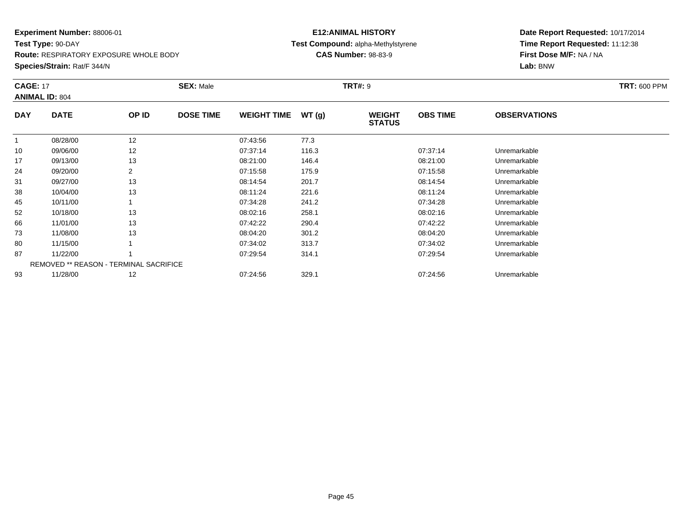**Test Type:** 90-DAY

**Route:** RESPIRATORY EXPOSURE WHOLE BODY

**Species/Strain:** Rat/F 344/N

#### **E12:ANIMAL HISTORY Test Compound:** alpha-Methylstyrene**CAS Number:** 98-83-9

| <b>CAGE: 17</b> | <b>ANIMAL ID: 804</b>                  |       | <b>SEX: Male</b> |                    |       | <b>TRT#: 9</b>                 |                 |                     | <b>TRT: 600 PPM</b> |
|-----------------|----------------------------------------|-------|------------------|--------------------|-------|--------------------------------|-----------------|---------------------|---------------------|
| <b>DAY</b>      | <b>DATE</b>                            | OP ID | <b>DOSE TIME</b> | <b>WEIGHT TIME</b> | WT(g) | <b>WEIGHT</b><br><b>STATUS</b> | <b>OBS TIME</b> | <b>OBSERVATIONS</b> |                     |
|                 | 08/28/00                               | 12    |                  | 07:43:56           | 77.3  |                                |                 |                     |                     |
| 10              | 09/06/00                               | 12    |                  | 07:37:14           | 116.3 |                                | 07:37:14        | Unremarkable        |                     |
| 17              | 09/13/00                               | 13    |                  | 08:21:00           | 146.4 |                                | 08:21:00        | Unremarkable        |                     |
| 24              | 09/20/00                               | 2     |                  | 07:15:58           | 175.9 |                                | 07:15:58        | Unremarkable        |                     |
| 31              | 09/27/00                               | 13    |                  | 08:14:54           | 201.7 |                                | 08:14:54        | Unremarkable        |                     |
| 38              | 10/04/00                               | 13    |                  | 08:11:24           | 221.6 |                                | 08:11:24        | Unremarkable        |                     |
| 45              | 10/11/00                               |       |                  | 07:34:28           | 241.2 |                                | 07:34:28        | Unremarkable        |                     |
| 52              | 10/18/00                               | 13    |                  | 08:02:16           | 258.1 |                                | 08:02:16        | Unremarkable        |                     |
| 66              | 11/01/00                               | 13    |                  | 07:42:22           | 290.4 |                                | 07:42:22        | Unremarkable        |                     |
| 73              | 11/08/00                               | 13    |                  | 08:04:20           | 301.2 |                                | 08:04:20        | Unremarkable        |                     |
| 80              | 11/15/00                               |       |                  | 07:34:02           | 313.7 |                                | 07:34:02        | Unremarkable        |                     |
| 87              | 11/22/00                               |       |                  | 07:29:54           | 314.1 |                                | 07:29:54        | Unremarkable        |                     |
|                 | REMOVED ** REASON - TERMINAL SACRIFICE |       |                  |                    |       |                                |                 |                     |                     |
| 93              | 11/28/00                               | 12    |                  | 07:24:56           | 329.1 |                                | 07:24:56        | Unremarkable        |                     |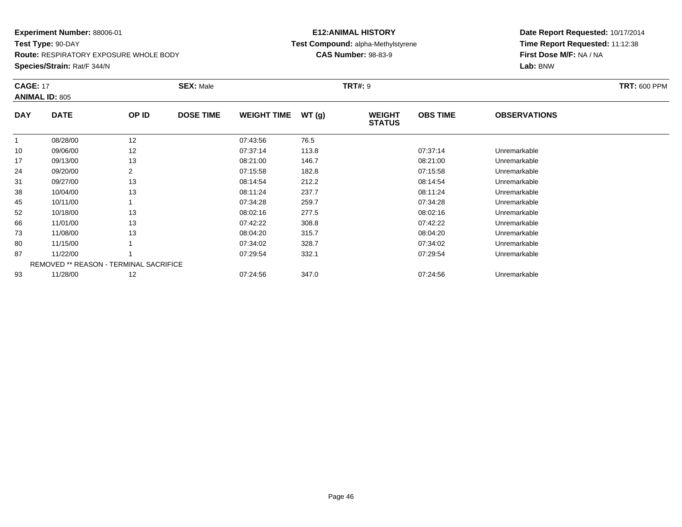**Test Type:** 90-DAY

**Route:** RESPIRATORY EXPOSURE WHOLE BODY

**Species/Strain:** Rat/F 344/N

#### **E12:ANIMAL HISTORY Test Compound:** alpha-Methylstyrene**CAS Number:** 98-83-9

| <b>CAGE: 17</b> | <b>ANIMAL ID: 805</b>                         |       | <b>SEX: Male</b> |                    |       | <b>TRT#: 9</b>                 |                 |                     | <b>TRT: 600 PPM</b> |
|-----------------|-----------------------------------------------|-------|------------------|--------------------|-------|--------------------------------|-----------------|---------------------|---------------------|
| <b>DAY</b>      | <b>DATE</b>                                   | OP ID | <b>DOSE TIME</b> | <b>WEIGHT TIME</b> | WT(g) | <b>WEIGHT</b><br><b>STATUS</b> | <b>OBS TIME</b> | <b>OBSERVATIONS</b> |                     |
|                 | 08/28/00                                      | 12    |                  | 07:43:56           | 76.5  |                                |                 |                     |                     |
| 10              | 09/06/00                                      | 12    |                  | 07:37:14           | 113.8 |                                | 07:37:14        | Unremarkable        |                     |
| 17              | 09/13/00                                      | 13    |                  | 08:21:00           | 146.7 |                                | 08:21:00        | Unremarkable        |                     |
| 24              | 09/20/00                                      | 2     |                  | 07:15:58           | 182.8 |                                | 07:15:58        | Unremarkable        |                     |
| 31              | 09/27/00                                      | 13    |                  | 08:14:54           | 212.2 |                                | 08:14:54        | Unremarkable        |                     |
| 38              | 10/04/00                                      | 13    |                  | 08:11:24           | 237.7 |                                | 08:11:24        | Unremarkable        |                     |
| 45              | 10/11/00                                      |       |                  | 07:34:28           | 259.7 |                                | 07:34:28        | Unremarkable        |                     |
| 52              | 10/18/00                                      | 13    |                  | 08:02:16           | 277.5 |                                | 08:02:16        | Unremarkable        |                     |
| 66              | 11/01/00                                      | 13    |                  | 07:42:22           | 308.8 |                                | 07:42:22        | Unremarkable        |                     |
| 73              | 11/08/00                                      | 13    |                  | 08:04:20           | 315.7 |                                | 08:04:20        | Unremarkable        |                     |
| 80              | 11/15/00                                      |       |                  | 07:34:02           | 328.7 |                                | 07:34:02        | Unremarkable        |                     |
| 87              | 11/22/00                                      |       |                  | 07:29:54           | 332.1 |                                | 07:29:54        | Unremarkable        |                     |
|                 | <b>REMOVED ** REASON - TERMINAL SACRIFICE</b> |       |                  |                    |       |                                |                 |                     |                     |
| 93              | 11/28/00                                      | 12    |                  | 07:24:56           | 347.0 |                                | 07:24:56        | Unremarkable        |                     |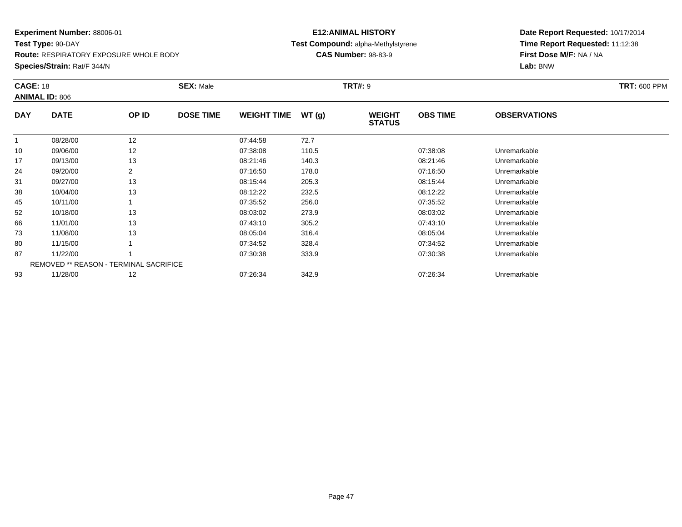**Test Type:** 90-DAY

**Route:** RESPIRATORY EXPOSURE WHOLE BODY

**Species/Strain:** Rat/F 344/N

#### **E12:ANIMAL HISTORY Test Compound:** alpha-Methylstyrene**CAS Number:** 98-83-9

| <b>CAGE: 18</b> | <b>ANIMAL ID: 806</b> |                                               | <b>SEX: Male</b> |                    |       | <b>TRT#: 9</b>                 |                 |                     | <b>TRT: 600 PPM</b> |
|-----------------|-----------------------|-----------------------------------------------|------------------|--------------------|-------|--------------------------------|-----------------|---------------------|---------------------|
| <b>DAY</b>      | <b>DATE</b>           | OP ID                                         | <b>DOSE TIME</b> | <b>WEIGHT TIME</b> | WT(g) | <b>WEIGHT</b><br><b>STATUS</b> | <b>OBS TIME</b> | <b>OBSERVATIONS</b> |                     |
| $\mathbf{1}$    | 08/28/00              | 12                                            |                  | 07:44:58           | 72.7  |                                |                 |                     |                     |
| 10              | 09/06/00              | 12                                            |                  | 07:38:08           | 110.5 |                                | 07:38:08        | Unremarkable        |                     |
| 17              | 09/13/00              | 13                                            |                  | 08:21:46           | 140.3 |                                | 08:21:46        | Unremarkable        |                     |
| 24              | 09/20/00              | $\overline{2}$                                |                  | 07:16:50           | 178.0 |                                | 07:16:50        | Unremarkable        |                     |
| 31              | 09/27/00              | 13                                            |                  | 08:15:44           | 205.3 |                                | 08:15:44        | Unremarkable        |                     |
| 38              | 10/04/00              | 13                                            |                  | 08:12:22           | 232.5 |                                | 08:12:22        | Unremarkable        |                     |
| 45              | 10/11/00              |                                               |                  | 07:35:52           | 256.0 |                                | 07:35:52        | Unremarkable        |                     |
| 52              | 10/18/00              | 13                                            |                  | 08:03:02           | 273.9 |                                | 08:03:02        | Unremarkable        |                     |
| 66              | 11/01/00              | 13                                            |                  | 07:43:10           | 305.2 |                                | 07:43:10        | Unremarkable        |                     |
| 73              | 11/08/00              | 13                                            |                  | 08:05:04           | 316.4 |                                | 08:05:04        | Unremarkable        |                     |
| 80              | 11/15/00              |                                               |                  | 07:34:52           | 328.4 |                                | 07:34:52        | Unremarkable        |                     |
| 87              | 11/22/00              |                                               |                  | 07:30:38           | 333.9 |                                | 07:30:38        | Unremarkable        |                     |
|                 |                       | <b>REMOVED ** REASON - TERMINAL SACRIFICE</b> |                  |                    |       |                                |                 |                     |                     |
| 93              | 11/28/00              | 12                                            |                  | 07:26:34           | 342.9 |                                | 07:26:34        | Unremarkable        |                     |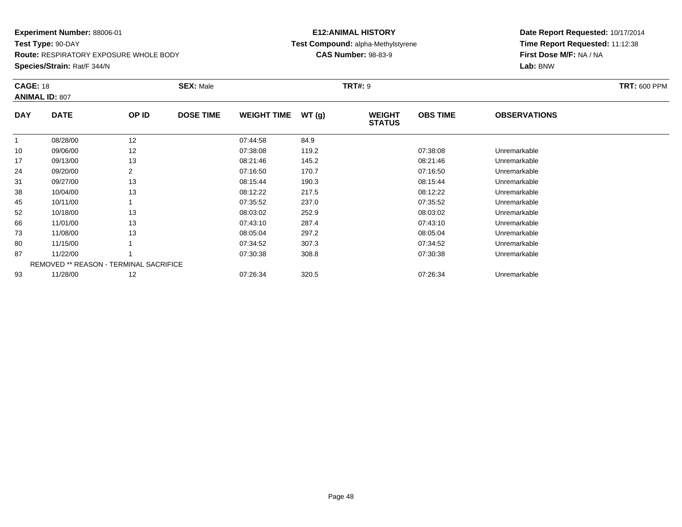**Test Type:** 90-DAY

**Route:** RESPIRATORY EXPOSURE WHOLE BODY

**Species/Strain:** Rat/F 344/N

#### **E12:ANIMAL HISTORY Test Compound:** alpha-Methylstyrene**CAS Number:** 98-83-9

| <b>CAGE: 18</b> | <b>ANIMAL ID: 807</b>                  |                | <b>SEX: Male</b> |                    |       | <b>TRT#: 9</b>          |                 |                     | <b>TRT: 600 PPM</b> |
|-----------------|----------------------------------------|----------------|------------------|--------------------|-------|-------------------------|-----------------|---------------------|---------------------|
| <b>DAY</b>      | <b>DATE</b>                            | OP ID          | <b>DOSE TIME</b> | <b>WEIGHT TIME</b> | WT(g) | WEIGHT<br><b>STATUS</b> | <b>OBS TIME</b> | <b>OBSERVATIONS</b> |                     |
| $\mathbf{1}$    | 08/28/00                               | 12             |                  | 07:44:58           | 84.9  |                         |                 |                     |                     |
| 10              | 09/06/00                               | 12             |                  | 07:38:08           | 119.2 |                         | 07:38:08        | Unremarkable        |                     |
| 17              | 09/13/00                               | 13             |                  | 08:21:46           | 145.2 |                         | 08:21:46        | Unremarkable        |                     |
| 24              | 09/20/00                               | $\overline{2}$ |                  | 07:16:50           | 170.7 |                         | 07:16:50        | Unremarkable        |                     |
| 31              | 09/27/00                               | 13             |                  | 08:15:44           | 190.3 |                         | 08:15:44        | Unremarkable        |                     |
| 38              | 10/04/00                               | 13             |                  | 08:12:22           | 217.5 |                         | 08:12:22        | Unremarkable        |                     |
| 45              | 10/11/00                               |                |                  | 07:35:52           | 237.0 |                         | 07:35:52        | Unremarkable        |                     |
| 52              | 10/18/00                               | 13             |                  | 08:03:02           | 252.9 |                         | 08:03:02        | Unremarkable        |                     |
| 66              | 11/01/00                               | 13             |                  | 07:43:10           | 287.4 |                         | 07:43:10        | Unremarkable        |                     |
| 73              | 11/08/00                               | 13             |                  | 08:05:04           | 297.2 |                         | 08:05:04        | Unremarkable        |                     |
| 80              | 11/15/00                               |                |                  | 07:34:52           | 307.3 |                         | 07:34:52        | Unremarkable        |                     |
| 87              | 11/22/00                               |                |                  | 07:30:38           | 308.8 |                         | 07:30:38        | Unremarkable        |                     |
|                 | REMOVED ** REASON - TERMINAL SACRIFICE |                |                  |                    |       |                         |                 |                     |                     |
| 93              | 11/28/00                               | 12             |                  | 07:26:34           | 320.5 |                         | 07:26:34        | Unremarkable        |                     |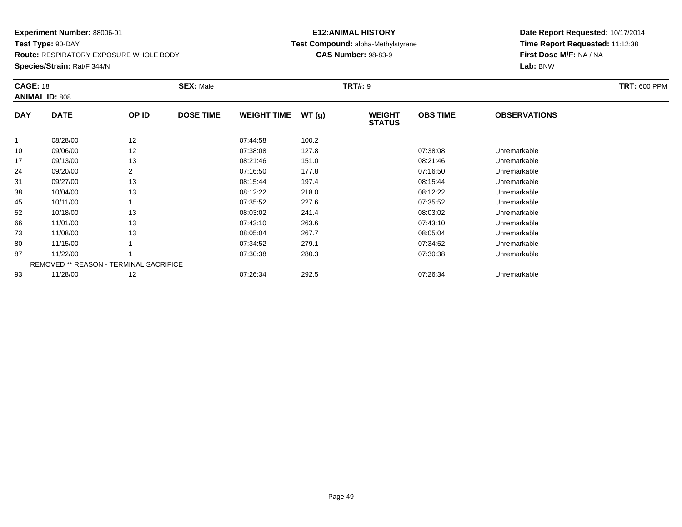**Test Type:** 90-DAY

**Route:** RESPIRATORY EXPOSURE WHOLE BODY

**Species/Strain:** Rat/F 344/N

#### **E12:ANIMAL HISTORY Test Compound:** alpha-Methylstyrene**CAS Number:** 98-83-9

| <b>CAGE: 18</b> | <b>ANIMAL ID: 808</b>                         |                | <b>SEX: Male</b> |                    |       | <b>TRT#: 9</b>                 |                 |                     | <b>TRT: 600 PPM</b> |
|-----------------|-----------------------------------------------|----------------|------------------|--------------------|-------|--------------------------------|-----------------|---------------------|---------------------|
| <b>DAY</b>      | <b>DATE</b>                                   | OP ID          | <b>DOSE TIME</b> | <b>WEIGHT TIME</b> | WT(g) | <b>WEIGHT</b><br><b>STATUS</b> | <b>OBS TIME</b> | <b>OBSERVATIONS</b> |                     |
|                 | 08/28/00                                      | 12             |                  | 07:44:58           | 100.2 |                                |                 |                     |                     |
| 10              | 09/06/00                                      | 12             |                  | 07:38:08           | 127.8 |                                | 07:38:08        | Unremarkable        |                     |
| 17              | 09/13/00                                      | 13             |                  | 08:21:46           | 151.0 |                                | 08:21:46        | Unremarkable        |                     |
| 24              | 09/20/00                                      | $\overline{2}$ |                  | 07:16:50           | 177.8 |                                | 07:16:50        | Unremarkable        |                     |
| 31              | 09/27/00                                      | 13             |                  | 08:15:44           | 197.4 |                                | 08:15:44        | Unremarkable        |                     |
| 38              | 10/04/00                                      | 13             |                  | 08:12:22           | 218.0 |                                | 08:12:22        | Unremarkable        |                     |
| 45              | 10/11/00                                      |                |                  | 07:35:52           | 227.6 |                                | 07:35:52        | Unremarkable        |                     |
| 52              | 10/18/00                                      | 13             |                  | 08:03:02           | 241.4 |                                | 08:03:02        | Unremarkable        |                     |
| 66              | 11/01/00                                      | 13             |                  | 07:43:10           | 263.6 |                                | 07:43:10        | Unremarkable        |                     |
| 73              | 11/08/00                                      | 13             |                  | 08:05:04           | 267.7 |                                | 08:05:04        | Unremarkable        |                     |
| 80              | 11/15/00                                      |                |                  | 07:34:52           | 279.1 |                                | 07:34:52        | Unremarkable        |                     |
| 87              | 11/22/00                                      |                |                  | 07:30:38           | 280.3 |                                | 07:30:38        | Unremarkable        |                     |
|                 | <b>REMOVED ** REASON - TERMINAL SACRIFICE</b> |                |                  |                    |       |                                |                 |                     |                     |
| 93              | 11/28/00                                      | 12             |                  | 07:26:34           | 292.5 |                                | 07:26:34        | Unremarkable        |                     |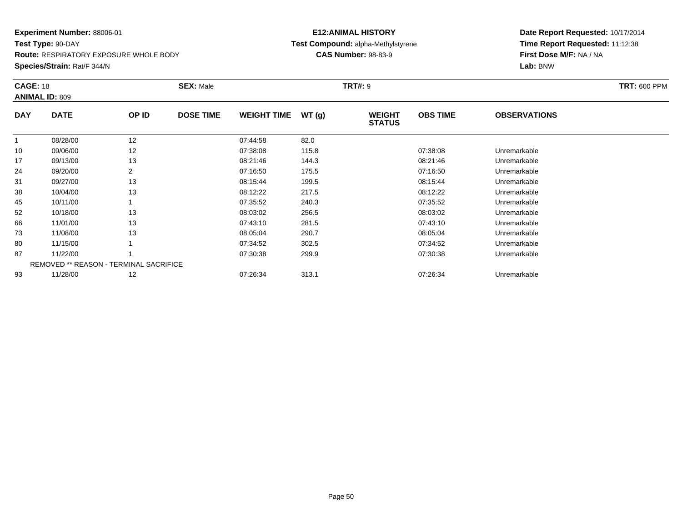**Test Type:** 90-DAY

**Route:** RESPIRATORY EXPOSURE WHOLE BODY

**Species/Strain:** Rat/F 344/N

#### **E12:ANIMAL HISTORY Test Compound:** alpha-Methylstyrene**CAS Number:** 98-83-9

| <b>CAGE: 18</b> | <b>ANIMAL ID: 809</b>                         |                | <b>SEX: Male</b> |                    |       | <b>TRT#: 9</b>                 |                 |                     | <b>TRT: 600 PPM</b> |
|-----------------|-----------------------------------------------|----------------|------------------|--------------------|-------|--------------------------------|-----------------|---------------------|---------------------|
| <b>DAY</b>      | <b>DATE</b>                                   | OP ID          | <b>DOSE TIME</b> | <b>WEIGHT TIME</b> | WT(g) | <b>WEIGHT</b><br><b>STATUS</b> | <b>OBS TIME</b> | <b>OBSERVATIONS</b> |                     |
|                 | 08/28/00                                      | 12             |                  | 07:44:58           | 82.0  |                                |                 |                     |                     |
| 10              | 09/06/00                                      | 12             |                  | 07:38:08           | 115.8 |                                | 07:38:08        | Unremarkable        |                     |
| 17              | 09/13/00                                      | 13             |                  | 08:21:46           | 144.3 |                                | 08:21:46        | Unremarkable        |                     |
| 24              | 09/20/00                                      | $\overline{2}$ |                  | 07:16:50           | 175.5 |                                | 07:16:50        | Unremarkable        |                     |
| 31              | 09/27/00                                      | 13             |                  | 08:15:44           | 199.5 |                                | 08:15:44        | Unremarkable        |                     |
| 38              | 10/04/00                                      | 13             |                  | 08:12:22           | 217.5 |                                | 08:12:22        | Unremarkable        |                     |
| 45              | 10/11/00                                      |                |                  | 07:35:52           | 240.3 |                                | 07:35:52        | Unremarkable        |                     |
| 52              | 10/18/00                                      | 13             |                  | 08:03:02           | 256.5 |                                | 08:03:02        | Unremarkable        |                     |
| 66              | 11/01/00                                      | 13             |                  | 07:43:10           | 281.5 |                                | 07:43:10        | Unremarkable        |                     |
| 73              | 11/08/00                                      | 13             |                  | 08:05:04           | 290.7 |                                | 08:05:04        | Unremarkable        |                     |
| 80              | 11/15/00                                      |                |                  | 07:34:52           | 302.5 |                                | 07:34:52        | Unremarkable        |                     |
| 87              | 11/22/00                                      |                |                  | 07:30:38           | 299.9 |                                | 07:30:38        | Unremarkable        |                     |
|                 | <b>REMOVED ** REASON - TERMINAL SACRIFICE</b> |                |                  |                    |       |                                |                 |                     |                     |
| 93              | 11/28/00                                      | 12             |                  | 07:26:34           | 313.1 |                                | 07:26:34        | Unremarkable        |                     |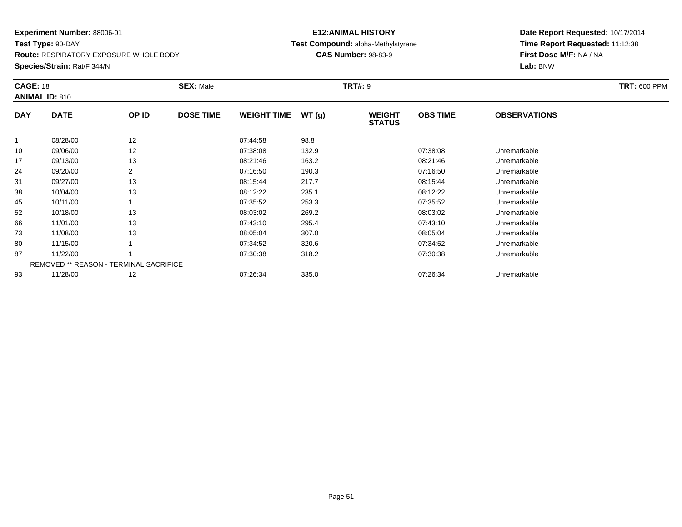**Test Type:** 90-DAY

**Route:** RESPIRATORY EXPOSURE WHOLE BODY

**Species/Strain:** Rat/F 344/N

#### **E12:ANIMAL HISTORY Test Compound:** alpha-Methylstyrene**CAS Number:** 98-83-9

| <b>CAGE: 18</b> | <b>ANIMAL ID: 810</b> |                                               | <b>SEX: Male</b> |                    |       | <b>TRT#: 9</b>                 |                 |                     | <b>TRT: 600 PPM</b> |
|-----------------|-----------------------|-----------------------------------------------|------------------|--------------------|-------|--------------------------------|-----------------|---------------------|---------------------|
| <b>DAY</b>      | <b>DATE</b>           | OP ID                                         | <b>DOSE TIME</b> | <b>WEIGHT TIME</b> | WT(g) | <b>WEIGHT</b><br><b>STATUS</b> | <b>OBS TIME</b> | <b>OBSERVATIONS</b> |                     |
| $\mathbf{1}$    | 08/28/00              | 12                                            |                  | 07:44:58           | 98.8  |                                |                 |                     |                     |
| 10              | 09/06/00              | 12                                            |                  | 07:38:08           | 132.9 |                                | 07:38:08        | Unremarkable        |                     |
| 17              | 09/13/00              | 13                                            |                  | 08:21:46           | 163.2 |                                | 08:21:46        | Unremarkable        |                     |
| 24              | 09/20/00              | $\overline{2}$                                |                  | 07:16:50           | 190.3 |                                | 07:16:50        | Unremarkable        |                     |
| 31              | 09/27/00              | 13                                            |                  | 08:15:44           | 217.7 |                                | 08:15:44        | Unremarkable        |                     |
| 38              | 10/04/00              | 13                                            |                  | 08:12:22           | 235.1 |                                | 08:12:22        | Unremarkable        |                     |
| 45              | 10/11/00              |                                               |                  | 07:35:52           | 253.3 |                                | 07:35:52        | Unremarkable        |                     |
| 52              | 10/18/00              | 13                                            |                  | 08:03:02           | 269.2 |                                | 08:03:02        | Unremarkable        |                     |
| 66              | 11/01/00              | 13                                            |                  | 07:43:10           | 295.4 |                                | 07:43:10        | Unremarkable        |                     |
| 73              | 11/08/00              | 13                                            |                  | 08:05:04           | 307.0 |                                | 08:05:04        | Unremarkable        |                     |
| 80              | 11/15/00              |                                               |                  | 07:34:52           | 320.6 |                                | 07:34:52        | Unremarkable        |                     |
| 87              | 11/22/00              |                                               |                  | 07:30:38           | 318.2 |                                | 07:30:38        | Unremarkable        |                     |
|                 |                       | <b>REMOVED ** REASON - TERMINAL SACRIFICE</b> |                  |                    |       |                                |                 |                     |                     |
| 93              | 11/28/00              | 12                                            |                  | 07:26:34           | 335.0 |                                | 07:26:34        | Unremarkable        |                     |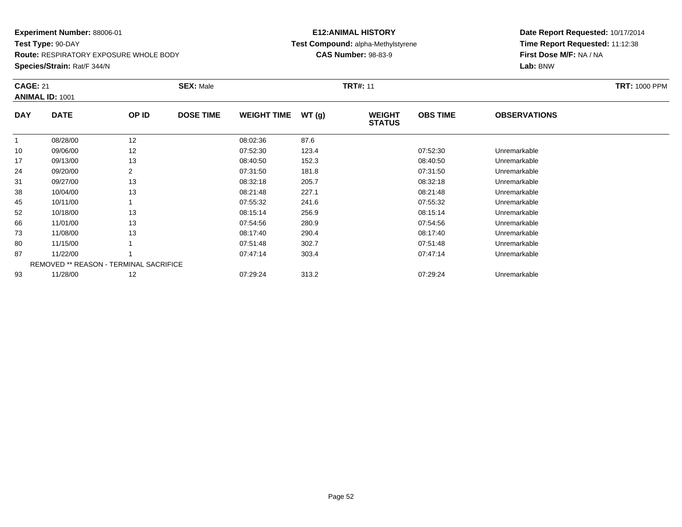**Test Type:** 90-DAY

**Route:** RESPIRATORY EXPOSURE WHOLE BODY

**Species/Strain:** Rat/F 344/N

#### **E12:ANIMAL HISTORY Test Compound:** alpha-Methylstyrene**CAS Number:** 98-83-9

| <b>CAGE: 21</b> | <b>ANIMAL ID: 1001</b> |                                               | <b>SEX: Male</b> |                    |       | <b>TRT#: 11</b>                |                 |                     | <b>TRT: 1000 PPM</b> |
|-----------------|------------------------|-----------------------------------------------|------------------|--------------------|-------|--------------------------------|-----------------|---------------------|----------------------|
| <b>DAY</b>      | <b>DATE</b>            | OP ID                                         | <b>DOSE TIME</b> | <b>WEIGHT TIME</b> | WT(g) | <b>WEIGHT</b><br><b>STATUS</b> | <b>OBS TIME</b> | <b>OBSERVATIONS</b> |                      |
| $\mathbf{1}$    | 08/28/00               | 12                                            |                  | 08:02:36           | 87.6  |                                |                 |                     |                      |
| 10              | 09/06/00               | 12                                            |                  | 07:52:30           | 123.4 |                                | 07:52:30        | Unremarkable        |                      |
| 17              | 09/13/00               | 13                                            |                  | 08:40:50           | 152.3 |                                | 08:40:50        | Unremarkable        |                      |
| 24              | 09/20/00               | 2                                             |                  | 07:31:50           | 181.8 |                                | 07:31:50        | Unremarkable        |                      |
| 31              | 09/27/00               | 13                                            |                  | 08:32:18           | 205.7 |                                | 08:32:18        | Unremarkable        |                      |
| 38              | 10/04/00               | 13                                            |                  | 08:21:48           | 227.1 |                                | 08:21:48        | Unremarkable        |                      |
| 45              | 10/11/00               |                                               |                  | 07:55:32           | 241.6 |                                | 07:55:32        | Unremarkable        |                      |
| 52              | 10/18/00               | 13                                            |                  | 08:15:14           | 256.9 |                                | 08:15:14        | Unremarkable        |                      |
| 66              | 11/01/00               | 13                                            |                  | 07:54:56           | 280.9 |                                | 07:54:56        | Unremarkable        |                      |
| 73              | 11/08/00               | 13                                            |                  | 08:17:40           | 290.4 |                                | 08:17:40        | Unremarkable        |                      |
| 80              | 11/15/00               |                                               |                  | 07:51:48           | 302.7 |                                | 07:51:48        | Unremarkable        |                      |
| 87              | 11/22/00               |                                               |                  | 07:47:14           | 303.4 |                                | 07:47:14        | Unremarkable        |                      |
|                 |                        | <b>REMOVED ** REASON - TERMINAL SACRIFICE</b> |                  |                    |       |                                |                 |                     |                      |
| 93              | 11/28/00               | 12                                            |                  | 07:29:24           | 313.2 |                                | 07:29:24        | Unremarkable        |                      |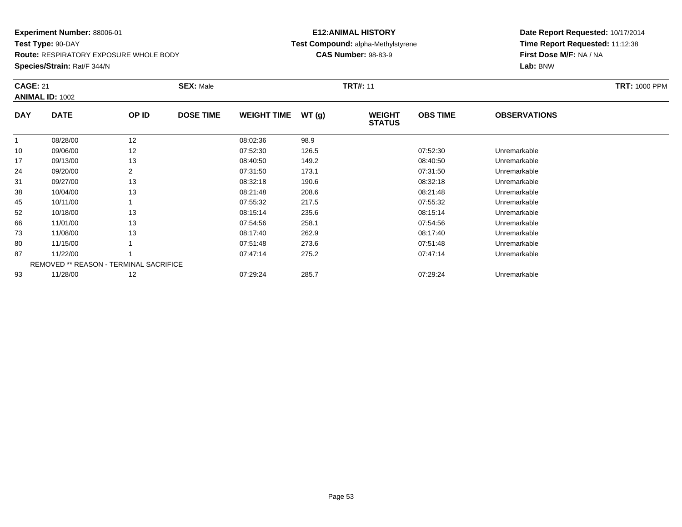**Test Type:** 90-DAY

**Route:** RESPIRATORY EXPOSURE WHOLE BODY

**Species/Strain:** Rat/F 344/N

#### **E12:ANIMAL HISTORY Test Compound:** alpha-Methylstyrene**CAS Number:** 98-83-9

| <b>CAGE: 21</b> | <b>ANIMAL ID: 1002</b>                 |                | <b>SEX: Male</b> |                    |       | <b>TRT#: 11</b>                |                 |                     | <b>TRT: 1000 PPM</b> |
|-----------------|----------------------------------------|----------------|------------------|--------------------|-------|--------------------------------|-----------------|---------------------|----------------------|
| <b>DAY</b>      | <b>DATE</b>                            | OP ID          | <b>DOSE TIME</b> | <b>WEIGHT TIME</b> | WT(g) | <b>WEIGHT</b><br><b>STATUS</b> | <b>OBS TIME</b> | <b>OBSERVATIONS</b> |                      |
| $\mathbf{1}$    | 08/28/00                               | 12             |                  | 08:02:36           | 98.9  |                                |                 |                     |                      |
| 10              | 09/06/00                               | 12             |                  | 07:52:30           | 126.5 |                                | 07:52:30        | Unremarkable        |                      |
| 17              | 09/13/00                               | 13             |                  | 08:40:50           | 149.2 |                                | 08:40:50        | Unremarkable        |                      |
| 24              | 09/20/00                               | $\overline{2}$ |                  | 07:31:50           | 173.1 |                                | 07:31:50        | Unremarkable        |                      |
| 31              | 09/27/00                               | 13             |                  | 08:32:18           | 190.6 |                                | 08:32:18        | Unremarkable        |                      |
| 38              | 10/04/00                               | 13             |                  | 08:21:48           | 208.6 |                                | 08:21:48        | Unremarkable        |                      |
| 45              | 10/11/00                               |                |                  | 07:55:32           | 217.5 |                                | 07:55:32        | Unremarkable        |                      |
| 52              | 10/18/00                               | 13             |                  | 08:15:14           | 235.6 |                                | 08:15:14        | Unremarkable        |                      |
| 66              | 11/01/00                               | 13             |                  | 07:54:56           | 258.1 |                                | 07:54:56        | Unremarkable        |                      |
| 73              | 11/08/00                               | 13             |                  | 08:17:40           | 262.9 |                                | 08:17:40        | Unremarkable        |                      |
| 80              | 11/15/00                               |                |                  | 07:51:48           | 273.6 |                                | 07:51:48        | Unremarkable        |                      |
| 87              | 11/22/00                               |                |                  | 07:47:14           | 275.2 |                                | 07:47:14        | Unremarkable        |                      |
|                 | REMOVED ** REASON - TERMINAL SACRIFICE |                |                  |                    |       |                                |                 |                     |                      |
| 93              | 11/28/00                               | 12             |                  | 07:29:24           | 285.7 |                                | 07:29:24        | Unremarkable        |                      |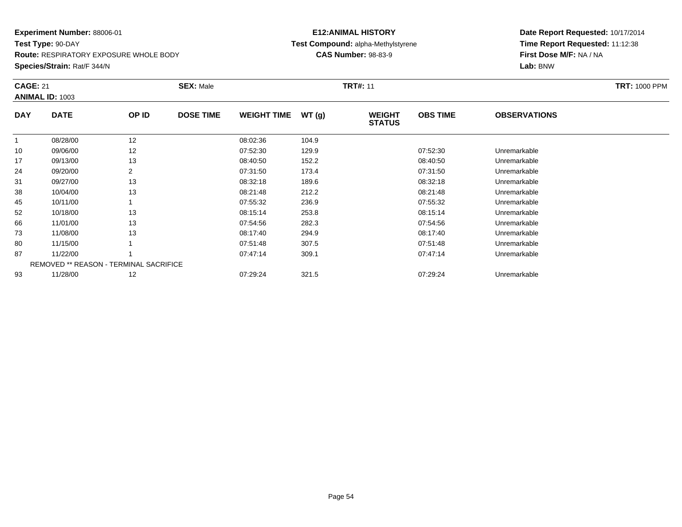**Test Type:** 90-DAY

**Route:** RESPIRATORY EXPOSURE WHOLE BODY

**Species/Strain:** Rat/F 344/N

#### **E12:ANIMAL HISTORY Test Compound:** alpha-Methylstyrene**CAS Number:** 98-83-9

| <b>CAGE: 21</b> | <b>ANIMAL ID: 1003</b>                 |       | <b>SEX: Male</b> |                    |       | <b>TRT#: 11</b>                |                 |                     | <b>TRT: 1000 PPM</b> |
|-----------------|----------------------------------------|-------|------------------|--------------------|-------|--------------------------------|-----------------|---------------------|----------------------|
| <b>DAY</b>      | <b>DATE</b>                            | OP ID | <b>DOSE TIME</b> | <b>WEIGHT TIME</b> | WT(g) | <b>WEIGHT</b><br><b>STATUS</b> | <b>OBS TIME</b> | <b>OBSERVATIONS</b> |                      |
|                 | 08/28/00                               | 12    |                  | 08:02:36           | 104.9 |                                |                 |                     |                      |
| 10              | 09/06/00                               | 12    |                  | 07:52:30           | 129.9 |                                | 07:52:30        | Unremarkable        |                      |
| 17              | 09/13/00                               | 13    |                  | 08:40:50           | 152.2 |                                | 08:40:50        | Unremarkable        |                      |
| 24              | 09/20/00                               | 2     |                  | 07:31:50           | 173.4 |                                | 07:31:50        | Unremarkable        |                      |
| 31              | 09/27/00                               | 13    |                  | 08:32:18           | 189.6 |                                | 08:32:18        | Unremarkable        |                      |
| 38              | 10/04/00                               | 13    |                  | 08:21:48           | 212.2 |                                | 08:21:48        | Unremarkable        |                      |
| 45              | 10/11/00                               |       |                  | 07:55:32           | 236.9 |                                | 07:55:32        | Unremarkable        |                      |
| 52              | 10/18/00                               | 13    |                  | 08:15:14           | 253.8 |                                | 08:15:14        | Unremarkable        |                      |
| 66              | 11/01/00                               | 13    |                  | 07:54:56           | 282.3 |                                | 07:54:56        | Unremarkable        |                      |
| 73              | 11/08/00                               | 13    |                  | 08:17:40           | 294.9 |                                | 08:17:40        | Unremarkable        |                      |
| 80              | 11/15/00                               |       |                  | 07:51:48           | 307.5 |                                | 07:51:48        | Unremarkable        |                      |
| 87              | 11/22/00                               |       |                  | 07:47:14           | 309.1 |                                | 07:47:14        | Unremarkable        |                      |
|                 | REMOVED ** REASON - TERMINAL SACRIFICE |       |                  |                    |       |                                |                 |                     |                      |
| 93              | 11/28/00                               | 12    |                  | 07:29:24           | 321.5 |                                | 07:29:24        | Unremarkable        |                      |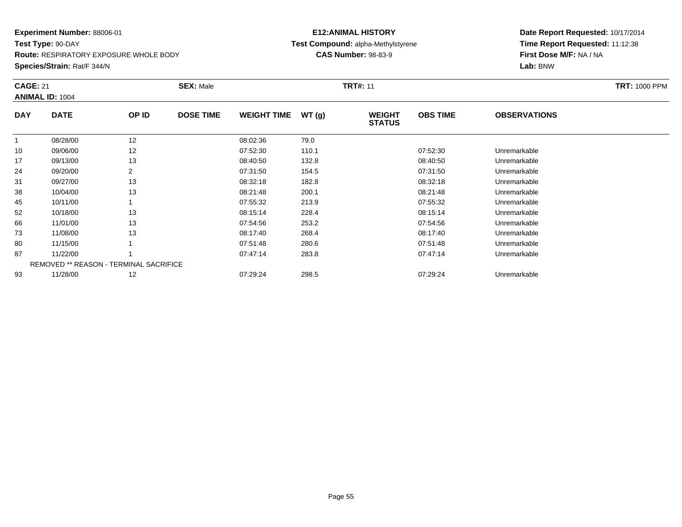**Test Type:** 90-DAY**Route:** RESPIRATORY EXPOSURE WHOLE BODY

**Species/Strain:** Rat/F 344/N

#### **E12:ANIMAL HISTORY Test Compound:** alpha-Methylstyrene**CAS Number:** 98-83-9

| <b>CAGE: 21</b> | <b>ANIMAL ID: 1004</b>                        |                | <b>SEX: Male</b> |                    |       | <b>TRT#: 11</b>                |                 |                     | <b>TRT: 1000 PPM</b> |
|-----------------|-----------------------------------------------|----------------|------------------|--------------------|-------|--------------------------------|-----------------|---------------------|----------------------|
| <b>DAY</b>      | <b>DATE</b>                                   | OP ID          | <b>DOSE TIME</b> | <b>WEIGHT TIME</b> | WT(g) | <b>WEIGHT</b><br><b>STATUS</b> | <b>OBS TIME</b> | <b>OBSERVATIONS</b> |                      |
|                 | 08/28/00                                      | 12             |                  | 08:02:36           | 79.0  |                                |                 |                     |                      |
| 10              | 09/06/00                                      | 12             |                  | 07:52:30           | 110.1 |                                | 07:52:30        | Unremarkable        |                      |
| 17              | 09/13/00                                      | 13             |                  | 08:40:50           | 132.8 |                                | 08:40:50        | Unremarkable        |                      |
| 24              | 09/20/00                                      | $\overline{2}$ |                  | 07:31:50           | 154.5 |                                | 07:31:50        | Unremarkable        |                      |
| 31              | 09/27/00                                      | 13             |                  | 08:32:18           | 182.8 |                                | 08:32:18        | Unremarkable        |                      |
| 38              | 10/04/00                                      | 13             |                  | 08:21:48           | 200.1 |                                | 08:21:48        | Unremarkable        |                      |
| 45              | 10/11/00                                      |                |                  | 07:55:32           | 213.9 |                                | 07:55:32        | Unremarkable        |                      |
| 52              | 10/18/00                                      | 13             |                  | 08:15:14           | 228.4 |                                | 08:15:14        | Unremarkable        |                      |
| 66              | 11/01/00                                      | 13             |                  | 07:54:56           | 253.2 |                                | 07:54:56        | Unremarkable        |                      |
| 73              | 11/08/00                                      | 13             |                  | 08:17:40           | 268.4 |                                | 08:17:40        | Unremarkable        |                      |
| 80              | 11/15/00                                      |                |                  | 07:51:48           | 280.6 |                                | 07:51:48        | Unremarkable        |                      |
| 87              | 11/22/00                                      |                |                  | 07:47:14           | 283.8 |                                | 07:47:14        | Unremarkable        |                      |
|                 | <b>REMOVED ** REASON - TERMINAL SACRIFICE</b> |                |                  |                    |       |                                |                 |                     |                      |
| 93              | 11/28/00                                      | 12             |                  | 07:29:24           | 298.5 |                                | 07:29:24        | Unremarkable        |                      |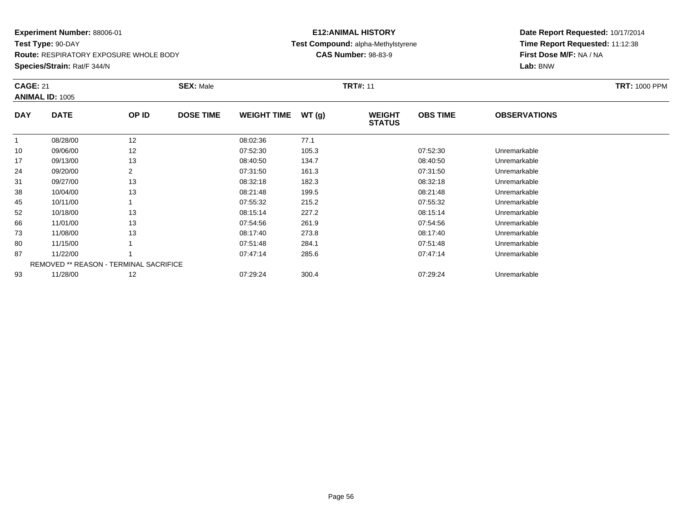**Test Type:** 90-DAY

**Route:** RESPIRATORY EXPOSURE WHOLE BODY

**Species/Strain:** Rat/F 344/N

#### **E12:ANIMAL HISTORY Test Compound:** alpha-Methylstyrene**CAS Number:** 98-83-9

| <b>CAGE: 21</b> | <b>ANIMAL ID: 1005</b>                 |                | <b>SEX: Male</b> |                    |       | <b>TRT#: 11</b>                |                 |                     | <b>TRT: 1000 PPM</b> |
|-----------------|----------------------------------------|----------------|------------------|--------------------|-------|--------------------------------|-----------------|---------------------|----------------------|
| <b>DAY</b>      | <b>DATE</b>                            | OP ID          | <b>DOSE TIME</b> | <b>WEIGHT TIME</b> | WT(g) | <b>WEIGHT</b><br><b>STATUS</b> | <b>OBS TIME</b> | <b>OBSERVATIONS</b> |                      |
| $\mathbf{1}$    | 08/28/00                               | 12             |                  | 08:02:36           | 77.1  |                                |                 |                     |                      |
| 10              | 09/06/00                               | 12             |                  | 07:52:30           | 105.3 |                                | 07:52:30        | Unremarkable        |                      |
| 17              | 09/13/00                               | 13             |                  | 08:40:50           | 134.7 |                                | 08:40:50        | Unremarkable        |                      |
| 24              | 09/20/00                               | $\overline{2}$ |                  | 07:31:50           | 161.3 |                                | 07:31:50        | Unremarkable        |                      |
| 31              | 09/27/00                               | 13             |                  | 08:32:18           | 182.3 |                                | 08:32:18        | Unremarkable        |                      |
| 38              | 10/04/00                               | 13             |                  | 08:21:48           | 199.5 |                                | 08:21:48        | Unremarkable        |                      |
| 45              | 10/11/00                               |                |                  | 07:55:32           | 215.2 |                                | 07:55:32        | Unremarkable        |                      |
| 52              | 10/18/00                               | 13             |                  | 08:15:14           | 227.2 |                                | 08:15:14        | Unremarkable        |                      |
| 66              | 11/01/00                               | 13             |                  | 07:54:56           | 261.9 |                                | 07:54:56        | Unremarkable        |                      |
| 73              | 11/08/00                               | 13             |                  | 08:17:40           | 273.8 |                                | 08:17:40        | Unremarkable        |                      |
| 80              | 11/15/00                               |                |                  | 07:51:48           | 284.1 |                                | 07:51:48        | Unremarkable        |                      |
| 87              | 11/22/00                               |                |                  | 07:47:14           | 285.6 |                                | 07:47:14        | Unremarkable        |                      |
|                 | REMOVED ** REASON - TERMINAL SACRIFICE |                |                  |                    |       |                                |                 |                     |                      |
| 93              | 11/28/00                               | 12             |                  | 07:29:24           | 300.4 |                                | 07:29:24        | Unremarkable        |                      |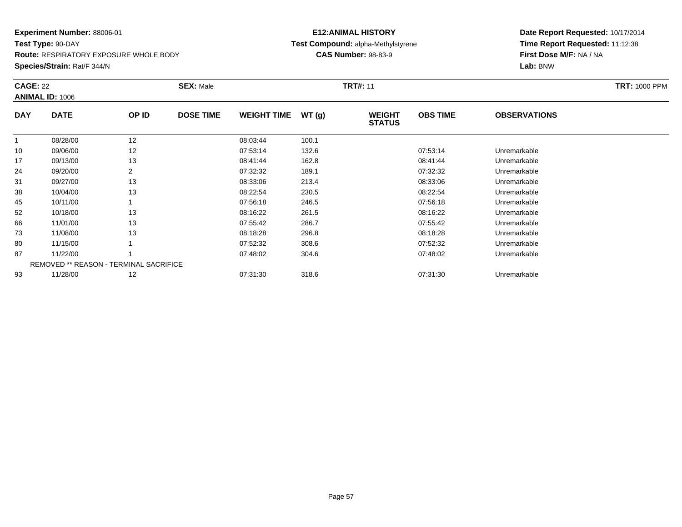**Test Type:** 90-DAY**Route:** RESPIRATORY EXPOSURE WHOLE BODY

**Species/Strain:** Rat/F 344/N

#### **E12:ANIMAL HISTORY Test Compound:** alpha-Methylstyrene**CAS Number:** 98-83-9

| <b>CAGE: 22</b> |                                               |       | <b>SEX: Male</b> |                    |       | <b>TRT#: 11</b>                |                 |                     | <b>TRT: 1000 PPM</b> |
|-----------------|-----------------------------------------------|-------|------------------|--------------------|-------|--------------------------------|-----------------|---------------------|----------------------|
| <b>DAY</b>      | <b>ANIMAL ID: 1006</b><br><b>DATE</b>         | OP ID | <b>DOSE TIME</b> | <b>WEIGHT TIME</b> | WT(g) | <b>WEIGHT</b><br><b>STATUS</b> | <b>OBS TIME</b> | <b>OBSERVATIONS</b> |                      |
| $\mathbf{1}$    | 08/28/00                                      | 12    |                  | 08:03:44           | 100.1 |                                |                 |                     |                      |
| 10              | 09/06/00                                      | 12    |                  | 07:53:14           | 132.6 |                                | 07:53:14        | Unremarkable        |                      |
| 17              | 09/13/00                                      | 13    |                  | 08:41:44           | 162.8 |                                | 08:41:44        | Unremarkable        |                      |
| 24              | 09/20/00                                      |       |                  | 07:32:32           | 189.1 |                                | 07:32:32        | Unremarkable        |                      |
| 31              | 09/27/00                                      | 13    |                  | 08:33:06           | 213.4 |                                | 08:33:06        | Unremarkable        |                      |
| 38              | 10/04/00                                      | 13    |                  | 08:22:54           | 230.5 |                                | 08:22:54        | Unremarkable        |                      |
| 45              | 10/11/00                                      |       |                  | 07:56:18           | 246.5 |                                | 07:56:18        | Unremarkable        |                      |
| 52              | 10/18/00                                      | 13    |                  | 08:16:22           | 261.5 |                                | 08:16:22        | Unremarkable        |                      |
| 66              | 11/01/00                                      | 13    |                  | 07:55:42           | 286.7 |                                | 07:55:42        | Unremarkable        |                      |
| 73              | 11/08/00                                      | 13    |                  | 08:18:28           | 296.8 |                                | 08:18:28        | Unremarkable        |                      |
| 80              | 11/15/00                                      |       |                  | 07:52:32           | 308.6 |                                | 07:52:32        | Unremarkable        |                      |
| 87              | 11/22/00                                      |       |                  | 07:48:02           | 304.6 |                                | 07:48:02        | Unremarkable        |                      |
|                 | <b>REMOVED ** REASON - TERMINAL SACRIFICE</b> |       |                  |                    |       |                                |                 |                     |                      |
| 93              | 11/28/00                                      | 12    |                  | 07:31:30           | 318.6 |                                | 07:31:30        | Unremarkable        |                      |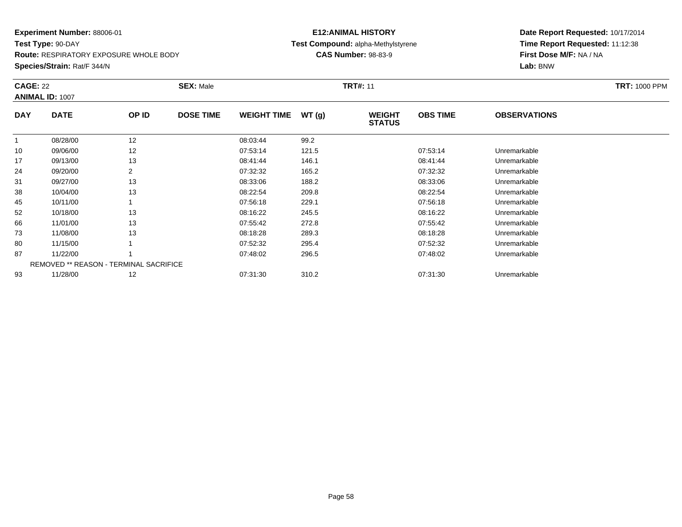**Test Type:** 90-DAY**Route:** RESPIRATORY EXPOSURE WHOLE BODY

**Species/Strain:** Rat/F 344/N

#### **E12:ANIMAL HISTORY Test Compound:** alpha-Methylstyrene**CAS Number:** 98-83-9

| <b>CAGE: 22</b> |                                               |       | <b>SEX: Male</b> |                    |       | <b>TRT#: 11</b>                |                 |                     | <b>TRT: 1000 PPM</b> |
|-----------------|-----------------------------------------------|-------|------------------|--------------------|-------|--------------------------------|-----------------|---------------------|----------------------|
|                 | <b>ANIMAL ID: 1007</b>                        |       |                  |                    |       |                                |                 |                     |                      |
| <b>DAY</b>      | <b>DATE</b>                                   | OP ID | <b>DOSE TIME</b> | <b>WEIGHT TIME</b> | WT(g) | <b>WEIGHT</b><br><b>STATUS</b> | <b>OBS TIME</b> | <b>OBSERVATIONS</b> |                      |
| $\mathbf{1}$    | 08/28/00                                      | 12    |                  | 08:03:44           | 99.2  |                                |                 |                     |                      |
| 10              | 09/06/00                                      | 12    |                  | 07:53:14           | 121.5 |                                | 07:53:14        | Unremarkable        |                      |
| 17              | 09/13/00                                      | 13    |                  | 08:41:44           | 146.1 |                                | 08:41:44        | Unremarkable        |                      |
| 24              | 09/20/00                                      |       |                  | 07:32:32           | 165.2 |                                | 07:32:32        | Unremarkable        |                      |
| 31              | 09/27/00                                      | 13    |                  | 08:33:06           | 188.2 |                                | 08:33:06        | Unremarkable        |                      |
| 38              | 10/04/00                                      | 13    |                  | 08:22:54           | 209.8 |                                | 08:22:54        | Unremarkable        |                      |
| 45              | 10/11/00                                      |       |                  | 07:56:18           | 229.1 |                                | 07:56:18        | Unremarkable        |                      |
| 52              | 10/18/00                                      | 13    |                  | 08:16:22           | 245.5 |                                | 08:16:22        | Unremarkable        |                      |
| 66              | 11/01/00                                      | 13    |                  | 07:55:42           | 272.8 |                                | 07:55:42        | Unremarkable        |                      |
| 73              | 11/08/00                                      | 13    |                  | 08:18:28           | 289.3 |                                | 08:18:28        | Unremarkable        |                      |
| 80              | 11/15/00                                      |       |                  | 07:52:32           | 295.4 |                                | 07:52:32        | Unremarkable        |                      |
| 87              | 11/22/00                                      |       |                  | 07:48:02           | 296.5 |                                | 07:48:02        | Unremarkable        |                      |
|                 | <b>REMOVED ** REASON - TERMINAL SACRIFICE</b> |       |                  |                    |       |                                |                 |                     |                      |
| 93              | 11/28/00                                      | 12    |                  | 07:31:30           | 310.2 |                                | 07:31:30        | Unremarkable        |                      |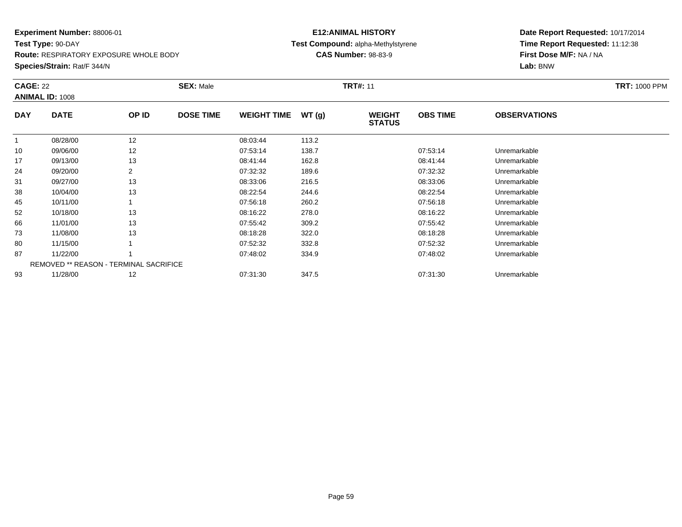**Test Type:** 90-DAY**Route:** RESPIRATORY EXPOSURE WHOLE BODY

**Species/Strain:** Rat/F 344/N

#### **E12:ANIMAL HISTORY Test Compound:** alpha-Methylstyrene**CAS Number:** 98-83-9

| <b>CAGE: 22</b> |                                        |       | <b>SEX: Male</b> |                    |       | <b>TRT#: 11</b>                |                 |                     | <b>TRT: 1000 PPM</b> |
|-----------------|----------------------------------------|-------|------------------|--------------------|-------|--------------------------------|-----------------|---------------------|----------------------|
|                 | <b>ANIMAL ID: 1008</b>                 |       |                  |                    |       |                                |                 |                     |                      |
| <b>DAY</b>      | <b>DATE</b>                            | OP ID | <b>DOSE TIME</b> | <b>WEIGHT TIME</b> | WT(g) | <b>WEIGHT</b><br><b>STATUS</b> | <b>OBS TIME</b> | <b>OBSERVATIONS</b> |                      |
|                 | 08/28/00                               | 12    |                  | 08:03:44           | 113.2 |                                |                 |                     |                      |
| 10              | 09/06/00                               | 12    |                  | 07:53:14           | 138.7 |                                | 07:53:14        | Unremarkable        |                      |
| 17              | 09/13/00                               | 13    |                  | 08:41:44           | 162.8 |                                | 08:41:44        | Unremarkable        |                      |
| 24              | 09/20/00                               | 2     |                  | 07:32:32           | 189.6 |                                | 07:32:32        | Unremarkable        |                      |
| 31              | 09/27/00                               | 13    |                  | 08:33:06           | 216.5 |                                | 08:33:06        | Unremarkable        |                      |
| 38              | 10/04/00                               | 13    |                  | 08:22:54           | 244.6 |                                | 08:22:54        | Unremarkable        |                      |
| 45              | 10/11/00                               |       |                  | 07:56:18           | 260.2 |                                | 07:56:18        | Unremarkable        |                      |
| 52              | 10/18/00                               | 13    |                  | 08:16:22           | 278.0 |                                | 08:16:22        | Unremarkable        |                      |
| 66              | 11/01/00                               | 13    |                  | 07:55:42           | 309.2 |                                | 07:55:42        | Unremarkable        |                      |
| 73              | 11/08/00                               | 13    |                  | 08:18:28           | 322.0 |                                | 08:18:28        | Unremarkable        |                      |
| 80              | 11/15/00                               |       |                  | 07:52:32           | 332.8 |                                | 07:52:32        | Unremarkable        |                      |
| 87              | 11/22/00                               |       |                  | 07:48:02           | 334.9 |                                | 07:48:02        | Unremarkable        |                      |
|                 | REMOVED ** REASON - TERMINAL SACRIFICE |       |                  |                    |       |                                |                 |                     |                      |
| 93              | 11/28/00                               | 12    |                  | 07:31:30           | 347.5 |                                | 07:31:30        | Unremarkable        |                      |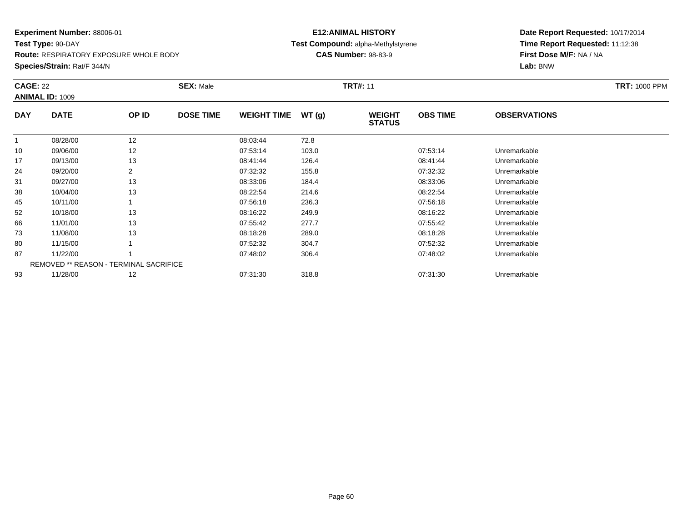**Test Type:** 90-DAY**Route:** RESPIRATORY EXPOSURE WHOLE BODY

**Species/Strain:** Rat/F 344/N

#### **E12:ANIMAL HISTORY Test Compound:** alpha-Methylstyrene**CAS Number:** 98-83-9

| <b>CAGE: 22</b> | <b>ANIMAL ID: 1009</b>                        |       | <b>SEX: Male</b> |                    |       | <b>TRT#: 11</b>                |                 |                     | <b>TRT: 1000 PPM</b> |
|-----------------|-----------------------------------------------|-------|------------------|--------------------|-------|--------------------------------|-----------------|---------------------|----------------------|
| <b>DAY</b>      | <b>DATE</b>                                   | OP ID | <b>DOSE TIME</b> | <b>WEIGHT TIME</b> | WT(g) | <b>WEIGHT</b><br><b>STATUS</b> | <b>OBS TIME</b> | <b>OBSERVATIONS</b> |                      |
| $\mathbf{1}$    | 08/28/00                                      | 12    |                  | 08:03:44           | 72.8  |                                |                 |                     |                      |
| 10              | 09/06/00                                      | 12    |                  | 07:53:14           | 103.0 |                                | 07:53:14        | Unremarkable        |                      |
| 17              | 09/13/00                                      | 13    |                  | 08:41:44           | 126.4 |                                | 08:41:44        | Unremarkable        |                      |
| 24              | 09/20/00                                      |       |                  | 07:32:32           | 155.8 |                                | 07:32:32        | Unremarkable        |                      |
| 31              | 09/27/00                                      | 13    |                  | 08:33:06           | 184.4 |                                | 08:33:06        | Unremarkable        |                      |
| 38              | 10/04/00                                      | 13    |                  | 08:22:54           | 214.6 |                                | 08:22:54        | Unremarkable        |                      |
| 45              | 10/11/00                                      |       |                  | 07:56:18           | 236.3 |                                | 07:56:18        | Unremarkable        |                      |
| 52              | 10/18/00                                      | 13    |                  | 08:16:22           | 249.9 |                                | 08:16:22        | Unremarkable        |                      |
| 66              | 11/01/00                                      | 13    |                  | 07:55:42           | 277.7 |                                | 07:55:42        | Unremarkable        |                      |
| 73              | 11/08/00                                      | 13    |                  | 08:18:28           | 289.0 |                                | 08:18:28        | Unremarkable        |                      |
| 80              | 11/15/00                                      |       |                  | 07:52:32           | 304.7 |                                | 07:52:32        | Unremarkable        |                      |
| 87              | 11/22/00                                      |       |                  | 07:48:02           | 306.4 |                                | 07:48:02        | Unremarkable        |                      |
|                 | <b>REMOVED ** REASON - TERMINAL SACRIFICE</b> |       |                  |                    |       |                                |                 |                     |                      |
| 93              | 11/28/00                                      | 12    |                  | 07:31:30           | 318.8 |                                | 07:31:30        | Unremarkable        |                      |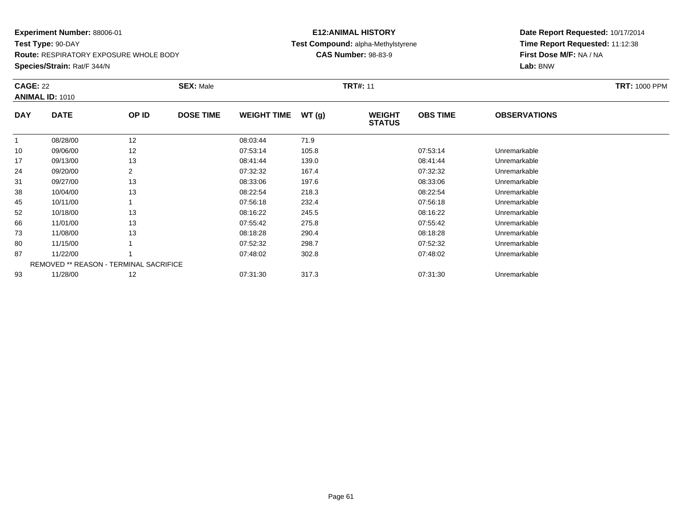**Test Type:** 90-DAY**Route:** RESPIRATORY EXPOSURE WHOLE BODY

**Species/Strain:** Rat/F 344/N

#### **E12:ANIMAL HISTORY Test Compound:** alpha-Methylstyrene**CAS Number:** 98-83-9

| <b>CAGE: 22</b> | <b>ANIMAL ID: 1010</b> |                                               | <b>SEX: Male</b> |                    |       | <b>TRT#: 11</b>                |                 |                     | <b>TRT: 1000 PPM</b> |
|-----------------|------------------------|-----------------------------------------------|------------------|--------------------|-------|--------------------------------|-----------------|---------------------|----------------------|
| <b>DAY</b>      | <b>DATE</b>            | OP ID                                         | <b>DOSE TIME</b> | <b>WEIGHT TIME</b> | WT(g) | <b>WEIGHT</b><br><b>STATUS</b> | <b>OBS TIME</b> | <b>OBSERVATIONS</b> |                      |
|                 | 08/28/00               | 12                                            |                  | 08:03:44           | 71.9  |                                |                 |                     |                      |
| 10              | 09/06/00               | 12                                            |                  | 07:53:14           | 105.8 |                                | 07:53:14        | Unremarkable        |                      |
| 17              | 09/13/00               | 13                                            |                  | 08:41:44           | 139.0 |                                | 08:41:44        | Unremarkable        |                      |
| 24              | 09/20/00               | 2                                             |                  | 07:32:32           | 167.4 |                                | 07:32:32        | Unremarkable        |                      |
| 31              | 09/27/00               | 13                                            |                  | 08:33:06           | 197.6 |                                | 08:33:06        | Unremarkable        |                      |
| 38              | 10/04/00               | 13                                            |                  | 08:22:54           | 218.3 |                                | 08:22:54        | Unremarkable        |                      |
| 45              | 10/11/00               |                                               |                  | 07:56:18           | 232.4 |                                | 07:56:18        | Unremarkable        |                      |
| 52              | 10/18/00               | 13                                            |                  | 08:16:22           | 245.5 |                                | 08:16:22        | Unremarkable        |                      |
| 66              | 11/01/00               | 13                                            |                  | 07:55:42           | 275.8 |                                | 07:55:42        | Unremarkable        |                      |
| 73              | 11/08/00               | 13                                            |                  | 08:18:28           | 290.4 |                                | 08:18:28        | Unremarkable        |                      |
| 80              | 11/15/00               |                                               |                  | 07:52:32           | 298.7 |                                | 07:52:32        | Unremarkable        |                      |
| 87              | 11/22/00               |                                               |                  | 07:48:02           | 302.8 |                                | 07:48:02        | Unremarkable        |                      |
|                 |                        | <b>REMOVED ** REASON - TERMINAL SACRIFICE</b> |                  |                    |       |                                |                 |                     |                      |
| 93              | 11/28/00               | 12                                            |                  | 07:31:30           | 317.3 |                                | 07:31:30        | Unremarkable        |                      |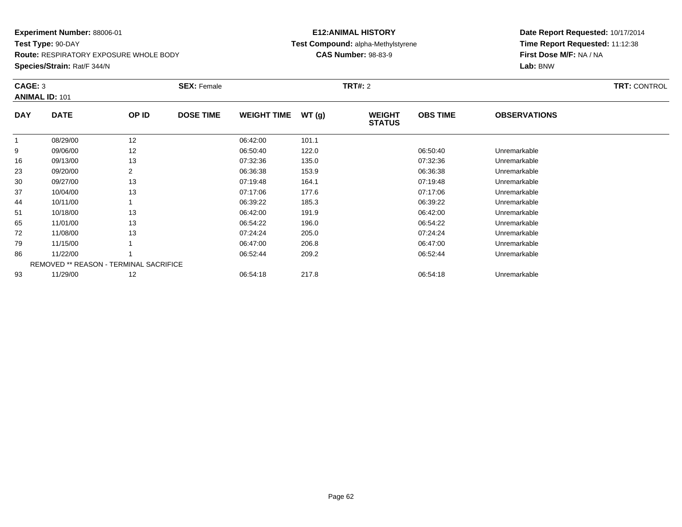**Test Type:** 90-DAY**Route:** RESPIRATORY EXPOSURE WHOLE BODY

**Species/Strain:** Rat/F 344/N

#### **E12:ANIMAL HISTORY Test Compound:** alpha-Methylstyrene**CAS Number:** 98-83-9

|              | CAGE: 3<br><b>ANIMAL ID: 101</b>       |       | <b>SEX: Female</b> |                    |       |                                | <b>TRT#:</b> 2  |                     |  |  |
|--------------|----------------------------------------|-------|--------------------|--------------------|-------|--------------------------------|-----------------|---------------------|--|--|
| <b>DAY</b>   | <b>DATE</b>                            | OP ID | <b>DOSE TIME</b>   | <b>WEIGHT TIME</b> | WT(g) | <b>WEIGHT</b><br><b>STATUS</b> | <b>OBS TIME</b> | <b>OBSERVATIONS</b> |  |  |
| $\mathbf{1}$ | 08/29/00                               | 12    |                    | 06:42:00           | 101.1 |                                |                 |                     |  |  |
| 9            | 09/06/00                               | 12    |                    | 06:50:40           | 122.0 |                                | 06:50:40        | Unremarkable        |  |  |
| 16           | 09/13/00                               | 13    |                    | 07:32:36           | 135.0 |                                | 07:32:36        | Unremarkable        |  |  |
| 23           | 09/20/00                               | 2     |                    | 06:36:38           | 153.9 |                                | 06:36:38        | Unremarkable        |  |  |
| 30           | 09/27/00                               | 13    |                    | 07:19:48           | 164.1 |                                | 07:19:48        | Unremarkable        |  |  |
| 37           | 10/04/00                               | 13    |                    | 07:17:06           | 177.6 |                                | 07:17:06        | Unremarkable        |  |  |
| 44           | 10/11/00                               |       |                    | 06:39:22           | 185.3 |                                | 06:39:22        | Unremarkable        |  |  |
| 51           | 10/18/00                               | 13    |                    | 06:42:00           | 191.9 |                                | 06:42:00        | Unremarkable        |  |  |
| 65           | 11/01/00                               | 13    |                    | 06:54:22           | 196.0 |                                | 06:54:22        | Unremarkable        |  |  |
| 72           | 11/08/00                               | 13    |                    | 07:24:24           | 205.0 |                                | 07:24:24        | Unremarkable        |  |  |
| 79           | 11/15/00                               |       |                    | 06:47:00           | 206.8 |                                | 06:47:00        | Unremarkable        |  |  |
| 86           | 11/22/00                               |       |                    | 06:52:44           | 209.2 |                                | 06:52:44        | Unremarkable        |  |  |
|              | REMOVED ** REASON - TERMINAL SACRIFICE |       |                    |                    |       |                                |                 |                     |  |  |
| 93           | 11/29/00                               | 12    |                    | 06:54:18           | 217.8 |                                | 06:54:18        | Unremarkable        |  |  |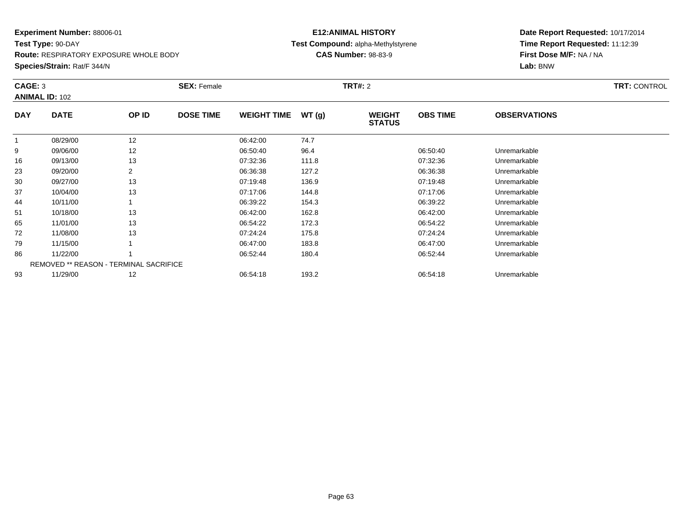**Test Type:** 90-DAY**Route:** RESPIRATORY EXPOSURE WHOLE BODY

#### **Species/Strain:** Rat/F 344/N

#### **E12:ANIMAL HISTORY Test Compound:** alpha-Methylstyrene**CAS Number:** 98-83-9

|            | CAGE: 3<br><b>ANIMAL ID: 102</b>              |       | <b>SEX: Female</b> |                    |       | <b>TRT#:</b> 2                 | <b>TRT: CONTROL</b> |                     |  |
|------------|-----------------------------------------------|-------|--------------------|--------------------|-------|--------------------------------|---------------------|---------------------|--|
| <b>DAY</b> | <b>DATE</b>                                   | OP ID | <b>DOSE TIME</b>   | <b>WEIGHT TIME</b> | WT(g) | <b>WEIGHT</b><br><b>STATUS</b> | <b>OBS TIME</b>     | <b>OBSERVATIONS</b> |  |
|            | 08/29/00                                      | 12    |                    | 06:42:00           | 74.7  |                                |                     |                     |  |
| 9          | 09/06/00                                      | 12    |                    | 06:50:40           | 96.4  |                                | 06:50:40            | Unremarkable        |  |
| 16         | 09/13/00                                      | 13    |                    | 07:32:36           | 111.8 |                                | 07:32:36            | Unremarkable        |  |
| 23         | 09/20/00                                      | 2     |                    | 06:36:38           | 127.2 |                                | 06:36:38            | Unremarkable        |  |
| 30         | 09/27/00                                      | 13    |                    | 07:19:48           | 136.9 |                                | 07:19:48            | Unremarkable        |  |
| 37         | 10/04/00                                      | 13    |                    | 07:17:06           | 144.8 |                                | 07:17:06            | Unremarkable        |  |
| 44         | 10/11/00                                      |       |                    | 06:39:22           | 154.3 |                                | 06:39:22            | Unremarkable        |  |
| 51         | 10/18/00                                      | 13    |                    | 06:42:00           | 162.8 |                                | 06:42:00            | Unremarkable        |  |
| 65         | 11/01/00                                      | 13    |                    | 06:54:22           | 172.3 |                                | 06:54:22            | Unremarkable        |  |
| 72         | 11/08/00                                      | 13    |                    | 07:24:24           | 175.8 |                                | 07:24:24            | Unremarkable        |  |
| 79         | 11/15/00                                      |       |                    | 06:47:00           | 183.8 |                                | 06:47:00            | Unremarkable        |  |
| 86         | 11/22/00                                      |       |                    | 06:52:44           | 180.4 |                                | 06:52:44            | Unremarkable        |  |
|            | <b>REMOVED ** REASON - TERMINAL SACRIFICE</b> |       |                    |                    |       |                                |                     |                     |  |
| 93         | 11/29/00                                      | 12    |                    | 06:54:18           | 193.2 |                                | 06:54:18            | Unremarkable        |  |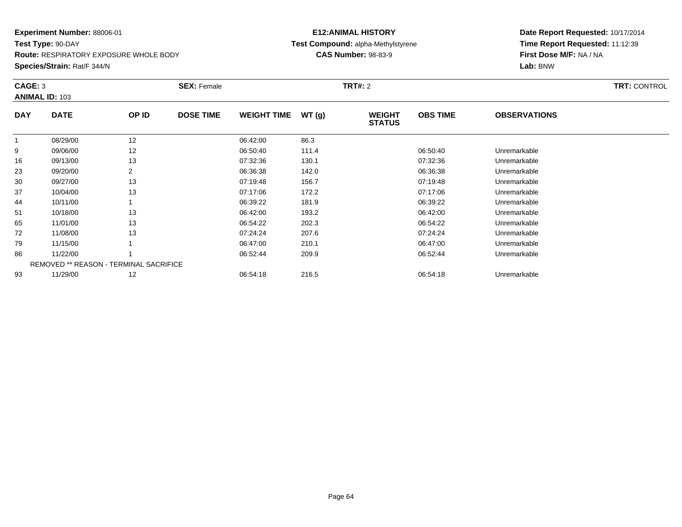**Test Type:** 90-DAY**Route:** RESPIRATORY EXPOSURE WHOLE BODY

#### **Species/Strain:** Rat/F 344/N

#### **E12:ANIMAL HISTORY Test Compound:** alpha-Methylstyrene**CAS Number:** 98-83-9

|            | CAGE: 3                                |       | <b>SEX: Female</b> |                    | <b>TRT: CONTROL</b> |                                |                 |                     |  |
|------------|----------------------------------------|-------|--------------------|--------------------|---------------------|--------------------------------|-----------------|---------------------|--|
|            | <b>ANIMAL ID: 103</b>                  |       |                    |                    |                     |                                |                 |                     |  |
| <b>DAY</b> | <b>DATE</b>                            | OP ID | <b>DOSE TIME</b>   | <b>WEIGHT TIME</b> | WT(g)               | <b>WEIGHT</b><br><b>STATUS</b> | <b>OBS TIME</b> | <b>OBSERVATIONS</b> |  |
|            | 08/29/00                               | 12    |                    | 06:42:00           | 86.3                |                                |                 |                     |  |
| 9          | 09/06/00                               | 12    |                    | 06:50:40           | 111.4               |                                | 06:50:40        | Unremarkable        |  |
| 16         | 09/13/00                               | 13    |                    | 07:32:36           | 130.1               |                                | 07:32:36        | Unremarkable        |  |
| 23         | 09/20/00                               | 2     |                    | 06:36:38           | 142.0               |                                | 06:36:38        | Unremarkable        |  |
| 30         | 09/27/00                               | 13    |                    | 07:19:48           | 156.7               |                                | 07:19:48        | Unremarkable        |  |
| 37         | 10/04/00                               | 13    |                    | 07:17:06           | 172.2               |                                | 07:17:06        | Unremarkable        |  |
| 44         | 10/11/00                               |       |                    | 06:39:22           | 181.9               |                                | 06:39:22        | Unremarkable        |  |
| 51         | 10/18/00                               | 13    |                    | 06:42:00           | 193.2               |                                | 06:42:00        | Unremarkable        |  |
| 65         | 11/01/00                               | 13    |                    | 06:54:22           | 202.3               |                                | 06:54:22        | Unremarkable        |  |
| 72         | 11/08/00                               | 13    |                    | 07:24:24           | 207.6               |                                | 07:24:24        | Unremarkable        |  |
| 79         | 11/15/00                               |       |                    | 06:47:00           | 210.1               |                                | 06:47:00        | Unremarkable        |  |
| 86         | 11/22/00                               |       |                    | 06:52:44           | 209.9               |                                | 06:52:44        | Unremarkable        |  |
|            | REMOVED ** REASON - TERMINAL SACRIFICE |       |                    |                    |                     |                                |                 |                     |  |
| 93         | 11/29/00                               | 12    |                    | 06:54:18           | 216.5               |                                | 06:54:18        | Unremarkable        |  |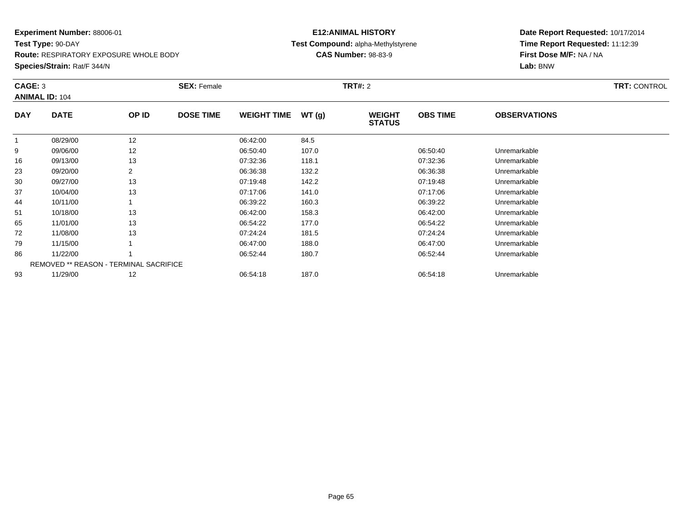**Test Type:** 90-DAY**Route:** RESPIRATORY EXPOSURE WHOLE BODY

#### **Species/Strain:** Rat/F 344/N

#### **E12:ANIMAL HISTORY Test Compound:** alpha-Methylstyrene**CAS Number:** 98-83-9

|            | CAGE: 3                                       |                | <b>SEX: Female</b> |                    | <b>TRT: CONTROL</b> |                                |                 |                     |  |
|------------|-----------------------------------------------|----------------|--------------------|--------------------|---------------------|--------------------------------|-----------------|---------------------|--|
|            | <b>ANIMAL ID: 104</b>                         |                |                    |                    |                     |                                |                 |                     |  |
| <b>DAY</b> | <b>DATE</b>                                   | OP ID          | <b>DOSE TIME</b>   | <b>WEIGHT TIME</b> | WT(g)               | <b>WEIGHT</b><br><b>STATUS</b> | <b>OBS TIME</b> | <b>OBSERVATIONS</b> |  |
|            | 08/29/00                                      | 12             |                    | 06:42:00           | 84.5                |                                |                 |                     |  |
| 9          | 09/06/00                                      | 12             |                    | 06:50:40           | 107.0               |                                | 06:50:40        | Unremarkable        |  |
| 16         | 09/13/00                                      | 13             |                    | 07:32:36           | 118.1               |                                | 07:32:36        | Unremarkable        |  |
| 23         | 09/20/00                                      | $\overline{2}$ |                    | 06:36:38           | 132.2               |                                | 06:36:38        | Unremarkable        |  |
| 30         | 09/27/00                                      | 13             |                    | 07:19:48           | 142.2               |                                | 07:19:48        | Unremarkable        |  |
| 37         | 10/04/00                                      | 13             |                    | 07:17:06           | 141.0               |                                | 07:17:06        | Unremarkable        |  |
| 44         | 10/11/00                                      |                |                    | 06:39:22           | 160.3               |                                | 06:39:22        | Unremarkable        |  |
| 51         | 10/18/00                                      | 13             |                    | 06:42:00           | 158.3               |                                | 06:42:00        | Unremarkable        |  |
| 65         | 11/01/00                                      | 13             |                    | 06:54:22           | 177.0               |                                | 06:54:22        | Unremarkable        |  |
| 72         | 11/08/00                                      | 13             |                    | 07:24:24           | 181.5               |                                | 07:24:24        | Unremarkable        |  |
| 79         | 11/15/00                                      |                |                    | 06:47:00           | 188.0               |                                | 06:47:00        | Unremarkable        |  |
| 86         | 11/22/00                                      |                |                    | 06:52:44           | 180.7               |                                | 06:52:44        | Unremarkable        |  |
|            | <b>REMOVED ** REASON - TERMINAL SACRIFICE</b> |                |                    |                    |                     |                                |                 |                     |  |
| 93         | 11/29/00                                      | 12             |                    | 06:54:18           | 187.0               |                                | 06:54:18        | Unremarkable        |  |
|            |                                               |                |                    |                    |                     |                                |                 |                     |  |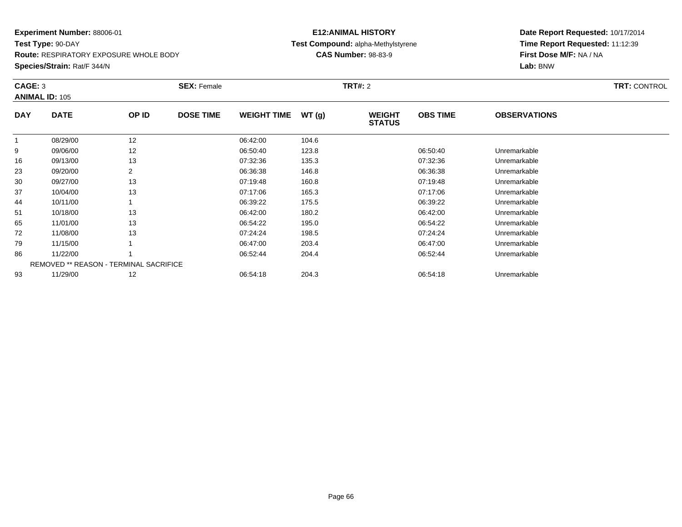**Test Type:** 90-DAY**Route:** RESPIRATORY EXPOSURE WHOLE BODY

#### **Species/Strain:** Rat/F 344/N

#### **E12:ANIMAL HISTORY Test Compound:** alpha-Methylstyrene**CAS Number:** 98-83-9

| CAGE: 3    | <b>ANIMAL ID: 105</b>                  |       | <b>SEX: Female</b> |                    |       | <b>TRT#: 2</b>                 |                 |                     | <b>TRT: CONTROL</b> |
|------------|----------------------------------------|-------|--------------------|--------------------|-------|--------------------------------|-----------------|---------------------|---------------------|
| <b>DAY</b> | <b>DATE</b>                            | OP ID | <b>DOSE TIME</b>   | <b>WEIGHT TIME</b> | WT(g) | <b>WEIGHT</b><br><b>STATUS</b> | <b>OBS TIME</b> | <b>OBSERVATIONS</b> |                     |
|            | 08/29/00                               | 12    |                    | 06:42:00           | 104.6 |                                |                 |                     |                     |
| 9          | 09/06/00                               | 12    |                    | 06:50:40           | 123.8 |                                | 06:50:40        | Unremarkable        |                     |
| 16         | 09/13/00                               | 13    |                    | 07:32:36           | 135.3 |                                | 07:32:36        | Unremarkable        |                     |
| 23         | 09/20/00                               | 2     |                    | 06:36:38           | 146.8 |                                | 06:36:38        | Unremarkable        |                     |
| 30         | 09/27/00                               | 13    |                    | 07:19:48           | 160.8 |                                | 07:19:48        | Unremarkable        |                     |
| 37         | 10/04/00                               | 13    |                    | 07:17:06           | 165.3 |                                | 07:17:06        | Unremarkable        |                     |
| 44         | 10/11/00                               |       |                    | 06:39:22           | 175.5 |                                | 06:39:22        | Unremarkable        |                     |
| 51         | 10/18/00                               | 13    |                    | 06:42:00           | 180.2 |                                | 06:42:00        | Unremarkable        |                     |
| 65         | 11/01/00                               | 13    |                    | 06:54:22           | 195.0 |                                | 06:54:22        | Unremarkable        |                     |
| 72         | 11/08/00                               | 13    |                    | 07:24:24           | 198.5 |                                | 07:24:24        | Unremarkable        |                     |
| 79         | 11/15/00                               |       |                    | 06:47:00           | 203.4 |                                | 06:47:00        | Unremarkable        |                     |
| 86         | 11/22/00                               |       |                    | 06:52:44           | 204.4 |                                | 06:52:44        | Unremarkable        |                     |
|            | REMOVED ** REASON - TERMINAL SACRIFICE |       |                    |                    |       |                                |                 |                     |                     |
| 93         | 11/29/00                               | 12    |                    | 06:54:18           | 204.3 |                                | 06:54:18        | Unremarkable        |                     |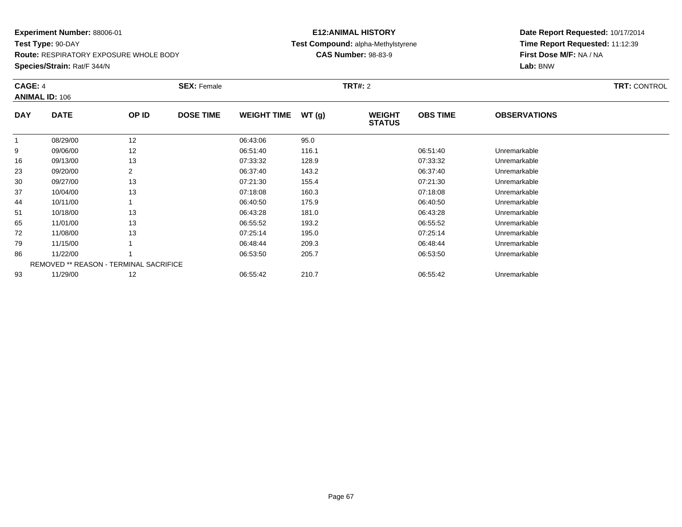#### **Experiment Number:** 88006-01**Test Type:** 90-DAY

**Route:** RESPIRATORY EXPOSURE WHOLE BODY

**Species/Strain:** Rat/F 344/N

#### **E12:ANIMAL HISTORY Test Compound:** alpha-Methylstyrene**CAS Number:** 98-83-9

| <b>CAGE: 4</b> | <b>ANIMAL ID: 106</b>                         |                | <b>SEX: Female</b> |                    |       | <b>TRT#: 2</b>                 |                 |                     | <b>TRT: CONTROL</b> |
|----------------|-----------------------------------------------|----------------|--------------------|--------------------|-------|--------------------------------|-----------------|---------------------|---------------------|
| <b>DAY</b>     | <b>DATE</b>                                   | OP ID          | <b>DOSE TIME</b>   | <b>WEIGHT TIME</b> | WT(g) | <b>WEIGHT</b><br><b>STATUS</b> | <b>OBS TIME</b> | <b>OBSERVATIONS</b> |                     |
|                | 08/29/00                                      | 12             |                    | 06:43:06           | 95.0  |                                |                 |                     |                     |
| 9              | 09/06/00                                      | 12             |                    | 06:51:40           | 116.1 |                                | 06:51:40        | Unremarkable        |                     |
| 16             | 09/13/00                                      | 13             |                    | 07:33:32           | 128.9 |                                | 07:33:32        | Unremarkable        |                     |
| 23             | 09/20/00                                      | $\overline{2}$ |                    | 06:37:40           | 143.2 |                                | 06:37:40        | Unremarkable        |                     |
| 30             | 09/27/00                                      | 13             |                    | 07:21:30           | 155.4 |                                | 07:21:30        | Unremarkable        |                     |
| 37             | 10/04/00                                      | 13             |                    | 07:18:08           | 160.3 |                                | 07:18:08        | Unremarkable        |                     |
| 44             | 10/11/00                                      |                |                    | 06:40:50           | 175.9 |                                | 06:40:50        | Unremarkable        |                     |
| 51             | 10/18/00                                      | 13             |                    | 06:43:28           | 181.0 |                                | 06:43:28        | Unremarkable        |                     |
| 65             | 11/01/00                                      | 13             |                    | 06:55:52           | 193.2 |                                | 06:55:52        | Unremarkable        |                     |
| 72             | 11/08/00                                      | 13             |                    | 07:25:14           | 195.0 |                                | 07:25:14        | Unremarkable        |                     |
| 79             | 11/15/00                                      |                |                    | 06:48:44           | 209.3 |                                | 06:48:44        | Unremarkable        |                     |
| 86             | 11/22/00                                      |                |                    | 06:53:50           | 205.7 |                                | 06:53:50        | Unremarkable        |                     |
|                | <b>REMOVED ** REASON - TERMINAL SACRIFICE</b> |                |                    |                    |       |                                |                 |                     |                     |
| 93             | 11/29/00                                      | 12             |                    | 06:55:42           | 210.7 |                                | 06:55:42        | Unremarkable        |                     |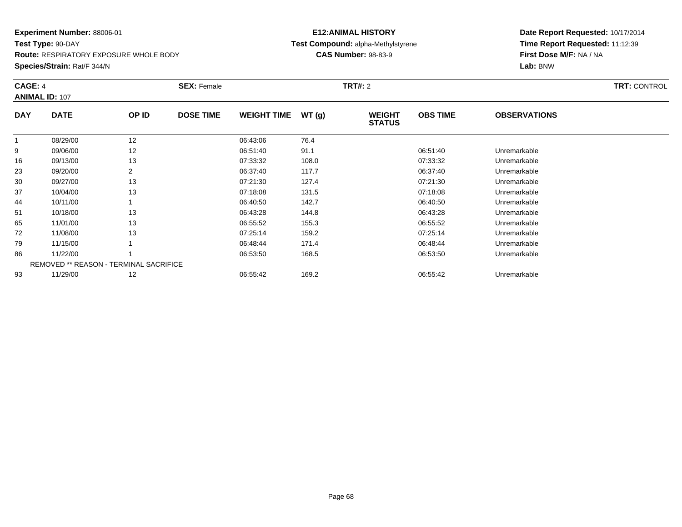**Test Type:** 90-DAY**Route:** RESPIRATORY EXPOSURE WHOLE BODY

**Species/Strain:** Rat/F 344/N

#### **E12:ANIMAL HISTORY Test Compound:** alpha-Methylstyrene**CAS Number:** 98-83-9

| CAGE: 4    | <b>ANIMAL ID: 107</b>                         |                | <b>SEX: Female</b> |                    |       | <b>TRT#: 2</b>                 |                 |                     | TRT: CONTROL |
|------------|-----------------------------------------------|----------------|--------------------|--------------------|-------|--------------------------------|-----------------|---------------------|--------------|
| <b>DAY</b> | <b>DATE</b>                                   | OP ID          | <b>DOSE TIME</b>   | <b>WEIGHT TIME</b> | WT(g) | <b>WEIGHT</b><br><b>STATUS</b> | <b>OBS TIME</b> | <b>OBSERVATIONS</b> |              |
|            | 08/29/00                                      | 12             |                    | 06:43:06           | 76.4  |                                |                 |                     |              |
| 9          | 09/06/00                                      | 12             |                    | 06:51:40           | 91.1  |                                | 06:51:40        | Unremarkable        |              |
| 16         | 09/13/00                                      | 13             |                    | 07:33:32           | 108.0 |                                | 07:33:32        | Unremarkable        |              |
| 23         | 09/20/00                                      | $\overline{2}$ |                    | 06:37:40           | 117.7 |                                | 06:37:40        | Unremarkable        |              |
| 30         | 09/27/00                                      | 13             |                    | 07:21:30           | 127.4 |                                | 07:21:30        | Unremarkable        |              |
| 37         | 10/04/00                                      | 13             |                    | 07:18:08           | 131.5 |                                | 07:18:08        | Unremarkable        |              |
| 44         | 10/11/00                                      |                |                    | 06:40:50           | 142.7 |                                | 06:40:50        | Unremarkable        |              |
| 51         | 10/18/00                                      | 13             |                    | 06:43:28           | 144.8 |                                | 06:43:28        | Unremarkable        |              |
| 65         | 11/01/00                                      | 13             |                    | 06:55:52           | 155.3 |                                | 06:55:52        | Unremarkable        |              |
| 72         | 11/08/00                                      | 13             |                    | 07:25:14           | 159.2 |                                | 07:25:14        | Unremarkable        |              |
| 79         | 11/15/00                                      |                |                    | 06:48:44           | 171.4 |                                | 06:48:44        | Unremarkable        |              |
| 86         | 11/22/00                                      |                |                    | 06:53:50           | 168.5 |                                | 06:53:50        | Unremarkable        |              |
|            | <b>REMOVED ** REASON - TERMINAL SACRIFICE</b> |                |                    |                    |       |                                |                 |                     |              |
| 93         | 11/29/00                                      | 12             |                    | 06:55:42           | 169.2 |                                | 06:55:42        | Unremarkable        |              |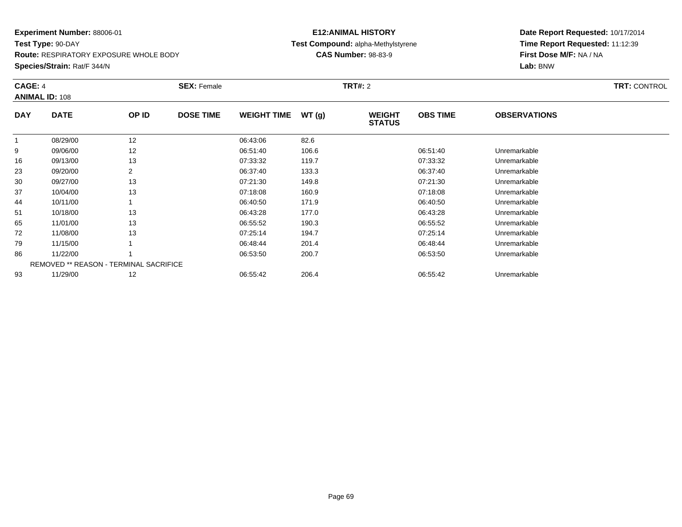#### **Experiment Number:** 88006-01**Test Type:** 90-DAY

**Route:** RESPIRATORY EXPOSURE WHOLE BODY

**Species/Strain:** Rat/F 344/N

#### **E12:ANIMAL HISTORY Test Compound:** alpha-Methylstyrene**CAS Number:** 98-83-9

| CAGE: 4    | <b>ANIMAL ID: 108</b>                         |                | <b>SEX: Female</b> |                    |       | <b>TRT#: 2</b>                 |                 |                     | TRT: CONTROL |
|------------|-----------------------------------------------|----------------|--------------------|--------------------|-------|--------------------------------|-----------------|---------------------|--------------|
| <b>DAY</b> | <b>DATE</b>                                   | OP ID          | <b>DOSE TIME</b>   | <b>WEIGHT TIME</b> | WT(g) | <b>WEIGHT</b><br><b>STATUS</b> | <b>OBS TIME</b> | <b>OBSERVATIONS</b> |              |
|            | 08/29/00                                      | 12             |                    | 06:43:06           | 82.6  |                                |                 |                     |              |
| 9          | 09/06/00                                      | 12             |                    | 06:51:40           | 106.6 |                                | 06:51:40        | Unremarkable        |              |
| 16         | 09/13/00                                      | 13             |                    | 07:33:32           | 119.7 |                                | 07:33:32        | Unremarkable        |              |
| 23         | 09/20/00                                      | $\overline{2}$ |                    | 06:37:40           | 133.3 |                                | 06:37:40        | Unremarkable        |              |
| 30         | 09/27/00                                      | 13             |                    | 07:21:30           | 149.8 |                                | 07:21:30        | Unremarkable        |              |
| 37         | 10/04/00                                      | 13             |                    | 07:18:08           | 160.9 |                                | 07:18:08        | Unremarkable        |              |
| 44         | 10/11/00                                      |                |                    | 06:40:50           | 171.9 |                                | 06:40:50        | Unremarkable        |              |
| 51         | 10/18/00                                      | 13             |                    | 06:43:28           | 177.0 |                                | 06:43:28        | Unremarkable        |              |
| 65         | 11/01/00                                      | 13             |                    | 06:55:52           | 190.3 |                                | 06:55:52        | Unremarkable        |              |
| 72         | 11/08/00                                      | 13             |                    | 07:25:14           | 194.7 |                                | 07:25:14        | Unremarkable        |              |
| 79         | 11/15/00                                      |                |                    | 06:48:44           | 201.4 |                                | 06:48:44        | Unremarkable        |              |
| 86         | 11/22/00                                      |                |                    | 06:53:50           | 200.7 |                                | 06:53:50        | Unremarkable        |              |
|            | <b>REMOVED ** REASON - TERMINAL SACRIFICE</b> |                |                    |                    |       |                                |                 |                     |              |
| 93         | 11/29/00                                      | 12             |                    | 06:55:42           | 206.4 |                                | 06:55:42        | Unremarkable        |              |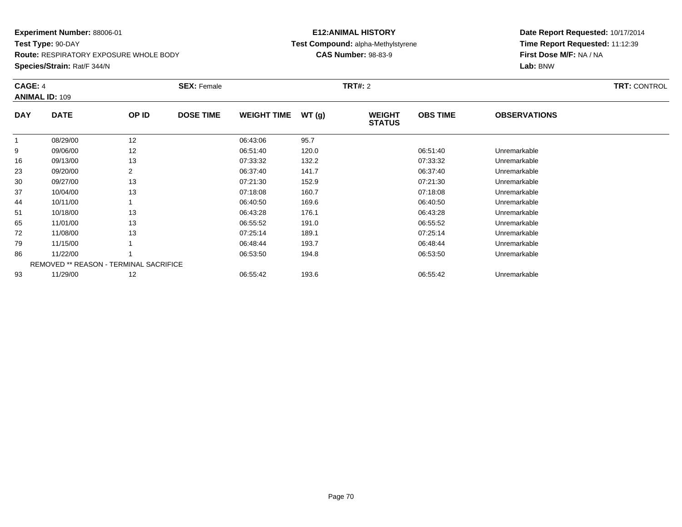#### **Experiment Number:** 88006-01**Test Type:** 90-DAY

**Route:** RESPIRATORY EXPOSURE WHOLE BODY

**Species/Strain:** Rat/F 344/N

#### **E12:ANIMAL HISTORY Test Compound:** alpha-Methylstyrene**CAS Number:** 98-83-9

|            | CAGE: 4<br><b>ANIMAL ID: 109</b>              |                | <b>SEX: Female</b> |                    |       |                                | <b>TRT#: 2</b>  |                     |  |  |  |
|------------|-----------------------------------------------|----------------|--------------------|--------------------|-------|--------------------------------|-----------------|---------------------|--|--|--|
| <b>DAY</b> | <b>DATE</b>                                   | OP ID          | <b>DOSE TIME</b>   | <b>WEIGHT TIME</b> | WT(g) | <b>WEIGHT</b><br><b>STATUS</b> | <b>OBS TIME</b> | <b>OBSERVATIONS</b> |  |  |  |
|            | 08/29/00                                      | 12             |                    | 06:43:06           | 95.7  |                                |                 |                     |  |  |  |
| 9          | 09/06/00                                      | 12             |                    | 06:51:40           | 120.0 |                                | 06:51:40        | Unremarkable        |  |  |  |
| 16         | 09/13/00                                      | 13             |                    | 07:33:32           | 132.2 |                                | 07:33:32        | Unremarkable        |  |  |  |
| 23         | 09/20/00                                      | $\overline{2}$ |                    | 06:37:40           | 141.7 |                                | 06:37:40        | Unremarkable        |  |  |  |
| 30         | 09/27/00                                      | 13             |                    | 07:21:30           | 152.9 |                                | 07:21:30        | Unremarkable        |  |  |  |
| 37         | 10/04/00                                      | 13             |                    | 07:18:08           | 160.7 |                                | 07:18:08        | Unremarkable        |  |  |  |
| 44         | 10/11/00                                      |                |                    | 06:40:50           | 169.6 |                                | 06:40:50        | Unremarkable        |  |  |  |
| 51         | 10/18/00                                      | 13             |                    | 06:43:28           | 176.1 |                                | 06:43:28        | Unremarkable        |  |  |  |
| 65         | 11/01/00                                      | 13             |                    | 06:55:52           | 191.0 |                                | 06:55:52        | Unremarkable        |  |  |  |
| 72         | 11/08/00                                      | 13             |                    | 07:25:14           | 189.1 |                                | 07:25:14        | Unremarkable        |  |  |  |
| 79         | 11/15/00                                      |                |                    | 06:48:44           | 193.7 |                                | 06:48:44        | Unremarkable        |  |  |  |
| 86         | 11/22/00                                      |                |                    | 06:53:50           | 194.8 |                                | 06:53:50        | Unremarkable        |  |  |  |
|            | <b>REMOVED ** REASON - TERMINAL SACRIFICE</b> |                |                    |                    |       |                                |                 |                     |  |  |  |
| 93         | 11/29/00                                      | 12             |                    | 06:55:42           | 193.6 |                                | 06:55:42        | Unremarkable        |  |  |  |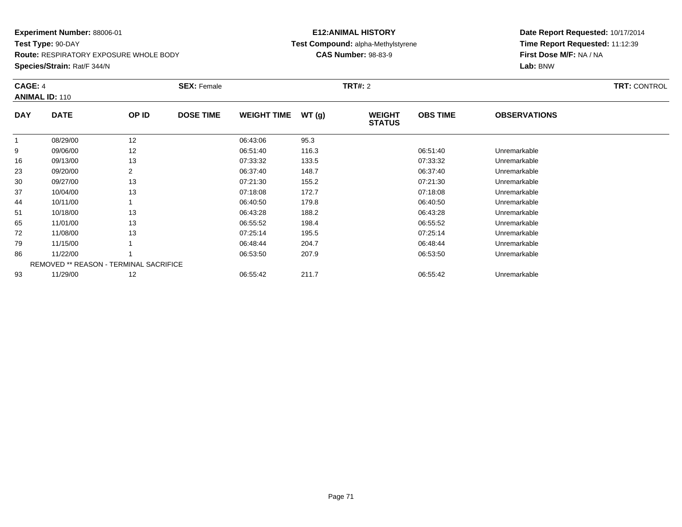**Test Type:** 90-DAY**Route:** RESPIRATORY EXPOSURE WHOLE BODY

**Species/Strain:** Rat/F 344/N

#### **E12:ANIMAL HISTORY Test Compound:** alpha-Methylstyrene**CAS Number:** 98-83-9

|            | <b>CAGE: 4</b><br><b>ANIMAL ID: 110</b> |       | <b>SEX: Female</b> |                    |       | <b>TRT#: 2</b>                 | <b>TRT: CONTROL</b> |                     |  |
|------------|-----------------------------------------|-------|--------------------|--------------------|-------|--------------------------------|---------------------|---------------------|--|
| <b>DAY</b> | <b>DATE</b>                             | OP ID | <b>DOSE TIME</b>   | <b>WEIGHT TIME</b> | WT(g) | <b>WEIGHT</b><br><b>STATUS</b> | <b>OBS TIME</b>     | <b>OBSERVATIONS</b> |  |
|            | 08/29/00                                | 12    |                    | 06:43:06           | 95.3  |                                |                     |                     |  |
| 9          | 09/06/00                                | 12    |                    | 06:51:40           | 116.3 |                                | 06:51:40            | Unremarkable        |  |
| 16         | 09/13/00                                | 13    |                    | 07:33:32           | 133.5 |                                | 07:33:32            | Unremarkable        |  |
| 23         | 09/20/00                                | 2     |                    | 06:37:40           | 148.7 |                                | 06:37:40            | Unremarkable        |  |
| 30         | 09/27/00                                | 13    |                    | 07:21:30           | 155.2 |                                | 07:21:30            | Unremarkable        |  |
| 37         | 10/04/00                                | 13    |                    | 07:18:08           | 172.7 |                                | 07:18:08            | Unremarkable        |  |
| 44         | 10/11/00                                |       |                    | 06:40:50           | 179.8 |                                | 06:40:50            | Unremarkable        |  |
| 51         | 10/18/00                                | 13    |                    | 06:43:28           | 188.2 |                                | 06:43:28            | Unremarkable        |  |
| 65         | 11/01/00                                | 13    |                    | 06:55:52           | 198.4 |                                | 06:55:52            | Unremarkable        |  |
| 72         | 11/08/00                                | 13    |                    | 07:25:14           | 195.5 |                                | 07:25:14            | Unremarkable        |  |
| 79         | 11/15/00                                |       |                    | 06:48:44           | 204.7 |                                | 06:48:44            | Unremarkable        |  |
| 86         | 11/22/00                                |       |                    | 06:53:50           | 207.9 |                                | 06:53:50            | Unremarkable        |  |
|            | REMOVED ** REASON - TERMINAL SACRIFICE  |       |                    |                    |       |                                |                     |                     |  |
| 93         | 11/29/00                                | 12    |                    | 06:55:42           | 211.7 |                                | 06:55:42            | Unremarkable        |  |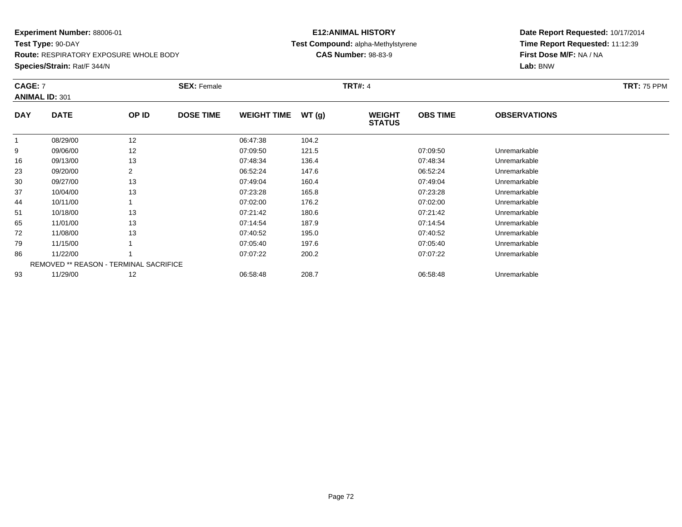**Test Type:** 90-DAY**Route:** RESPIRATORY EXPOSURE WHOLE BODY

**Species/Strain:** Rat/F 344/N

#### **E12:ANIMAL HISTORY Test Compound:** alpha-Methylstyrene**CAS Number:** 98-83-9

| <b>CAGE: 7</b> | <b>ANIMAL ID: 301</b>                  |       | <b>SEX: Female</b> |                    |       | <b>TRT#: 4</b>                 |                 |                     | <b>TRT: 75 PPM</b> |
|----------------|----------------------------------------|-------|--------------------|--------------------|-------|--------------------------------|-----------------|---------------------|--------------------|
| <b>DAY</b>     | <b>DATE</b>                            | OP ID | <b>DOSE TIME</b>   | <b>WEIGHT TIME</b> | WT(g) | <b>WEIGHT</b><br><b>STATUS</b> | <b>OBS TIME</b> | <b>OBSERVATIONS</b> |                    |
|                | 08/29/00                               | 12    |                    | 06:47:38           | 104.2 |                                |                 |                     |                    |
| 9              | 09/06/00                               | 12    |                    | 07:09:50           | 121.5 |                                | 07:09:50        | Unremarkable        |                    |
| 16             | 09/13/00                               | 13    |                    | 07:48:34           | 136.4 |                                | 07:48:34        | Unremarkable        |                    |
| 23             | 09/20/00                               |       |                    | 06:52:24           | 147.6 |                                | 06:52:24        | Unremarkable        |                    |
| 30             | 09/27/00                               | 13    |                    | 07:49:04           | 160.4 |                                | 07:49:04        | Unremarkable        |                    |
| 37             | 10/04/00                               | 13    |                    | 07:23:28           | 165.8 |                                | 07:23:28        | Unremarkable        |                    |
| 44             | 10/11/00                               |       |                    | 07:02:00           | 176.2 |                                | 07:02:00        | Unremarkable        |                    |
| 51             | 10/18/00                               | 13    |                    | 07:21:42           | 180.6 |                                | 07:21:42        | Unremarkable        |                    |
| 65             | 11/01/00                               | 13    |                    | 07:14:54           | 187.9 |                                | 07:14:54        | Unremarkable        |                    |
| 72             | 11/08/00                               | 13    |                    | 07:40:52           | 195.0 |                                | 07:40:52        | Unremarkable        |                    |
| 79             | 11/15/00                               |       |                    | 07:05:40           | 197.6 |                                | 07:05:40        | Unremarkable        |                    |
| 86             | 11/22/00                               |       |                    | 07:07:22           | 200.2 |                                | 07:07:22        | Unremarkable        |                    |
|                | REMOVED ** REASON - TERMINAL SACRIFICE |       |                    |                    |       |                                |                 |                     |                    |
| 93             | 11/29/00                               | 12    |                    | 06:58:48           | 208.7 |                                | 06:58:48        | Unremarkable        |                    |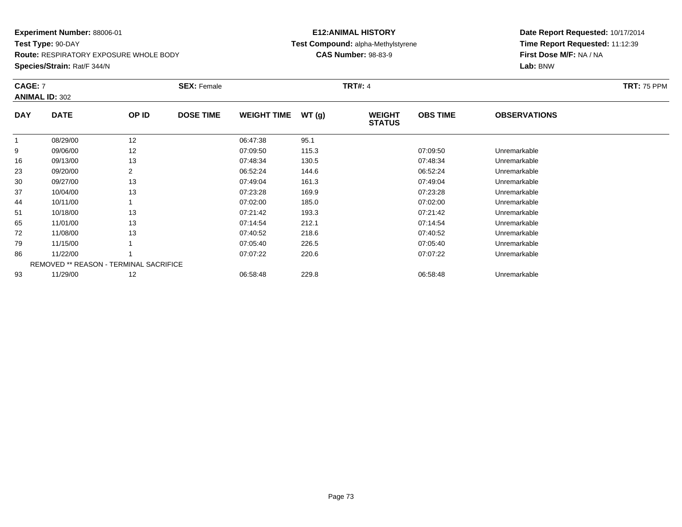**Test Type:** 90-DAY**Route:** RESPIRATORY EXPOSURE WHOLE BODY

**Species/Strain:** Rat/F 344/N

## **E12:ANIMAL HISTORY Test Compound:** alpha-Methylstyrene**CAS Number:** 98-83-9

| <b>CAGE: 7</b> | <b>ANIMAL ID: 302</b>                         |                | <b>SEX: Female</b> |                    |       | <b>TRT#: 4</b>                 |                 |                     | <b>TRT: 75 PPM</b> |
|----------------|-----------------------------------------------|----------------|--------------------|--------------------|-------|--------------------------------|-----------------|---------------------|--------------------|
| <b>DAY</b>     | <b>DATE</b>                                   | OP ID          | <b>DOSE TIME</b>   | <b>WEIGHT TIME</b> | WT(g) | <b>WEIGHT</b><br><b>STATUS</b> | <b>OBS TIME</b> | <b>OBSERVATIONS</b> |                    |
|                | 08/29/00                                      | 12             |                    | 06:47:38           | 95.1  |                                |                 |                     |                    |
| 9              | 09/06/00                                      | 12             |                    | 07:09:50           | 115.3 |                                | 07:09:50        | Unremarkable        |                    |
| 16             | 09/13/00                                      | 13             |                    | 07:48:34           | 130.5 |                                | 07:48:34        | Unremarkable        |                    |
| 23             | 09/20/00                                      | $\overline{2}$ |                    | 06:52:24           | 144.6 |                                | 06:52:24        | Unremarkable        |                    |
| 30             | 09/27/00                                      | 13             |                    | 07:49:04           | 161.3 |                                | 07:49:04        | Unremarkable        |                    |
| 37             | 10/04/00                                      | 13             |                    | 07:23:28           | 169.9 |                                | 07:23:28        | Unremarkable        |                    |
| 44             | 10/11/00                                      |                |                    | 07:02:00           | 185.0 |                                | 07:02:00        | Unremarkable        |                    |
| 51             | 10/18/00                                      | 13             |                    | 07:21:42           | 193.3 |                                | 07:21:42        | Unremarkable        |                    |
| 65             | 11/01/00                                      | 13             |                    | 07:14:54           | 212.1 |                                | 07:14:54        | Unremarkable        |                    |
| 72             | 11/08/00                                      | 13             |                    | 07:40:52           | 218.6 |                                | 07:40:52        | Unremarkable        |                    |
| 79             | 11/15/00                                      |                |                    | 07:05:40           | 226.5 |                                | 07:05:40        | Unremarkable        |                    |
| 86             | 11/22/00                                      |                |                    | 07:07:22           | 220.6 |                                | 07:07:22        | Unremarkable        |                    |
|                | <b>REMOVED ** REASON - TERMINAL SACRIFICE</b> |                |                    |                    |       |                                |                 |                     |                    |
| 93             | 11/29/00                                      | 12             |                    | 06:58:48           | 229.8 |                                | 06:58:48        | Unremarkable        |                    |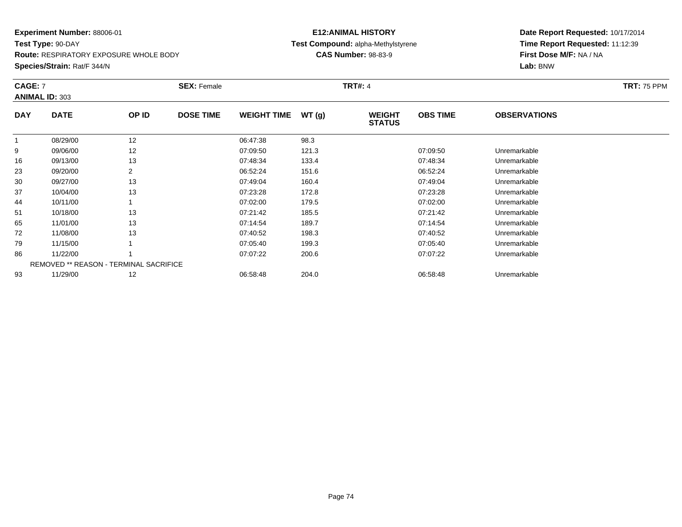**Route:** RESPIRATORY EXPOSURE WHOLE BODY

**Species/Strain:** Rat/F 344/N

## **E12:ANIMAL HISTORY Test Compound:** alpha-Methylstyrene**CAS Number:** 98-83-9

| <b>CAGE: 7</b> | <b>ANIMAL ID: 303</b>                         |                | <b>SEX: Female</b> |                    |       | <b>TRT#: 4</b>                 |                 |                     | <b>TRT: 75 PPM</b> |
|----------------|-----------------------------------------------|----------------|--------------------|--------------------|-------|--------------------------------|-----------------|---------------------|--------------------|
| <b>DAY</b>     | <b>DATE</b>                                   | OP ID          | <b>DOSE TIME</b>   | <b>WEIGHT TIME</b> | WT(g) | <b>WEIGHT</b><br><b>STATUS</b> | <b>OBS TIME</b> | <b>OBSERVATIONS</b> |                    |
|                | 08/29/00                                      | 12             |                    | 06:47:38           | 98.3  |                                |                 |                     |                    |
| 9              | 09/06/00                                      | 12             |                    | 07:09:50           | 121.3 |                                | 07:09:50        | Unremarkable        |                    |
| 16             | 09/13/00                                      | 13             |                    | 07:48:34           | 133.4 |                                | 07:48:34        | Unremarkable        |                    |
| 23             | 09/20/00                                      | $\overline{2}$ |                    | 06:52:24           | 151.6 |                                | 06:52:24        | Unremarkable        |                    |
| 30             | 09/27/00                                      | 13             |                    | 07:49:04           | 160.4 |                                | 07:49:04        | Unremarkable        |                    |
| 37             | 10/04/00                                      | 13             |                    | 07:23:28           | 172.8 |                                | 07:23:28        | Unremarkable        |                    |
| 44             | 10/11/00                                      |                |                    | 07:02:00           | 179.5 |                                | 07:02:00        | Unremarkable        |                    |
| 51             | 10/18/00                                      | 13             |                    | 07:21:42           | 185.5 |                                | 07:21:42        | Unremarkable        |                    |
| 65             | 11/01/00                                      | 13             |                    | 07:14:54           | 189.7 |                                | 07:14:54        | Unremarkable        |                    |
| 72             | 11/08/00                                      | 13             |                    | 07:40:52           | 198.3 |                                | 07:40:52        | Unremarkable        |                    |
| 79             | 11/15/00                                      |                |                    | 07:05:40           | 199.3 |                                | 07:05:40        | Unremarkable        |                    |
| 86             | 11/22/00                                      |                |                    | 07:07:22           | 200.6 |                                | 07:07:22        | Unremarkable        |                    |
|                | <b>REMOVED ** REASON - TERMINAL SACRIFICE</b> |                |                    |                    |       |                                |                 |                     |                    |
| 93             | 11/29/00                                      | 12             |                    | 06:58:48           | 204.0 |                                | 06:58:48        | Unremarkable        |                    |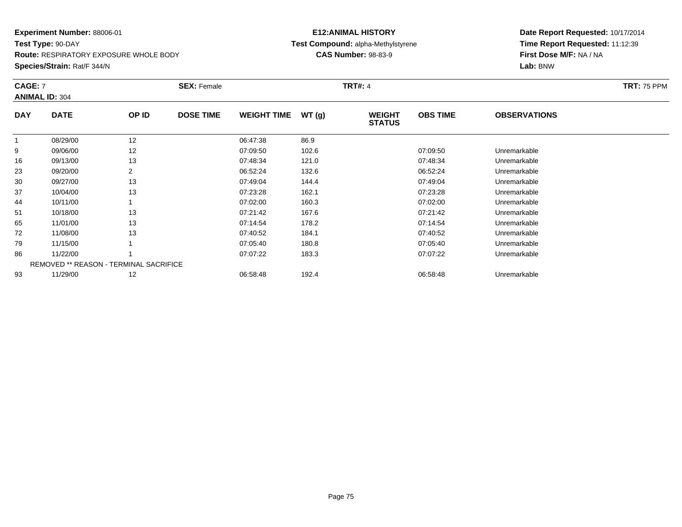**Route:** RESPIRATORY EXPOSURE WHOLE BODY

**Species/Strain:** Rat/F 344/N

## **E12:ANIMAL HISTORY Test Compound:** alpha-Methylstyrene**CAS Number:** 98-83-9

| <b>CAGE: 7</b> | <b>ANIMAL ID: 304</b>                         |                | <b>SEX: Female</b> |                    |       | <b>TRT#: 4</b>                 |                 |                     | <b>TRT: 75 PPM</b> |
|----------------|-----------------------------------------------|----------------|--------------------|--------------------|-------|--------------------------------|-----------------|---------------------|--------------------|
| <b>DAY</b>     | <b>DATE</b>                                   | OP ID          | <b>DOSE TIME</b>   | <b>WEIGHT TIME</b> | WT(g) | <b>WEIGHT</b><br><b>STATUS</b> | <b>OBS TIME</b> | <b>OBSERVATIONS</b> |                    |
|                | 08/29/00                                      | 12             |                    | 06:47:38           | 86.9  |                                |                 |                     |                    |
| 9              | 09/06/00                                      | 12             |                    | 07:09:50           | 102.6 |                                | 07:09:50        | Unremarkable        |                    |
| 16             | 09/13/00                                      | 13             |                    | 07:48:34           | 121.0 |                                | 07:48:34        | Unremarkable        |                    |
| 23             | 09/20/00                                      | $\overline{2}$ |                    | 06:52:24           | 132.6 |                                | 06:52:24        | Unremarkable        |                    |
| 30             | 09/27/00                                      | 13             |                    | 07:49:04           | 144.4 |                                | 07:49:04        | Unremarkable        |                    |
| 37             | 10/04/00                                      | 13             |                    | 07:23:28           | 162.1 |                                | 07:23:28        | Unremarkable        |                    |
| 44             | 10/11/00                                      |                |                    | 07:02:00           | 160.3 |                                | 07:02:00        | Unremarkable        |                    |
| 51             | 10/18/00                                      | 13             |                    | 07:21:42           | 167.6 |                                | 07:21:42        | Unremarkable        |                    |
| 65             | 11/01/00                                      | 13             |                    | 07:14:54           | 178.2 |                                | 07:14:54        | Unremarkable        |                    |
| 72             | 11/08/00                                      | 13             |                    | 07:40:52           | 184.1 |                                | 07:40:52        | Unremarkable        |                    |
| 79             | 11/15/00                                      |                |                    | 07:05:40           | 180.8 |                                | 07:05:40        | Unremarkable        |                    |
| 86             | 11/22/00                                      |                |                    | 07:07:22           | 183.3 |                                | 07:07:22        | Unremarkable        |                    |
|                | <b>REMOVED ** REASON - TERMINAL SACRIFICE</b> |                |                    |                    |       |                                |                 |                     |                    |
| 93             | 11/29/00                                      | 12             |                    | 06:58:48           | 192.4 |                                | 06:58:48        | Unremarkable        |                    |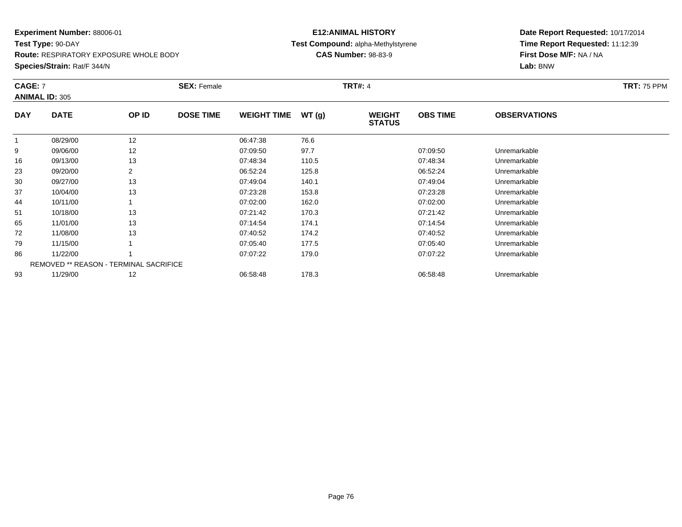**Test Type:** 90-DAY**Route:** RESPIRATORY EXPOSURE WHOLE BODY

**Species/Strain:** Rat/F 344/N

## **E12:ANIMAL HISTORY Test Compound:** alpha-Methylstyrene**CAS Number:** 98-83-9

| <b>CAGE: 7</b> | <b>ANIMAL ID: 305</b>                         |       | <b>SEX: Female</b> |                    |       | <b>TRT#: 4</b>                 |                 |                     | <b>TRT: 75 PPM</b> |
|----------------|-----------------------------------------------|-------|--------------------|--------------------|-------|--------------------------------|-----------------|---------------------|--------------------|
| <b>DAY</b>     | <b>DATE</b>                                   | OP ID | <b>DOSE TIME</b>   | <b>WEIGHT TIME</b> | WT(g) | <b>WEIGHT</b><br><b>STATUS</b> | <b>OBS TIME</b> | <b>OBSERVATIONS</b> |                    |
|                | 08/29/00                                      | 12    |                    | 06:47:38           | 76.6  |                                |                 |                     |                    |
| 9              | 09/06/00                                      | 12    |                    | 07:09:50           | 97.7  |                                | 07:09:50        | Unremarkable        |                    |
| 16             | 09/13/00                                      | 13    |                    | 07:48:34           | 110.5 |                                | 07:48:34        | Unremarkable        |                    |
| 23             | 09/20/00                                      | 2     |                    | 06:52:24           | 125.8 |                                | 06:52:24        | Unremarkable        |                    |
| 30             | 09/27/00                                      | 13    |                    | 07:49:04           | 140.1 |                                | 07:49:04        | Unremarkable        |                    |
| 37             | 10/04/00                                      | 13    |                    | 07:23:28           | 153.8 |                                | 07:23:28        | Unremarkable        |                    |
| 44             | 10/11/00                                      |       |                    | 07:02:00           | 162.0 |                                | 07:02:00        | Unremarkable        |                    |
| 51             | 10/18/00                                      | 13    |                    | 07:21:42           | 170.3 |                                | 07:21:42        | Unremarkable        |                    |
| 65             | 11/01/00                                      | 13    |                    | 07:14:54           | 174.1 |                                | 07:14:54        | Unremarkable        |                    |
| 72             | 11/08/00                                      | 13    |                    | 07:40:52           | 174.2 |                                | 07:40:52        | Unremarkable        |                    |
| 79             | 11/15/00                                      |       |                    | 07:05:40           | 177.5 |                                | 07:05:40        | Unremarkable        |                    |
| 86             | 11/22/00                                      |       |                    | 07:07:22           | 179.0 |                                | 07:07:22        | Unremarkable        |                    |
|                | <b>REMOVED ** REASON - TERMINAL SACRIFICE</b> |       |                    |                    |       |                                |                 |                     |                    |
| 93             | 11/29/00                                      | 12    |                    | 06:58:48           | 178.3 |                                | 06:58:48        | Unremarkable        |                    |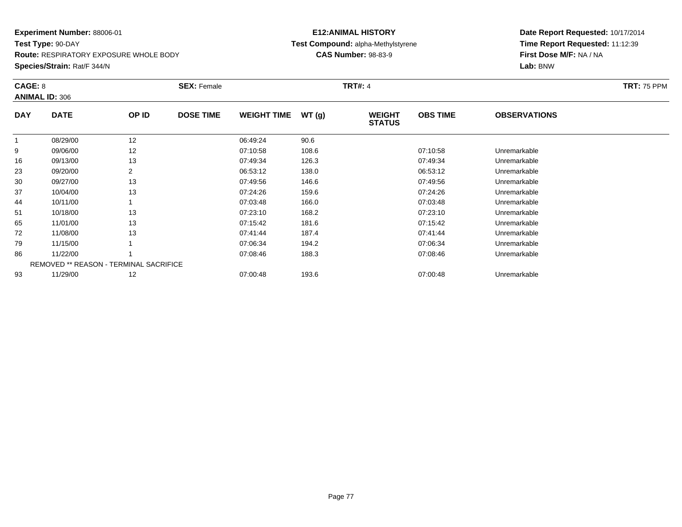**Route:** RESPIRATORY EXPOSURE WHOLE BODY

**Species/Strain:** Rat/F 344/N

## **E12:ANIMAL HISTORY Test Compound:** alpha-Methylstyrene**CAS Number:** 98-83-9

| CAGE: 8    | <b>ANIMAL ID: 306</b>                         |       | <b>SEX: Female</b> |                    |       | <b>TRT#: 4</b>                 |                 |                     | <b>TRT: 75 PPM</b> |
|------------|-----------------------------------------------|-------|--------------------|--------------------|-------|--------------------------------|-----------------|---------------------|--------------------|
| <b>DAY</b> | <b>DATE</b>                                   | OP ID | <b>DOSE TIME</b>   | <b>WEIGHT TIME</b> | WT(g) | <b>WEIGHT</b><br><b>STATUS</b> | <b>OBS TIME</b> | <b>OBSERVATIONS</b> |                    |
|            | 08/29/00                                      | 12    |                    | 06:49:24           | 90.6  |                                |                 |                     |                    |
| 9          | 09/06/00                                      | 12    |                    | 07:10:58           | 108.6 |                                | 07:10:58        | Unremarkable        |                    |
| 16         | 09/13/00                                      | 13    |                    | 07:49:34           | 126.3 |                                | 07:49:34        | Unremarkable        |                    |
| 23         | 09/20/00                                      | 2     |                    | 06:53:12           | 138.0 |                                | 06:53:12        | Unremarkable        |                    |
| 30         | 09/27/00                                      | 13    |                    | 07:49:56           | 146.6 |                                | 07:49:56        | Unremarkable        |                    |
| 37         | 10/04/00                                      | 13    |                    | 07:24:26           | 159.6 |                                | 07:24:26        | Unremarkable        |                    |
| 44         | 10/11/00                                      |       |                    | 07:03:48           | 166.0 |                                | 07:03:48        | Unremarkable        |                    |
| 51         | 10/18/00                                      | 13    |                    | 07:23:10           | 168.2 |                                | 07:23:10        | Unremarkable        |                    |
| 65         | 11/01/00                                      | 13    |                    | 07:15:42           | 181.6 |                                | 07:15:42        | Unremarkable        |                    |
| 72         | 11/08/00                                      | 13    |                    | 07:41:44           | 187.4 |                                | 07:41:44        | Unremarkable        |                    |
| 79         | 11/15/00                                      |       |                    | 07:06:34           | 194.2 |                                | 07:06:34        | Unremarkable        |                    |
| 86         | 11/22/00                                      |       |                    | 07:08:46           | 188.3 |                                | 07:08:46        | Unremarkable        |                    |
|            | <b>REMOVED ** REASON - TERMINAL SACRIFICE</b> |       |                    |                    |       |                                |                 |                     |                    |
| 93         | 11/29/00                                      | 12    |                    | 07:00:48           | 193.6 |                                | 07:00:48        | Unremarkable        |                    |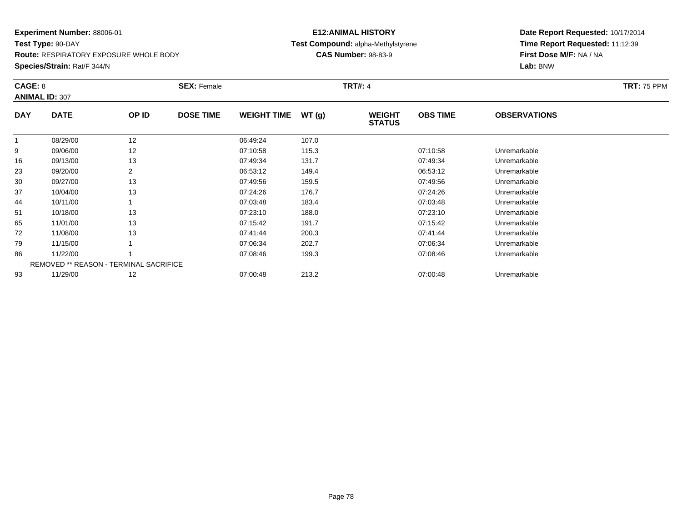**Route:** RESPIRATORY EXPOSURE WHOLE BODY

**Species/Strain:** Rat/F 344/N

## **E12:ANIMAL HISTORY Test Compound:** alpha-Methylstyrene**CAS Number:** 98-83-9

| CAGE: 8    | <b>ANIMAL ID: 307</b>                         |       | <b>SEX: Female</b> |                    |       | <b>TRT#: 4</b>                 |                 |                     | <b>TRT: 75 PPM</b> |
|------------|-----------------------------------------------|-------|--------------------|--------------------|-------|--------------------------------|-----------------|---------------------|--------------------|
| <b>DAY</b> | <b>DATE</b>                                   | OP ID | <b>DOSE TIME</b>   | <b>WEIGHT TIME</b> | WT(g) | <b>WEIGHT</b><br><b>STATUS</b> | <b>OBS TIME</b> | <b>OBSERVATIONS</b> |                    |
|            | 08/29/00                                      | 12    |                    | 06:49:24           | 107.0 |                                |                 |                     |                    |
| 9          | 09/06/00                                      | 12    |                    | 07:10:58           | 115.3 |                                | 07:10:58        | Unremarkable        |                    |
| 16         | 09/13/00                                      | 13    |                    | 07:49:34           | 131.7 |                                | 07:49:34        | Unremarkable        |                    |
| 23         | 09/20/00                                      | 2     |                    | 06:53:12           | 149.4 |                                | 06:53:12        | Unremarkable        |                    |
| 30         | 09/27/00                                      | 13    |                    | 07:49:56           | 159.5 |                                | 07:49:56        | Unremarkable        |                    |
| 37         | 10/04/00                                      | 13    |                    | 07:24:26           | 176.7 |                                | 07:24:26        | Unremarkable        |                    |
| 44         | 10/11/00                                      |       |                    | 07:03:48           | 183.4 |                                | 07:03:48        | Unremarkable        |                    |
| 51         | 10/18/00                                      | 13    |                    | 07:23:10           | 188.0 |                                | 07:23:10        | Unremarkable        |                    |
| 65         | 11/01/00                                      | 13    |                    | 07:15:42           | 191.7 |                                | 07:15:42        | Unremarkable        |                    |
| 72         | 11/08/00                                      | 13    |                    | 07:41:44           | 200.3 |                                | 07:41:44        | Unremarkable        |                    |
| 79         | 11/15/00                                      |       |                    | 07:06:34           | 202.7 |                                | 07:06:34        | Unremarkable        |                    |
| 86         | 11/22/00                                      |       |                    | 07:08:46           | 199.3 |                                | 07:08:46        | Unremarkable        |                    |
|            | <b>REMOVED ** REASON - TERMINAL SACRIFICE</b> |       |                    |                    |       |                                |                 |                     |                    |
| 93         | 11/29/00                                      | 12    |                    | 07:00:48           | 213.2 |                                | 07:00:48        | Unremarkable        |                    |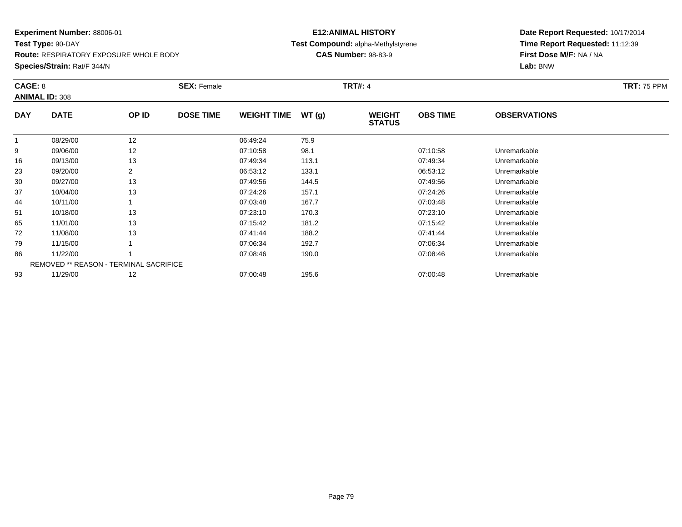**Route:** RESPIRATORY EXPOSURE WHOLE BODY

**Species/Strain:** Rat/F 344/N

## **E12:ANIMAL HISTORY Test Compound:** alpha-Methylstyrene**CAS Number:** 98-83-9

|            | CAGE: 8<br><b>ANIMAL ID: 308</b>              |       | <b>SEX: Female</b> |                    |       | <b>TRT#: 4</b>                 | <b>TRT: 75 PPM</b> |                     |  |
|------------|-----------------------------------------------|-------|--------------------|--------------------|-------|--------------------------------|--------------------|---------------------|--|
| <b>DAY</b> | <b>DATE</b>                                   | OP ID | <b>DOSE TIME</b>   | <b>WEIGHT TIME</b> | WT(g) | <b>WEIGHT</b><br><b>STATUS</b> | <b>OBS TIME</b>    | <b>OBSERVATIONS</b> |  |
|            | 08/29/00                                      | 12    |                    | 06:49:24           | 75.9  |                                |                    |                     |  |
| 9          | 09/06/00                                      | 12    |                    | 07:10:58           | 98.1  |                                | 07:10:58           | Unremarkable        |  |
| 16         | 09/13/00                                      | 13    |                    | 07:49:34           | 113.1 |                                | 07:49:34           | Unremarkable        |  |
| 23         | 09/20/00                                      | 2     |                    | 06:53:12           | 133.1 |                                | 06:53:12           | Unremarkable        |  |
| 30         | 09/27/00                                      | 13    |                    | 07:49:56           | 144.5 |                                | 07:49:56           | Unremarkable        |  |
| 37         | 10/04/00                                      | 13    |                    | 07:24:26           | 157.1 |                                | 07:24:26           | Unremarkable        |  |
| 44         | 10/11/00                                      |       |                    | 07:03:48           | 167.7 |                                | 07:03:48           | Unremarkable        |  |
| 51         | 10/18/00                                      | 13    |                    | 07:23:10           | 170.3 |                                | 07:23:10           | Unremarkable        |  |
| 65         | 11/01/00                                      | 13    |                    | 07:15:42           | 181.2 |                                | 07:15:42           | Unremarkable        |  |
| 72         | 11/08/00                                      | 13    |                    | 07:41:44           | 188.2 |                                | 07:41:44           | Unremarkable        |  |
| 79         | 11/15/00                                      |       |                    | 07:06:34           | 192.7 |                                | 07:06:34           | Unremarkable        |  |
| 86         | 11/22/00                                      |       |                    | 07:08:46           | 190.0 |                                | 07:08:46           | Unremarkable        |  |
|            | <b>REMOVED ** REASON - TERMINAL SACRIFICE</b> |       |                    |                    |       |                                |                    |                     |  |
| 93         | 11/29/00                                      | 12    |                    | 07:00:48           | 195.6 |                                | 07:00:48           | Unremarkable        |  |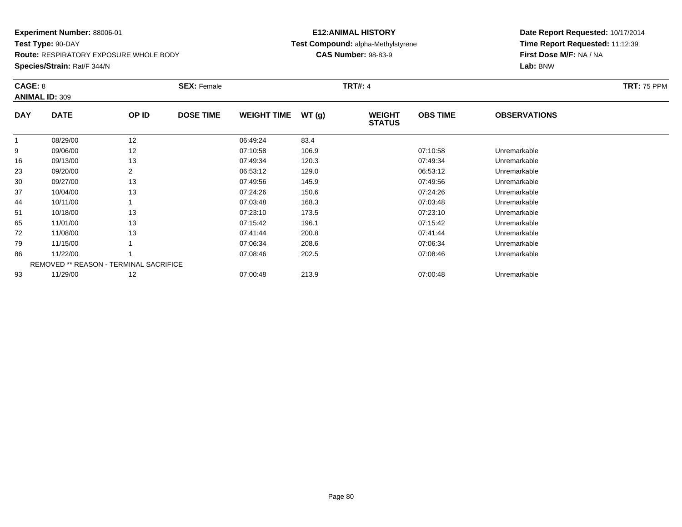**Route:** RESPIRATORY EXPOSURE WHOLE BODY

**Species/Strain:** Rat/F 344/N

## **E12:ANIMAL HISTORY Test Compound:** alpha-Methylstyrene**CAS Number:** 98-83-9

|            | CAGE: 8<br><b>ANIMAL ID: 309</b>              |       | <b>SEX: Female</b> |                    |       | <b>TRT#: 4</b>                 | <b>TRT: 75 PPM</b> |                     |  |
|------------|-----------------------------------------------|-------|--------------------|--------------------|-------|--------------------------------|--------------------|---------------------|--|
| <b>DAY</b> | <b>DATE</b>                                   | OP ID | <b>DOSE TIME</b>   | <b>WEIGHT TIME</b> | WT(g) | <b>WEIGHT</b><br><b>STATUS</b> | <b>OBS TIME</b>    | <b>OBSERVATIONS</b> |  |
| 1          | 08/29/00                                      | 12    |                    | 06:49:24           | 83.4  |                                |                    |                     |  |
| 9          | 09/06/00                                      | 12    |                    | 07:10:58           | 106.9 |                                | 07:10:58           | Unremarkable        |  |
| 16         | 09/13/00                                      | 13    |                    | 07:49:34           | 120.3 |                                | 07:49:34           | Unremarkable        |  |
| 23         | 09/20/00                                      | 2     |                    | 06:53:12           | 129.0 |                                | 06:53:12           | Unremarkable        |  |
| 30         | 09/27/00                                      | 13    |                    | 07:49:56           | 145.9 |                                | 07:49:56           | Unremarkable        |  |
| 37         | 10/04/00                                      | 13    |                    | 07:24:26           | 150.6 |                                | 07:24:26           | Unremarkable        |  |
| 44         | 10/11/00                                      |       |                    | 07:03:48           | 168.3 |                                | 07:03:48           | Unremarkable        |  |
| 51         | 10/18/00                                      | 13    |                    | 07:23:10           | 173.5 |                                | 07:23:10           | Unremarkable        |  |
| 65         | 11/01/00                                      | 13    |                    | 07:15:42           | 196.1 |                                | 07:15:42           | Unremarkable        |  |
| 72         | 11/08/00                                      | 13    |                    | 07:41:44           | 200.8 |                                | 07:41:44           | Unremarkable        |  |
| 79         | 11/15/00                                      |       |                    | 07:06:34           | 208.6 |                                | 07:06:34           | Unremarkable        |  |
| 86         | 11/22/00                                      |       |                    | 07:08:46           | 202.5 |                                | 07:08:46           | Unremarkable        |  |
|            | <b>REMOVED ** REASON - TERMINAL SACRIFICE</b> |       |                    |                    |       |                                |                    |                     |  |
| 93         | 11/29/00                                      | 12    |                    | 07:00:48           | 213.9 |                                | 07:00:48           | Unremarkable        |  |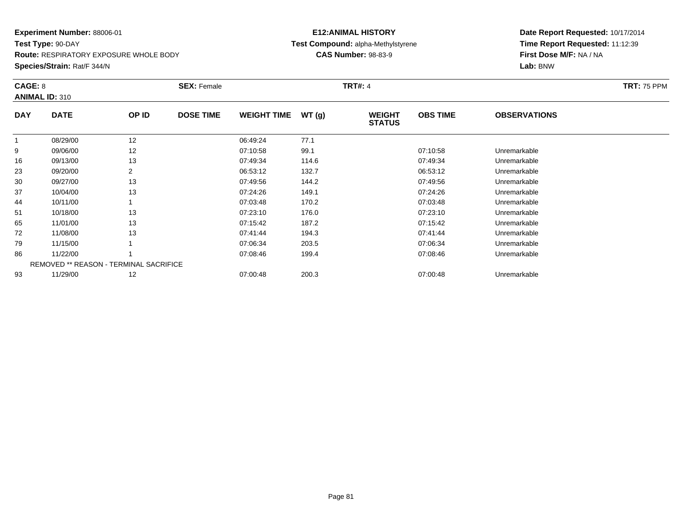**Route:** RESPIRATORY EXPOSURE WHOLE BODY

**Species/Strain:** Rat/F 344/N

## **E12:ANIMAL HISTORY Test Compound:** alpha-Methylstyrene**CAS Number:** 98-83-9

| CAGE: 8    | <b>ANIMAL ID: 310</b>                         |       | <b>SEX: Female</b> |                    |       | <b>TRT#: 4</b>                 |                 |                     | <b>TRT: 75 PPM</b> |
|------------|-----------------------------------------------|-------|--------------------|--------------------|-------|--------------------------------|-----------------|---------------------|--------------------|
| <b>DAY</b> | <b>DATE</b>                                   | OP ID | <b>DOSE TIME</b>   | <b>WEIGHT TIME</b> | WT(g) | <b>WEIGHT</b><br><b>STATUS</b> | <b>OBS TIME</b> | <b>OBSERVATIONS</b> |                    |
|            | 08/29/00                                      | 12    |                    | 06:49:24           | 77.1  |                                |                 |                     |                    |
| 9          | 09/06/00                                      | 12    |                    | 07:10:58           | 99.1  |                                | 07:10:58        | Unremarkable        |                    |
| 16         | 09/13/00                                      | 13    |                    | 07:49:34           | 114.6 |                                | 07:49:34        | Unremarkable        |                    |
| 23         | 09/20/00                                      | 2     |                    | 06:53:12           | 132.7 |                                | 06:53:12        | Unremarkable        |                    |
| 30         | 09/27/00                                      | 13    |                    | 07:49:56           | 144.2 |                                | 07:49:56        | Unremarkable        |                    |
| 37         | 10/04/00                                      | 13    |                    | 07:24:26           | 149.1 |                                | 07:24:26        | Unremarkable        |                    |
| 44         | 10/11/00                                      |       |                    | 07:03:48           | 170.2 |                                | 07:03:48        | Unremarkable        |                    |
| 51         | 10/18/00                                      | 13    |                    | 07:23:10           | 176.0 |                                | 07:23:10        | Unremarkable        |                    |
| 65         | 11/01/00                                      | 13    |                    | 07:15:42           | 187.2 |                                | 07:15:42        | Unremarkable        |                    |
| 72         | 11/08/00                                      | 13    |                    | 07:41:44           | 194.3 |                                | 07:41:44        | Unremarkable        |                    |
| 79         | 11/15/00                                      |       |                    | 07:06:34           | 203.5 |                                | 07:06:34        | Unremarkable        |                    |
| 86         | 11/22/00                                      |       |                    | 07:08:46           | 199.4 |                                | 07:08:46        | Unremarkable        |                    |
|            | <b>REMOVED ** REASON - TERMINAL SACRIFICE</b> |       |                    |                    |       |                                |                 |                     |                    |
| 93         | 11/29/00                                      | 12    |                    | 07:00:48           | 200.3 |                                | 07:00:48        | Unremarkable        |                    |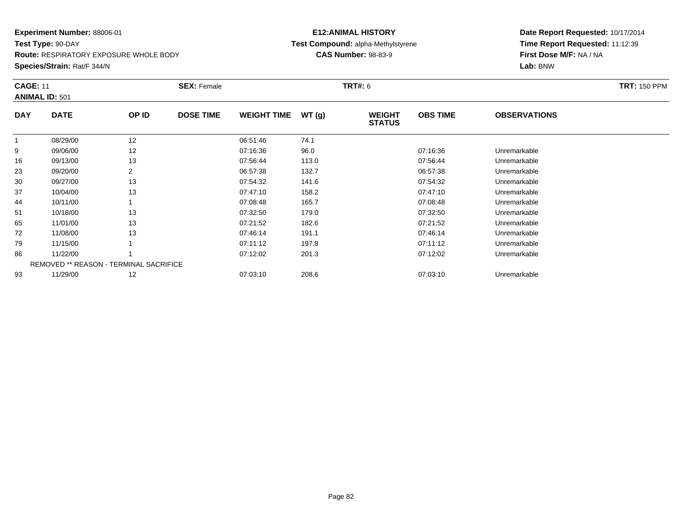**Test Type:** 90-DAY**Route:** RESPIRATORY EXPOSURE WHOLE BODY

**Species/Strain:** Rat/F 344/N

## **E12:ANIMAL HISTORY Test Compound:** alpha-Methylstyrene**CAS Number:** 98-83-9

| <b>CAGE: 11</b> | <b>ANIMAL ID: 501</b>                         |       | <b>SEX: Female</b> |                    |       | <b>TRT#: 6</b>                 |                 |                     | <b>TRT: 150 PPM</b> |
|-----------------|-----------------------------------------------|-------|--------------------|--------------------|-------|--------------------------------|-----------------|---------------------|---------------------|
| <b>DAY</b>      | <b>DATE</b>                                   | OP ID | <b>DOSE TIME</b>   | <b>WEIGHT TIME</b> | WT(g) | <b>WEIGHT</b><br><b>STATUS</b> | <b>OBS TIME</b> | <b>OBSERVATIONS</b> |                     |
|                 | 08/29/00                                      | 12    |                    | 06:51:46           | 74.1  |                                |                 |                     |                     |
| 9               | 09/06/00                                      | 12    |                    | 07:16:36           | 96.0  |                                | 07:16:36        | Unremarkable        |                     |
| 16              | 09/13/00                                      | 13    |                    | 07:56:44           | 113.0 |                                | 07:56:44        | Unremarkable        |                     |
| 23              | 09/20/00                                      | 2     |                    | 06:57:38           | 132.7 |                                | 06:57:38        | Unremarkable        |                     |
| 30              | 09/27/00                                      | 13    |                    | 07:54:32           | 141.6 |                                | 07:54:32        | Unremarkable        |                     |
| 37              | 10/04/00                                      | 13    |                    | 07:47:10           | 158.2 |                                | 07:47:10        | Unremarkable        |                     |
| 44              | 10/11/00                                      |       |                    | 07:08:48           | 165.7 |                                | 07:08:48        | Unremarkable        |                     |
| 51              | 10/18/00                                      | 13    |                    | 07:32:50           | 179.0 |                                | 07:32:50        | Unremarkable        |                     |
| 65              | 11/01/00                                      | 13    |                    | 07:21:52           | 182.6 |                                | 07:21:52        | Unremarkable        |                     |
| 72              | 11/08/00                                      | 13    |                    | 07:46:14           | 191.1 |                                | 07:46:14        | Unremarkable        |                     |
| 79              | 11/15/00                                      |       |                    | 07:11:12           | 197.8 |                                | 07:11:12        | Unremarkable        |                     |
| 86              | 11/22/00                                      |       |                    | 07:12:02           | 201.3 |                                | 07:12:02        | Unremarkable        |                     |
|                 | <b>REMOVED ** REASON - TERMINAL SACRIFICE</b> |       |                    |                    |       |                                |                 |                     |                     |
| 93              | 11/29/00                                      | 12    |                    | 07:03:10           | 208.6 |                                | 07:03:10        | Unremarkable        |                     |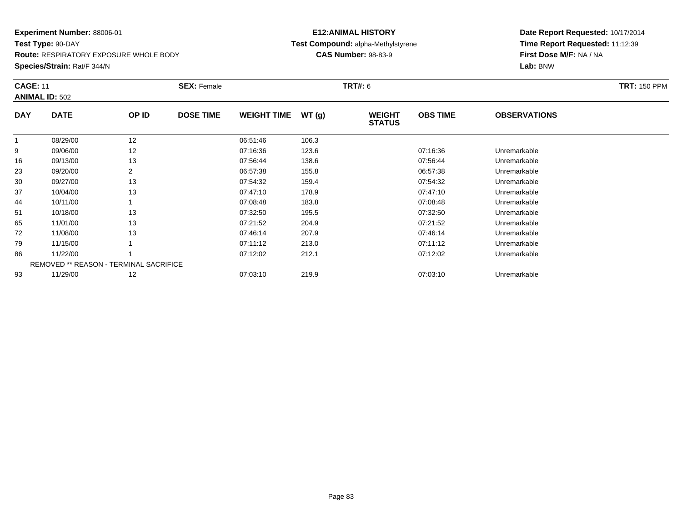**Test Type:** 90-DAY

**Route:** RESPIRATORY EXPOSURE WHOLE BODY

**Species/Strain:** Rat/F 344/N

## **E12:ANIMAL HISTORY Test Compound:** alpha-Methylstyrene**CAS Number:** 98-83-9

| <b>CAGE: 11</b> | <b>ANIMAL ID: 502</b>                         |       | <b>SEX: Female</b> |                    |       | <b>TRT#: 6</b>                 |                 |                     | <b>TRT: 150 PPM</b> |
|-----------------|-----------------------------------------------|-------|--------------------|--------------------|-------|--------------------------------|-----------------|---------------------|---------------------|
| <b>DAY</b>      | <b>DATE</b>                                   | OP ID | <b>DOSE TIME</b>   | <b>WEIGHT TIME</b> | WT(g) | <b>WEIGHT</b><br><b>STATUS</b> | <b>OBS TIME</b> | <b>OBSERVATIONS</b> |                     |
|                 | 08/29/00                                      | 12    |                    | 06:51:46           | 106.3 |                                |                 |                     |                     |
| 9               | 09/06/00                                      | 12    |                    | 07:16:36           | 123.6 |                                | 07:16:36        | Unremarkable        |                     |
| 16              | 09/13/00                                      | 13    |                    | 07:56:44           | 138.6 |                                | 07:56:44        | Unremarkable        |                     |
| 23              | 09/20/00                                      | 2     |                    | 06:57:38           | 155.8 |                                | 06:57:38        | Unremarkable        |                     |
| 30              | 09/27/00                                      | 13    |                    | 07:54:32           | 159.4 |                                | 07:54:32        | Unremarkable        |                     |
| 37              | 10/04/00                                      | 13    |                    | 07:47:10           | 178.9 |                                | 07:47:10        | Unremarkable        |                     |
| 44              | 10/11/00                                      |       |                    | 07:08:48           | 183.8 |                                | 07:08:48        | Unremarkable        |                     |
| 51              | 10/18/00                                      | 13    |                    | 07:32:50           | 195.5 |                                | 07:32:50        | Unremarkable        |                     |
| 65              | 11/01/00                                      | 13    |                    | 07:21:52           | 204.9 |                                | 07:21:52        | Unremarkable        |                     |
| 72              | 11/08/00                                      | 13    |                    | 07:46:14           | 207.9 |                                | 07:46:14        | Unremarkable        |                     |
| 79              | 11/15/00                                      |       |                    | 07:11:12           | 213.0 |                                | 07:11:12        | Unremarkable        |                     |
| 86              | 11/22/00                                      |       |                    | 07:12:02           | 212.1 |                                | 07:12:02        | Unremarkable        |                     |
|                 | <b>REMOVED ** REASON - TERMINAL SACRIFICE</b> |       |                    |                    |       |                                |                 |                     |                     |
| 93              | 11/29/00                                      | 12    |                    | 07:03:10           | 219.9 |                                | 07:03:10        | Unremarkable        |                     |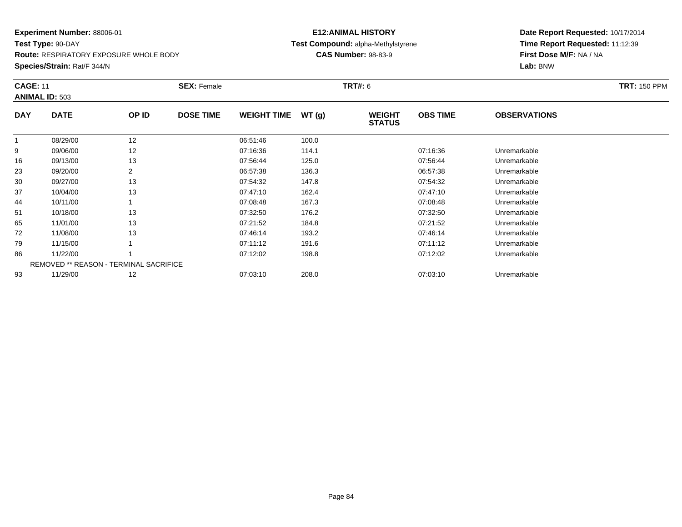**Test Type:** 90-DAY

**Route:** RESPIRATORY EXPOSURE WHOLE BODY

**Species/Strain:** Rat/F 344/N

## **E12:ANIMAL HISTORY Test Compound:** alpha-Methylstyrene**CAS Number:** 98-83-9

| <b>CAGE: 11</b> | <b>ANIMAL ID: 503</b>                  |       | <b>SEX: Female</b> |                    |       | <b>TRT#: 6</b>                 |                 |                     | <b>TRT: 150 PPM</b> |
|-----------------|----------------------------------------|-------|--------------------|--------------------|-------|--------------------------------|-----------------|---------------------|---------------------|
| <b>DAY</b>      | <b>DATE</b>                            | OP ID | <b>DOSE TIME</b>   | <b>WEIGHT TIME</b> | WT(g) | <b>WEIGHT</b><br><b>STATUS</b> | <b>OBS TIME</b> | <b>OBSERVATIONS</b> |                     |
|                 | 08/29/00                               | 12    |                    | 06:51:46           | 100.0 |                                |                 |                     |                     |
| 9               | 09/06/00                               | 12    |                    | 07:16:36           | 114.1 |                                | 07:16:36        | Unremarkable        |                     |
| 16              | 09/13/00                               | 13    |                    | 07:56:44           | 125.0 |                                | 07:56:44        | Unremarkable        |                     |
| 23              | 09/20/00                               | 2     |                    | 06:57:38           | 136.3 |                                | 06:57:38        | Unremarkable        |                     |
| 30              | 09/27/00                               | 13    |                    | 07:54:32           | 147.8 |                                | 07:54:32        | Unremarkable        |                     |
| 37              | 10/04/00                               | 13    |                    | 07:47:10           | 162.4 |                                | 07:47:10        | Unremarkable        |                     |
| 44              | 10/11/00                               |       |                    | 07:08:48           | 167.3 |                                | 07:08:48        | Unremarkable        |                     |
| 51              | 10/18/00                               | 13    |                    | 07:32:50           | 176.2 |                                | 07:32:50        | Unremarkable        |                     |
| 65              | 11/01/00                               | 13    |                    | 07:21:52           | 184.8 |                                | 07:21:52        | Unremarkable        |                     |
| 72              | 11/08/00                               | 13    |                    | 07:46:14           | 193.2 |                                | 07:46:14        | Unremarkable        |                     |
| 79              | 11/15/00                               |       |                    | 07:11:12           | 191.6 |                                | 07:11:12        | Unremarkable        |                     |
| 86              | 11/22/00                               |       |                    | 07:12:02           | 198.8 |                                | 07:12:02        | Unremarkable        |                     |
|                 | REMOVED ** REASON - TERMINAL SACRIFICE |       |                    |                    |       |                                |                 |                     |                     |
| 93              | 11/29/00                               | 12    |                    | 07:03:10           | 208.0 |                                | 07:03:10        | Unremarkable        |                     |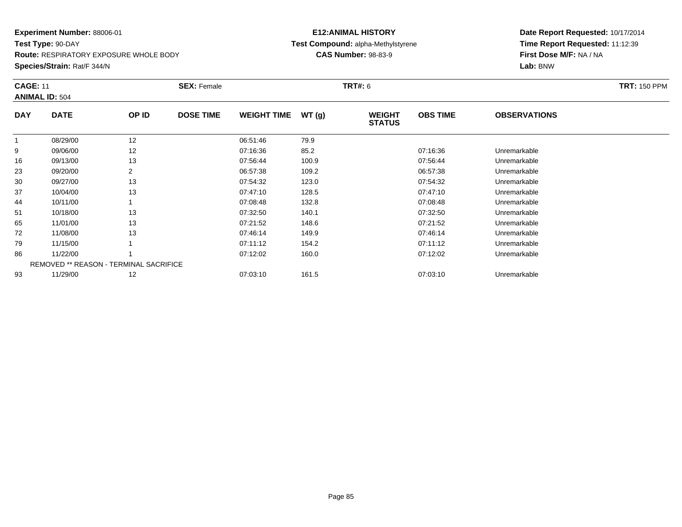**Test Type:** 90-DAY**Route:** RESPIRATORY EXPOSURE WHOLE BODY

**Species/Strain:** Rat/F 344/N

## **E12:ANIMAL HISTORY Test Compound:** alpha-Methylstyrene**CAS Number:** 98-83-9

| <b>CAGE: 11</b> | <b>ANIMAL ID: 504</b>                         |       | <b>SEX: Female</b> |                    |       | <b>TRT#: 6</b>                 |                 |                     | <b>TRT: 150 PPM</b> |
|-----------------|-----------------------------------------------|-------|--------------------|--------------------|-------|--------------------------------|-----------------|---------------------|---------------------|
| <b>DAY</b>      | <b>DATE</b>                                   | OP ID | <b>DOSE TIME</b>   | <b>WEIGHT TIME</b> | WT(g) | <b>WEIGHT</b><br><b>STATUS</b> | <b>OBS TIME</b> | <b>OBSERVATIONS</b> |                     |
|                 | 08/29/00                                      | 12    |                    | 06:51:46           | 79.9  |                                |                 |                     |                     |
| 9               | 09/06/00                                      | 12    |                    | 07:16:36           | 85.2  |                                | 07:16:36        | Unremarkable        |                     |
| 16              | 09/13/00                                      | 13    |                    | 07:56:44           | 100.9 |                                | 07:56:44        | Unremarkable        |                     |
| 23              | 09/20/00                                      | 2     |                    | 06:57:38           | 109.2 |                                | 06:57:38        | Unremarkable        |                     |
| 30              | 09/27/00                                      | 13    |                    | 07:54:32           | 123.0 |                                | 07:54:32        | Unremarkable        |                     |
| 37              | 10/04/00                                      | 13    |                    | 07:47:10           | 128.5 |                                | 07:47:10        | Unremarkable        |                     |
| 44              | 10/11/00                                      |       |                    | 07:08:48           | 132.8 |                                | 07:08:48        | Unremarkable        |                     |
| 51              | 10/18/00                                      | 13    |                    | 07:32:50           | 140.1 |                                | 07:32:50        | Unremarkable        |                     |
| 65              | 11/01/00                                      | 13    |                    | 07:21:52           | 148.6 |                                | 07:21:52        | Unremarkable        |                     |
| 72              | 11/08/00                                      | 13    |                    | 07:46:14           | 149.9 |                                | 07:46:14        | Unremarkable        |                     |
| 79              | 11/15/00                                      |       |                    | 07:11:12           | 154.2 |                                | 07:11:12        | Unremarkable        |                     |
| 86              | 11/22/00                                      |       |                    | 07:12:02           | 160.0 |                                | 07:12:02        | Unremarkable        |                     |
|                 | <b>REMOVED ** REASON - TERMINAL SACRIFICE</b> |       |                    |                    |       |                                |                 |                     |                     |
| 93              | 11/29/00                                      | 12    |                    | 07:03:10           | 161.5 |                                | 07:03:10        | Unremarkable        |                     |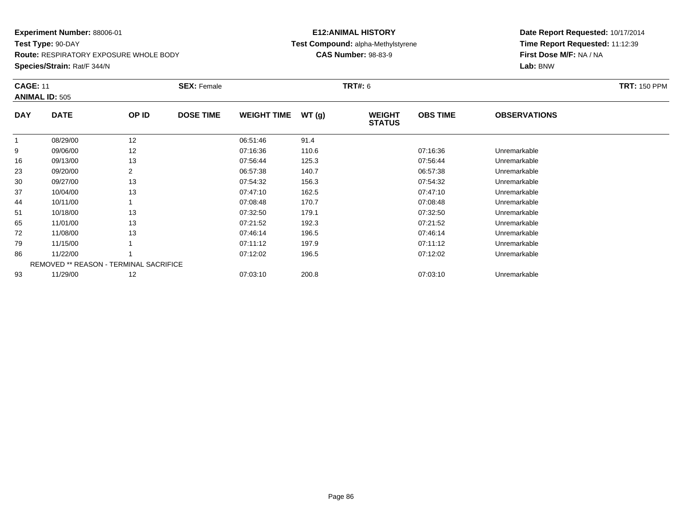**Test Type:** 90-DAY

**Route:** RESPIRATORY EXPOSURE WHOLE BODY

**Species/Strain:** Rat/F 344/N

## **E12:ANIMAL HISTORY Test Compound:** alpha-Methylstyrene**CAS Number:** 98-83-9

| <b>CAGE: 11</b> | <b>ANIMAL ID: 505</b>                         |       | <b>SEX: Female</b> |                    |       | <b>TRT#: 6</b>                 |                 |                     | <b>TRT: 150 PPM</b> |
|-----------------|-----------------------------------------------|-------|--------------------|--------------------|-------|--------------------------------|-----------------|---------------------|---------------------|
| <b>DAY</b>      | <b>DATE</b>                                   | OP ID | <b>DOSE TIME</b>   | <b>WEIGHT TIME</b> | WT(g) | <b>WEIGHT</b><br><b>STATUS</b> | <b>OBS TIME</b> | <b>OBSERVATIONS</b> |                     |
|                 | 08/29/00                                      | 12    |                    | 06:51:46           | 91.4  |                                |                 |                     |                     |
| 9               | 09/06/00                                      | 12    |                    | 07:16:36           | 110.6 |                                | 07:16:36        | Unremarkable        |                     |
| 16              | 09/13/00                                      | 13    |                    | 07:56:44           | 125.3 |                                | 07:56:44        | Unremarkable        |                     |
| 23              | 09/20/00                                      | 2     |                    | 06:57:38           | 140.7 |                                | 06:57:38        | Unremarkable        |                     |
| 30              | 09/27/00                                      | 13    |                    | 07:54:32           | 156.3 |                                | 07:54:32        | Unremarkable        |                     |
| 37              | 10/04/00                                      | 13    |                    | 07:47:10           | 162.5 |                                | 07:47:10        | Unremarkable        |                     |
| 44              | 10/11/00                                      |       |                    | 07:08:48           | 170.7 |                                | 07:08:48        | Unremarkable        |                     |
| 51              | 10/18/00                                      | 13    |                    | 07:32:50           | 179.1 |                                | 07:32:50        | Unremarkable        |                     |
| 65              | 11/01/00                                      | 13    |                    | 07:21:52           | 192.3 |                                | 07:21:52        | Unremarkable        |                     |
| 72              | 11/08/00                                      | 13    |                    | 07:46:14           | 196.5 |                                | 07:46:14        | Unremarkable        |                     |
| 79              | 11/15/00                                      |       |                    | 07:11:12           | 197.9 |                                | 07:11:12        | Unremarkable        |                     |
| 86              | 11/22/00                                      |       |                    | 07:12:02           | 196.5 |                                | 07:12:02        | Unremarkable        |                     |
|                 | <b>REMOVED ** REASON - TERMINAL SACRIFICE</b> |       |                    |                    |       |                                |                 |                     |                     |
| 93              | 11/29/00                                      | 12    |                    | 07:03:10           | 200.8 |                                | 07:03:10        | Unremarkable        |                     |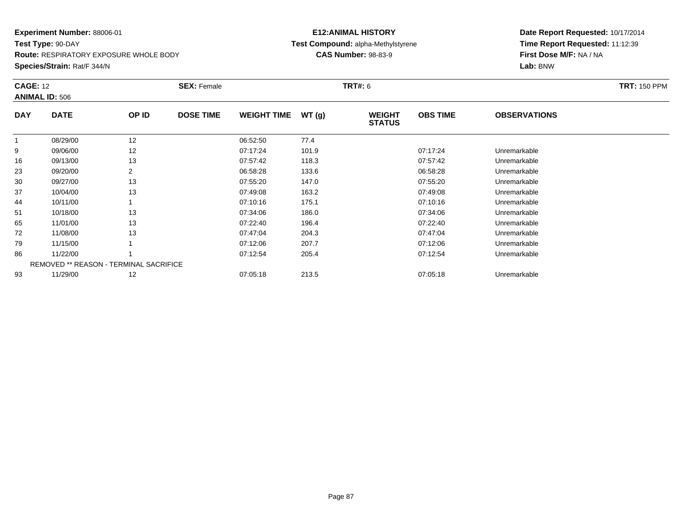**Test Type:** 90-DAY

**Route:** RESPIRATORY EXPOSURE WHOLE BODY

**Species/Strain:** Rat/F 344/N

## **E12:ANIMAL HISTORY Test Compound:** alpha-Methylstyrene**CAS Number:** 98-83-9

| <b>CAGE: 12</b> | <b>ANIMAL ID: 506</b>                         |       | <b>SEX: Female</b> |                    |       | <b>TRT#: 6</b>                 |                 |                     | <b>TRT: 150 PPM</b> |
|-----------------|-----------------------------------------------|-------|--------------------|--------------------|-------|--------------------------------|-----------------|---------------------|---------------------|
| <b>DAY</b>      | <b>DATE</b>                                   | OP ID | <b>DOSE TIME</b>   | <b>WEIGHT TIME</b> | WT(g) | <b>WEIGHT</b><br><b>STATUS</b> | <b>OBS TIME</b> | <b>OBSERVATIONS</b> |                     |
|                 | 08/29/00                                      | 12    |                    | 06:52:50           | 77.4  |                                |                 |                     |                     |
| 9               | 09/06/00                                      | 12    |                    | 07:17:24           | 101.9 |                                | 07:17:24        | Unremarkable        |                     |
| 16              | 09/13/00                                      | 13    |                    | 07:57:42           | 118.3 |                                | 07:57:42        | Unremarkable        |                     |
| 23              | 09/20/00                                      | 2     |                    | 06:58:28           | 133.6 |                                | 06:58:28        | Unremarkable        |                     |
| 30              | 09/27/00                                      | 13    |                    | 07:55:20           | 147.0 |                                | 07:55:20        | Unremarkable        |                     |
| 37              | 10/04/00                                      | 13    |                    | 07:49:08           | 163.2 |                                | 07:49:08        | Unremarkable        |                     |
| 44              | 10/11/00                                      |       |                    | 07:10:16           | 175.1 |                                | 07:10:16        | Unremarkable        |                     |
| 51              | 10/18/00                                      | 13    |                    | 07:34:06           | 186.0 |                                | 07:34:06        | Unremarkable        |                     |
| 65              | 11/01/00                                      | 13    |                    | 07:22:40           | 196.4 |                                | 07:22:40        | Unremarkable        |                     |
| 72              | 11/08/00                                      | 13    |                    | 07:47:04           | 204.3 |                                | 07:47:04        | Unremarkable        |                     |
| 79              | 11/15/00                                      |       |                    | 07:12:06           | 207.7 |                                | 07:12:06        | Unremarkable        |                     |
| 86              | 11/22/00                                      |       |                    | 07:12:54           | 205.4 |                                | 07:12:54        | Unremarkable        |                     |
|                 | <b>REMOVED ** REASON - TERMINAL SACRIFICE</b> |       |                    |                    |       |                                |                 |                     |                     |
| 93              | 11/29/00                                      | 12    |                    | 07:05:18           | 213.5 |                                | 07:05:18        | Unremarkable        |                     |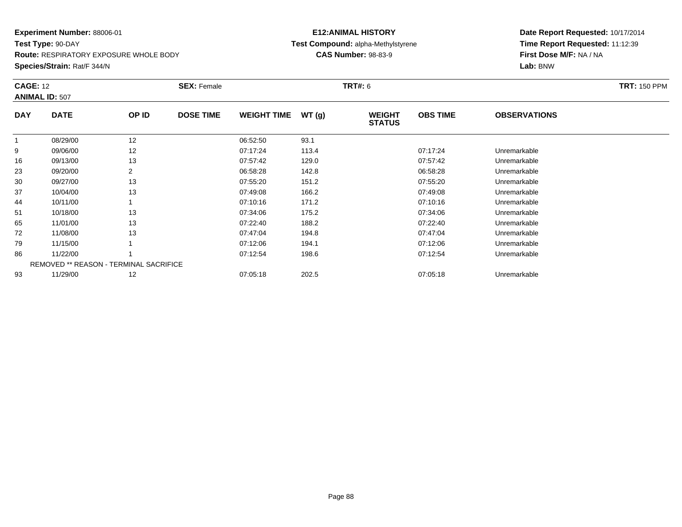**Test Type:** 90-DAY

**Route:** RESPIRATORY EXPOSURE WHOLE BODY

**Species/Strain:** Rat/F 344/N

## **E12:ANIMAL HISTORY Test Compound:** alpha-Methylstyrene**CAS Number:** 98-83-9

|            | <b>CAGE: 12</b><br><b>ANIMAL ID: 507</b> |       | <b>SEX: Female</b> |                    |       | <b>TRT#: 6</b>                 | <b>TRT: 150 PPM</b> |                     |  |
|------------|------------------------------------------|-------|--------------------|--------------------|-------|--------------------------------|---------------------|---------------------|--|
| <b>DAY</b> | <b>DATE</b>                              | OP ID | <b>DOSE TIME</b>   | <b>WEIGHT TIME</b> | WT(g) | <b>WEIGHT</b><br><b>STATUS</b> | <b>OBS TIME</b>     | <b>OBSERVATIONS</b> |  |
|            | 08/29/00                                 | 12    |                    | 06:52:50           | 93.1  |                                |                     |                     |  |
| 9          | 09/06/00                                 | 12    |                    | 07:17:24           | 113.4 |                                | 07:17:24            | Unremarkable        |  |
| 16         | 09/13/00                                 | 13    |                    | 07:57:42           | 129.0 |                                | 07:57:42            | Unremarkable        |  |
| 23         | 09/20/00                                 | 2     |                    | 06:58:28           | 142.8 |                                | 06:58:28            | Unremarkable        |  |
| 30         | 09/27/00                                 | 13    |                    | 07:55:20           | 151.2 |                                | 07:55:20            | Unremarkable        |  |
| 37         | 10/04/00                                 | 13    |                    | 07:49:08           | 166.2 |                                | 07:49:08            | Unremarkable        |  |
| 44         | 10/11/00                                 |       |                    | 07:10:16           | 171.2 |                                | 07:10:16            | Unremarkable        |  |
| 51         | 10/18/00                                 | 13    |                    | 07:34:06           | 175.2 |                                | 07:34:06            | Unremarkable        |  |
| 65         | 11/01/00                                 | 13    |                    | 07:22:40           | 188.2 |                                | 07:22:40            | Unremarkable        |  |
| 72         | 11/08/00                                 | 13    |                    | 07:47:04           | 194.8 |                                | 07:47:04            | Unremarkable        |  |
| 79         | 11/15/00                                 |       |                    | 07:12:06           | 194.1 |                                | 07:12:06            | Unremarkable        |  |
| 86         | 11/22/00                                 |       |                    | 07:12:54           | 198.6 |                                | 07:12:54            | Unremarkable        |  |
|            | REMOVED ** REASON - TERMINAL SACRIFICE   |       |                    |                    |       |                                |                     |                     |  |
| 93         | 11/29/00                                 | 12    |                    | 07:05:18           | 202.5 |                                | 07:05:18            | Unremarkable        |  |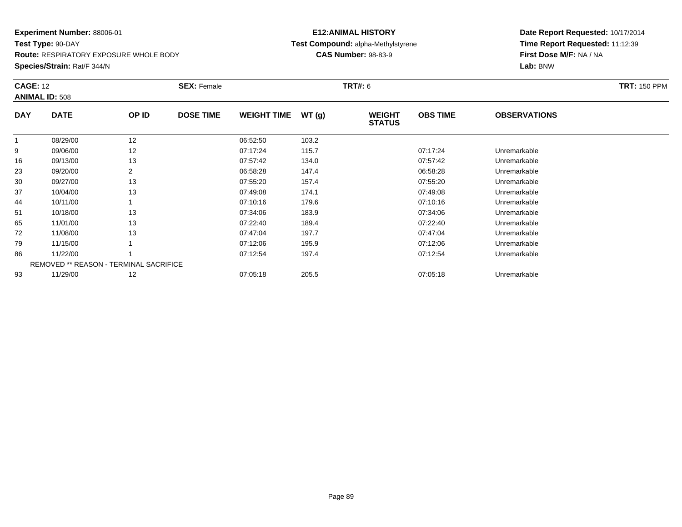**Test Type:** 90-DAY

**Route:** RESPIRATORY EXPOSURE WHOLE BODY

**Species/Strain:** Rat/F 344/N

## **E12:ANIMAL HISTORY Test Compound:** alpha-Methylstyrene**CAS Number:** 98-83-9

| <b>CAGE: 12</b> | <b>ANIMAL ID: 508</b>                         |       | <b>SEX: Female</b> |                    |       | <b>TRT#: 6</b>                 |                 |                     | <b>TRT: 150 PPM</b> |
|-----------------|-----------------------------------------------|-------|--------------------|--------------------|-------|--------------------------------|-----------------|---------------------|---------------------|
| <b>DAY</b>      | <b>DATE</b>                                   | OP ID | <b>DOSE TIME</b>   | <b>WEIGHT TIME</b> | WT(g) | <b>WEIGHT</b><br><b>STATUS</b> | <b>OBS TIME</b> | <b>OBSERVATIONS</b> |                     |
| 1               | 08/29/00                                      | 12    |                    | 06:52:50           | 103.2 |                                |                 |                     |                     |
| 9               | 09/06/00                                      | 12    |                    | 07:17:24           | 115.7 |                                | 07:17:24        | Unremarkable        |                     |
| 16              | 09/13/00                                      | 13    |                    | 07:57:42           | 134.0 |                                | 07:57:42        | Unremarkable        |                     |
| 23              | 09/20/00                                      | 2     |                    | 06:58:28           | 147.4 |                                | 06:58:28        | Unremarkable        |                     |
| 30              | 09/27/00                                      | 13    |                    | 07:55:20           | 157.4 |                                | 07:55:20        | Unremarkable        |                     |
| 37              | 10/04/00                                      | 13    |                    | 07:49:08           | 174.1 |                                | 07:49:08        | Unremarkable        |                     |
| 44              | 10/11/00                                      |       |                    | 07:10:16           | 179.6 |                                | 07:10:16        | Unremarkable        |                     |
| 51              | 10/18/00                                      | 13    |                    | 07:34:06           | 183.9 |                                | 07:34:06        | Unremarkable        |                     |
| 65              | 11/01/00                                      | 13    |                    | 07:22:40           | 189.4 |                                | 07:22:40        | Unremarkable        |                     |
| 72              | 11/08/00                                      | 13    |                    | 07:47:04           | 197.7 |                                | 07:47:04        | Unremarkable        |                     |
| 79              | 11/15/00                                      |       |                    | 07:12:06           | 195.9 |                                | 07:12:06        | Unremarkable        |                     |
| 86              | 11/22/00                                      |       |                    | 07:12:54           | 197.4 |                                | 07:12:54        | Unremarkable        |                     |
|                 | <b>REMOVED ** REASON - TERMINAL SACRIFICE</b> |       |                    |                    |       |                                |                 |                     |                     |
| 93              | 11/29/00                                      | 12    |                    | 07:05:18           | 205.5 |                                | 07:05:18        | Unremarkable        |                     |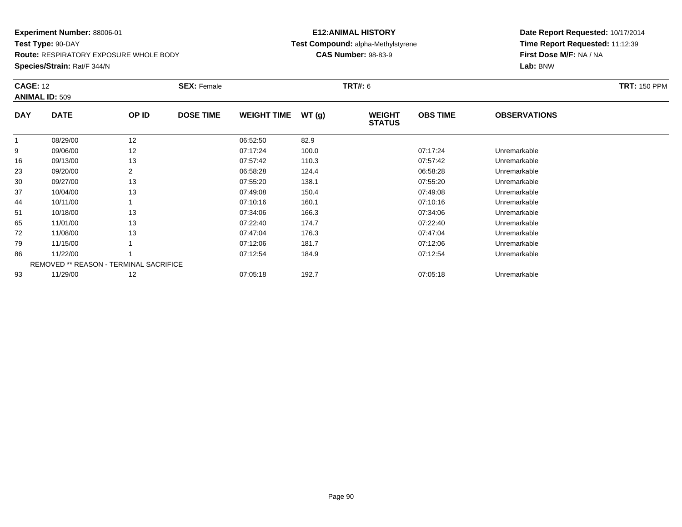**Test Type:** 90-DAY

**Route:** RESPIRATORY EXPOSURE WHOLE BODY

**Species/Strain:** Rat/F 344/N

## **E12:ANIMAL HISTORY Test Compound:** alpha-Methylstyrene**CAS Number:** 98-83-9

| <b>CAGE: 12</b> | <b>ANIMAL ID: 509</b>                  |       | <b>SEX: Female</b> |                    |       | <b>TRT#: 6</b>                 |                 |                     | <b>TRT: 150 PPM</b> |
|-----------------|----------------------------------------|-------|--------------------|--------------------|-------|--------------------------------|-----------------|---------------------|---------------------|
| <b>DAY</b>      | <b>DATE</b>                            | OP ID | <b>DOSE TIME</b>   | <b>WEIGHT TIME</b> | WT(g) | <b>WEIGHT</b><br><b>STATUS</b> | <b>OBS TIME</b> | <b>OBSERVATIONS</b> |                     |
|                 | 08/29/00                               | 12    |                    | 06:52:50           | 82.9  |                                |                 |                     |                     |
| 9               | 09/06/00                               | 12    |                    | 07:17:24           | 100.0 |                                | 07:17:24        | Unremarkable        |                     |
| 16              | 09/13/00                               | 13    |                    | 07:57:42           | 110.3 |                                | 07:57:42        | Unremarkable        |                     |
| 23              | 09/20/00                               | 2     |                    | 06:58:28           | 124.4 |                                | 06:58:28        | Unremarkable        |                     |
| 30              | 09/27/00                               | 13    |                    | 07:55:20           | 138.1 |                                | 07:55:20        | Unremarkable        |                     |
| 37              | 10/04/00                               | 13    |                    | 07:49:08           | 150.4 |                                | 07:49:08        | Unremarkable        |                     |
| 44              | 10/11/00                               |       |                    | 07:10:16           | 160.1 |                                | 07:10:16        | Unremarkable        |                     |
| 51              | 10/18/00                               | 13    |                    | 07:34:06           | 166.3 |                                | 07:34:06        | Unremarkable        |                     |
| 65              | 11/01/00                               | 13    |                    | 07:22:40           | 174.7 |                                | 07:22:40        | Unremarkable        |                     |
| 72              | 11/08/00                               | 13    |                    | 07:47:04           | 176.3 |                                | 07:47:04        | Unremarkable        |                     |
| 79              | 11/15/00                               |       |                    | 07:12:06           | 181.7 |                                | 07:12:06        | Unremarkable        |                     |
| 86              | 11/22/00                               |       |                    | 07:12:54           | 184.9 |                                | 07:12:54        | Unremarkable        |                     |
|                 | REMOVED ** REASON - TERMINAL SACRIFICE |       |                    |                    |       |                                |                 |                     |                     |
| 93              | 11/29/00                               | 12    |                    | 07:05:18           | 192.7 |                                | 07:05:18        | Unremarkable        |                     |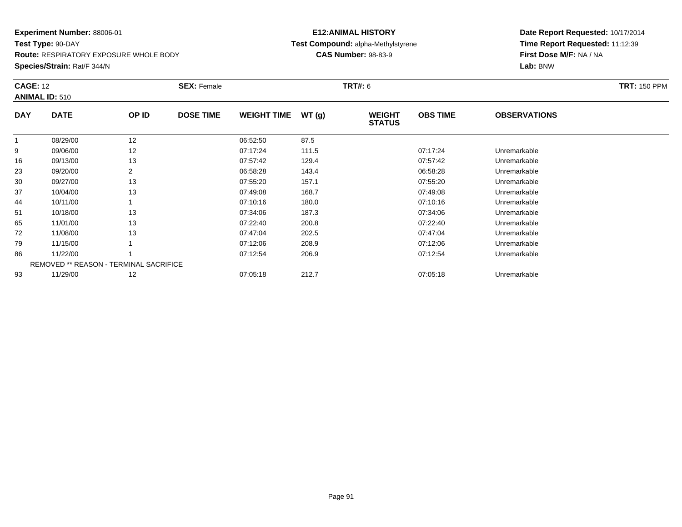**Test Type:** 90-DAY

**Route:** RESPIRATORY EXPOSURE WHOLE BODY

**Species/Strain:** Rat/F 344/N

## **E12:ANIMAL HISTORY Test Compound:** alpha-Methylstyrene**CAS Number:** 98-83-9

| <b>CAGE: 12</b> | <b>ANIMAL ID: 510</b>                  | <b>SEX: Female</b> |                  |                    |       | <b>TRT#: 6</b>                 |                 |                     | <b>TRT: 150 PPM</b> |
|-----------------|----------------------------------------|--------------------|------------------|--------------------|-------|--------------------------------|-----------------|---------------------|---------------------|
| <b>DAY</b>      | <b>DATE</b>                            | OP ID              | <b>DOSE TIME</b> | <b>WEIGHT TIME</b> | WT(g) | <b>WEIGHT</b><br><b>STATUS</b> | <b>OBS TIME</b> | <b>OBSERVATIONS</b> |                     |
|                 | 08/29/00                               | 12                 |                  | 06:52:50           | 87.5  |                                |                 |                     |                     |
| 9               | 09/06/00                               | 12                 |                  | 07:17:24           | 111.5 |                                | 07:17:24        | Unremarkable        |                     |
| 16              | 09/13/00                               | 13                 |                  | 07:57:42           | 129.4 |                                | 07:57:42        | Unremarkable        |                     |
| 23              | 09/20/00                               |                    |                  | 06:58:28           | 143.4 |                                | 06:58:28        | Unremarkable        |                     |
| 30              | 09/27/00                               | 13                 |                  | 07:55:20           | 157.1 |                                | 07:55:20        | Unremarkable        |                     |
| 37              | 10/04/00                               | 13                 |                  | 07:49:08           | 168.7 |                                | 07:49:08        | Unremarkable        |                     |
| 44              | 10/11/00                               |                    |                  | 07:10:16           | 180.0 |                                | 07:10:16        | Unremarkable        |                     |
| 51              | 10/18/00                               | 13                 |                  | 07:34:06           | 187.3 |                                | 07:34:06        | Unremarkable        |                     |
| 65              | 11/01/00                               | 13                 |                  | 07:22:40           | 200.8 |                                | 07:22:40        | Unremarkable        |                     |
| 72              | 11/08/00                               | 13                 |                  | 07:47:04           | 202.5 |                                | 07:47:04        | Unremarkable        |                     |
| 79              | 11/15/00                               |                    |                  | 07:12:06           | 208.9 |                                | 07:12:06        | Unremarkable        |                     |
| 86              | 11/22/00                               |                    |                  | 07:12:54           | 206.9 |                                | 07:12:54        | Unremarkable        |                     |
|                 | REMOVED ** REASON - TERMINAL SACRIFICE |                    |                  |                    |       |                                |                 |                     |                     |
| 93              | 11/29/00                               | 12                 |                  | 07:05:18           | 212.7 |                                | 07:05:18        | Unremarkable        |                     |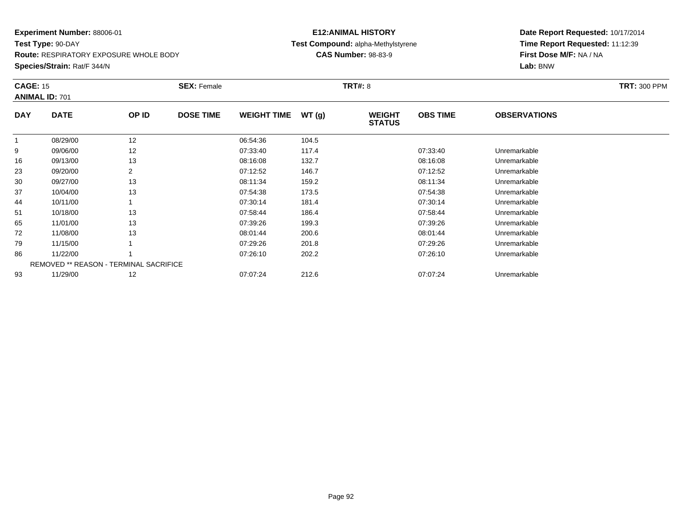**Test Type:** 90-DAY

**Route:** RESPIRATORY EXPOSURE WHOLE BODY

**Species/Strain:** Rat/F 344/N

## **E12:ANIMAL HISTORY Test Compound:** alpha-Methylstyrene**CAS Number:** 98-83-9

|            | <b>CAGE: 15</b><br><b>ANIMAL ID: 701</b>      |       | <b>SEX: Female</b> |                    |       | <b>TRT#: 8</b>                 | <b>TRT: 300 PPM</b> |                     |  |
|------------|-----------------------------------------------|-------|--------------------|--------------------|-------|--------------------------------|---------------------|---------------------|--|
| <b>DAY</b> | <b>DATE</b>                                   | OP ID | <b>DOSE TIME</b>   | <b>WEIGHT TIME</b> | WT(g) | <b>WEIGHT</b><br><b>STATUS</b> | <b>OBS TIME</b>     | <b>OBSERVATIONS</b> |  |
|            | 08/29/00                                      | 12    |                    | 06:54:36           | 104.5 |                                |                     |                     |  |
| 9          | 09/06/00                                      | 12    |                    | 07:33:40           | 117.4 |                                | 07:33:40            | Unremarkable        |  |
| 16         | 09/13/00                                      | 13    |                    | 08:16:08           | 132.7 |                                | 08:16:08            | Unremarkable        |  |
| 23         | 09/20/00                                      | 2     |                    | 07:12:52           | 146.7 |                                | 07:12:52            | Unremarkable        |  |
| 30         | 09/27/00                                      | 13    |                    | 08:11:34           | 159.2 |                                | 08:11:34            | Unremarkable        |  |
| 37         | 10/04/00                                      | 13    |                    | 07:54:38           | 173.5 |                                | 07:54:38            | Unremarkable        |  |
| 44         | 10/11/00                                      |       |                    | 07:30:14           | 181.4 |                                | 07:30:14            | Unremarkable        |  |
| 51         | 10/18/00                                      | 13    |                    | 07:58:44           | 186.4 |                                | 07:58:44            | Unremarkable        |  |
| 65         | 11/01/00                                      | 13    |                    | 07:39:26           | 199.3 |                                | 07:39:26            | Unremarkable        |  |
| 72         | 11/08/00                                      | 13    |                    | 08:01:44           | 200.6 |                                | 08:01:44            | Unremarkable        |  |
| 79         | 11/15/00                                      |       |                    | 07:29:26           | 201.8 |                                | 07:29:26            | Unremarkable        |  |
| 86         | 11/22/00                                      |       |                    | 07:26:10           | 202.2 |                                | 07:26:10            | Unremarkable        |  |
|            | <b>REMOVED ** REASON - TERMINAL SACRIFICE</b> |       |                    |                    |       |                                |                     |                     |  |
| 93         | 11/29/00                                      | 12    |                    | 07:07:24           | 212.6 |                                | 07:07:24            | Unremarkable        |  |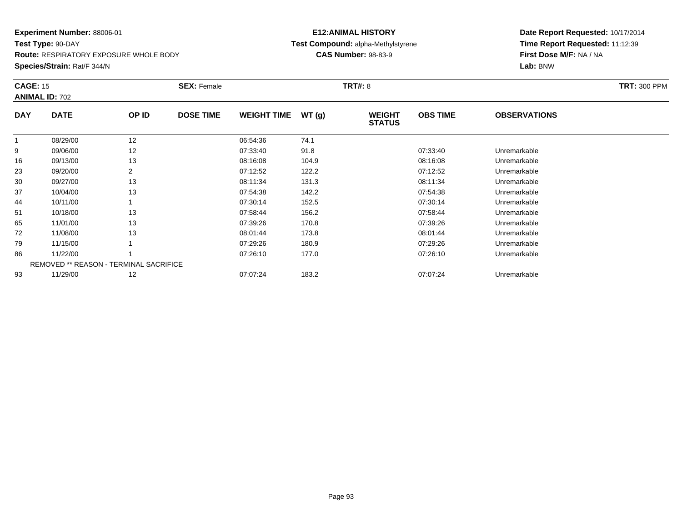**Test Type:** 90-DAY

**Route:** RESPIRATORY EXPOSURE WHOLE BODY

**Species/Strain:** Rat/F 344/N

## **E12:ANIMAL HISTORY Test Compound:** alpha-Methylstyrene**CAS Number:** 98-83-9

| <b>CAGE: 15</b> | <b>ANIMAL ID: 702</b>                         |                | <b>SEX: Female</b> |                    |       | <b>TRT#: 8</b>                 |                 |                     | <b>TRT: 300 PPM</b> |
|-----------------|-----------------------------------------------|----------------|--------------------|--------------------|-------|--------------------------------|-----------------|---------------------|---------------------|
| <b>DAY</b>      | <b>DATE</b>                                   | OP ID          | <b>DOSE TIME</b>   | <b>WEIGHT TIME</b> | WT(g) | <b>WEIGHT</b><br><b>STATUS</b> | <b>OBS TIME</b> | <b>OBSERVATIONS</b> |                     |
|                 | 08/29/00                                      | 12             |                    | 06:54:36           | 74.1  |                                |                 |                     |                     |
| 9               | 09/06/00                                      | 12             |                    | 07:33:40           | 91.8  |                                | 07:33:40        | Unremarkable        |                     |
| 16              | 09/13/00                                      | 13             |                    | 08:16:08           | 104.9 |                                | 08:16:08        | Unremarkable        |                     |
| 23              | 09/20/00                                      | $\overline{2}$ |                    | 07:12:52           | 122.2 |                                | 07:12:52        | Unremarkable        |                     |
| 30              | 09/27/00                                      | 13             |                    | 08:11:34           | 131.3 |                                | 08:11:34        | Unremarkable        |                     |
| 37              | 10/04/00                                      | 13             |                    | 07:54:38           | 142.2 |                                | 07:54:38        | Unremarkable        |                     |
| 44              | 10/11/00                                      |                |                    | 07:30:14           | 152.5 |                                | 07:30:14        | Unremarkable        |                     |
| 51              | 10/18/00                                      | 13             |                    | 07:58:44           | 156.2 |                                | 07:58:44        | Unremarkable        |                     |
| 65              | 11/01/00                                      | 13             |                    | 07:39:26           | 170.8 |                                | 07:39:26        | Unremarkable        |                     |
| 72              | 11/08/00                                      | 13             |                    | 08:01:44           | 173.8 |                                | 08:01:44        | Unremarkable        |                     |
| 79              | 11/15/00                                      |                |                    | 07:29:26           | 180.9 |                                | 07:29:26        | Unremarkable        |                     |
| 86              | 11/22/00                                      |                |                    | 07:26:10           | 177.0 |                                | 07:26:10        | Unremarkable        |                     |
|                 | <b>REMOVED ** REASON - TERMINAL SACRIFICE</b> |                |                    |                    |       |                                |                 |                     |                     |
| 93              | 11/29/00                                      | 12             |                    | 07:07:24           | 183.2 |                                | 07:07:24        | Unremarkable        |                     |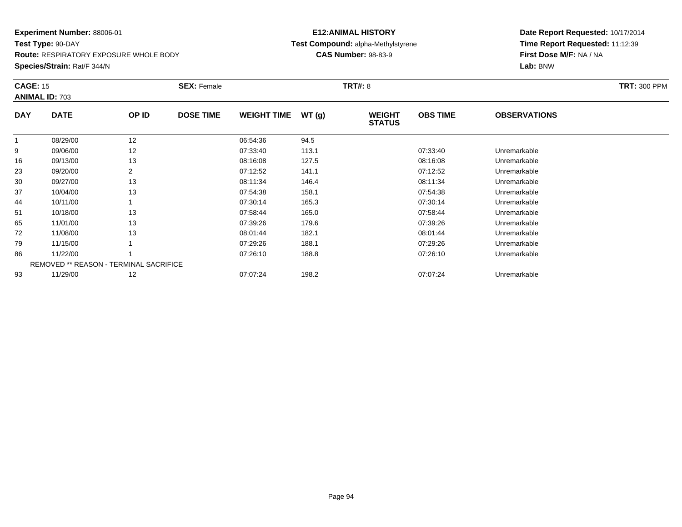**Test Type:** 90-DAY

**Route:** RESPIRATORY EXPOSURE WHOLE BODY

**Species/Strain:** Rat/F 344/N

## **E12:ANIMAL HISTORY Test Compound:** alpha-Methylstyrene**CAS Number:** 98-83-9

| <b>CAGE: 15</b> | <b>ANIMAL ID: 703</b>                         |       | <b>SEX: Female</b> |                    |       | <b>TRT#: 8</b>                 |                 |                     | <b>TRT: 300 PPM</b> |
|-----------------|-----------------------------------------------|-------|--------------------|--------------------|-------|--------------------------------|-----------------|---------------------|---------------------|
| <b>DAY</b>      | <b>DATE</b>                                   | OP ID | <b>DOSE TIME</b>   | <b>WEIGHT TIME</b> | WT(g) | <b>WEIGHT</b><br><b>STATUS</b> | <b>OBS TIME</b> | <b>OBSERVATIONS</b> |                     |
|                 | 08/29/00                                      | 12    |                    | 06:54:36           | 94.5  |                                |                 |                     |                     |
| 9               | 09/06/00                                      | 12    |                    | 07:33:40           | 113.1 |                                | 07:33:40        | Unremarkable        |                     |
| 16              | 09/13/00                                      | 13    |                    | 08:16:08           | 127.5 |                                | 08:16:08        | Unremarkable        |                     |
| 23              | 09/20/00                                      | 2     |                    | 07:12:52           | 141.1 |                                | 07:12:52        | Unremarkable        |                     |
| 30              | 09/27/00                                      | 13    |                    | 08:11:34           | 146.4 |                                | 08:11:34        | Unremarkable        |                     |
| 37              | 10/04/00                                      | 13    |                    | 07:54:38           | 158.1 |                                | 07:54:38        | Unremarkable        |                     |
| 44              | 10/11/00                                      |       |                    | 07:30:14           | 165.3 |                                | 07:30:14        | Unremarkable        |                     |
| 51              | 10/18/00                                      | 13    |                    | 07:58:44           | 165.0 |                                | 07:58:44        | Unremarkable        |                     |
| 65              | 11/01/00                                      | 13    |                    | 07:39:26           | 179.6 |                                | 07:39:26        | Unremarkable        |                     |
| 72              | 11/08/00                                      | 13    |                    | 08:01:44           | 182.1 |                                | 08:01:44        | Unremarkable        |                     |
| 79              | 11/15/00                                      |       |                    | 07:29:26           | 188.1 |                                | 07:29:26        | Unremarkable        |                     |
| 86              | 11/22/00                                      |       |                    | 07:26:10           | 188.8 |                                | 07:26:10        | Unremarkable        |                     |
|                 | <b>REMOVED ** REASON - TERMINAL SACRIFICE</b> |       |                    |                    |       |                                |                 |                     |                     |
| 93              | 11/29/00                                      | 12    |                    | 07:07:24           | 198.2 |                                | 07:07:24        | Unremarkable        |                     |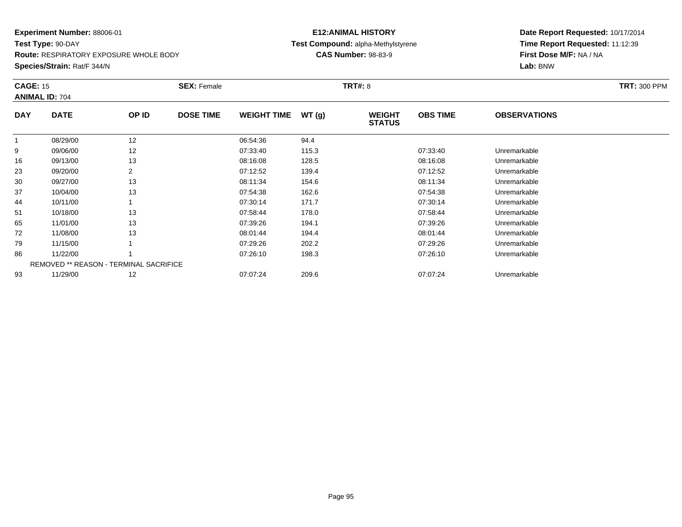**Test Type:** 90-DAY

**Route:** RESPIRATORY EXPOSURE WHOLE BODY

**Species/Strain:** Rat/F 344/N

## **E12:ANIMAL HISTORY Test Compound:** alpha-Methylstyrene**CAS Number:** 98-83-9

| <b>CAGE: 15</b> | <b>ANIMAL ID: 704</b>                         |       | <b>SEX: Female</b> |                    |       | <b>TRT#: 8</b>                 |                 |                     | <b>TRT: 300 PPM</b> |
|-----------------|-----------------------------------------------|-------|--------------------|--------------------|-------|--------------------------------|-----------------|---------------------|---------------------|
| <b>DAY</b>      | <b>DATE</b>                                   | OP ID | <b>DOSE TIME</b>   | <b>WEIGHT TIME</b> | WT(g) | <b>WEIGHT</b><br><b>STATUS</b> | <b>OBS TIME</b> | <b>OBSERVATIONS</b> |                     |
|                 | 08/29/00                                      | 12    |                    | 06:54:36           | 94.4  |                                |                 |                     |                     |
| 9               | 09/06/00                                      | 12    |                    | 07:33:40           | 115.3 |                                | 07:33:40        | Unremarkable        |                     |
| 16              | 09/13/00                                      | 13    |                    | 08:16:08           | 128.5 |                                | 08:16:08        | Unremarkable        |                     |
| 23              | 09/20/00                                      | 2     |                    | 07:12:52           | 139.4 |                                | 07:12:52        | Unremarkable        |                     |
| 30              | 09/27/00                                      | 13    |                    | 08:11:34           | 154.6 |                                | 08:11:34        | Unremarkable        |                     |
| 37              | 10/04/00                                      | 13    |                    | 07:54:38           | 162.6 |                                | 07:54:38        | Unremarkable        |                     |
| 44              | 10/11/00                                      |       |                    | 07:30:14           | 171.7 |                                | 07:30:14        | Unremarkable        |                     |
| 51              | 10/18/00                                      | 13    |                    | 07:58:44           | 178.0 |                                | 07:58:44        | Unremarkable        |                     |
| 65              | 11/01/00                                      | 13    |                    | 07:39:26           | 194.1 |                                | 07:39:26        | Unremarkable        |                     |
| 72              | 11/08/00                                      | 13    |                    | 08:01:44           | 194.4 |                                | 08:01:44        | Unremarkable        |                     |
| 79              | 11/15/00                                      |       |                    | 07:29:26           | 202.2 |                                | 07:29:26        | Unremarkable        |                     |
| 86              | 11/22/00                                      |       |                    | 07:26:10           | 198.3 |                                | 07:26:10        | Unremarkable        |                     |
|                 | <b>REMOVED ** REASON - TERMINAL SACRIFICE</b> |       |                    |                    |       |                                |                 |                     |                     |
| 93              | 11/29/00                                      | 12    |                    | 07:07:24           | 209.6 |                                | 07:07:24        | Unremarkable        |                     |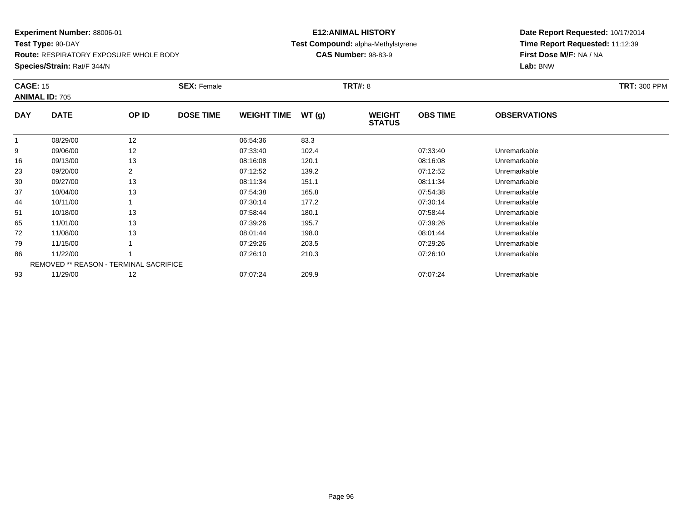**Test Type:** 90-DAY

**Route:** RESPIRATORY EXPOSURE WHOLE BODY

**Species/Strain:** Rat/F 344/N

## **E12:ANIMAL HISTORY Test Compound:** alpha-Methylstyrene**CAS Number:** 98-83-9

| <b>CAGE: 15</b> | <b>ANIMAL ID: 705</b>                         |                | <b>SEX: Female</b> |                    |       | <b>TRT#: 8</b>                 |                 |                     | <b>TRT: 300 PPM</b> |
|-----------------|-----------------------------------------------|----------------|--------------------|--------------------|-------|--------------------------------|-----------------|---------------------|---------------------|
| <b>DAY</b>      | <b>DATE</b>                                   | OP ID          | <b>DOSE TIME</b>   | <b>WEIGHT TIME</b> | WT(g) | <b>WEIGHT</b><br><b>STATUS</b> | <b>OBS TIME</b> | <b>OBSERVATIONS</b> |                     |
|                 | 08/29/00                                      | 12             |                    | 06:54:36           | 83.3  |                                |                 |                     |                     |
| 9               | 09/06/00                                      | 12             |                    | 07:33:40           | 102.4 |                                | 07:33:40        | Unremarkable        |                     |
| 16              | 09/13/00                                      | 13             |                    | 08:16:08           | 120.1 |                                | 08:16:08        | Unremarkable        |                     |
| 23              | 09/20/00                                      | $\overline{2}$ |                    | 07:12:52           | 139.2 |                                | 07:12:52        | Unremarkable        |                     |
| 30              | 09/27/00                                      | 13             |                    | 08:11:34           | 151.1 |                                | 08:11:34        | Unremarkable        |                     |
| 37              | 10/04/00                                      | 13             |                    | 07:54:38           | 165.8 |                                | 07:54:38        | Unremarkable        |                     |
| 44              | 10/11/00                                      |                |                    | 07:30:14           | 177.2 |                                | 07:30:14        | Unremarkable        |                     |
| 51              | 10/18/00                                      | 13             |                    | 07:58:44           | 180.1 |                                | 07:58:44        | Unremarkable        |                     |
| 65              | 11/01/00                                      | 13             |                    | 07:39:26           | 195.7 |                                | 07:39:26        | Unremarkable        |                     |
| 72              | 11/08/00                                      | 13             |                    | 08:01:44           | 198.0 |                                | 08:01:44        | Unremarkable        |                     |
| 79              | 11/15/00                                      |                |                    | 07:29:26           | 203.5 |                                | 07:29:26        | Unremarkable        |                     |
| 86              | 11/22/00                                      |                |                    | 07:26:10           | 210.3 |                                | 07:26:10        | Unremarkable        |                     |
|                 | <b>REMOVED ** REASON - TERMINAL SACRIFICE</b> |                |                    |                    |       |                                |                 |                     |                     |
| 93              | 11/29/00                                      | 12             |                    | 07:07:24           | 209.9 |                                | 07:07:24        | Unremarkable        |                     |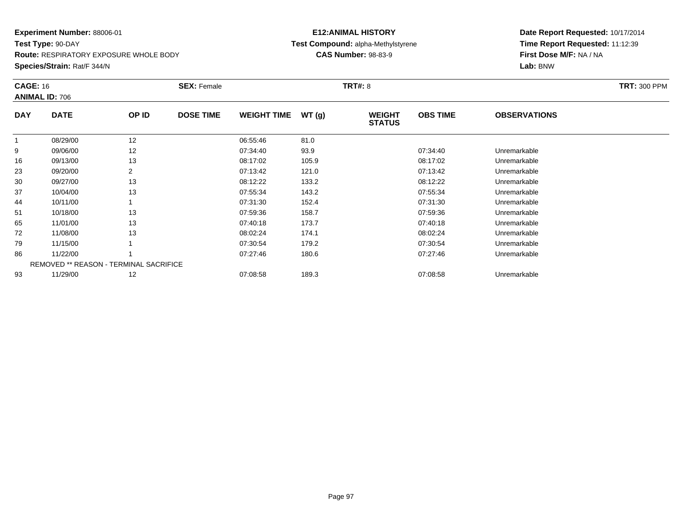**Test Type:** 90-DAY**Route:** RESPIRATORY EXPOSURE WHOLE BODY

**Species/Strain:** Rat/F 344/N

## **E12:ANIMAL HISTORY Test Compound:** alpha-Methylstyrene**CAS Number:** 98-83-9

| <b>CAGE: 16</b> | <b>ANIMAL ID: 706</b>                         |       | <b>SEX: Female</b> |                    |       | <b>TRT#: 8</b>                 |                 |                     | <b>TRT: 300 PPM</b> |
|-----------------|-----------------------------------------------|-------|--------------------|--------------------|-------|--------------------------------|-----------------|---------------------|---------------------|
| <b>DAY</b>      | <b>DATE</b>                                   | OP ID | <b>DOSE TIME</b>   | <b>WEIGHT TIME</b> | WT(g) | <b>WEIGHT</b><br><b>STATUS</b> | <b>OBS TIME</b> | <b>OBSERVATIONS</b> |                     |
|                 | 08/29/00                                      | 12    |                    | 06:55:46           | 81.0  |                                |                 |                     |                     |
| 9               | 09/06/00                                      | 12    |                    | 07:34:40           | 93.9  |                                | 07:34:40        | Unremarkable        |                     |
| 16              | 09/13/00                                      | 13    |                    | 08:17:02           | 105.9 |                                | 08:17:02        | Unremarkable        |                     |
| 23              | 09/20/00                                      | 2     |                    | 07:13:42           | 121.0 |                                | 07:13:42        | Unremarkable        |                     |
| 30              | 09/27/00                                      | 13    |                    | 08:12:22           | 133.2 |                                | 08:12:22        | Unremarkable        |                     |
| 37              | 10/04/00                                      | 13    |                    | 07:55:34           | 143.2 |                                | 07:55:34        | Unremarkable        |                     |
| 44              | 10/11/00                                      |       |                    | 07:31:30           | 152.4 |                                | 07:31:30        | Unremarkable        |                     |
| 51              | 10/18/00                                      | 13    |                    | 07:59:36           | 158.7 |                                | 07:59:36        | Unremarkable        |                     |
| 65              | 11/01/00                                      | 13    |                    | 07:40:18           | 173.7 |                                | 07:40:18        | Unremarkable        |                     |
| 72              | 11/08/00                                      | 13    |                    | 08:02:24           | 174.1 |                                | 08:02:24        | Unremarkable        |                     |
| 79              | 11/15/00                                      |       |                    | 07:30:54           | 179.2 |                                | 07:30:54        | Unremarkable        |                     |
| 86              | 11/22/00                                      |       |                    | 07:27:46           | 180.6 |                                | 07:27:46        | Unremarkable        |                     |
|                 | <b>REMOVED ** REASON - TERMINAL SACRIFICE</b> |       |                    |                    |       |                                |                 |                     |                     |
| 93              | 11/29/00                                      | 12    |                    | 07:08:58           | 189.3 |                                | 07:08:58        | Unremarkable        |                     |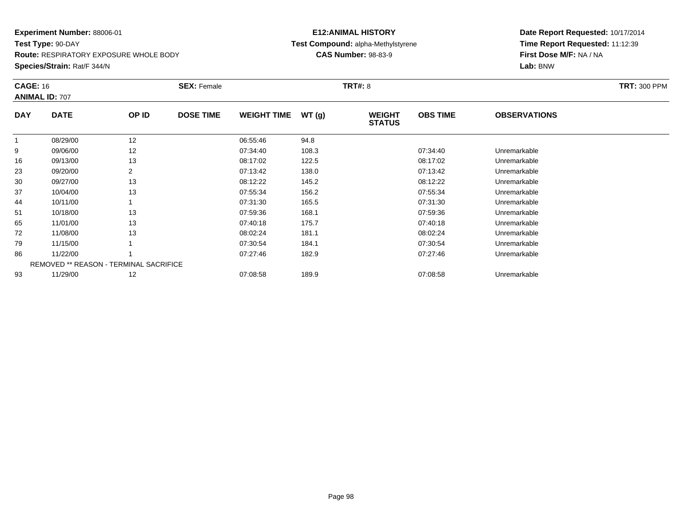**Test Type:** 90-DAY**Route:** RESPIRATORY EXPOSURE WHOLE BODY

**Species/Strain:** Rat/F 344/N

## **E12:ANIMAL HISTORY Test Compound:** alpha-Methylstyrene**CAS Number:** 98-83-9

| <b>CAGE: 16</b> | <b>ANIMAL ID: 707</b>                         |                | <b>SEX: Female</b> |                    |       | <b>TRT#: 8</b>                 |                 |                     | <b>TRT: 300 PPM</b> |
|-----------------|-----------------------------------------------|----------------|--------------------|--------------------|-------|--------------------------------|-----------------|---------------------|---------------------|
| <b>DAY</b>      | <b>DATE</b>                                   | OP ID          | <b>DOSE TIME</b>   | <b>WEIGHT TIME</b> | WT(g) | <b>WEIGHT</b><br><b>STATUS</b> | <b>OBS TIME</b> | <b>OBSERVATIONS</b> |                     |
|                 | 08/29/00                                      | 12             |                    | 06:55:46           | 94.8  |                                |                 |                     |                     |
| 9               | 09/06/00                                      | 12             |                    | 07:34:40           | 108.3 |                                | 07:34:40        | Unremarkable        |                     |
| 16              | 09/13/00                                      | 13             |                    | 08:17:02           | 122.5 |                                | 08:17:02        | Unremarkable        |                     |
| 23              | 09/20/00                                      | $\overline{2}$ |                    | 07:13:42           | 138.0 |                                | 07:13:42        | Unremarkable        |                     |
| 30              | 09/27/00                                      | 13             |                    | 08:12:22           | 145.2 |                                | 08:12:22        | Unremarkable        |                     |
| 37              | 10/04/00                                      | 13             |                    | 07:55:34           | 156.2 |                                | 07:55:34        | Unremarkable        |                     |
| 44              | 10/11/00                                      |                |                    | 07:31:30           | 165.5 |                                | 07:31:30        | Unremarkable        |                     |
| 51              | 10/18/00                                      | 13             |                    | 07:59:36           | 168.1 |                                | 07:59:36        | Unremarkable        |                     |
| 65              | 11/01/00                                      | 13             |                    | 07:40:18           | 175.7 |                                | 07:40:18        | Unremarkable        |                     |
| 72              | 11/08/00                                      | 13             |                    | 08:02:24           | 181.1 |                                | 08:02:24        | Unremarkable        |                     |
| 79              | 11/15/00                                      |                |                    | 07:30:54           | 184.1 |                                | 07:30:54        | Unremarkable        |                     |
| 86              | 11/22/00                                      |                |                    | 07:27:46           | 182.9 |                                | 07:27:46        | Unremarkable        |                     |
|                 | <b>REMOVED ** REASON - TERMINAL SACRIFICE</b> |                |                    |                    |       |                                |                 |                     |                     |
| 93              | 11/29/00                                      | 12             |                    | 07:08:58           | 189.9 |                                | 07:08:58        | Unremarkable        |                     |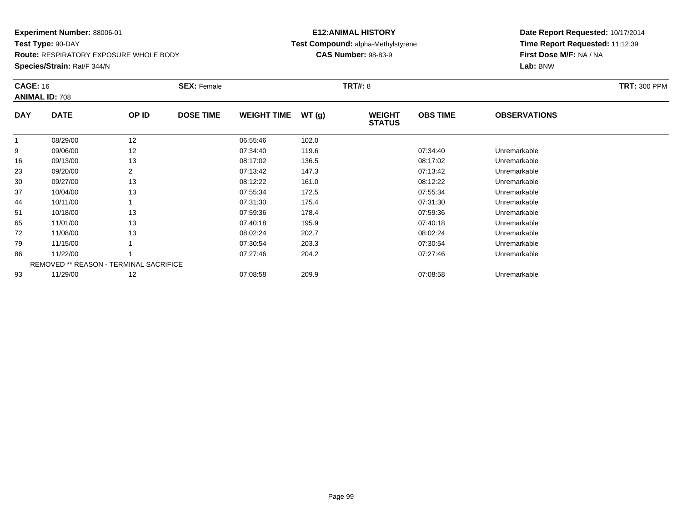**Test Type:** 90-DAY**Route:** RESPIRATORY EXPOSURE WHOLE BODY

**Species/Strain:** Rat/F 344/N

## **E12:ANIMAL HISTORY Test Compound:** alpha-Methylstyrene**CAS Number:** 98-83-9

| <b>CAGE: 16</b> | <b>ANIMAL ID: 708</b>                         |       | <b>SEX: Female</b> |                    |       | <b>TRT#: 8</b>                 |                 |                     | <b>TRT: 300 PPM</b> |
|-----------------|-----------------------------------------------|-------|--------------------|--------------------|-------|--------------------------------|-----------------|---------------------|---------------------|
| <b>DAY</b>      | <b>DATE</b>                                   | OP ID | <b>DOSE TIME</b>   | <b>WEIGHT TIME</b> | WT(g) | <b>WEIGHT</b><br><b>STATUS</b> | <b>OBS TIME</b> | <b>OBSERVATIONS</b> |                     |
|                 | 08/29/00                                      | 12    |                    | 06:55:46           | 102.0 |                                |                 |                     |                     |
| 9               | 09/06/00                                      | 12    |                    | 07:34:40           | 119.6 |                                | 07:34:40        | Unremarkable        |                     |
| 16              | 09/13/00                                      | 13    |                    | 08:17:02           | 136.5 |                                | 08:17:02        | Unremarkable        |                     |
| 23              | 09/20/00                                      | 2     |                    | 07:13:42           | 147.3 |                                | 07:13:42        | Unremarkable        |                     |
| 30              | 09/27/00                                      | 13    |                    | 08:12:22           | 161.0 |                                | 08:12:22        | Unremarkable        |                     |
| 37              | 10/04/00                                      | 13    |                    | 07:55:34           | 172.5 |                                | 07:55:34        | Unremarkable        |                     |
| 44              | 10/11/00                                      |       |                    | 07:31:30           | 175.4 |                                | 07:31:30        | Unremarkable        |                     |
| 51              | 10/18/00                                      | 13    |                    | 07:59:36           | 178.4 |                                | 07:59:36        | Unremarkable        |                     |
| 65              | 11/01/00                                      | 13    |                    | 07:40:18           | 195.9 |                                | 07:40:18        | Unremarkable        |                     |
| 72              | 11/08/00                                      | 13    |                    | 08:02:24           | 202.7 |                                | 08:02:24        | Unremarkable        |                     |
| 79              | 11/15/00                                      |       |                    | 07:30:54           | 203.3 |                                | 07:30:54        | Unremarkable        |                     |
| 86              | 11/22/00                                      |       |                    | 07:27:46           | 204.2 |                                | 07:27:46        | Unremarkable        |                     |
|                 | <b>REMOVED ** REASON - TERMINAL SACRIFICE</b> |       |                    |                    |       |                                |                 |                     |                     |
| 93              | 11/29/00                                      | 12    |                    | 07:08:58           | 209.9 |                                | 07:08:58        | Unremarkable        |                     |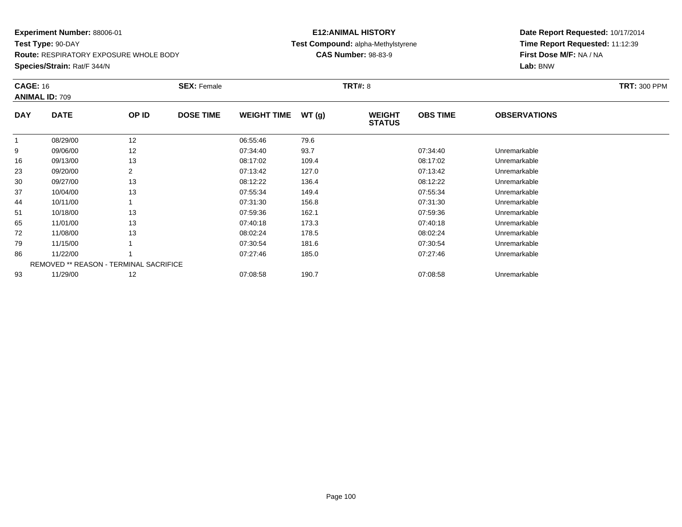**Test Type:** 90-DAY**Route:** RESPIRATORY EXPOSURE WHOLE BODY

**Species/Strain:** Rat/F 344/N

## **E12:ANIMAL HISTORY Test Compound:** alpha-Methylstyrene**CAS Number:** 98-83-9

| <b>CAGE: 16</b> | <b>ANIMAL ID: 709</b>                         |       | <b>SEX: Female</b> |                    |       | <b>TRT#: 8</b>                 |                 | <b>TRT: 300 PPM</b> |  |
|-----------------|-----------------------------------------------|-------|--------------------|--------------------|-------|--------------------------------|-----------------|---------------------|--|
| <b>DAY</b>      | <b>DATE</b>                                   | OP ID | <b>DOSE TIME</b>   | <b>WEIGHT TIME</b> | WT(g) | <b>WEIGHT</b><br><b>STATUS</b> | <b>OBS TIME</b> | <b>OBSERVATIONS</b> |  |
|                 | 08/29/00                                      | 12    |                    | 06:55:46           | 79.6  |                                |                 |                     |  |
| 9               | 09/06/00                                      | 12    |                    | 07:34:40           | 93.7  |                                | 07:34:40        | Unremarkable        |  |
| 16              | 09/13/00                                      | 13    |                    | 08:17:02           | 109.4 |                                | 08:17:02        | Unremarkable        |  |
| 23              | 09/20/00                                      | 2     |                    | 07:13:42           | 127.0 |                                | 07:13:42        | Unremarkable        |  |
| 30              | 09/27/00                                      | 13    |                    | 08:12:22           | 136.4 |                                | 08:12:22        | Unremarkable        |  |
| 37              | 10/04/00                                      | 13    |                    | 07:55:34           | 149.4 |                                | 07:55:34        | Unremarkable        |  |
| 44              | 10/11/00                                      |       |                    | 07:31:30           | 156.8 |                                | 07:31:30        | Unremarkable        |  |
| 51              | 10/18/00                                      | 13    |                    | 07:59:36           | 162.1 |                                | 07:59:36        | Unremarkable        |  |
| 65              | 11/01/00                                      | 13    |                    | 07:40:18           | 173.3 |                                | 07:40:18        | Unremarkable        |  |
| 72              | 11/08/00                                      | 13    |                    | 08:02:24           | 178.5 |                                | 08:02:24        | Unremarkable        |  |
| 79              | 11/15/00                                      |       |                    | 07:30:54           | 181.6 |                                | 07:30:54        | Unremarkable        |  |
| 86              | 11/22/00                                      |       |                    | 07:27:46           | 185.0 |                                | 07:27:46        | Unremarkable        |  |
|                 | <b>REMOVED ** REASON - TERMINAL SACRIFICE</b> |       |                    |                    |       |                                |                 |                     |  |
| 93              | 11/29/00                                      | 12    |                    | 07:08:58           | 190.7 |                                | 07:08:58        | Unremarkable        |  |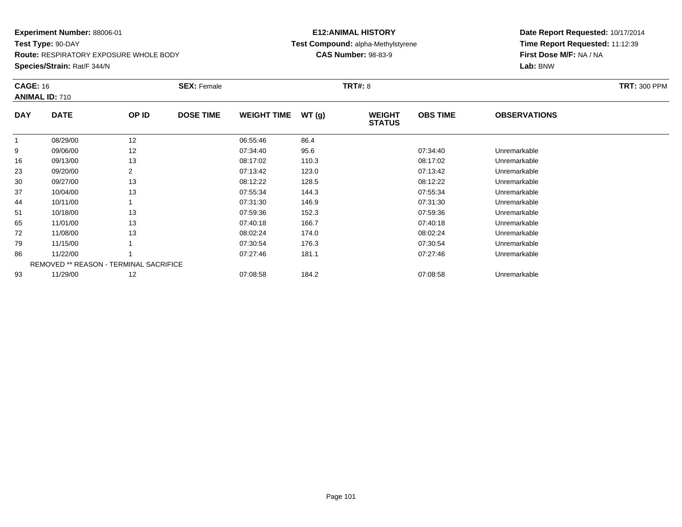**Test Type:** 90-DAY**Route:** RESPIRATORY EXPOSURE WHOLE BODY

**Species/Strain:** Rat/F 344/N

## **E12:ANIMAL HISTORY Test Compound:** alpha-Methylstyrene**CAS Number:** 98-83-9

| <b>CAGE: 16</b> | <b>ANIMAL ID: 710</b>                         |       | <b>SEX: Female</b> |                    |       | <b>TRT#: 8</b>                 |                 |                     | <b>TRT: 300 PPM</b> |
|-----------------|-----------------------------------------------|-------|--------------------|--------------------|-------|--------------------------------|-----------------|---------------------|---------------------|
| <b>DAY</b>      | <b>DATE</b>                                   | OP ID | <b>DOSE TIME</b>   | <b>WEIGHT TIME</b> | WT(g) | <b>WEIGHT</b><br><b>STATUS</b> | <b>OBS TIME</b> | <b>OBSERVATIONS</b> |                     |
|                 | 08/29/00                                      | 12    |                    | 06:55:46           | 86.4  |                                |                 |                     |                     |
| 9               | 09/06/00                                      | 12    |                    | 07:34:40           | 95.6  |                                | 07:34:40        | Unremarkable        |                     |
| 16              | 09/13/00                                      | 13    |                    | 08:17:02           | 110.3 |                                | 08:17:02        | Unremarkable        |                     |
| 23              | 09/20/00                                      | 2     |                    | 07:13:42           | 123.0 |                                | 07:13:42        | Unremarkable        |                     |
| 30              | 09/27/00                                      | 13    |                    | 08:12:22           | 128.5 |                                | 08:12:22        | Unremarkable        |                     |
| 37              | 10/04/00                                      | 13    |                    | 07:55:34           | 144.3 |                                | 07:55:34        | Unremarkable        |                     |
| 44              | 10/11/00                                      |       |                    | 07:31:30           | 146.9 |                                | 07:31:30        | Unremarkable        |                     |
| 51              | 10/18/00                                      | 13    |                    | 07:59:36           | 152.3 |                                | 07:59:36        | Unremarkable        |                     |
| 65              | 11/01/00                                      | 13    |                    | 07:40:18           | 166.7 |                                | 07:40:18        | Unremarkable        |                     |
| 72              | 11/08/00                                      | 13    |                    | 08:02:24           | 174.0 |                                | 08:02:24        | Unremarkable        |                     |
| 79              | 11/15/00                                      |       |                    | 07:30:54           | 176.3 |                                | 07:30:54        | Unremarkable        |                     |
| 86              | 11/22/00                                      |       |                    | 07:27:46           | 181.1 |                                | 07:27:46        | Unremarkable        |                     |
|                 | <b>REMOVED ** REASON - TERMINAL SACRIFICE</b> |       |                    |                    |       |                                |                 |                     |                     |
| 93              | 11/29/00                                      | 12    |                    | 07:08:58           | 184.2 |                                | 07:08:58        | Unremarkable        |                     |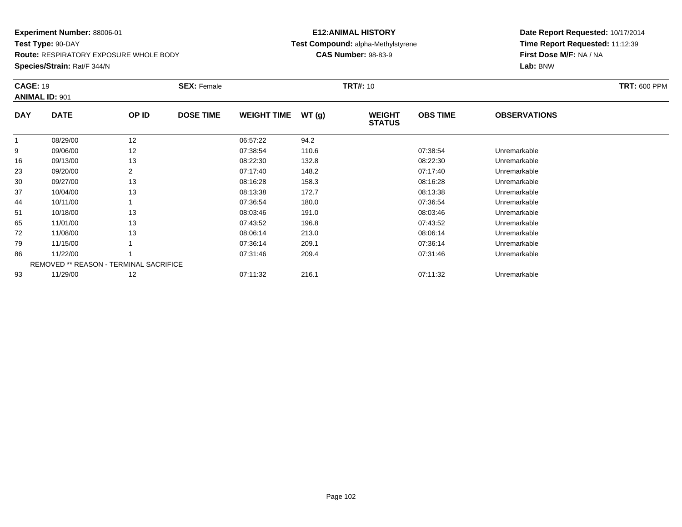**Test Type:** 90-DAY**Route:** RESPIRATORY EXPOSURE WHOLE BODY

**Species/Strain:** Rat/F 344/N

## **E12:ANIMAL HISTORY Test Compound:** alpha-Methylstyrene**CAS Number:** 98-83-9

| <b>CAGE: 19</b> | <b>ANIMAL ID: 901</b>                         |                | <b>SEX: Female</b> |                    |       | <b>TRT#: 10</b>                |                 |                     | <b>TRT: 600 PPM</b> |
|-----------------|-----------------------------------------------|----------------|--------------------|--------------------|-------|--------------------------------|-----------------|---------------------|---------------------|
| <b>DAY</b>      | <b>DATE</b>                                   | OP ID          | <b>DOSE TIME</b>   | <b>WEIGHT TIME</b> | WT(g) | <b>WEIGHT</b><br><b>STATUS</b> | <b>OBS TIME</b> | <b>OBSERVATIONS</b> |                     |
| $\mathbf{1}$    | 08/29/00                                      | 12             |                    | 06:57:22           | 94.2  |                                |                 |                     |                     |
| 9               | 09/06/00                                      | 12             |                    | 07:38:54           | 110.6 |                                | 07:38:54        | Unremarkable        |                     |
| 16              | 09/13/00                                      | 13             |                    | 08:22:30           | 132.8 |                                | 08:22:30        | Unremarkable        |                     |
| 23              | 09/20/00                                      | $\overline{2}$ |                    | 07:17:40           | 148.2 |                                | 07:17:40        | Unremarkable        |                     |
| 30              | 09/27/00                                      | 13             |                    | 08:16:28           | 158.3 |                                | 08:16:28        | Unremarkable        |                     |
| 37              | 10/04/00                                      | 13             |                    | 08:13:38           | 172.7 |                                | 08:13:38        | Unremarkable        |                     |
| 44              | 10/11/00                                      |                |                    | 07:36:54           | 180.0 |                                | 07:36:54        | Unremarkable        |                     |
| 51              | 10/18/00                                      | 13             |                    | 08:03:46           | 191.0 |                                | 08:03:46        | Unremarkable        |                     |
| 65              | 11/01/00                                      | 13             |                    | 07:43:52           | 196.8 |                                | 07:43:52        | Unremarkable        |                     |
| 72              | 11/08/00                                      | 13             |                    | 08:06:14           | 213.0 |                                | 08:06:14        | Unremarkable        |                     |
| 79              | 11/15/00                                      |                |                    | 07:36:14           | 209.1 |                                | 07:36:14        | Unremarkable        |                     |
| 86              | 11/22/00                                      |                |                    | 07:31:46           | 209.4 |                                | 07:31:46        | Unremarkable        |                     |
|                 | <b>REMOVED ** REASON - TERMINAL SACRIFICE</b> |                |                    |                    |       |                                |                 |                     |                     |
| 93              | 11/29/00                                      | 12             |                    | 07:11:32           | 216.1 |                                | 07:11:32        | Unremarkable        |                     |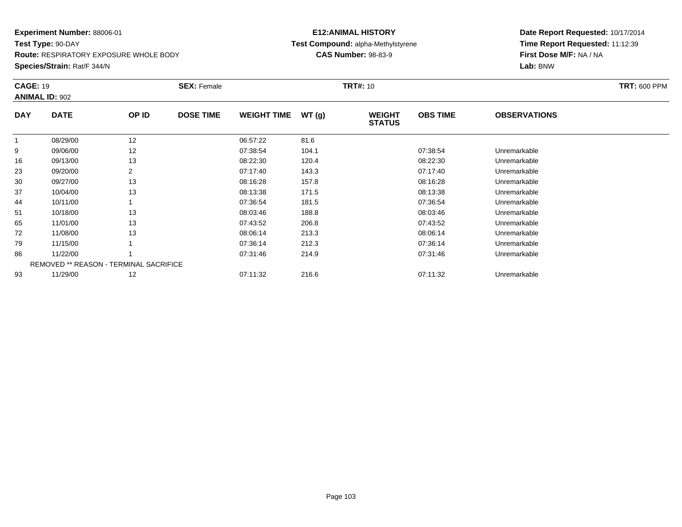**Test Type:** 90-DAY**Route:** RESPIRATORY EXPOSURE WHOLE BODY

**Species/Strain:** Rat/F 344/N

## **E12:ANIMAL HISTORY Test Compound:** alpha-Methylstyrene**CAS Number:** 98-83-9

| <b>CAGE: 19</b> | <b>ANIMAL ID: 902</b>                         |                | <b>SEX: Female</b> |                    |       | <b>TRT#: 10</b>                |                 |                     | <b>TRT: 600 PPM</b> |
|-----------------|-----------------------------------------------|----------------|--------------------|--------------------|-------|--------------------------------|-----------------|---------------------|---------------------|
| <b>DAY</b>      | <b>DATE</b>                                   | OP ID          | <b>DOSE TIME</b>   | <b>WEIGHT TIME</b> | WT(g) | <b>WEIGHT</b><br><b>STATUS</b> | <b>OBS TIME</b> | <b>OBSERVATIONS</b> |                     |
| $\mathbf{1}$    | 08/29/00                                      | 12             |                    | 06:57:22           | 81.6  |                                |                 |                     |                     |
| 9               | 09/06/00                                      | 12             |                    | 07:38:54           | 104.1 |                                | 07:38:54        | Unremarkable        |                     |
| 16              | 09/13/00                                      | 13             |                    | 08:22:30           | 120.4 |                                | 08:22:30        | Unremarkable        |                     |
| 23              | 09/20/00                                      | $\overline{2}$ |                    | 07:17:40           | 143.3 |                                | 07:17:40        | Unremarkable        |                     |
| 30              | 09/27/00                                      | 13             |                    | 08:16:28           | 157.8 |                                | 08:16:28        | Unremarkable        |                     |
| 37              | 10/04/00                                      | 13             |                    | 08:13:38           | 171.5 |                                | 08:13:38        | Unremarkable        |                     |
| 44              | 10/11/00                                      |                |                    | 07:36:54           | 181.5 |                                | 07:36:54        | Unremarkable        |                     |
| 51              | 10/18/00                                      | 13             |                    | 08:03:46           | 188.8 |                                | 08:03:46        | Unremarkable        |                     |
| 65              | 11/01/00                                      | 13             |                    | 07:43:52           | 206.8 |                                | 07:43:52        | Unremarkable        |                     |
| 72              | 11/08/00                                      | 13             |                    | 08:06:14           | 213.3 |                                | 08:06:14        | Unremarkable        |                     |
| 79              | 11/15/00                                      |                |                    | 07:36:14           | 212.3 |                                | 07:36:14        | Unremarkable        |                     |
| 86              | 11/22/00                                      |                |                    | 07:31:46           | 214.9 |                                | 07:31:46        | Unremarkable        |                     |
|                 | <b>REMOVED ** REASON - TERMINAL SACRIFICE</b> |                |                    |                    |       |                                |                 |                     |                     |
| 93              | 11/29/00                                      | 12             |                    | 07:11:32           | 216.6 |                                | 07:11:32        | Unremarkable        |                     |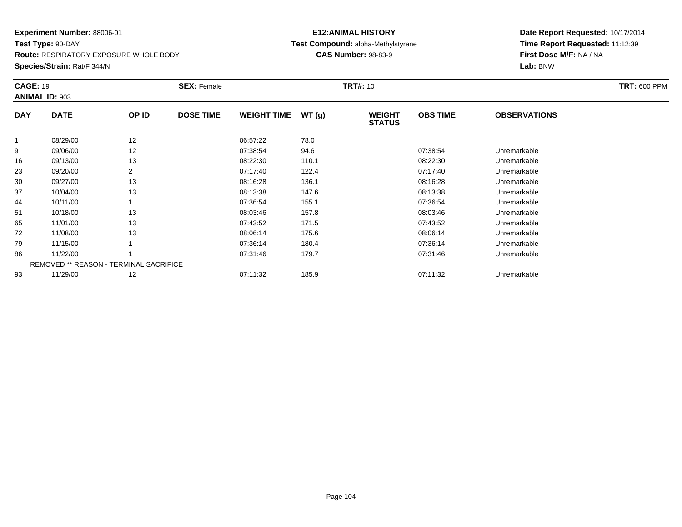**Test Type:** 90-DAY**Route:** RESPIRATORY EXPOSURE WHOLE BODY

**Species/Strain:** Rat/F 344/N

## **E12:ANIMAL HISTORY Test Compound:** alpha-Methylstyrene**CAS Number:** 98-83-9

| <b>CAGE: 19</b> | <b>ANIMAL ID: 903</b> |                                               | <b>SEX: Female</b> |                    |       | <b>TRT#:</b> 10                |                 |                     | <b>TRT: 600 PPM</b> |
|-----------------|-----------------------|-----------------------------------------------|--------------------|--------------------|-------|--------------------------------|-----------------|---------------------|---------------------|
| <b>DAY</b>      | <b>DATE</b>           | OP ID                                         | <b>DOSE TIME</b>   | <b>WEIGHT TIME</b> | WT(g) | <b>WEIGHT</b><br><b>STATUS</b> | <b>OBS TIME</b> | <b>OBSERVATIONS</b> |                     |
|                 | 08/29/00              | 12                                            |                    | 06:57:22           | 78.0  |                                |                 |                     |                     |
| 9               | 09/06/00              | 12                                            |                    | 07:38:54           | 94.6  |                                | 07:38:54        | Unremarkable        |                     |
| 16              | 09/13/00              | 13                                            |                    | 08:22:30           | 110.1 |                                | 08:22:30        | Unremarkable        |                     |
| 23              | 09/20/00              | 2                                             |                    | 07:17:40           | 122.4 |                                | 07:17:40        | Unremarkable        |                     |
| 30              | 09/27/00              | 13                                            |                    | 08:16:28           | 136.1 |                                | 08:16:28        | Unremarkable        |                     |
| 37              | 10/04/00              | 13                                            |                    | 08:13:38           | 147.6 |                                | 08:13:38        | Unremarkable        |                     |
| 44              | 10/11/00              |                                               |                    | 07:36:54           | 155.1 |                                | 07:36:54        | Unremarkable        |                     |
| 51              | 10/18/00              | 13                                            |                    | 08:03:46           | 157.8 |                                | 08:03:46        | Unremarkable        |                     |
| 65              | 11/01/00              | 13                                            |                    | 07:43:52           | 171.5 |                                | 07:43:52        | Unremarkable        |                     |
| 72              | 11/08/00              | 13                                            |                    | 08:06:14           | 175.6 |                                | 08:06:14        | Unremarkable        |                     |
| 79              | 11/15/00              |                                               |                    | 07:36:14           | 180.4 |                                | 07:36:14        | Unremarkable        |                     |
| 86              | 11/22/00              |                                               |                    | 07:31:46           | 179.7 |                                | 07:31:46        | Unremarkable        |                     |
|                 |                       | <b>REMOVED ** REASON - TERMINAL SACRIFICE</b> |                    |                    |       |                                |                 |                     |                     |
| 93              | 11/29/00              | 12                                            |                    | 07:11:32           | 185.9 |                                | 07:11:32        | Unremarkable        |                     |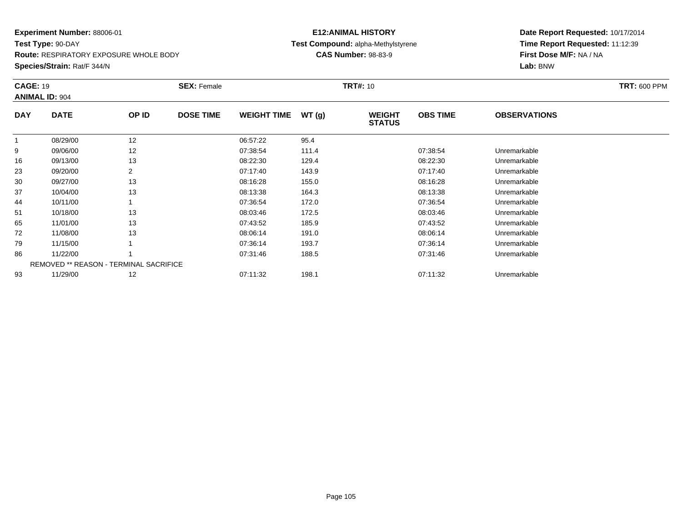**Test Type:** 90-DAY**Route:** RESPIRATORY EXPOSURE WHOLE BODY

**Species/Strain:** Rat/F 344/N

## **E12:ANIMAL HISTORY Test Compound:** alpha-Methylstyrene**CAS Number:** 98-83-9

| <b>CAGE: 19</b> | <b>ANIMAL ID: 904</b> |                                               | <b>SEX: Female</b> |                    |       | <b>TRT#: 10</b>                |                 |                     | <b>TRT: 600 PPM</b> |
|-----------------|-----------------------|-----------------------------------------------|--------------------|--------------------|-------|--------------------------------|-----------------|---------------------|---------------------|
| <b>DAY</b>      | <b>DATE</b>           | OP ID                                         | <b>DOSE TIME</b>   | <b>WEIGHT TIME</b> | WT(g) | <b>WEIGHT</b><br><b>STATUS</b> | <b>OBS TIME</b> | <b>OBSERVATIONS</b> |                     |
|                 | 08/29/00              | 12                                            |                    | 06:57:22           | 95.4  |                                |                 |                     |                     |
| 9               | 09/06/00              | 12                                            |                    | 07:38:54           | 111.4 |                                | 07:38:54        | Unremarkable        |                     |
| 16              | 09/13/00              | 13                                            |                    | 08:22:30           | 129.4 |                                | 08:22:30        | Unremarkable        |                     |
| 23              | 09/20/00              | 2                                             |                    | 07:17:40           | 143.9 |                                | 07:17:40        | Unremarkable        |                     |
| 30              | 09/27/00              | 13                                            |                    | 08:16:28           | 155.0 |                                | 08:16:28        | Unremarkable        |                     |
| 37              | 10/04/00              | 13                                            |                    | 08:13:38           | 164.3 |                                | 08:13:38        | Unremarkable        |                     |
| 44              | 10/11/00              |                                               |                    | 07:36:54           | 172.0 |                                | 07:36:54        | Unremarkable        |                     |
| 51              | 10/18/00              | 13                                            |                    | 08:03:46           | 172.5 |                                | 08:03:46        | Unremarkable        |                     |
| 65              | 11/01/00              | 13                                            |                    | 07:43:52           | 185.9 |                                | 07:43:52        | Unremarkable        |                     |
| 72              | 11/08/00              | 13                                            |                    | 08:06:14           | 191.0 |                                | 08:06:14        | Unremarkable        |                     |
| 79              | 11/15/00              |                                               |                    | 07:36:14           | 193.7 |                                | 07:36:14        | Unremarkable        |                     |
| 86              | 11/22/00              |                                               |                    | 07:31:46           | 188.5 |                                | 07:31:46        | Unremarkable        |                     |
|                 |                       | <b>REMOVED ** REASON - TERMINAL SACRIFICE</b> |                    |                    |       |                                |                 |                     |                     |
| 93              | 11/29/00              | 12                                            |                    | 07:11:32           | 198.1 |                                | 07:11:32        | Unremarkable        |                     |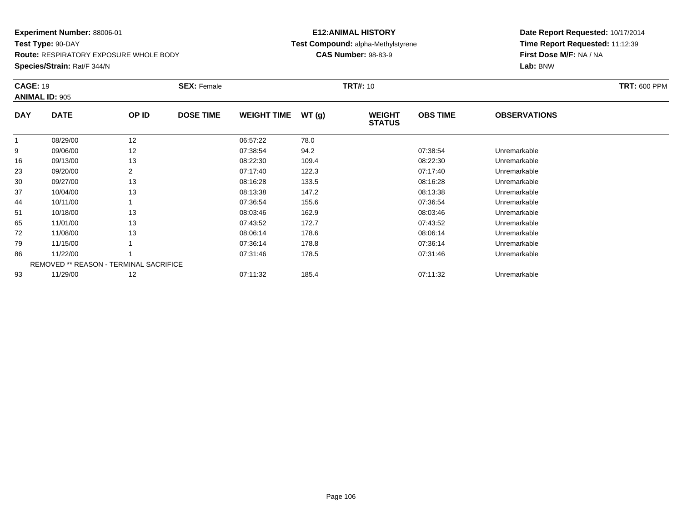**Test Type:** 90-DAY**Route:** RESPIRATORY EXPOSURE WHOLE BODY

#### **Species/Strain:** Rat/F 344/N

## **E12:ANIMAL HISTORY Test Compound:** alpha-Methylstyrene**CAS Number:** 98-83-9

|            | <b>CAGE: 19</b><br><b>ANIMAL ID: 905</b>      |       | <b>SEX: Female</b> |                    |       | <b>TRT#: 10</b>                | <b>TRT: 600 PPM</b> |                     |  |
|------------|-----------------------------------------------|-------|--------------------|--------------------|-------|--------------------------------|---------------------|---------------------|--|
| <b>DAY</b> | <b>DATE</b>                                   | OP ID | <b>DOSE TIME</b>   | <b>WEIGHT TIME</b> | WT(g) | <b>WEIGHT</b><br><b>STATUS</b> | <b>OBS TIME</b>     | <b>OBSERVATIONS</b> |  |
|            | 08/29/00                                      | 12    |                    | 06:57:22           | 78.0  |                                |                     |                     |  |
| 9          | 09/06/00                                      | 12    |                    | 07:38:54           | 94.2  |                                | 07:38:54            | Unremarkable        |  |
| 16         | 09/13/00                                      | 13    |                    | 08:22:30           | 109.4 |                                | 08:22:30            | Unremarkable        |  |
| 23         | 09/20/00                                      |       |                    | 07:17:40           | 122.3 |                                | 07:17:40            | Unremarkable        |  |
| 30         | 09/27/00                                      | 13    |                    | 08:16:28           | 133.5 |                                | 08:16:28            | Unremarkable        |  |
| 37         | 10/04/00                                      | 13    |                    | 08:13:38           | 147.2 |                                | 08:13:38            | Unremarkable        |  |
| 44         | 10/11/00                                      |       |                    | 07:36:54           | 155.6 |                                | 07:36:54            | Unremarkable        |  |
| 51         | 10/18/00                                      | 13    |                    | 08:03:46           | 162.9 |                                | 08:03:46            | Unremarkable        |  |
| 65         | 11/01/00                                      | 13    |                    | 07:43:52           | 172.7 |                                | 07:43:52            | Unremarkable        |  |
| 72         | 11/08/00                                      | 13    |                    | 08:06:14           | 178.6 |                                | 08:06:14            | Unremarkable        |  |
| 79         | 11/15/00                                      |       |                    | 07:36:14           | 178.8 |                                | 07:36:14            | Unremarkable        |  |
| 86         | 11/22/00                                      |       |                    | 07:31:46           | 178.5 |                                | 07:31:46            | Unremarkable        |  |
|            | <b>REMOVED ** REASON - TERMINAL SACRIFICE</b> |       |                    |                    |       |                                |                     |                     |  |
| 93         | 11/29/00                                      | 12    |                    | 07:11:32           | 185.4 |                                | 07:11:32            | Unremarkable        |  |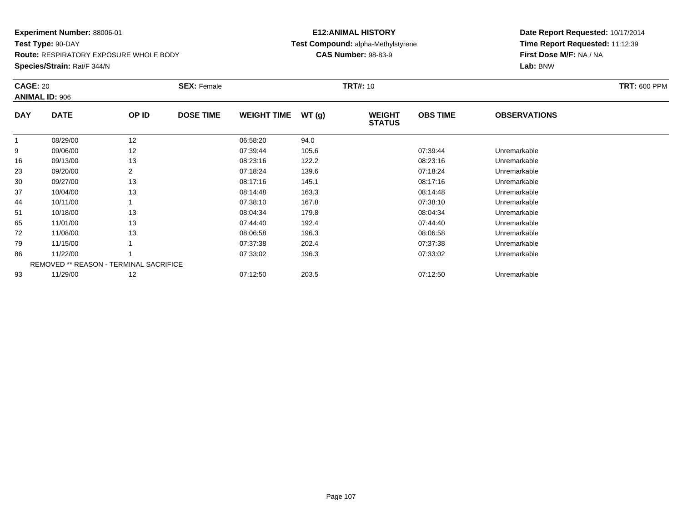**Test Type:** 90-DAY**Route:** RESPIRATORY EXPOSURE WHOLE BODY

**Species/Strain:** Rat/F 344/N

## **E12:ANIMAL HISTORY Test Compound:** alpha-Methylstyrene**CAS Number:** 98-83-9

| <b>CAGE: 20</b> | <b>ANIMAL ID: 906</b>                         |       | <b>SEX: Female</b> |                    |       | <b>TRT#: 10</b>                |                 |                     | <b>TRT: 600 PPM</b> |
|-----------------|-----------------------------------------------|-------|--------------------|--------------------|-------|--------------------------------|-----------------|---------------------|---------------------|
| <b>DAY</b>      | <b>DATE</b>                                   | OP ID | <b>DOSE TIME</b>   | <b>WEIGHT TIME</b> | WT(g) | <b>WEIGHT</b><br><b>STATUS</b> | <b>OBS TIME</b> | <b>OBSERVATIONS</b> |                     |
|                 | 08/29/00                                      | 12    |                    | 06:58:20           | 94.0  |                                |                 |                     |                     |
| 9               | 09/06/00                                      | 12    |                    | 07:39:44           | 105.6 |                                | 07:39:44        | Unremarkable        |                     |
| 16              | 09/13/00                                      | 13    |                    | 08:23:16           | 122.2 |                                | 08:23:16        | Unremarkable        |                     |
| 23              | 09/20/00                                      | 2     |                    | 07:18:24           | 139.6 |                                | 07:18:24        | Unremarkable        |                     |
| 30              | 09/27/00                                      | 13    |                    | 08:17:16           | 145.1 |                                | 08:17:16        | Unremarkable        |                     |
| 37              | 10/04/00                                      | 13    |                    | 08:14:48           | 163.3 |                                | 08:14:48        | Unremarkable        |                     |
| 44              | 10/11/00                                      |       |                    | 07:38:10           | 167.8 |                                | 07:38:10        | Unremarkable        |                     |
| 51              | 10/18/00                                      | 13    |                    | 08:04:34           | 179.8 |                                | 08:04:34        | Unremarkable        |                     |
| 65              | 11/01/00                                      | 13    |                    | 07:44:40           | 192.4 |                                | 07:44:40        | Unremarkable        |                     |
| 72              | 11/08/00                                      | 13    |                    | 08:06:58           | 196.3 |                                | 08:06:58        | Unremarkable        |                     |
| 79              | 11/15/00                                      |       |                    | 07:37:38           | 202.4 |                                | 07:37:38        | Unremarkable        |                     |
| 86              | 11/22/00                                      |       |                    | 07:33:02           | 196.3 |                                | 07:33:02        | Unremarkable        |                     |
|                 | <b>REMOVED ** REASON - TERMINAL SACRIFICE</b> |       |                    |                    |       |                                |                 |                     |                     |
| 93              | 11/29/00                                      | 12    |                    | 07:12:50           | 203.5 |                                | 07:12:50        | Unremarkable        |                     |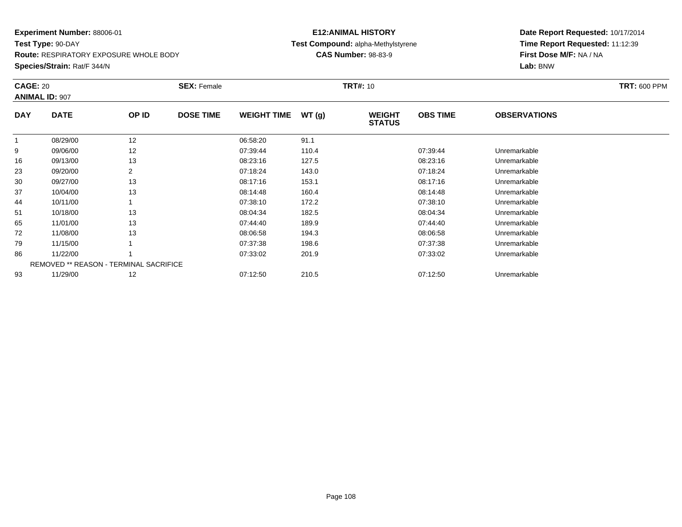**Test Type:** 90-DAY**Route:** RESPIRATORY EXPOSURE WHOLE BODY

**Species/Strain:** Rat/F 344/N

## **E12:ANIMAL HISTORY Test Compound:** alpha-Methylstyrene**CAS Number:** 98-83-9

| <b>CAGE: 20</b> | <b>ANIMAL ID: 907</b>                         |                | <b>SEX: Female</b> |                    |       | <b>TRT#: 10</b>                |                 |                     | <b>TRT: 600 PPM</b> |
|-----------------|-----------------------------------------------|----------------|--------------------|--------------------|-------|--------------------------------|-----------------|---------------------|---------------------|
| <b>DAY</b>      | <b>DATE</b>                                   | OP ID          | <b>DOSE TIME</b>   | <b>WEIGHT TIME</b> | WT(g) | <b>WEIGHT</b><br><b>STATUS</b> | <b>OBS TIME</b> | <b>OBSERVATIONS</b> |                     |
|                 | 08/29/00                                      | 12             |                    | 06:58:20           | 91.1  |                                |                 |                     |                     |
| 9               | 09/06/00                                      | 12             |                    | 07:39:44           | 110.4 |                                | 07:39:44        | Unremarkable        |                     |
| 16              | 09/13/00                                      | 13             |                    | 08:23:16           | 127.5 |                                | 08:23:16        | Unremarkable        |                     |
| 23              | 09/20/00                                      | $\overline{2}$ |                    | 07:18:24           | 143.0 |                                | 07:18:24        | Unremarkable        |                     |
| 30              | 09/27/00                                      | 13             |                    | 08:17:16           | 153.1 |                                | 08:17:16        | Unremarkable        |                     |
| 37              | 10/04/00                                      | 13             |                    | 08:14:48           | 160.4 |                                | 08:14:48        | Unremarkable        |                     |
| 44              | 10/11/00                                      |                |                    | 07:38:10           | 172.2 |                                | 07:38:10        | Unremarkable        |                     |
| 51              | 10/18/00                                      | 13             |                    | 08:04:34           | 182.5 |                                | 08:04:34        | Unremarkable        |                     |
| 65              | 11/01/00                                      | 13             |                    | 07:44:40           | 189.9 |                                | 07:44:40        | Unremarkable        |                     |
| 72              | 11/08/00                                      | 13             |                    | 08:06:58           | 194.3 |                                | 08:06:58        | Unremarkable        |                     |
| 79              | 11/15/00                                      |                |                    | 07:37:38           | 198.6 |                                | 07:37:38        | Unremarkable        |                     |
| 86              | 11/22/00                                      |                |                    | 07:33:02           | 201.9 |                                | 07:33:02        | Unremarkable        |                     |
|                 | <b>REMOVED ** REASON - TERMINAL SACRIFICE</b> |                |                    |                    |       |                                |                 |                     |                     |
| 93              | 11/29/00                                      | 12             |                    | 07:12:50           | 210.5 |                                | 07:12:50        | Unremarkable        |                     |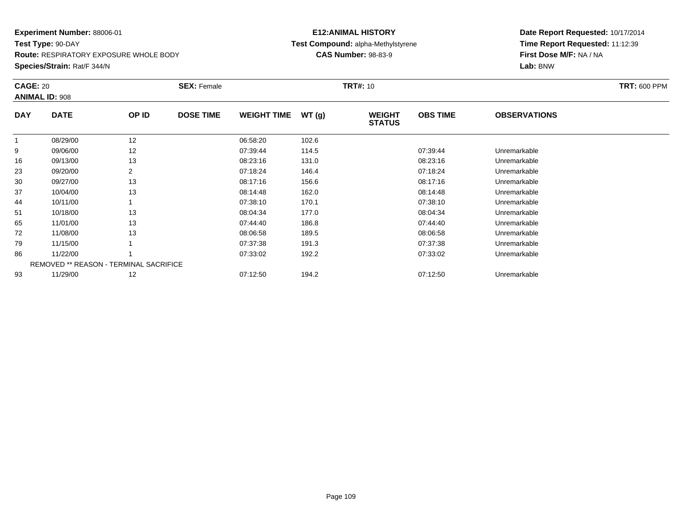**Test Type:** 90-DAY**Route:** RESPIRATORY EXPOSURE WHOLE BODY

**Species/Strain:** Rat/F 344/N

## **E12:ANIMAL HISTORY Test Compound:** alpha-Methylstyrene**CAS Number:** 98-83-9

| <b>CAGE: 20</b> | <b>ANIMAL ID: 908</b>                  |       | <b>SEX: Female</b> |                    |       | <b>TRT#: 10</b>                |                 |                     | <b>TRT: 600 PPM</b> |
|-----------------|----------------------------------------|-------|--------------------|--------------------|-------|--------------------------------|-----------------|---------------------|---------------------|
| <b>DAY</b>      | <b>DATE</b>                            | OP ID | <b>DOSE TIME</b>   | <b>WEIGHT TIME</b> | WT(g) | <b>WEIGHT</b><br><b>STATUS</b> | <b>OBS TIME</b> | <b>OBSERVATIONS</b> |                     |
|                 | 08/29/00                               | 12    |                    | 06:58:20           | 102.6 |                                |                 |                     |                     |
| 9               | 09/06/00                               | 12    |                    | 07:39:44           | 114.5 |                                | 07:39:44        | Unremarkable        |                     |
| 16              | 09/13/00                               | 13    |                    | 08:23:16           | 131.0 |                                | 08:23:16        | Unremarkable        |                     |
| 23              | 09/20/00                               | 2     |                    | 07:18:24           | 146.4 |                                | 07:18:24        | Unremarkable        |                     |
| 30              | 09/27/00                               | 13    |                    | 08:17:16           | 156.6 |                                | 08:17:16        | Unremarkable        |                     |
| 37              | 10/04/00                               | 13    |                    | 08:14:48           | 162.0 |                                | 08:14:48        | Unremarkable        |                     |
| 44              | 10/11/00                               |       |                    | 07:38:10           | 170.1 |                                | 07:38:10        | Unremarkable        |                     |
| 51              | 10/18/00                               | 13    |                    | 08:04:34           | 177.0 |                                | 08:04:34        | Unremarkable        |                     |
| 65              | 11/01/00                               | 13    |                    | 07:44:40           | 186.8 |                                | 07:44:40        | Unremarkable        |                     |
| 72              | 11/08/00                               | 13    |                    | 08:06:58           | 189.5 |                                | 08:06:58        | Unremarkable        |                     |
| 79              | 11/15/00                               |       |                    | 07:37:38           | 191.3 |                                | 07:37:38        | Unremarkable        |                     |
| 86              | 11/22/00                               |       |                    | 07:33:02           | 192.2 |                                | 07:33:02        | Unremarkable        |                     |
|                 | REMOVED ** REASON - TERMINAL SACRIFICE |       |                    |                    |       |                                |                 |                     |                     |
| 93              | 11/29/00                               | 12    |                    | 07:12:50           | 194.2 |                                | 07:12:50        | Unremarkable        |                     |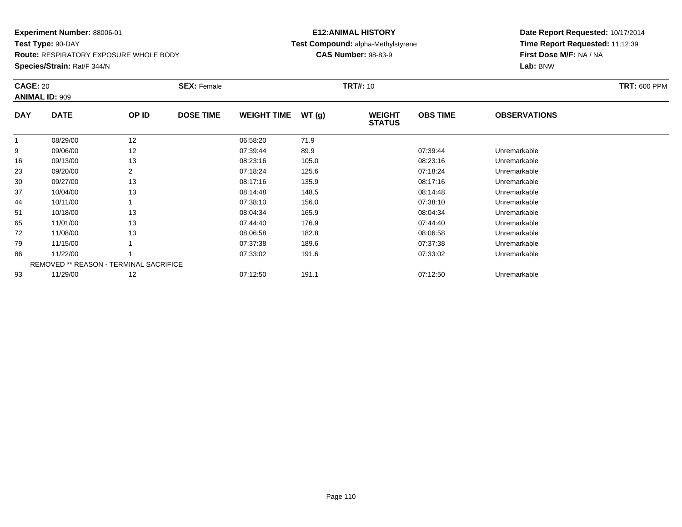**Test Type:** 90-DAY**Route:** RESPIRATORY EXPOSURE WHOLE BODY

**Species/Strain:** Rat/F 344/N

## **E12:ANIMAL HISTORY Test Compound:** alpha-Methylstyrene**CAS Number:** 98-83-9

| <b>CAGE: 20</b> | <b>ANIMAL ID: 909</b>                         |       | <b>SEX: Female</b> |                    |       | <b>TRT#:</b> 10                |                 |                     | <b>TRT: 600 PPM</b> |
|-----------------|-----------------------------------------------|-------|--------------------|--------------------|-------|--------------------------------|-----------------|---------------------|---------------------|
| <b>DAY</b>      | <b>DATE</b>                                   | OP ID | <b>DOSE TIME</b>   | <b>WEIGHT TIME</b> | WT(g) | <b>WEIGHT</b><br><b>STATUS</b> | <b>OBS TIME</b> | <b>OBSERVATIONS</b> |                     |
| $\mathbf{1}$    | 08/29/00                                      | 12    |                    | 06:58:20           | 71.9  |                                |                 |                     |                     |
| 9               | 09/06/00                                      | 12    |                    | 07:39:44           | 89.9  |                                | 07:39:44        | Unremarkable        |                     |
| 16              | 09/13/00                                      | 13    |                    | 08:23:16           | 105.0 |                                | 08:23:16        | Unremarkable        |                     |
| 23              | 09/20/00                                      |       |                    | 07:18:24           | 125.6 |                                | 07:18:24        | Unremarkable        |                     |
| 30              | 09/27/00                                      | 13    |                    | 08:17:16           | 135.9 |                                | 08:17:16        | Unremarkable        |                     |
| 37              | 10/04/00                                      | 13    |                    | 08:14:48           | 148.5 |                                | 08:14:48        | Unremarkable        |                     |
| 44              | 10/11/00                                      |       |                    | 07:38:10           | 156.0 |                                | 07:38:10        | Unremarkable        |                     |
| 51              | 10/18/00                                      | 13    |                    | 08:04:34           | 165.9 |                                | 08:04:34        | Unremarkable        |                     |
| 65              | 11/01/00                                      | 13    |                    | 07:44:40           | 176.9 |                                | 07:44:40        | Unremarkable        |                     |
| 72              | 11/08/00                                      | 13    |                    | 08:06:58           | 182.8 |                                | 08:06:58        | Unremarkable        |                     |
| 79              | 11/15/00                                      |       |                    | 07:37:38           | 189.6 |                                | 07:37:38        | Unremarkable        |                     |
| 86              | 11/22/00                                      |       |                    | 07:33:02           | 191.6 |                                | 07:33:02        | Unremarkable        |                     |
|                 | <b>REMOVED ** REASON - TERMINAL SACRIFICE</b> |       |                    |                    |       |                                |                 |                     |                     |
| 93              | 11/29/00                                      | 12    |                    | 07:12:50           | 191.1 |                                | 07:12:50        | Unremarkable        |                     |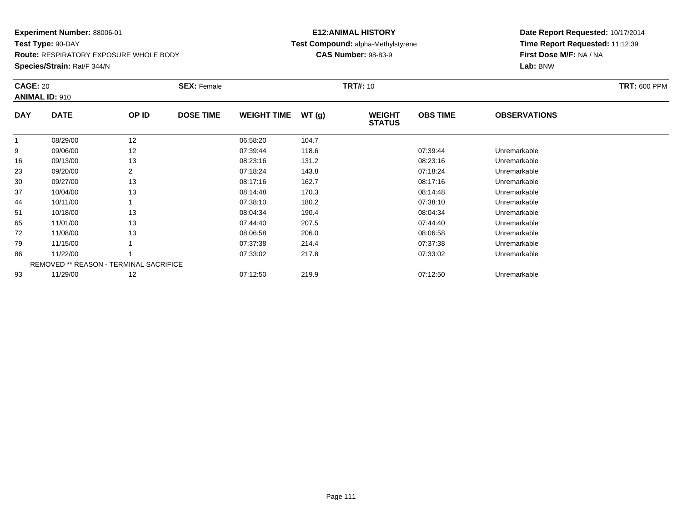**Test Type:** 90-DAY**Route:** RESPIRATORY EXPOSURE WHOLE BODY

**Species/Strain:** Rat/F 344/N

## **E12:ANIMAL HISTORY Test Compound:** alpha-Methylstyrene**CAS Number:** 98-83-9

| <b>CAGE: 20</b> | <b>ANIMAL ID: 910</b>                         |       | <b>SEX: Female</b> |                    |       | <b>TRT#: 10</b>                |                 |                     | <b>TRT: 600 PPM</b> |
|-----------------|-----------------------------------------------|-------|--------------------|--------------------|-------|--------------------------------|-----------------|---------------------|---------------------|
| <b>DAY</b>      | <b>DATE</b>                                   | OP ID | <b>DOSE TIME</b>   | <b>WEIGHT TIME</b> | WT(g) | <b>WEIGHT</b><br><b>STATUS</b> | <b>OBS TIME</b> | <b>OBSERVATIONS</b> |                     |
|                 | 08/29/00                                      | 12    |                    | 06:58:20           | 104.7 |                                |                 |                     |                     |
| 9               | 09/06/00                                      | 12    |                    | 07:39:44           | 118.6 |                                | 07:39:44        | Unremarkable        |                     |
| 16              | 09/13/00                                      | 13    |                    | 08:23:16           | 131.2 |                                | 08:23:16        | Unremarkable        |                     |
| 23              | 09/20/00                                      | 2     |                    | 07:18:24           | 143.8 |                                | 07:18:24        | Unremarkable        |                     |
| 30              | 09/27/00                                      | 13    |                    | 08:17:16           | 162.7 |                                | 08:17:16        | Unremarkable        |                     |
| 37              | 10/04/00                                      | 13    |                    | 08:14:48           | 170.3 |                                | 08:14:48        | Unremarkable        |                     |
| 44              | 10/11/00                                      |       |                    | 07:38:10           | 180.2 |                                | 07:38:10        | Unremarkable        |                     |
| 51              | 10/18/00                                      | 13    |                    | 08:04:34           | 190.4 |                                | 08:04:34        | Unremarkable        |                     |
| 65              | 11/01/00                                      | 13    |                    | 07:44:40           | 207.5 |                                | 07:44:40        | Unremarkable        |                     |
| 72              | 11/08/00                                      | 13    |                    | 08:06:58           | 206.0 |                                | 08:06:58        | Unremarkable        |                     |
| 79              | 11/15/00                                      |       |                    | 07:37:38           | 214.4 |                                | 07:37:38        | Unremarkable        |                     |
| 86              | 11/22/00                                      |       |                    | 07:33:02           | 217.8 |                                | 07:33:02        | Unremarkable        |                     |
|                 | <b>REMOVED ** REASON - TERMINAL SACRIFICE</b> |       |                    |                    |       |                                |                 |                     |                     |
| 93              | 11/29/00                                      | 12    |                    | 07:12:50           | 219.9 |                                | 07:12:50        | Unremarkable        |                     |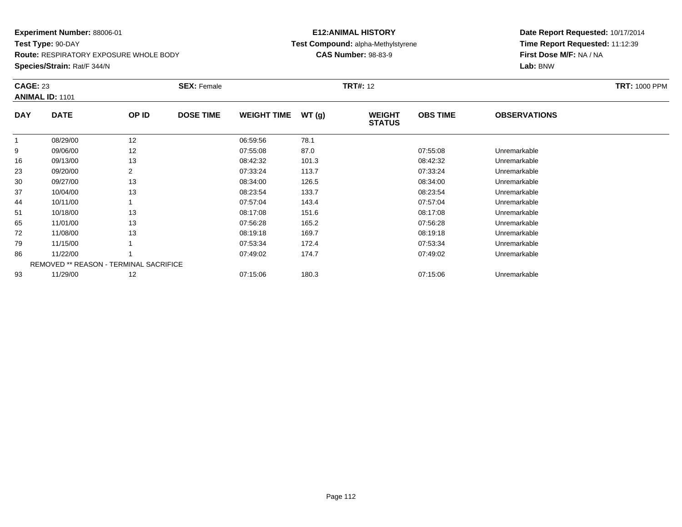**Test Type:** 90-DAY**Route:** RESPIRATORY EXPOSURE WHOLE BODY

#### **Species/Strain:** Rat/F 344/N

## **E12:ANIMAL HISTORY Test Compound:** alpha-Methylstyrene**CAS Number:** 98-83-9

| <b>CAGE: 23</b> | <b>ANIMAL ID: 1101</b>                 |       | <b>SEX: Female</b> |                    |       | <b>TRT#: 12</b>                |                 |                     | <b>TRT: 1000 PPM</b> |
|-----------------|----------------------------------------|-------|--------------------|--------------------|-------|--------------------------------|-----------------|---------------------|----------------------|
| <b>DAY</b>      | <b>DATE</b>                            | OP ID | <b>DOSE TIME</b>   | <b>WEIGHT TIME</b> | WT(g) | <b>WEIGHT</b><br><b>STATUS</b> | <b>OBS TIME</b> | <b>OBSERVATIONS</b> |                      |
|                 | 08/29/00                               | 12    |                    | 06:59:56           | 78.1  |                                |                 |                     |                      |
| 9               | 09/06/00                               | 12    |                    | 07:55:08           | 87.0  |                                | 07:55:08        | Unremarkable        |                      |
| 16              | 09/13/00                               | 13    |                    | 08:42:32           | 101.3 |                                | 08:42:32        | Unremarkable        |                      |
| 23              | 09/20/00                               | 2     |                    | 07:33:24           | 113.7 |                                | 07:33:24        | Unremarkable        |                      |
| 30              | 09/27/00                               | 13    |                    | 08:34:00           | 126.5 |                                | 08:34:00        | Unremarkable        |                      |
| 37              | 10/04/00                               | 13    |                    | 08:23:54           | 133.7 |                                | 08:23:54        | Unremarkable        |                      |
| 44              | 10/11/00                               |       |                    | 07:57:04           | 143.4 |                                | 07:57:04        | Unremarkable        |                      |
| 51              | 10/18/00                               | 13    |                    | 08:17:08           | 151.6 |                                | 08:17:08        | Unremarkable        |                      |
| 65              | 11/01/00                               | 13    |                    | 07:56:28           | 165.2 |                                | 07:56:28        | Unremarkable        |                      |
| 72              | 11/08/00                               | 13    |                    | 08:19:18           | 169.7 |                                | 08:19:18        | Unremarkable        |                      |
| 79              | 11/15/00                               |       |                    | 07:53:34           | 172.4 |                                | 07:53:34        | Unremarkable        |                      |
| 86              | 11/22/00                               |       |                    | 07:49:02           | 174.7 |                                | 07:49:02        | Unremarkable        |                      |
|                 | REMOVED ** REASON - TERMINAL SACRIFICE |       |                    |                    |       |                                |                 |                     |                      |
| 93              | 11/29/00                               | 12    |                    | 07:15:06           | 180.3 |                                | 07:15:06        | Unremarkable        |                      |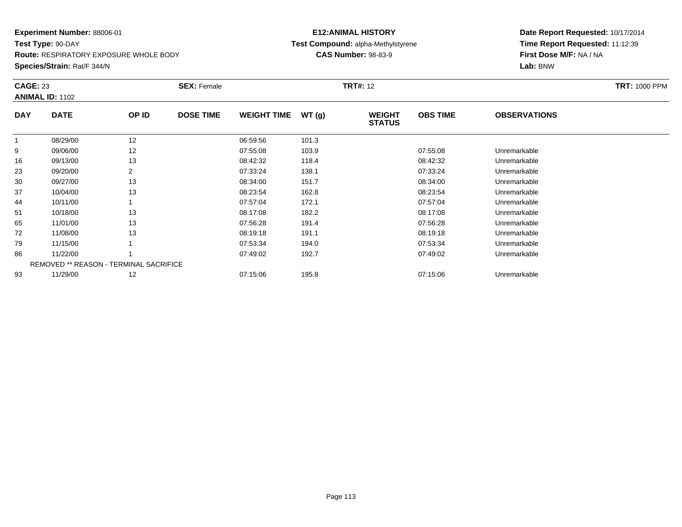**Test Type:** 90-DAY**Route:** RESPIRATORY EXPOSURE WHOLE BODY

**Species/Strain:** Rat/F 344/N

## **E12:ANIMAL HISTORY Test Compound:** alpha-Methylstyrene**CAS Number:** 98-83-9

| <b>CAGE: 23</b> | <b>ANIMAL ID: 1102</b>                 |       | <b>SEX: Female</b> |                    |       | <b>TRT#: 12</b>                |                 |                     | <b>TRT: 1000 PPM</b> |
|-----------------|----------------------------------------|-------|--------------------|--------------------|-------|--------------------------------|-----------------|---------------------|----------------------|
| <b>DAY</b>      | <b>DATE</b>                            | OP ID | <b>DOSE TIME</b>   | <b>WEIGHT TIME</b> | WT(g) | <b>WEIGHT</b><br><b>STATUS</b> | <b>OBS TIME</b> | <b>OBSERVATIONS</b> |                      |
|                 | 08/29/00                               | 12    |                    | 06:59:56           | 101.3 |                                |                 |                     |                      |
| 9               | 09/06/00                               | 12    |                    | 07:55:08           | 103.9 |                                | 07:55:08        | Unremarkable        |                      |
| 16              | 09/13/00                               | 13    |                    | 08:42:32           | 118.4 |                                | 08:42:32        | Unremarkable        |                      |
| 23              | 09/20/00                               |       |                    | 07:33:24           | 138.1 |                                | 07:33:24        | Unremarkable        |                      |
| 30              | 09/27/00                               | 13    |                    | 08:34:00           | 151.7 |                                | 08:34:00        | Unremarkable        |                      |
| 37              | 10/04/00                               | 13    |                    | 08:23:54           | 162.8 |                                | 08:23:54        | Unremarkable        |                      |
| 44              | 10/11/00                               |       |                    | 07:57:04           | 172.1 |                                | 07:57:04        | Unremarkable        |                      |
| 51              | 10/18/00                               | 13    |                    | 08:17:08           | 182.2 |                                | 08:17:08        | Unremarkable        |                      |
| 65              | 11/01/00                               | 13    |                    | 07:56:28           | 191.4 |                                | 07:56:28        | Unremarkable        |                      |
| 72              | 11/08/00                               | 13    |                    | 08:19:18           | 191.1 |                                | 08:19:18        | Unremarkable        |                      |
| 79              | 11/15/00                               |       |                    | 07:53:34           | 194.0 |                                | 07:53:34        | Unremarkable        |                      |
| 86              | 11/22/00                               |       |                    | 07:49:02           | 192.7 |                                | 07:49:02        | Unremarkable        |                      |
|                 | REMOVED ** REASON - TERMINAL SACRIFICE |       |                    |                    |       |                                |                 |                     |                      |
| 93              | 11/29/00                               | 12    |                    | 07:15:06           | 195.8 |                                | 07:15:06        | Unremarkable        |                      |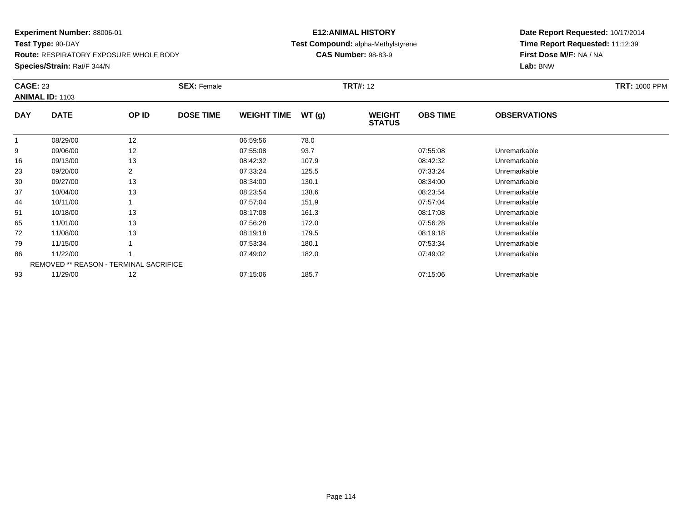**Test Type:** 90-DAY**Route:** RESPIRATORY EXPOSURE WHOLE BODY

#### **Species/Strain:** Rat/F 344/N

## **E12:ANIMAL HISTORY Test Compound:** alpha-Methylstyrene**CAS Number:** 98-83-9

|            | <b>CAGE: 23</b><br><b>ANIMAL ID: 1103</b> |       | <b>SEX: Female</b> |                    |       | <b>TRT#: 12</b>                | <b>TRT: 1000 PPM</b> |                     |  |
|------------|-------------------------------------------|-------|--------------------|--------------------|-------|--------------------------------|----------------------|---------------------|--|
| <b>DAY</b> | <b>DATE</b>                               | OP ID | <b>DOSE TIME</b>   | <b>WEIGHT TIME</b> | WT(g) | <b>WEIGHT</b><br><b>STATUS</b> | <b>OBS TIME</b>      | <b>OBSERVATIONS</b> |  |
|            | 08/29/00                                  | 12    |                    | 06:59:56           | 78.0  |                                |                      |                     |  |
| 9          | 09/06/00                                  | 12    |                    | 07:55:08           | 93.7  |                                | 07:55:08             | Unremarkable        |  |
| 16         | 09/13/00                                  | 13    |                    | 08:42:32           | 107.9 |                                | 08:42:32             | Unremarkable        |  |
| 23         | 09/20/00                                  | 2     |                    | 07:33:24           | 125.5 |                                | 07:33:24             | Unremarkable        |  |
| 30         | 09/27/00                                  | 13    |                    | 08:34:00           | 130.1 |                                | 08:34:00             | Unremarkable        |  |
| 37         | 10/04/00                                  | 13    |                    | 08:23:54           | 138.6 |                                | 08:23:54             | Unremarkable        |  |
| 44         | 10/11/00                                  |       |                    | 07:57:04           | 151.9 |                                | 07:57:04             | Unremarkable        |  |
| 51         | 10/18/00                                  | 13    |                    | 08:17:08           | 161.3 |                                | 08:17:08             | Unremarkable        |  |
| 65         | 11/01/00                                  | 13    |                    | 07:56:28           | 172.0 |                                | 07:56:28             | Unremarkable        |  |
| 72         | 11/08/00                                  | 13    |                    | 08:19:18           | 179.5 |                                | 08:19:18             | Unremarkable        |  |
| 79         | 11/15/00                                  |       |                    | 07:53:34           | 180.1 |                                | 07:53:34             | Unremarkable        |  |
| 86         | 11/22/00                                  |       |                    | 07:49:02           | 182.0 |                                | 07:49:02             | Unremarkable        |  |
|            | REMOVED ** REASON - TERMINAL SACRIFICE    |       |                    |                    |       |                                |                      |                     |  |
| 93         | 11/29/00                                  | 12    |                    | 07:15:06           | 185.7 |                                | 07:15:06             | Unremarkable        |  |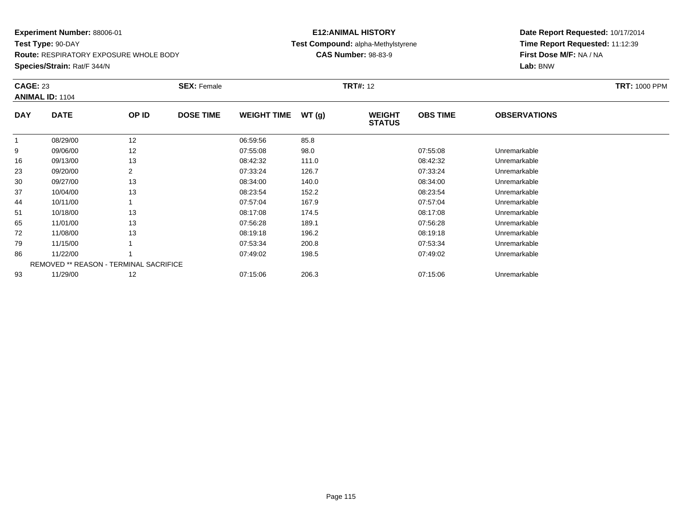**Test Type:** 90-DAY**Route:** RESPIRATORY EXPOSURE WHOLE BODY

#### **Species/Strain:** Rat/F 344/N

## **E12:ANIMAL HISTORY Test Compound:** alpha-Methylstyrene**CAS Number:** 98-83-9

|            | <b>CAGE: 23</b><br><b>ANIMAL ID: 1104</b>     |       | <b>SEX: Female</b> |                    |       | <b>TRT#: 12</b>                | <b>TRT: 1000 PPM</b> |                     |  |
|------------|-----------------------------------------------|-------|--------------------|--------------------|-------|--------------------------------|----------------------|---------------------|--|
| <b>DAY</b> | <b>DATE</b>                                   | OP ID | <b>DOSE TIME</b>   | <b>WEIGHT TIME</b> | WT(g) | <b>WEIGHT</b><br><b>STATUS</b> | <b>OBS TIME</b>      | <b>OBSERVATIONS</b> |  |
|            | 08/29/00                                      | 12    |                    | 06:59:56           | 85.8  |                                |                      |                     |  |
| 9          | 09/06/00                                      | 12    |                    | 07:55:08           | 98.0  |                                | 07:55:08             | Unremarkable        |  |
| 16         | 09/13/00                                      | 13    |                    | 08:42:32           | 111.0 |                                | 08:42:32             | Unremarkable        |  |
| 23         | 09/20/00                                      | 2     |                    | 07:33:24           | 126.7 |                                | 07:33:24             | Unremarkable        |  |
| 30         | 09/27/00                                      | 13    |                    | 08:34:00           | 140.0 |                                | 08:34:00             | Unremarkable        |  |
| 37         | 10/04/00                                      | 13    |                    | 08:23:54           | 152.2 |                                | 08:23:54             | Unremarkable        |  |
| 44         | 10/11/00                                      |       |                    | 07:57:04           | 167.9 |                                | 07:57:04             | Unremarkable        |  |
| 51         | 10/18/00                                      | 13    |                    | 08:17:08           | 174.5 |                                | 08:17:08             | Unremarkable        |  |
| 65         | 11/01/00                                      | 13    |                    | 07:56:28           | 189.1 |                                | 07:56:28             | Unremarkable        |  |
| 72         | 11/08/00                                      | 13    |                    | 08:19:18           | 196.2 |                                | 08:19:18             | Unremarkable        |  |
| 79         | 11/15/00                                      |       |                    | 07:53:34           | 200.8 |                                | 07:53:34             | Unremarkable        |  |
| 86         | 11/22/00                                      |       |                    | 07:49:02           | 198.5 |                                | 07:49:02             | Unremarkable        |  |
|            | <b>REMOVED ** REASON - TERMINAL SACRIFICE</b> |       |                    |                    |       |                                |                      |                     |  |
| 93         | 11/29/00                                      | 12    |                    | 07:15:06           | 206.3 |                                | 07:15:06             | Unremarkable        |  |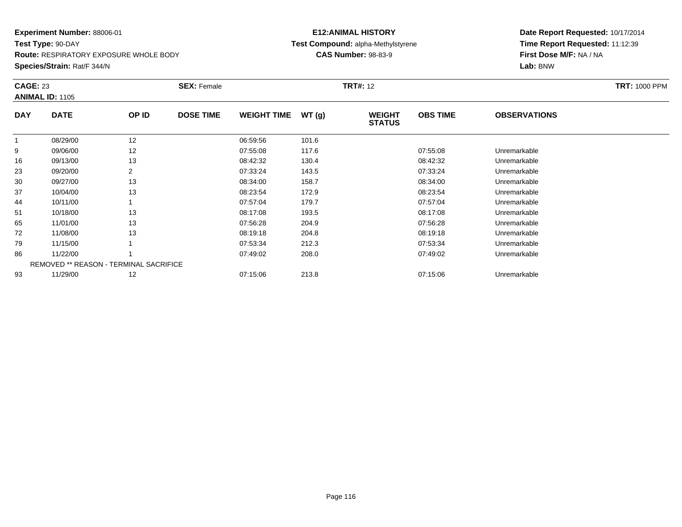**Test Type:** 90-DAY**Route:** RESPIRATORY EXPOSURE WHOLE BODY

#### **Species/Strain:** Rat/F 344/N

## **E12:ANIMAL HISTORY Test Compound:** alpha-Methylstyrene**CAS Number:** 98-83-9

| <b>CAGE: 23</b> | <b>ANIMAL ID: 1105</b>                 |       | <b>SEX: Female</b> |                    |       | <b>TRT#: 12</b>                |                 |                     | <b>TRT: 1000 PPM</b> |
|-----------------|----------------------------------------|-------|--------------------|--------------------|-------|--------------------------------|-----------------|---------------------|----------------------|
| <b>DAY</b>      | <b>DATE</b>                            | OP ID | <b>DOSE TIME</b>   | <b>WEIGHT TIME</b> | WT(g) | <b>WEIGHT</b><br><b>STATUS</b> | <b>OBS TIME</b> | <b>OBSERVATIONS</b> |                      |
|                 | 08/29/00                               | 12    |                    | 06:59:56           | 101.6 |                                |                 |                     |                      |
| 9               | 09/06/00                               | 12    |                    | 07:55:08           | 117.6 |                                | 07:55:08        | Unremarkable        |                      |
| 16              | 09/13/00                               | 13    |                    | 08:42:32           | 130.4 |                                | 08:42:32        | Unremarkable        |                      |
| 23              | 09/20/00                               | 2     |                    | 07:33:24           | 143.5 |                                | 07:33:24        | Unremarkable        |                      |
| 30              | 09/27/00                               | 13    |                    | 08:34:00           | 158.7 |                                | 08:34:00        | Unremarkable        |                      |
| 37              | 10/04/00                               | 13    |                    | 08:23:54           | 172.9 |                                | 08:23:54        | Unremarkable        |                      |
| 44              | 10/11/00                               |       |                    | 07:57:04           | 179.7 |                                | 07:57:04        | Unremarkable        |                      |
| 51              | 10/18/00                               | 13    |                    | 08:17:08           | 193.5 |                                | 08:17:08        | Unremarkable        |                      |
| 65              | 11/01/00                               | 13    |                    | 07:56:28           | 204.9 |                                | 07:56:28        | Unremarkable        |                      |
| 72              | 11/08/00                               | 13    |                    | 08:19:18           | 204.8 |                                | 08:19:18        | Unremarkable        |                      |
| 79              | 11/15/00                               |       |                    | 07:53:34           | 212.3 |                                | 07:53:34        | Unremarkable        |                      |
| 86              | 11/22/00                               |       |                    | 07:49:02           | 208.0 |                                | 07:49:02        | Unremarkable        |                      |
|                 | REMOVED ** REASON - TERMINAL SACRIFICE |       |                    |                    |       |                                |                 |                     |                      |
| 93              | 11/29/00                               | 12    |                    | 07:15:06           | 213.8 |                                | 07:15:06        | Unremarkable        |                      |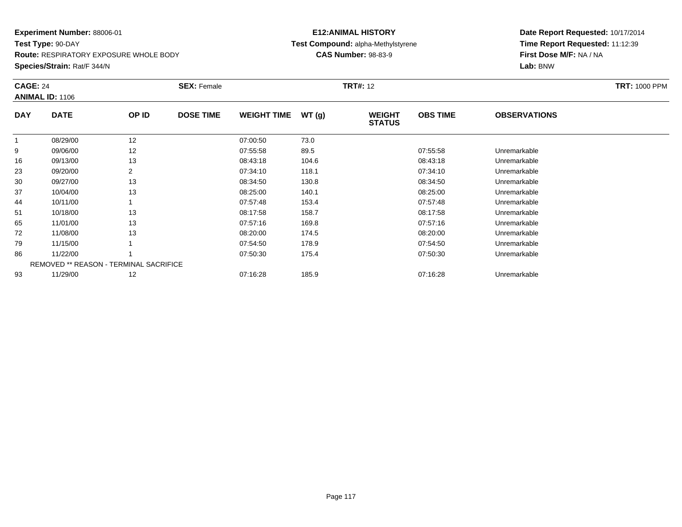#### **Experiment Number:** 88006-01**Test Type:** 90-DAY

**Route:** RESPIRATORY EXPOSURE WHOLE BODY

**Species/Strain:** Rat/F 344/N

## **E12:ANIMAL HISTORY Test Compound:** alpha-Methylstyrene**CAS Number:** 98-83-9

| <b>CAGE: 24</b> | <b>ANIMAL ID: 1106</b>                        |       | <b>SEX: Female</b> |                    |       | <b>TRT#: 12</b>                |                 |                     | <b>TRT: 1000 PPM</b> |
|-----------------|-----------------------------------------------|-------|--------------------|--------------------|-------|--------------------------------|-----------------|---------------------|----------------------|
| <b>DAY</b>      | <b>DATE</b>                                   | OP ID | <b>DOSE TIME</b>   | <b>WEIGHT TIME</b> | WT(g) | <b>WEIGHT</b><br><b>STATUS</b> | <b>OBS TIME</b> | <b>OBSERVATIONS</b> |                      |
|                 | 08/29/00                                      | 12    |                    | 07:00:50           | 73.0  |                                |                 |                     |                      |
| 9               | 09/06/00                                      | 12    |                    | 07:55:58           | 89.5  |                                | 07.55.58        | Unremarkable        |                      |
| 16              | 09/13/00                                      | 13    |                    | 08:43:18           | 104.6 |                                | 08:43:18        | Unremarkable        |                      |
| 23              | 09/20/00                                      | 2     |                    | 07:34:10           | 118.1 |                                | 07:34:10        | Unremarkable        |                      |
| 30              | 09/27/00                                      | 13    |                    | 08:34:50           | 130.8 |                                | 08:34:50        | Unremarkable        |                      |
| 37              | 10/04/00                                      | 13    |                    | 08:25:00           | 140.1 |                                | 08:25:00        | Unremarkable        |                      |
| 44              | 10/11/00                                      |       |                    | 07:57:48           | 153.4 |                                | 07:57:48        | Unremarkable        |                      |
| 51              | 10/18/00                                      | 13    |                    | 08:17:58           | 158.7 |                                | 08:17:58        | Unremarkable        |                      |
| 65              | 11/01/00                                      | 13    |                    | 07:57:16           | 169.8 |                                | 07:57:16        | Unremarkable        |                      |
| 72              | 11/08/00                                      | 13    |                    | 08:20:00           | 174.5 |                                | 08:20:00        | Unremarkable        |                      |
| 79              | 11/15/00                                      |       |                    | 07:54:50           | 178.9 |                                | 07:54:50        | Unremarkable        |                      |
| 86              | 11/22/00                                      |       |                    | 07:50:30           | 175.4 |                                | 07:50:30        | Unremarkable        |                      |
|                 | <b>REMOVED ** REASON - TERMINAL SACRIFICE</b> |       |                    |                    |       |                                |                 |                     |                      |
| 93              | 11/29/00                                      | 12    |                    | 07:16:28           | 185.9 |                                | 07:16:28        | Unremarkable        |                      |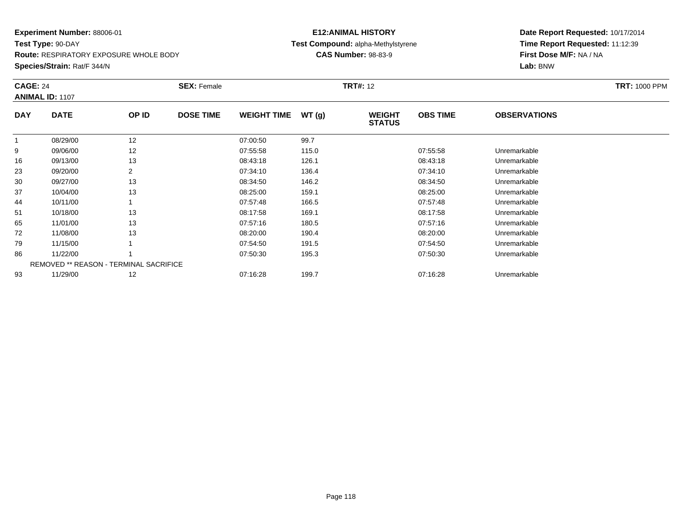**Test Type:** 90-DAY**Route:** RESPIRATORY EXPOSURE WHOLE BODY

#### **Species/Strain:** Rat/F 344/N

## **E12:ANIMAL HISTORY Test Compound:** alpha-Methylstyrene**CAS Number:** 98-83-9

| <b>CAGE: 24</b> | <b>ANIMAL ID: 1107</b>                        |       | <b>SEX: Female</b> |                    |       | <b>TRT#: 12</b>                |                 |                     | <b>TRT: 1000 PPM</b> |
|-----------------|-----------------------------------------------|-------|--------------------|--------------------|-------|--------------------------------|-----------------|---------------------|----------------------|
| <b>DAY</b>      | <b>DATE</b>                                   | OP ID | <b>DOSE TIME</b>   | <b>WEIGHT TIME</b> | WT(g) | <b>WEIGHT</b><br><b>STATUS</b> | <b>OBS TIME</b> | <b>OBSERVATIONS</b> |                      |
| -1              | 08/29/00                                      | 12    |                    | 07:00:50           | 99.7  |                                |                 |                     |                      |
| 9               | 09/06/00                                      | 12    |                    | 07:55:58           | 115.0 |                                | 07:55:58        | Unremarkable        |                      |
| 16              | 09/13/00                                      | 13    |                    | 08:43:18           | 126.1 |                                | 08:43:18        | Unremarkable        |                      |
| 23              | 09/20/00                                      | 2     |                    | 07:34:10           | 136.4 |                                | 07:34:10        | Unremarkable        |                      |
| 30              | 09/27/00                                      | 13    |                    | 08:34:50           | 146.2 |                                | 08:34:50        | Unremarkable        |                      |
| 37              | 10/04/00                                      | 13    |                    | 08:25:00           | 159.1 |                                | 08:25:00        | Unremarkable        |                      |
| 44              | 10/11/00                                      |       |                    | 07:57:48           | 166.5 |                                | 07:57:48        | Unremarkable        |                      |
| 51              | 10/18/00                                      | 13    |                    | 08:17:58           | 169.1 |                                | 08:17:58        | Unremarkable        |                      |
| 65              | 11/01/00                                      | 13    |                    | 07:57:16           | 180.5 |                                | 07:57:16        | Unremarkable        |                      |
| 72              | 11/08/00                                      | 13    |                    | 08:20:00           | 190.4 |                                | 08:20:00        | Unremarkable        |                      |
| 79              | 11/15/00                                      |       |                    | 07:54:50           | 191.5 |                                | 07:54:50        | Unremarkable        |                      |
| 86              | 11/22/00                                      |       |                    | 07:50:30           | 195.3 |                                | 07:50:30        | Unremarkable        |                      |
|                 | <b>REMOVED ** REASON - TERMINAL SACRIFICE</b> |       |                    |                    |       |                                |                 |                     |                      |
| 93              | 11/29/00                                      | 12    |                    | 07:16:28           | 199.7 |                                | 07:16:28        | Unremarkable        |                      |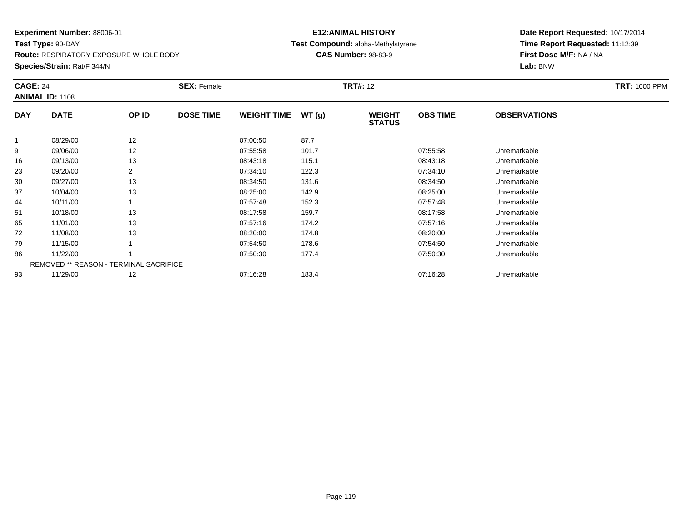**Test Type:** 90-DAY**Route:** RESPIRATORY EXPOSURE WHOLE BODY

#### **Species/Strain:** Rat/F 344/N

## **E12:ANIMAL HISTORY Test Compound:** alpha-Methylstyrene**CAS Number:** 98-83-9

|            | <b>CAGE: 24</b><br><b>ANIMAL ID: 1108</b>     |       | <b>SEX: Female</b> |                    |       | <b>TRT#: 12</b>                | <b>TRT: 1000 PPM</b> |                     |  |
|------------|-----------------------------------------------|-------|--------------------|--------------------|-------|--------------------------------|----------------------|---------------------|--|
| <b>DAY</b> | <b>DATE</b>                                   | OP ID | <b>DOSE TIME</b>   | <b>WEIGHT TIME</b> | WT(g) | <b>WEIGHT</b><br><b>STATUS</b> | <b>OBS TIME</b>      | <b>OBSERVATIONS</b> |  |
|            | 08/29/00                                      | 12    |                    | 07:00:50           | 87.7  |                                |                      |                     |  |
| 9          | 09/06/00                                      | 12    |                    | 07:55:58           | 101.7 |                                | 07:55:58             | Unremarkable        |  |
| 16         | 09/13/00                                      | 13    |                    | 08:43:18           | 115.1 |                                | 08:43:18             | Unremarkable        |  |
| 23         | 09/20/00                                      | 2     |                    | 07:34:10           | 122.3 |                                | 07:34:10             | Unremarkable        |  |
| 30         | 09/27/00                                      | 13    |                    | 08:34:50           | 131.6 |                                | 08:34:50             | Unremarkable        |  |
| 37         | 10/04/00                                      | 13    |                    | 08:25:00           | 142.9 |                                | 08:25:00             | Unremarkable        |  |
| 44         | 10/11/00                                      |       |                    | 07:57:48           | 152.3 |                                | 07:57:48             | Unremarkable        |  |
| 51         | 10/18/00                                      | 13    |                    | 08:17:58           | 159.7 |                                | 08:17:58             | Unremarkable        |  |
| 65         | 11/01/00                                      | 13    |                    | 07:57:16           | 174.2 |                                | 07:57:16             | Unremarkable        |  |
| 72         | 11/08/00                                      | 13    |                    | 08:20:00           | 174.8 |                                | 08:20:00             | Unremarkable        |  |
| 79         | 11/15/00                                      |       |                    | 07:54:50           | 178.6 |                                | 07:54:50             | Unremarkable        |  |
| 86         | 11/22/00                                      |       |                    | 07:50:30           | 177.4 |                                | 07:50:30             | Unremarkable        |  |
|            | <b>REMOVED ** REASON - TERMINAL SACRIFICE</b> |       |                    |                    |       |                                |                      |                     |  |
| 93         | 11/29/00                                      | 12    |                    | 07:16:28           | 183.4 |                                | 07:16:28             | Unremarkable        |  |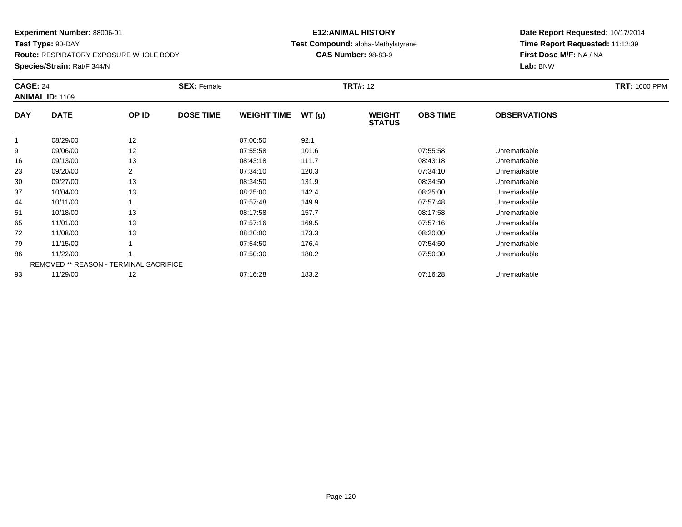**Test Type:** 90-DAY**Route:** RESPIRATORY EXPOSURE WHOLE BODY

#### **Species/Strain:** Rat/F 344/N

## **E12:ANIMAL HISTORY Test Compound:** alpha-Methylstyrene**CAS Number:** 98-83-9

|            | <b>CAGE: 24</b><br><b>ANIMAL ID: 1109</b>     |       | <b>SEX: Female</b> |                    |       | <b>TRT#: 12</b>                | <b>TRT: 1000 PPM</b> |                     |  |
|------------|-----------------------------------------------|-------|--------------------|--------------------|-------|--------------------------------|----------------------|---------------------|--|
| <b>DAY</b> | <b>DATE</b>                                   | OP ID | <b>DOSE TIME</b>   | <b>WEIGHT TIME</b> | WT(g) | <b>WEIGHT</b><br><b>STATUS</b> | <b>OBS TIME</b>      | <b>OBSERVATIONS</b> |  |
|            | 08/29/00                                      | 12    |                    | 07:00:50           | 92.1  |                                |                      |                     |  |
| 9          | 09/06/00                                      | 12    |                    | 07:55:58           | 101.6 |                                | 07:55:58             | Unremarkable        |  |
| 16         | 09/13/00                                      | 13    |                    | 08:43:18           | 111.7 |                                | 08:43:18             | Unremarkable        |  |
| 23         | 09/20/00                                      |       |                    | 07:34:10           | 120.3 |                                | 07:34:10             | Unremarkable        |  |
| 30         | 09/27/00                                      | 13    |                    | 08:34:50           | 131.9 |                                | 08:34:50             | Unremarkable        |  |
| 37         | 10/04/00                                      | 13    |                    | 08:25:00           | 142.4 |                                | 08:25:00             | Unremarkable        |  |
| 44         | 10/11/00                                      |       |                    | 07:57:48           | 149.9 |                                | 07:57:48             | Unremarkable        |  |
| 51         | 10/18/00                                      | 13    |                    | 08:17:58           | 157.7 |                                | 08:17:58             | Unremarkable        |  |
| 65         | 11/01/00                                      | 13    |                    | 07:57:16           | 169.5 |                                | 07:57:16             | Unremarkable        |  |
| 72         | 11/08/00                                      | 13    |                    | 08:20:00           | 173.3 |                                | 08:20:00             | Unremarkable        |  |
| 79         | 11/15/00                                      |       |                    | 07:54:50           | 176.4 |                                | 07:54:50             | Unremarkable        |  |
| 86         | 11/22/00                                      |       |                    | 07:50:30           | 180.2 |                                | 07:50:30             | Unremarkable        |  |
|            | <b>REMOVED ** REASON - TERMINAL SACRIFICE</b> |       |                    |                    |       |                                |                      |                     |  |
| 93         | 11/29/00                                      | 12    |                    | 07:16:28           | 183.2 |                                | 07:16:28             | Unremarkable        |  |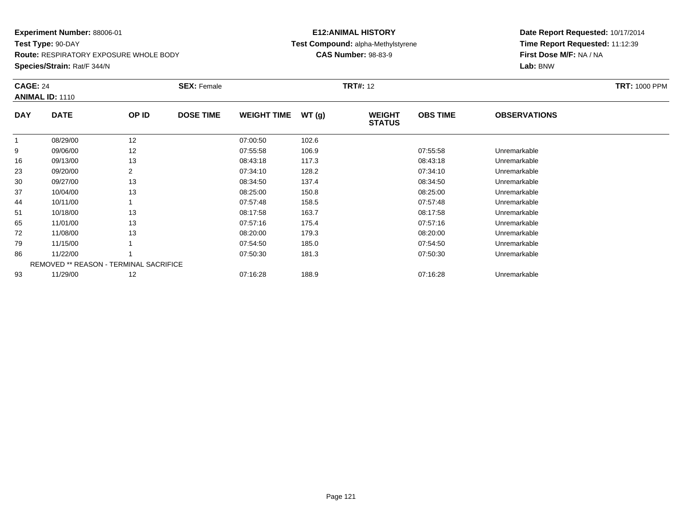**Test Type:** 90-DAY**Route:** RESPIRATORY EXPOSURE WHOLE BODY

#### **Species/Strain:** Rat/F 344/N

## **E12:ANIMAL HISTORY Test Compound:** alpha-Methylstyrene**CAS Number:** 98-83-9

| <b>CAGE: 24</b><br><b>ANIMAL ID: 1110</b> |                                               |       | <b>SEX: Female</b> | <b>TRT#: 12</b>    |       |                                |                 |                     | <b>TRT: 1000 PPM</b> |
|-------------------------------------------|-----------------------------------------------|-------|--------------------|--------------------|-------|--------------------------------|-----------------|---------------------|----------------------|
| <b>DAY</b>                                | <b>DATE</b>                                   | OP ID | <b>DOSE TIME</b>   | <b>WEIGHT TIME</b> | WT(g) | <b>WEIGHT</b><br><b>STATUS</b> | <b>OBS TIME</b> | <b>OBSERVATIONS</b> |                      |
|                                           | 08/29/00                                      | 12    |                    | 07:00:50           | 102.6 |                                |                 |                     |                      |
| 9                                         | 09/06/00                                      | 12    |                    | 07:55:58           | 106.9 |                                | 07:55:58        | Unremarkable        |                      |
| 16                                        | 09/13/00                                      | 13    |                    | 08:43:18           | 117.3 |                                | 08:43:18        | Unremarkable        |                      |
| 23                                        | 09/20/00                                      | 2     |                    | 07:34:10           | 128.2 |                                | 07:34:10        | Unremarkable        |                      |
| 30                                        | 09/27/00                                      | 13    |                    | 08:34:50           | 137.4 |                                | 08:34:50        | Unremarkable        |                      |
| 37                                        | 10/04/00                                      | 13    |                    | 08:25:00           | 150.8 |                                | 08:25:00        | Unremarkable        |                      |
| 44                                        | 10/11/00                                      |       |                    | 07:57:48           | 158.5 |                                | 07:57:48        | Unremarkable        |                      |
| 51                                        | 10/18/00                                      | 13    |                    | 08:17:58           | 163.7 |                                | 08:17:58        | Unremarkable        |                      |
| 65                                        | 11/01/00                                      | 13    |                    | 07:57:16           | 175.4 |                                | 07:57:16        | Unremarkable        |                      |
| 72                                        | 11/08/00                                      | 13    |                    | 08:20:00           | 179.3 |                                | 08:20:00        | Unremarkable        |                      |
| 79                                        | 11/15/00                                      |       |                    | 07:54:50           | 185.0 |                                | 07:54:50        | Unremarkable        |                      |
| 86                                        | 11/22/00                                      |       |                    | 07:50:30           | 181.3 |                                | 07:50:30        | Unremarkable        |                      |
|                                           | <b>REMOVED ** REASON - TERMINAL SACRIFICE</b> |       |                    |                    |       |                                |                 |                     |                      |
| 93                                        | 11/29/00                                      | 12    |                    | 07:16:28           | 188.9 |                                | 07:16:28        | Unremarkable        |                      |